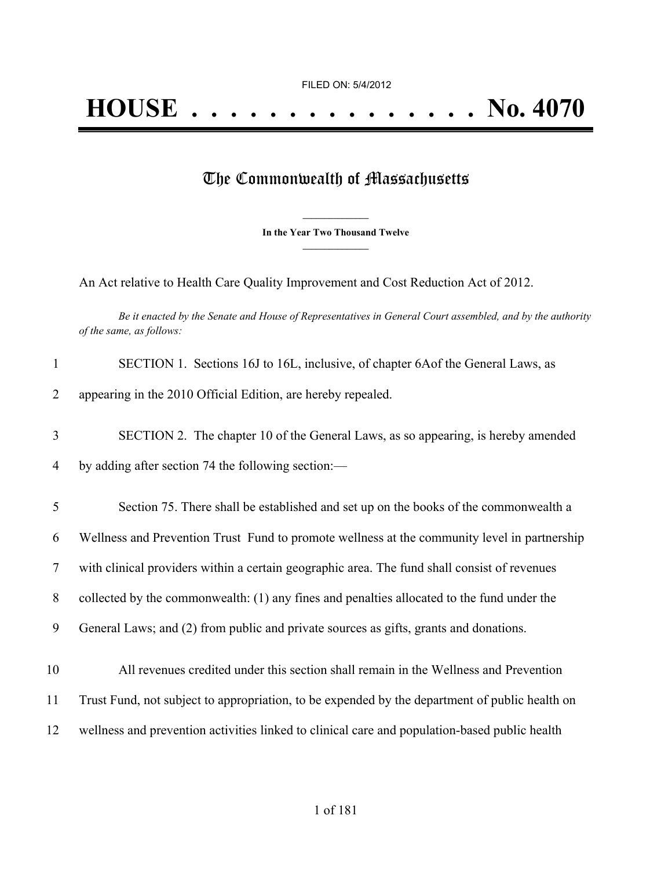# The Commonwealth of Massachusetts

**\_\_\_\_\_\_\_\_\_\_\_\_\_\_\_ In the Year Two Thousand Twelve \_\_\_\_\_\_\_\_\_\_\_\_\_\_\_**

An Act relative to Health Care Quality Improvement and Cost Reduction Act of 2012.

Be it enacted by the Senate and House of Representatives in General Court assembled, and by the authority *of the same, as follows:*

| $\mathbf{1}$ | SECTION 1. Sections 16J to 16L, inclusive, of chapter 6A of the General Laws, as               |
|--------------|------------------------------------------------------------------------------------------------|
| 2            | appearing in the 2010 Official Edition, are hereby repealed.                                   |
| 3            | SECTION 2. The chapter 10 of the General Laws, as so appearing, is hereby amended              |
| 4            | by adding after section 74 the following section:—                                             |
| 5            | Section 75. There shall be established and set up on the books of the commonwealth a           |
| 6            | Wellness and Prevention Trust Fund to promote wellness at the community level in partnership   |
| $\tau$       | with clinical providers within a certain geographic area. The fund shall consist of revenues   |
| 8            | collected by the commonwealth: (1) any fines and penalties allocated to the fund under the     |
| 9            | General Laws; and (2) from public and private sources as gifts, grants and donations.          |
| 10           | All revenues credited under this section shall remain in the Wellness and Prevention           |
| 11           | Trust Fund, not subject to appropriation, to be expended by the department of public health on |
| 12           | wellness and prevention activities linked to clinical care and population-based public health  |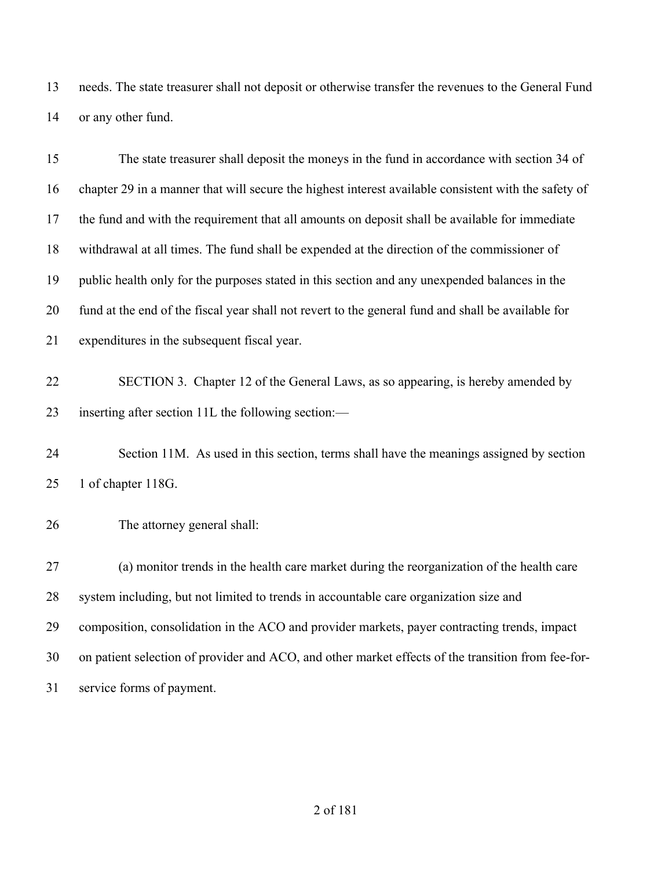needs. The state treasurer shall not deposit or otherwise transfer the revenues to the General Fund or any other fund.

| 15 | The state treasurer shall deposit the moneys in the fund in accordance with section 34 of            |
|----|------------------------------------------------------------------------------------------------------|
| 16 | chapter 29 in a manner that will secure the highest interest available consistent with the safety of |
| 17 | the fund and with the requirement that all amounts on deposit shall be available for immediate       |
| 18 | withdrawal at all times. The fund shall be expended at the direction of the commissioner of          |
| 19 | public health only for the purposes stated in this section and any unexpended balances in the        |
| 20 | fund at the end of the fiscal year shall not revert to the general fund and shall be available for   |
| 21 | expenditures in the subsequent fiscal year.                                                          |
| 22 | SECTION 3. Chapter 12 of the General Laws, as so appearing, is hereby amended by                     |
| 23 | inserting after section 11L the following section:—                                                  |
| 24 | Section 11M. As used in this section, terms shall have the meanings assigned by section              |
| 25 | 1 of chapter 118G.                                                                                   |
| 26 | The attorney general shall:                                                                          |
| 27 | (a) monitor trends in the health care market during the reorganization of the health care            |
| 28 | system including, but not limited to trends in accountable care organization size and                |
| 29 | composition, consolidation in the ACO and provider markets, payer contracting trends, impact         |
| 30 | on patient selection of provider and ACO, and other market effects of the transition from fee-for-   |
| 31 | service forms of payment.                                                                            |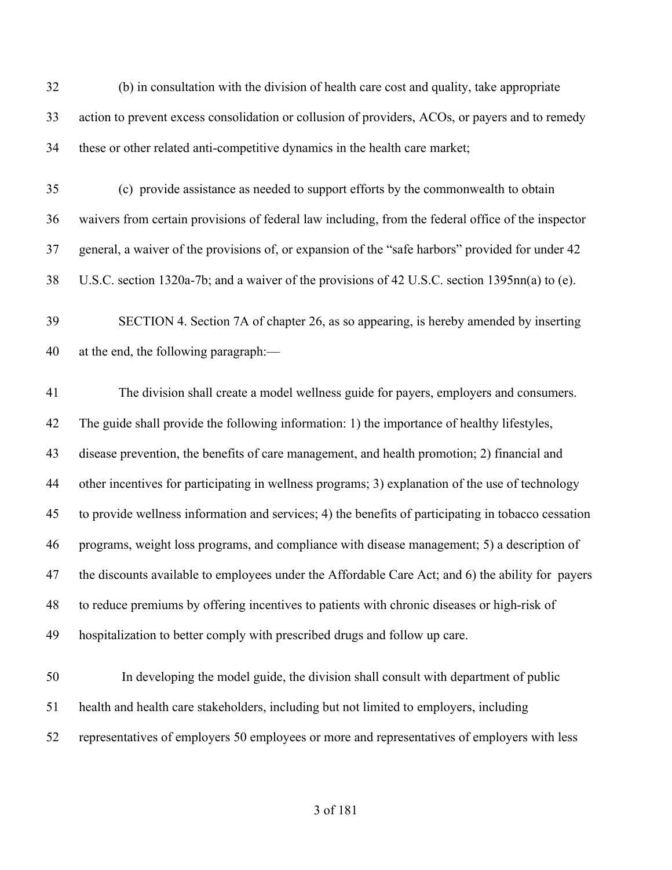(b) in consultation with the division of health care cost and quality, take appropriate action to prevent excess consolidation or collusion of providers, ACOs, or payers and to remedy these or other related anti-competitive dynamics in the health care market;

- (c) provide assistance as needed to support efforts by the commonwealth to obtain waivers from certain provisions of federal law including, from the federal office of the inspector general, a waiver of the provisions of, or expansion of the "safe harbors" provided for under 42 U.S.C. section 1320a-7b; and a waiver of the provisions of 42 U.S.C. section 1395nn(a) to (e).
- SECTION 4. Section 7A of chapter 26, as so appearing, is hereby amended by inserting at the end, the following paragraph:—

 The division shall create a model wellness guide for payers, employers and consumers. The guide shall provide the following information: 1) the importance of healthy lifestyles, disease prevention, the benefits of care management, and health promotion; 2) financial and other incentives for participating in wellness programs; 3) explanation of the use of technology to provide wellness information and services; 4) the benefits of participating in tobacco cessation programs, weight loss programs, and compliance with disease management; 5) a description of 47 the discounts available to employees under the Affordable Care Act; and 6) the ability for payers to reduce premiums by offering incentives to patients with chronic diseases or high-risk of hospitalization to better comply with prescribed drugs and follow up care.

 In developing the model guide, the division shall consult with department of public health and health care stakeholders, including but not limited to employers, including representatives of employers 50 employees or more and representatives of employers with less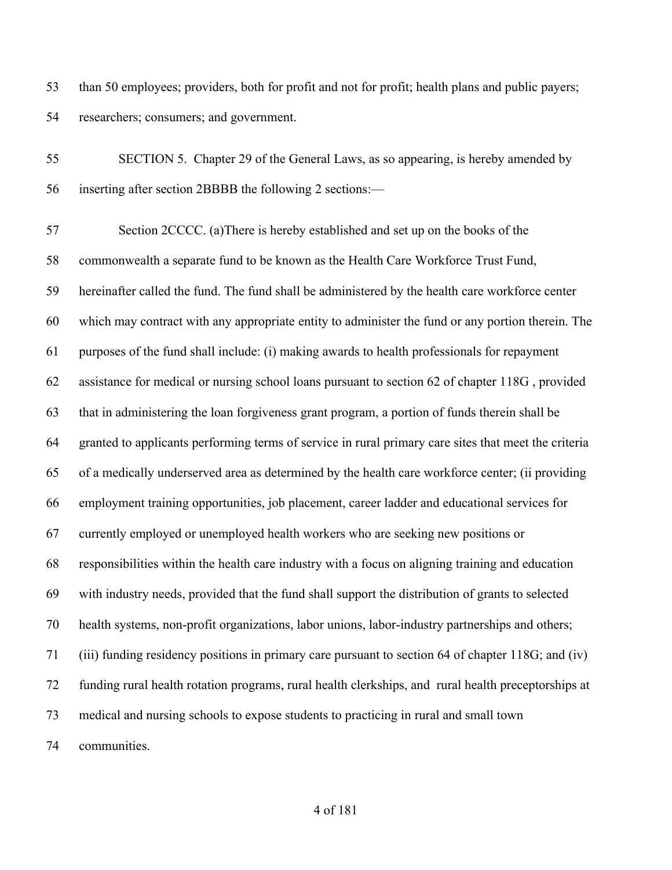than 50 employees; providers, both for profit and not for profit; health plans and public payers; researchers; consumers; and government.

 SECTION 5. Chapter 29 of the General Laws, as so appearing, is hereby amended by inserting after section 2BBBB the following 2 sections:—

 Section 2CCCC. (a)There is hereby established and set up on the books of the commonwealth a separate fund to be known as the Health Care Workforce Trust Fund, hereinafter called the fund. The fund shall be administered by the health care workforce center which may contract with any appropriate entity to administer the fund or any portion therein. The purposes of the fund shall include: (i) making awards to health professionals for repayment assistance for medical or nursing school loans pursuant to section 62 of chapter 118G , provided that in administering the loan forgiveness grant program, a portion of funds therein shall be granted to applicants performing terms of service in rural primary care sites that meet the criteria of a medically underserved area as determined by the health care workforce center; (ii providing employment training opportunities, job placement, career ladder and educational services for currently employed or unemployed health workers who are seeking new positions or responsibilities within the health care industry with a focus on aligning training and education with industry needs, provided that the fund shall support the distribution of grants to selected health systems, non-profit organizations, labor unions, labor-industry partnerships and others; (iii) funding residency positions in primary care pursuant to section 64 of chapter 118G; and (iv) funding rural health rotation programs, rural health clerkships, and rural health preceptorships at medical and nursing schools to expose students to practicing in rural and small town communities.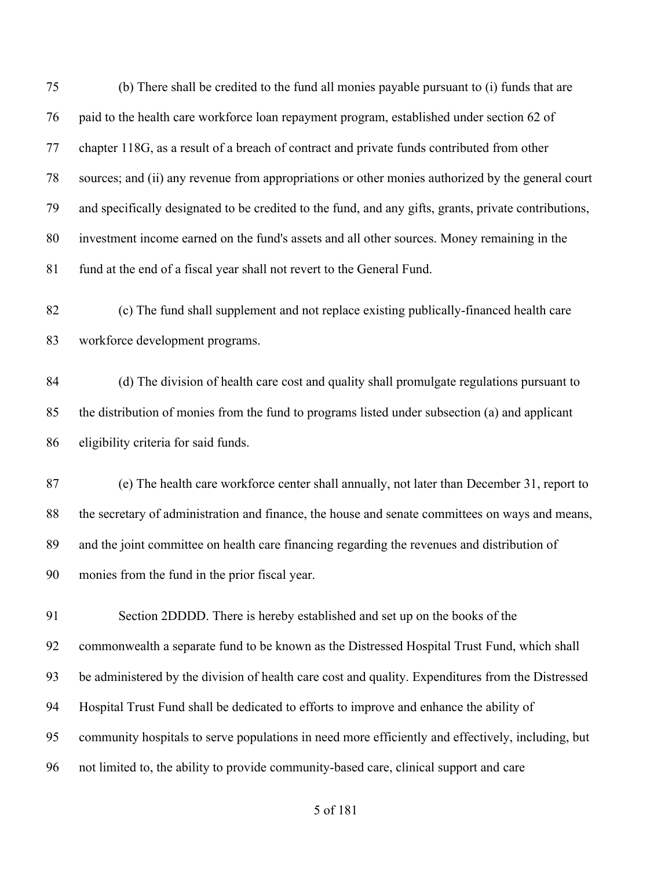(b) There shall be credited to the fund all monies payable pursuant to (i) funds that are paid to the health care workforce loan repayment program, established under section 62 of chapter 118G, as a result of a breach of contract and private funds contributed from other sources; and (ii) any revenue from appropriations or other monies authorized by the general court and specifically designated to be credited to the fund, and any gifts, grants, private contributions, investment income earned on the fund's assets and all other sources. Money remaining in the fund at the end of a fiscal year shall not revert to the General Fund. (c) The fund shall supplement and not replace existing publically-financed health care workforce development programs. (d) The division of health care cost and quality shall promulgate regulations pursuant to the distribution of monies from the fund to programs listed under subsection (a) and applicant eligibility criteria for said funds. (e) The health care workforce center shall annually, not later than December 31, report to the secretary of administration and finance, the house and senate committees on ways and means, and the joint committee on health care financing regarding the revenues and distribution of monies from the fund in the prior fiscal year. Section 2DDDD. There is hereby established and set up on the books of the commonwealth a separate fund to be known as the Distressed Hospital Trust Fund, which shall be administered by the division of health care cost and quality. Expenditures from the Distressed Hospital Trust Fund shall be dedicated to efforts to improve and enhance the ability of community hospitals to serve populations in need more efficiently and effectively, including, but not limited to, the ability to provide community-based care, clinical support and care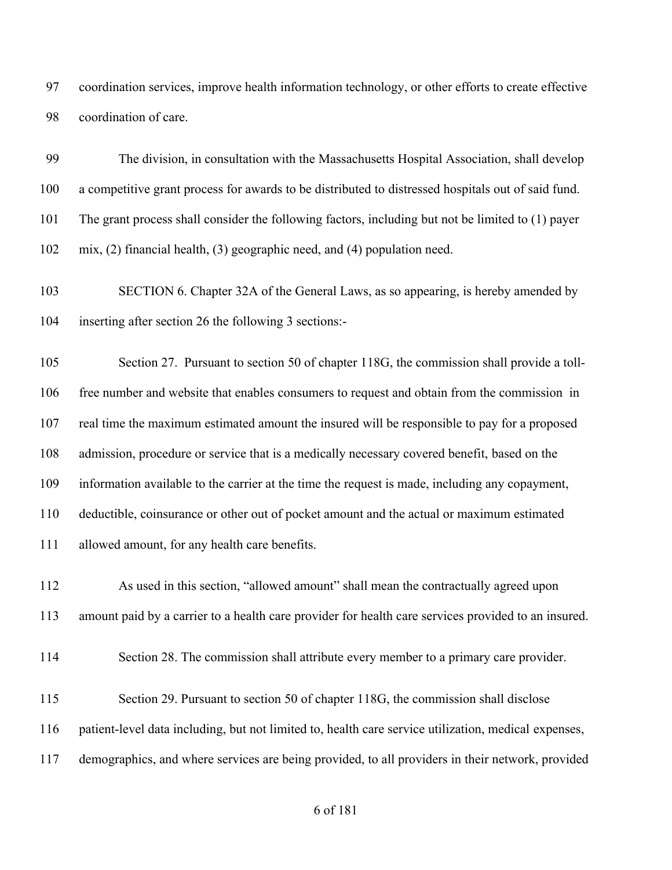coordination services, improve health information technology, or other efforts to create effective coordination of care.

 The division, in consultation with the Massachusetts Hospital Association, shall develop a competitive grant process for awards to be distributed to distressed hospitals out of said fund. The grant process shall consider the following factors, including but not be limited to (1) payer mix, (2) financial health, (3) geographic need, and (4) population need.

 SECTION 6. Chapter 32A of the General Laws, as so appearing, is hereby amended by inserting after section 26 the following 3 sections:-

105 Section 27. Pursuant to section 50 of chapter 118G, the commission shall provide a toll- free number and website that enables consumers to request and obtain from the commission in real time the maximum estimated amount the insured will be responsible to pay for a proposed admission, procedure or service that is a medically necessary covered benefit, based on the information available to the carrier at the time the request is made, including any copayment, deductible, coinsurance or other out of pocket amount and the actual or maximum estimated allowed amount, for any health care benefits.

 As used in this section, "allowed amount" shall mean the contractually agreed upon amount paid by a carrier to a health care provider for health care services provided to an insured.

Section 28. The commission shall attribute every member to a primary care provider.

115 Section 29. Pursuant to section 50 of chapter 118G, the commission shall disclose patient-level data including, but not limited to, health care service utilization, medical expenses, demographics, and where services are being provided, to all providers in their network, provided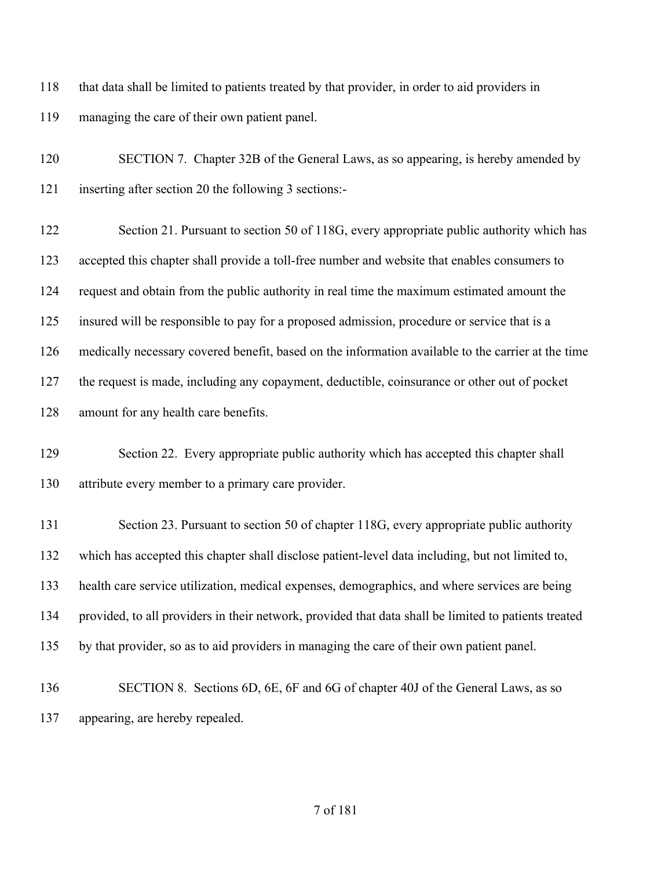that data shall be limited to patients treated by that provider, in order to aid providers in managing the care of their own patient panel.

 SECTION 7. Chapter 32B of the General Laws, as so appearing, is hereby amended by inserting after section 20 the following 3 sections:-

122 Section 21. Pursuant to section 50 of 118G, every appropriate public authority which has accepted this chapter shall provide a toll-free number and website that enables consumers to request and obtain from the public authority in real time the maximum estimated amount the insured will be responsible to pay for a proposed admission, procedure or service that is a medically necessary covered benefit, based on the information available to the carrier at the time the request is made, including any copayment, deductible, coinsurance or other out of pocket amount for any health care benefits.

129 Section 22. Every appropriate public authority which has accepted this chapter shall attribute every member to a primary care provider.

131 Section 23. Pursuant to section 50 of chapter 118G, every appropriate public authority which has accepted this chapter shall disclose patient-level data including, but not limited to, health care service utilization, medical expenses, demographics, and where services are being provided, to all providers in their network, provided that data shall be limited to patients treated by that provider, so as to aid providers in managing the care of their own patient panel.

 SECTION 8. Sections 6D, 6E, 6F and 6G of chapter 40J of the General Laws, as so appearing, are hereby repealed.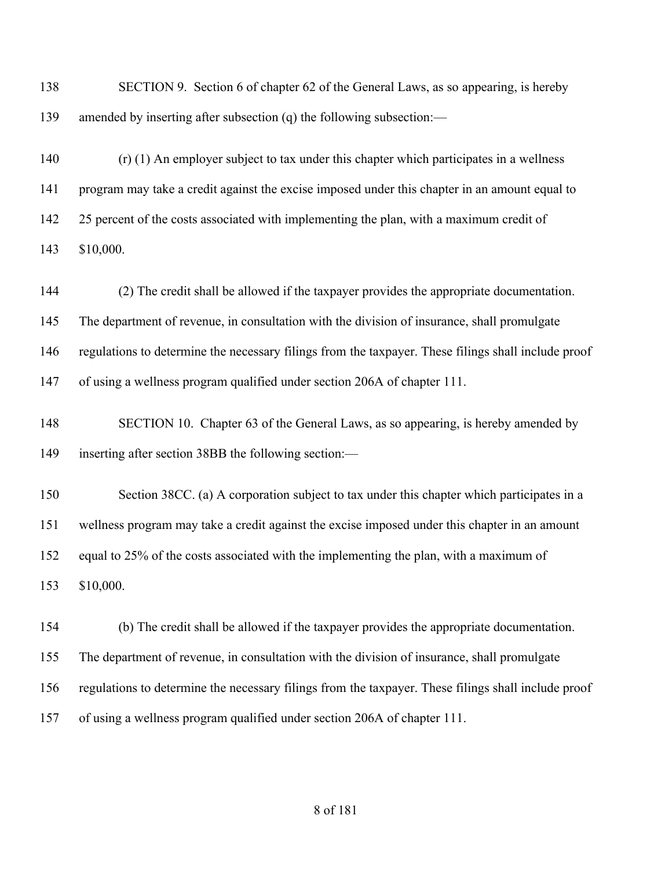| 138 | SECTION 9. Section 6 of chapter 62 of the General Laws, as so appearing, is hereby                  |
|-----|-----------------------------------------------------------------------------------------------------|
| 139 | amended by inserting after subsection (q) the following subsection:—                                |
| 140 | $(r)$ (1) An employer subject to tax under this chapter which participates in a wellness            |
| 141 | program may take a credit against the excise imposed under this chapter in an amount equal to       |
| 142 | 25 percent of the costs associated with implementing the plan, with a maximum credit of             |
| 143 | \$10,000.                                                                                           |
| 144 | (2) The credit shall be allowed if the taxpayer provides the appropriate documentation.             |
| 145 | The department of revenue, in consultation with the division of insurance, shall promulgate         |
| 146 | regulations to determine the necessary filings from the taxpayer. These filings shall include proof |
| 147 | of using a wellness program qualified under section 206A of chapter 111.                            |
| 148 | SECTION 10. Chapter 63 of the General Laws, as so appearing, is hereby amended by                   |
| 149 | inserting after section 38BB the following section:—                                                |
| 150 | Section 38CC. (a) A corporation subject to tax under this chapter which participates in a           |
| 151 | wellness program may take a credit against the excise imposed under this chapter in an amount       |
| 152 | equal to 25% of the costs associated with the implementing the plan, with a maximum of              |
| 153 | \$10,000.                                                                                           |
| 154 | (b) The credit shall be allowed if the taxpayer provides the appropriate documentation.             |
| 155 | The department of revenue, in consultation with the division of insurance, shall promulgate         |
| 156 | regulations to determine the necessary filings from the taxpayer. These filings shall include proof |
| 157 | of using a wellness program qualified under section 206A of chapter 111.                            |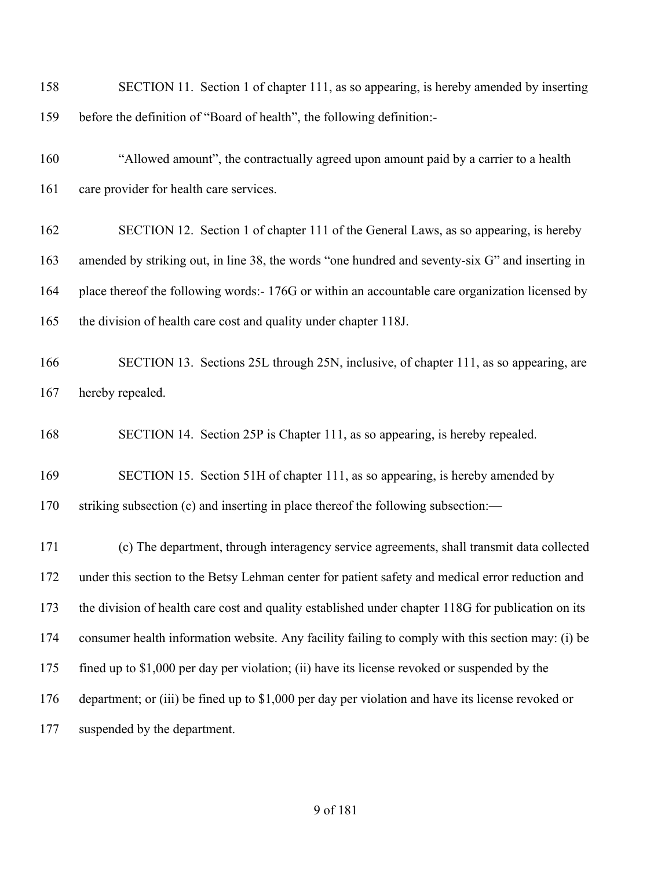| 158 | SECTION 11. Section 1 of chapter 111, as so appearing, is hereby amended by inserting              |
|-----|----------------------------------------------------------------------------------------------------|
| 159 | before the definition of "Board of health", the following definition:-                             |
| 160 | "Allowed amount", the contractually agreed upon amount paid by a carrier to a health               |
| 161 | care provider for health care services.                                                            |
| 162 | SECTION 12. Section 1 of chapter 111 of the General Laws, as so appearing, is hereby               |
| 163 | amended by striking out, in line 38, the words "one hundred and seventy-six G" and inserting in    |
| 164 | place thereof the following words:- 176G or within an accountable care organization licensed by    |
| 165 | the division of health care cost and quality under chapter 118J.                                   |
| 166 | SECTION 13. Sections 25L through 25N, inclusive, of chapter 111, as so appearing, are              |
| 167 | hereby repealed.                                                                                   |
| 168 | SECTION 14. Section 25P is Chapter 111, as so appearing, is hereby repealed.                       |
| 169 | SECTION 15. Section 51H of chapter 111, as so appearing, is hereby amended by                      |
| 170 | striking subsection (c) and inserting in place thereof the following subsection:-                  |
| 171 | (c) The department, through interagency service agreements, shall transmit data collected          |
| 172 | under this section to the Betsy Lehman center for patient safety and medical error reduction and   |
| 173 | the division of health care cost and quality established under chapter 118G for publication on its |
| 174 | consumer health information website. Any facility failing to comply with this section may: (i) be  |
| 175 | fined up to \$1,000 per day per violation; (ii) have its license revoked or suspended by the       |
| 176 | department; or (iii) be fined up to \$1,000 per day per violation and have its license revoked or  |
| 177 | suspended by the department.                                                                       |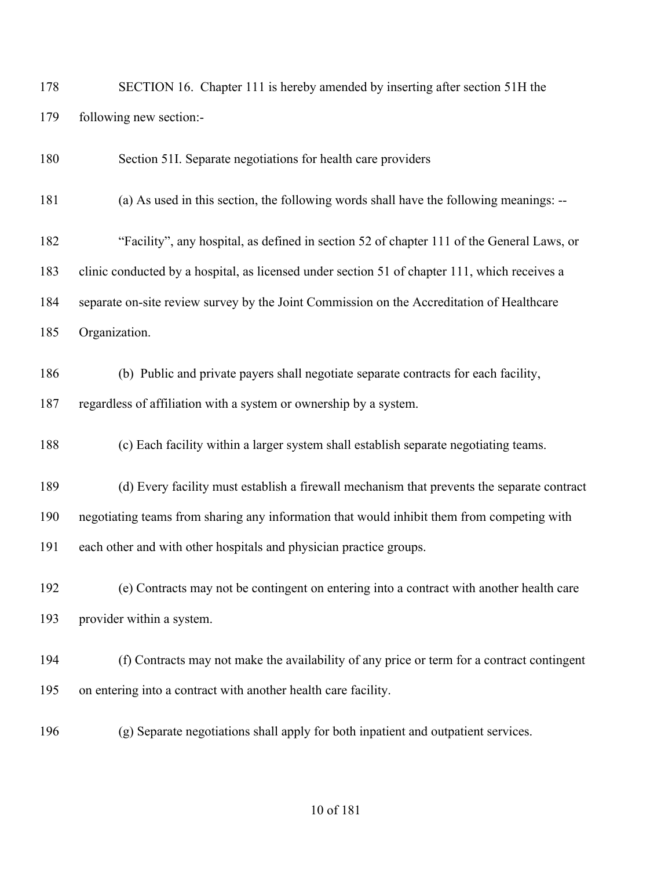| 178 | SECTION 16. Chapter 111 is hereby amended by inserting after section 51H the |
|-----|------------------------------------------------------------------------------|
| 179 | following new section:-                                                      |

Section 51I. Separate negotiations for health care providers

(a) As used in this section, the following words shall have the following meanings: --

 "Facility", any hospital, as defined in section 52 of chapter 111 of the General Laws, or clinic conducted by a hospital, as licensed under section 51 of chapter 111, which receives a separate on-site review survey by the Joint Commission on the Accreditation of Healthcare Organization.

 (b) Public and private payers shall negotiate separate contracts for each facility, regardless of affiliation with a system or ownership by a system.

(c) Each facility within a larger system shall establish separate negotiating teams.

 (d) Every facility must establish a firewall mechanism that prevents the separate contract negotiating teams from sharing any information that would inhibit them from competing with each other and with other hospitals and physician practice groups.

 (e) Contracts may not be contingent on entering into a contract with another health care provider within a system.

 (f) Contracts may not make the availability of any price or term for a contract contingent on entering into a contract with another health care facility.

(g) Separate negotiations shall apply for both inpatient and outpatient services.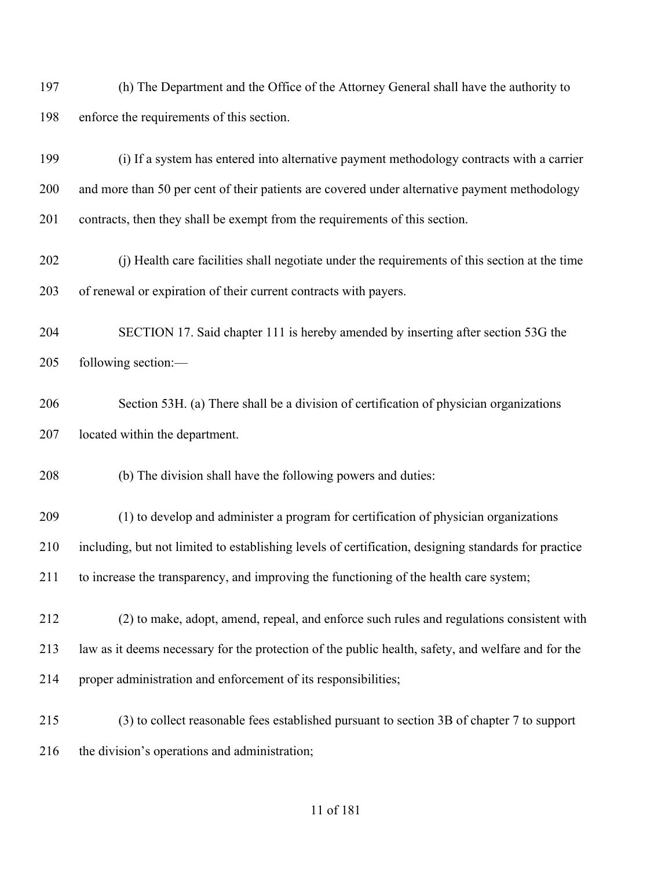(h) The Department and the Office of the Attorney General shall have the authority to enforce the requirements of this section.

 (i) If a system has entered into alternative payment methodology contracts with a carrier and more than 50 per cent of their patients are covered under alternative payment methodology contracts, then they shall be exempt from the requirements of this section.

 (j) Health care facilities shall negotiate under the requirements of this section at the time of renewal or expiration of their current contracts with payers.

 SECTION 17. Said chapter 111 is hereby amended by inserting after section 53G the following section:—

 Section 53H. (a) There shall be a division of certification of physician organizations located within the department.

(b) The division shall have the following powers and duties:

 (1) to develop and administer a program for certification of physician organizations including, but not limited to establishing levels of certification, designing standards for practice to increase the transparency, and improving the functioning of the health care system;

- (2) to make, adopt, amend, repeal, and enforce such rules and regulations consistent with law as it deems necessary for the protection of the public health, safety, and welfare and for the proper administration and enforcement of its responsibilities;
- (3) to collect reasonable fees established pursuant to section 3B of chapter 7 to support the division's operations and administration;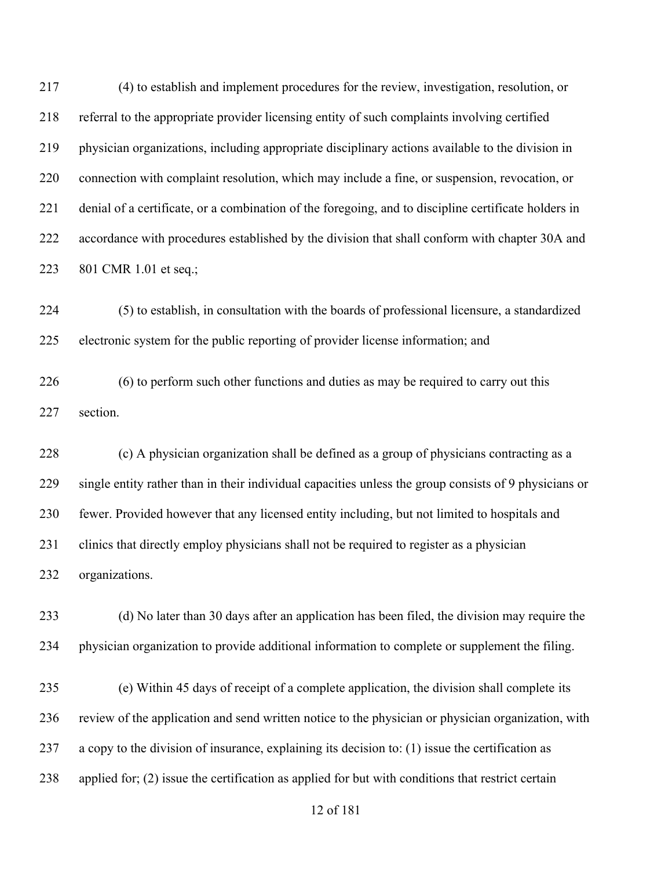(4) to establish and implement procedures for the review, investigation, resolution, or referral to the appropriate provider licensing entity of such complaints involving certified physician organizations, including appropriate disciplinary actions available to the division in connection with complaint resolution, which may include a fine, or suspension, revocation, or denial of a certificate, or a combination of the foregoing, and to discipline certificate holders in accordance with procedures established by the division that shall conform with chapter 30A and 801 CMR 1.01 et seq.;

 (5) to establish, in consultation with the boards of professional licensure, a standardized electronic system for the public reporting of provider license information; and

 (6) to perform such other functions and duties as may be required to carry out this section.

 (c) A physician organization shall be defined as a group of physicians contracting as a single entity rather than in their individual capacities unless the group consists of 9 physicians or fewer. Provided however that any licensed entity including, but not limited to hospitals and clinics that directly employ physicians shall not be required to register as a physician organizations.

 (d) No later than 30 days after an application has been filed, the division may require the physician organization to provide additional information to complete or supplement the filing.

 (e) Within 45 days of receipt of a complete application, the division shall complete its review of the application and send written notice to the physician or physician organization, with a copy to the division of insurance, explaining its decision to: (1) issue the certification as applied for; (2) issue the certification as applied for but with conditions that restrict certain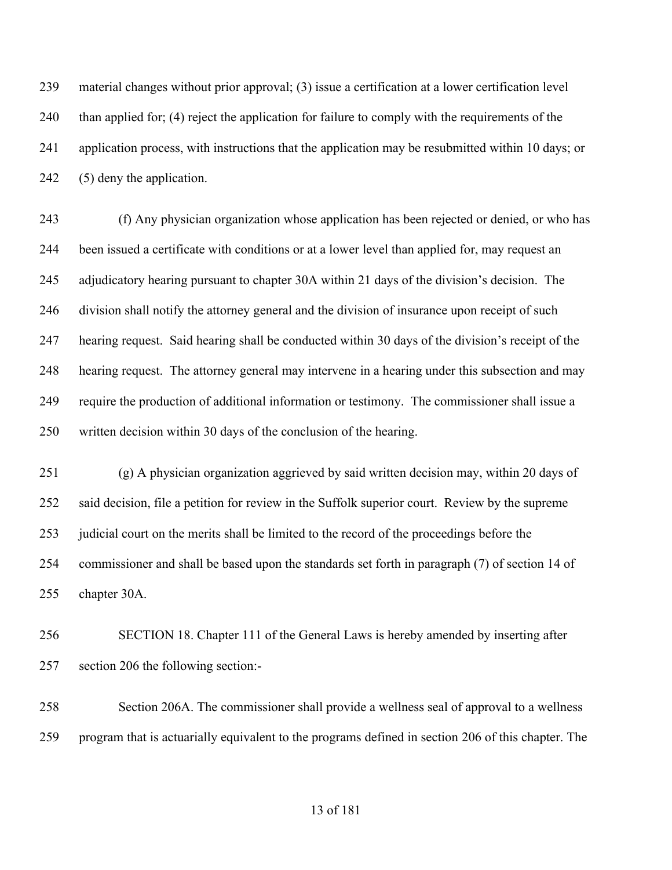material changes without prior approval; (3) issue a certification at a lower certification level 240 than applied for; (4) reject the application for failure to comply with the requirements of the application process, with instructions that the application may be resubmitted within 10 days; or (5) deny the application.

 (f) Any physician organization whose application has been rejected or denied, or who has been issued a certificate with conditions or at a lower level than applied for, may request an adjudicatory hearing pursuant to chapter 30A within 21 days of the division's decision. The division shall notify the attorney general and the division of insurance upon receipt of such hearing request. Said hearing shall be conducted within 30 days of the division's receipt of the hearing request. The attorney general may intervene in a hearing under this subsection and may require the production of additional information or testimony. The commissioner shall issue a written decision within 30 days of the conclusion of the hearing.

 (g) A physician organization aggrieved by said written decision may, within 20 days of said decision, file a petition for review in the Suffolk superior court. Review by the supreme 253 judicial court on the merits shall be limited to the record of the proceedings before the commissioner and shall be based upon the standards set forth in paragraph (7) of section 14 of chapter 30A.

 SECTION 18. Chapter 111 of the General Laws is hereby amended by inserting after section 206 the following section:-

 Section 206A. The commissioner shall provide a wellness seal of approval to a wellness program that is actuarially equivalent to the programs defined in section 206 of this chapter. The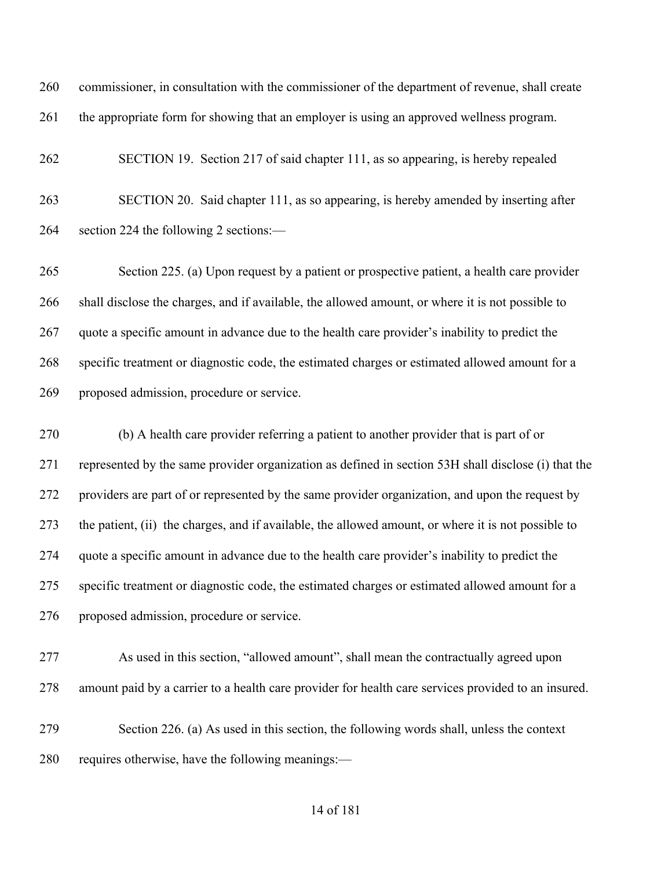commissioner, in consultation with the commissioner of the department of revenue, shall create the appropriate form for showing that an employer is using an approved wellness program.

 SECTION 19. Section 217 of said chapter 111, as so appearing, is hereby repealed SECTION 20. Said chapter 111, as so appearing, is hereby amended by inserting after section 224 the following 2 sections:—

 Section 225. (a) Upon request by a patient or prospective patient, a health care provider shall disclose the charges, and if available, the allowed amount, or where it is not possible to quote a specific amount in advance due to the health care provider's inability to predict the specific treatment or diagnostic code, the estimated charges or estimated allowed amount for a proposed admission, procedure or service.

 (b) A health care provider referring a patient to another provider that is part of or represented by the same provider organization as defined in section 53H shall disclose (i) that the providers are part of or represented by the same provider organization, and upon the request by the patient, (ii) the charges, and if available, the allowed amount, or where it is not possible to quote a specific amount in advance due to the health care provider's inability to predict the specific treatment or diagnostic code, the estimated charges or estimated allowed amount for a proposed admission, procedure or service.

- As used in this section, "allowed amount", shall mean the contractually agreed upon amount paid by a carrier to a health care provider for health care services provided to an insured.
- Section 226. (a) As used in this section, the following words shall, unless the context requires otherwise, have the following meanings:—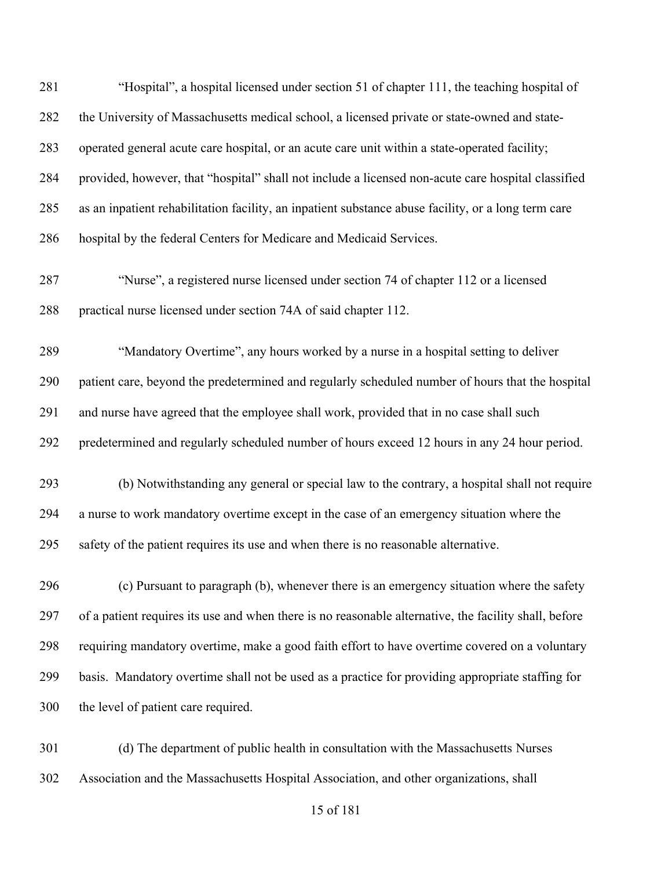| 281 | "Hospital", a hospital licensed under section 51 of chapter 111, the teaching hospital of             |
|-----|-------------------------------------------------------------------------------------------------------|
| 282 | the University of Massachusetts medical school, a licensed private or state-owned and state-          |
| 283 | operated general acute care hospital, or an acute care unit within a state-operated facility;         |
| 284 | provided, however, that "hospital" shall not include a licensed non-acute care hospital classified    |
| 285 | as an inpatient rehabilitation facility, an inpatient substance abuse facility, or a long term care   |
| 286 | hospital by the federal Centers for Medicare and Medicaid Services.                                   |
| 287 | "Nurse", a registered nurse licensed under section 74 of chapter 112 or a licensed                    |
| 288 | practical nurse licensed under section 74A of said chapter 112.                                       |
| 289 | "Mandatory Overtime", any hours worked by a nurse in a hospital setting to deliver                    |
| 290 | patient care, beyond the predetermined and regularly scheduled number of hours that the hospital      |
| 291 | and nurse have agreed that the employee shall work, provided that in no case shall such               |
| 292 | predetermined and regularly scheduled number of hours exceed 12 hours in any 24 hour period.          |
| 293 | (b) Notwithstanding any general or special law to the contrary, a hospital shall not require          |
| 294 | a nurse to work mandatory overtime except in the case of an emergency situation where the             |
| 295 | safety of the patient requires its use and when there is no reasonable alternative.                   |
| 296 | (c) Pursuant to paragraph (b), whenever there is an emergency situation where the safety              |
| 297 | of a patient requires its use and when there is no reasonable alternative, the facility shall, before |
| 298 | requiring mandatory overtime, make a good faith effort to have overtime covered on a voluntary        |
| 299 | basis. Mandatory overtime shall not be used as a practice for providing appropriate staffing for      |
| 300 | the level of patient care required.                                                                   |
| 301 | (d) The department of public health in consultation with the Massachusetts Nurses                     |

Association and the Massachusetts Hospital Association, and other organizations, shall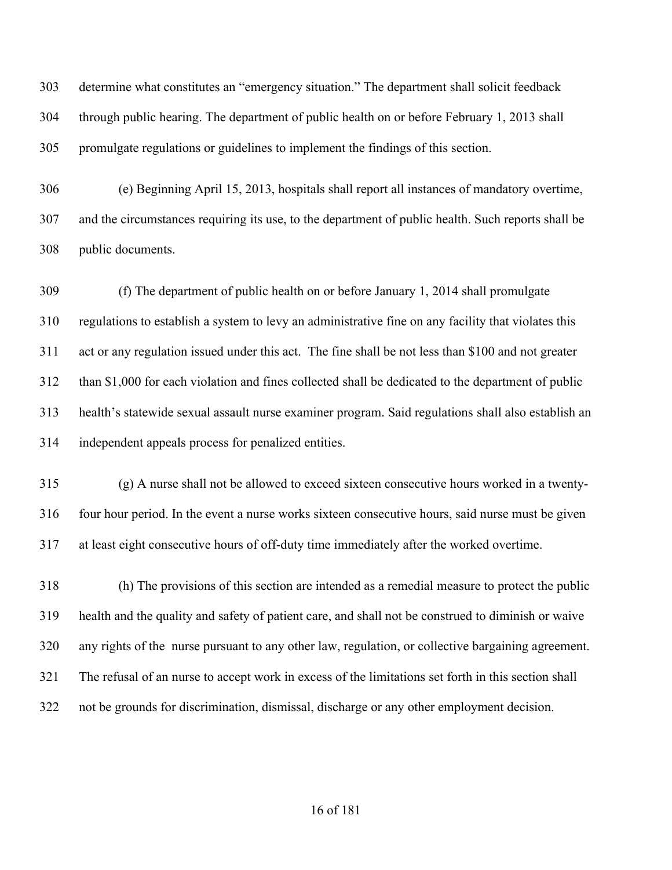determine what constitutes an "emergency situation." The department shall solicit feedback through public hearing. The department of public health on or before February 1, 2013 shall promulgate regulations or guidelines to implement the findings of this section.

 (e) Beginning April 15, 2013, hospitals shall report all instances of mandatory overtime, and the circumstances requiring its use, to the department of public health. Such reports shall be public documents.

 (f) The department of public health on or before January 1, 2014 shall promulgate regulations to establish a system to levy an administrative fine on any facility that violates this act or any regulation issued under this act. The fine shall be not less than \$100 and not greater than \$1,000 for each violation and fines collected shall be dedicated to the department of public health's statewide sexual assault nurse examiner program. Said regulations shall also establish an independent appeals process for penalized entities.

 (g) A nurse shall not be allowed to exceed sixteen consecutive hours worked in a twenty- four hour period. In the event a nurse works sixteen consecutive hours, said nurse must be given at least eight consecutive hours of off-duty time immediately after the worked overtime.

 (h) The provisions of this section are intended as a remedial measure to protect the public health and the quality and safety of patient care, and shall not be construed to diminish or waive any rights of the nurse pursuant to any other law, regulation, or collective bargaining agreement. The refusal of an nurse to accept work in excess of the limitations set forth in this section shall not be grounds for discrimination, dismissal, discharge or any other employment decision.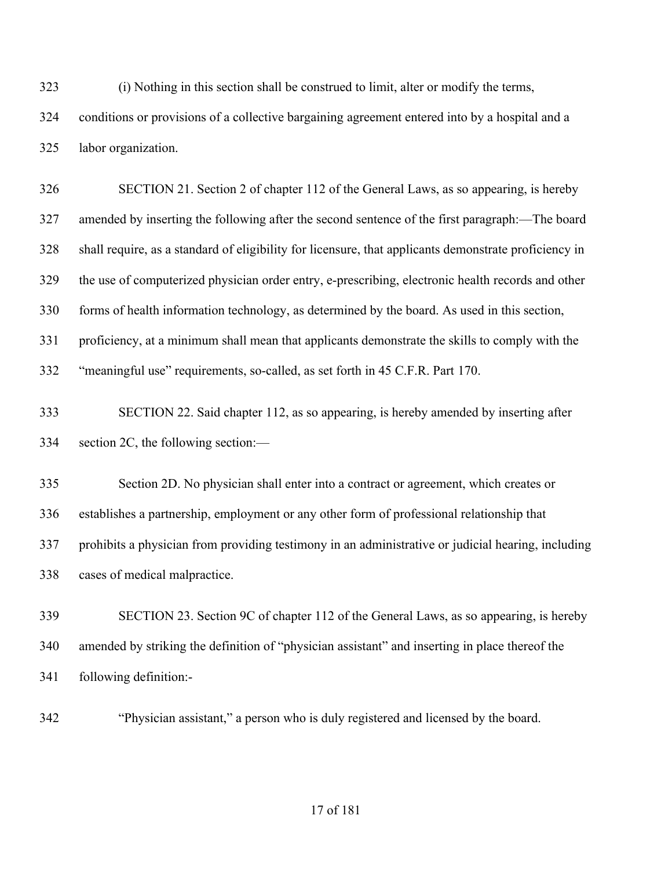(i) Nothing in this section shall be construed to limit, alter or modify the terms, conditions or provisions of a collective bargaining agreement entered into by a hospital and a labor organization.

 SECTION 21. Section 2 of chapter 112 of the General Laws, as so appearing, is hereby amended by inserting the following after the second sentence of the first paragraph:—The board shall require, as a standard of eligibility for licensure, that applicants demonstrate proficiency in the use of computerized physician order entry, e-prescribing, electronic health records and other forms of health information technology, as determined by the board. As used in this section, proficiency, at a minimum shall mean that applicants demonstrate the skills to comply with the "meaningful use" requirements, so-called, as set forth in 45 C.F.R. Part 170. SECTION 22. Said chapter 112, as so appearing, is hereby amended by inserting after section 2C, the following section:— Section 2D. No physician shall enter into a contract or agreement, which creates or establishes a partnership, employment or any other form of professional relationship that prohibits a physician from providing testimony in an administrative or judicial hearing, including cases of medical malpractice. SECTION 23. Section 9C of chapter 112 of the General Laws, as so appearing, is hereby

 amended by striking the definition of "physician assistant" and inserting in place thereof the following definition:-

"Physician assistant," a person who is duly registered and licensed by the board.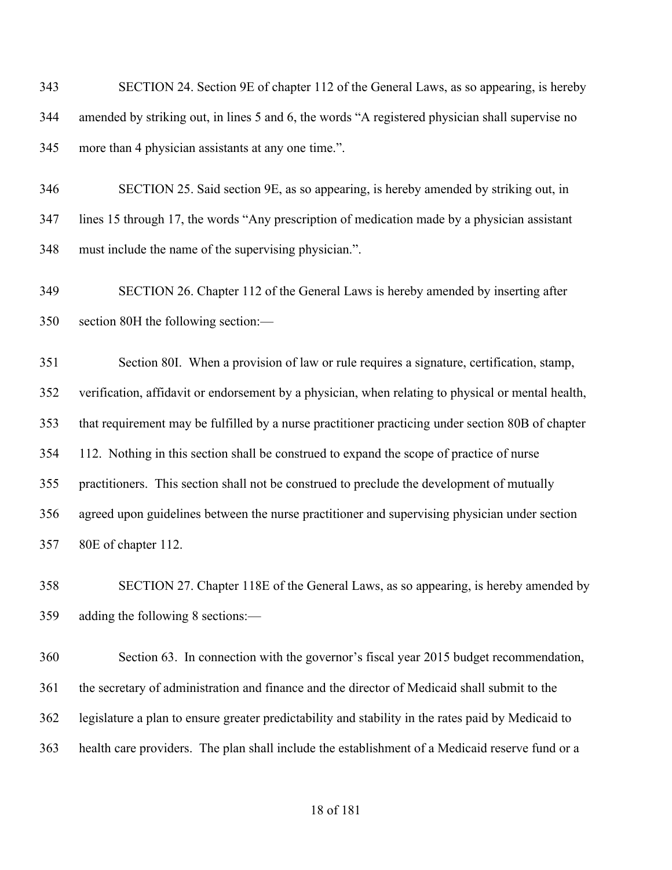SECTION 24. Section 9E of chapter 112 of the General Laws, as so appearing, is hereby amended by striking out, in lines 5 and 6, the words "A registered physician shall supervise no more than 4 physician assistants at any one time.".

 SECTION 25. Said section 9E, as so appearing, is hereby amended by striking out, in lines 15 through 17, the words "Any prescription of medication made by a physician assistant must include the name of the supervising physician.".

 SECTION 26. Chapter 112 of the General Laws is hereby amended by inserting after section 80H the following section:—

 Section 80I. When a provision of law or rule requires a signature, certification, stamp, verification, affidavit or endorsement by a physician, when relating to physical or mental health, that requirement may be fulfilled by a nurse practitioner practicing under section 80B of chapter 112. Nothing in this section shall be construed to expand the scope of practice of nurse practitioners. This section shall not be construed to preclude the development of mutually agreed upon guidelines between the nurse practitioner and supervising physician under section 80E of chapter 112.

 SECTION 27. Chapter 118E of the General Laws, as so appearing, is hereby amended by adding the following 8 sections:—

 Section 63. In connection with the governor's fiscal year 2015 budget recommendation, the secretary of administration and finance and the director of Medicaid shall submit to the legislature a plan to ensure greater predictability and stability in the rates paid by Medicaid to health care providers. The plan shall include the establishment of a Medicaid reserve fund or a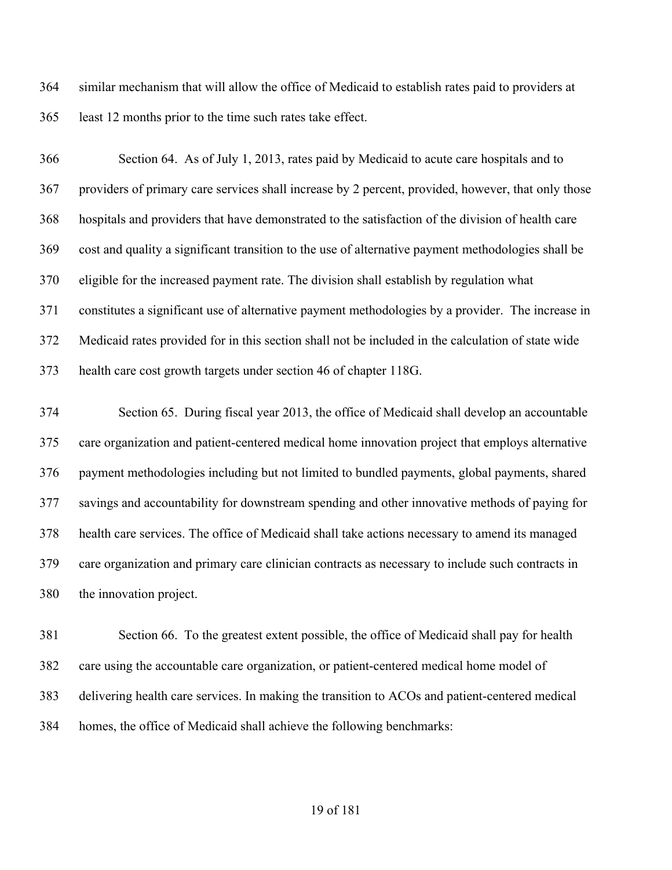similar mechanism that will allow the office of Medicaid to establish rates paid to providers at least 12 months prior to the time such rates take effect.

 Section 64. As of July 1, 2013, rates paid by Medicaid to acute care hospitals and to providers of primary care services shall increase by 2 percent, provided, however, that only those hospitals and providers that have demonstrated to the satisfaction of the division of health care cost and quality a significant transition to the use of alternative payment methodologies shall be eligible for the increased payment rate. The division shall establish by regulation what constitutes a significant use of alternative payment methodologies by a provider. The increase in Medicaid rates provided for in this section shall not be included in the calculation of state wide health care cost growth targets under section 46 of chapter 118G.

 Section 65. During fiscal year 2013, the office of Medicaid shall develop an accountable care organization and patient-centered medical home innovation project that employs alternative payment methodologies including but not limited to bundled payments, global payments, shared savings and accountability for downstream spending and other innovative methods of paying for health care services. The office of Medicaid shall take actions necessary to amend its managed care organization and primary care clinician contracts as necessary to include such contracts in the innovation project.

 Section 66. To the greatest extent possible, the office of Medicaid shall pay for health care using the accountable care organization, or patient-centered medical home model of delivering health care services. In making the transition to ACOs and patient-centered medical homes, the office of Medicaid shall achieve the following benchmarks: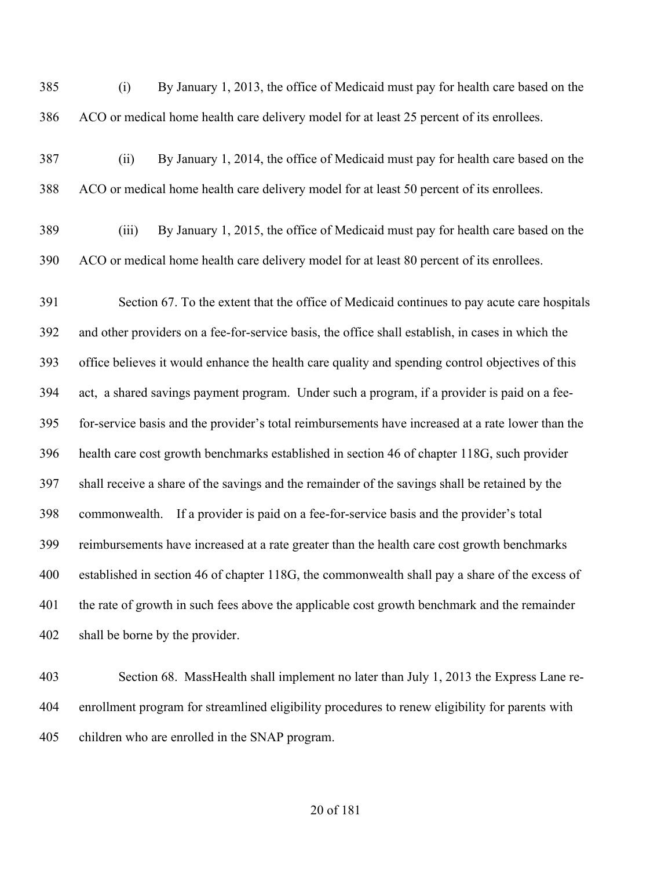(i) By January 1, 2013, the office of Medicaid must pay for health care based on the ACO or medical home health care delivery model for at least 25 percent of its enrollees.

- (ii) By January 1, 2014, the office of Medicaid must pay for health care based on the ACO or medical home health care delivery model for at least 50 percent of its enrollees.
- (iii) By January 1, 2015, the office of Medicaid must pay for health care based on the ACO or medical home health care delivery model for at least 80 percent of its enrollees.

 Section 67. To the extent that the office of Medicaid continues to pay acute care hospitals and other providers on a fee-for-service basis, the office shall establish, in cases in which the office believes it would enhance the health care quality and spending control objectives of this act, a shared savings payment program. Under such a program, if a provider is paid on a fee- for-service basis and the provider's total reimbursements have increased at a rate lower than the health care cost growth benchmarks established in section 46 of chapter 118G, such provider shall receive a share of the savings and the remainder of the savings shall be retained by the commonwealth. If a provider is paid on a fee-for-service basis and the provider's total reimbursements have increased at a rate greater than the health care cost growth benchmarks established in section 46 of chapter 118G, the commonwealth shall pay a share of the excess of the rate of growth in such fees above the applicable cost growth benchmark and the remainder shall be borne by the provider.

 Section 68. MassHealth shall implement no later than July 1, 2013 the Express Lane re- enrollment program for streamlined eligibility procedures to renew eligibility for parents with children who are enrolled in the SNAP program.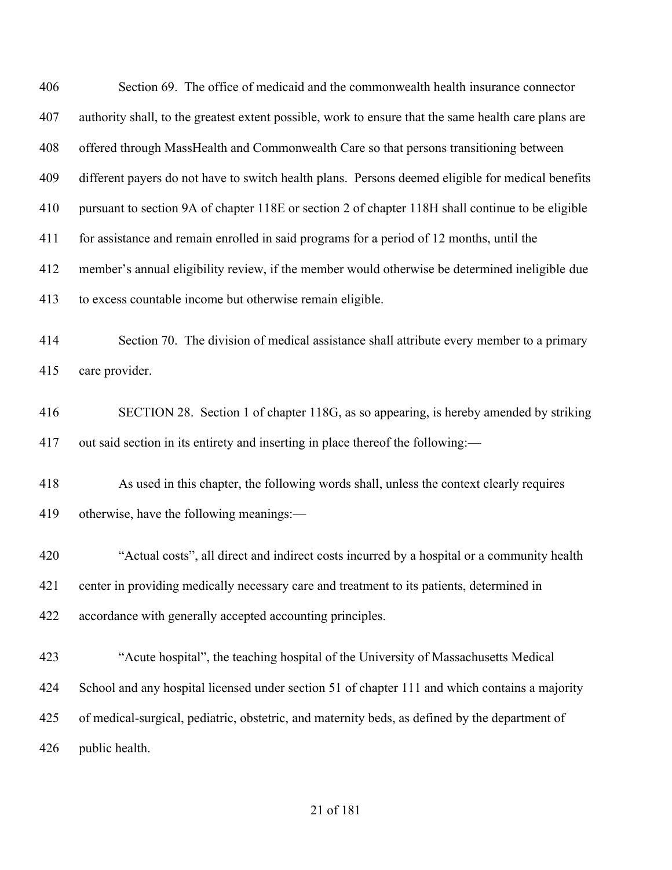| 406 | Section 69. The office of medicaid and the commonwealth health insurance connector                   |
|-----|------------------------------------------------------------------------------------------------------|
| 407 | authority shall, to the greatest extent possible, work to ensure that the same health care plans are |
| 408 | offered through MassHealth and Commonwealth Care so that persons transitioning between               |
| 409 | different payers do not have to switch health plans. Persons deemed eligible for medical benefits    |
| 410 | pursuant to section 9A of chapter 118E or section 2 of chapter 118H shall continue to be eligible    |
| 411 | for assistance and remain enrolled in said programs for a period of 12 months, until the             |
| 412 | member's annual eligibility review, if the member would otherwise be determined ineligible due       |
| 413 | to excess countable income but otherwise remain eligible.                                            |
| 414 | Section 70. The division of medical assistance shall attribute every member to a primary             |
| 415 | care provider.                                                                                       |
| 416 | SECTION 28. Section 1 of chapter 118G, as so appearing, is hereby amended by striking                |
| 417 | out said section in its entirety and inserting in place thereof the following:—                      |
|     |                                                                                                      |
| 418 | As used in this chapter, the following words shall, unless the context clearly requires              |
| 419 | otherwise, have the following meanings:-                                                             |
| 420 | "Actual costs", all direct and indirect costs incurred by a hospital or a community health           |
| 421 | center in providing medically necessary care and treatment to its patients, determined in            |
| 422 | accordance with generally accepted accounting principles.                                            |
| 423 | "Acute hospital", the teaching hospital of the University of Massachusetts Medical                   |
|     |                                                                                                      |
| 424 | School and any hospital licensed under section 51 of chapter 111 and which contains a majority       |
| 425 | of medical-surgical, pediatric, obstetric, and maternity beds, as defined by the department of       |
| 426 | public health.                                                                                       |
|     |                                                                                                      |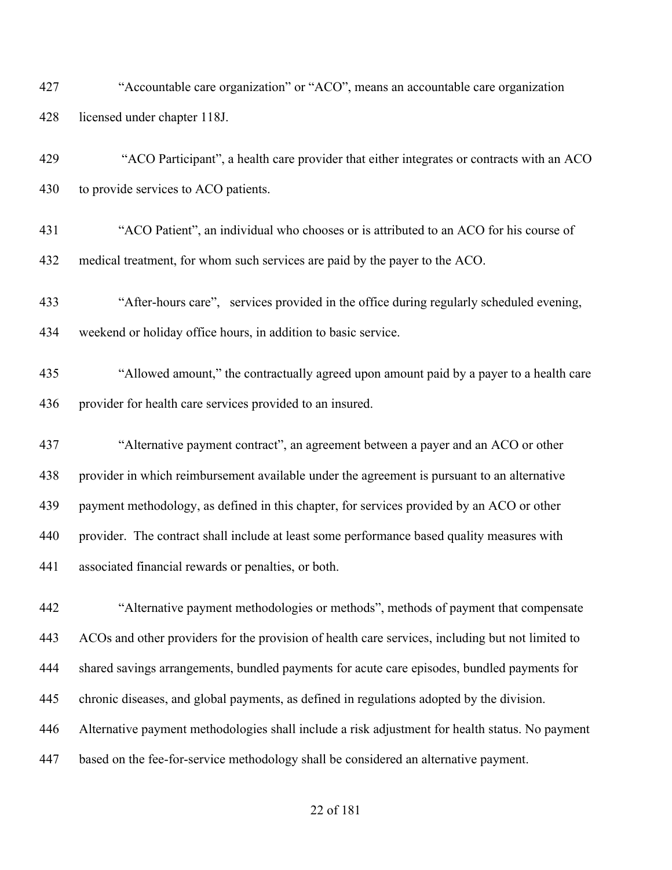- "Accountable care organization" or "ACO", means an accountable care organization licensed under chapter 118J.
- "ACO Participant", a health care provider that either integrates or contracts with an ACO to provide services to ACO patients.
- "ACO Patient", an individual who chooses or is attributed to an ACO for his course of medical treatment, for whom such services are paid by the payer to the ACO.
- "After-hours care", services provided in the office during regularly scheduled evening, weekend or holiday office hours, in addition to basic service.
- "Allowed amount," the contractually agreed upon amount paid by a payer to a health care provider for health care services provided to an insured.
- "Alternative payment contract", an agreement between a payer and an ACO or other provider in which reimbursement available under the agreement is pursuant to an alternative payment methodology, as defined in this chapter, for services provided by an ACO or other provider. The contract shall include at least some performance based quality measures with associated financial rewards or penalties, or both.
- "Alternative payment methodologies or methods", methods of payment that compensate ACOs and other providers for the provision of health care services, including but not limited to shared savings arrangements, bundled payments for acute care episodes, bundled payments for chronic diseases, and global payments, as defined in regulations adopted by the division. Alternative payment methodologies shall include a risk adjustment for health status. No payment based on the fee-for-service methodology shall be considered an alternative payment.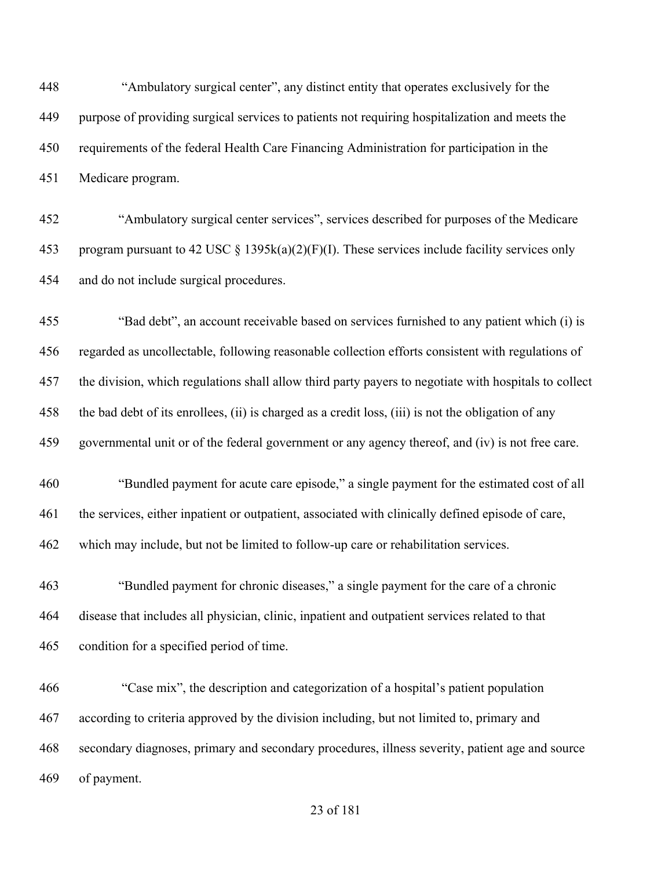"Ambulatory surgical center", any distinct entity that operates exclusively for the purpose of providing surgical services to patients not requiring hospitalization and meets the requirements of the federal Health Care Financing Administration for participation in the Medicare program.

 "Ambulatory surgical center services", services described for purposes of the Medicare 453 program pursuant to 42 USC § 1395 $k(a)(2)(F)(I)$ . These services include facility services only and do not include surgical procedures.

 "Bad debt", an account receivable based on services furnished to any patient which (i) is regarded as uncollectable, following reasonable collection efforts consistent with regulations of the division, which regulations shall allow third party payers to negotiate with hospitals to collect the bad debt of its enrollees, (ii) is charged as a credit loss, (iii) is not the obligation of any governmental unit or of the federal government or any agency thereof, and (iv) is not free care.

 "Bundled payment for acute care episode," a single payment for the estimated cost of all the services, either inpatient or outpatient, associated with clinically defined episode of care, which may include, but not be limited to follow-up care or rehabilitation services.

 "Bundled payment for chronic diseases," a single payment for the care of a chronic disease that includes all physician, clinic, inpatient and outpatient services related to that condition for a specified period of time.

 "Case mix", the description and categorization of a hospital's patient population according to criteria approved by the division including, but not limited to, primary and secondary diagnoses, primary and secondary procedures, illness severity, patient age and source of payment.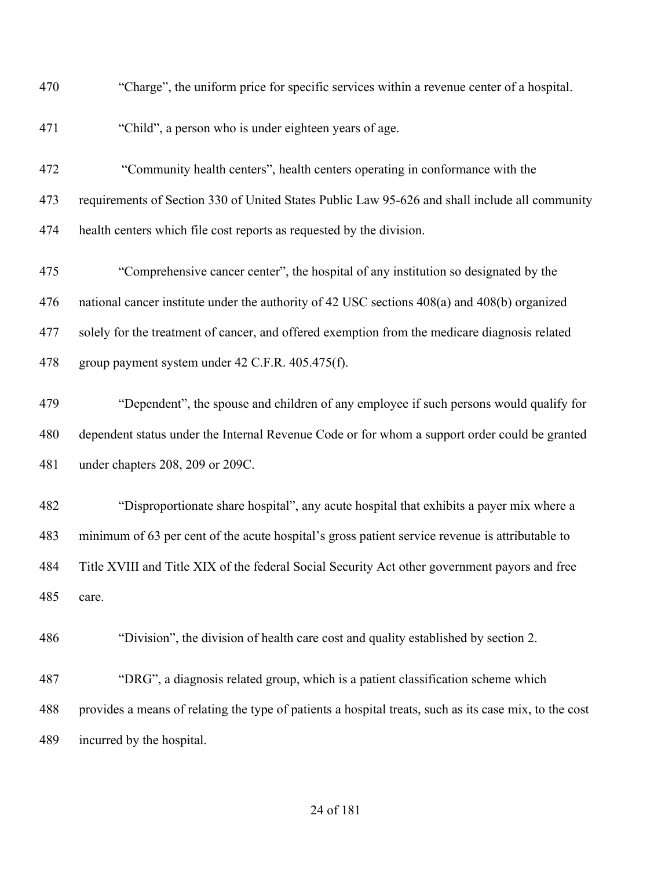| 470 | "Charge", the uniform price for specific services within a revenue center of a hospital.               |
|-----|--------------------------------------------------------------------------------------------------------|
| 471 | "Child", a person who is under eighteen years of age.                                                  |
| 472 | "Community health centers", health centers operating in conformance with the                           |
| 473 | requirements of Section 330 of United States Public Law 95-626 and shall include all community         |
| 474 | health centers which file cost reports as requested by the division.                                   |
| 475 | "Comprehensive cancer center", the hospital of any institution so designated by the                    |
| 476 | national cancer institute under the authority of 42 USC sections 408(a) and 408(b) organized           |
| 477 | solely for the treatment of cancer, and offered exemption from the medicare diagnosis related          |
| 478 | group payment system under 42 C.F.R. 405.475(f).                                                       |
| 479 | "Dependent", the spouse and children of any employee if such persons would qualify for                 |
| 480 | dependent status under the Internal Revenue Code or for whom a support order could be granted          |
| 481 | under chapters 208, 209 or 209C.                                                                       |
| 482 | "Disproportionate share hospital", any acute hospital that exhibits a payer mix where a                |
| 483 | minimum of 63 per cent of the acute hospital's gross patient service revenue is attributable to        |
| 484 | Title XVIII and Title XIX of the federal Social Security Act other government payors and free          |
| 485 | care.                                                                                                  |
| 486 | "Division", the division of health care cost and quality established by section 2.                     |
| 487 | "DRG", a diagnosis related group, which is a patient classification scheme which                       |
| 488 | provides a means of relating the type of patients a hospital treats, such as its case mix, to the cost |
| 489 | incurred by the hospital.                                                                              |
|     |                                                                                                        |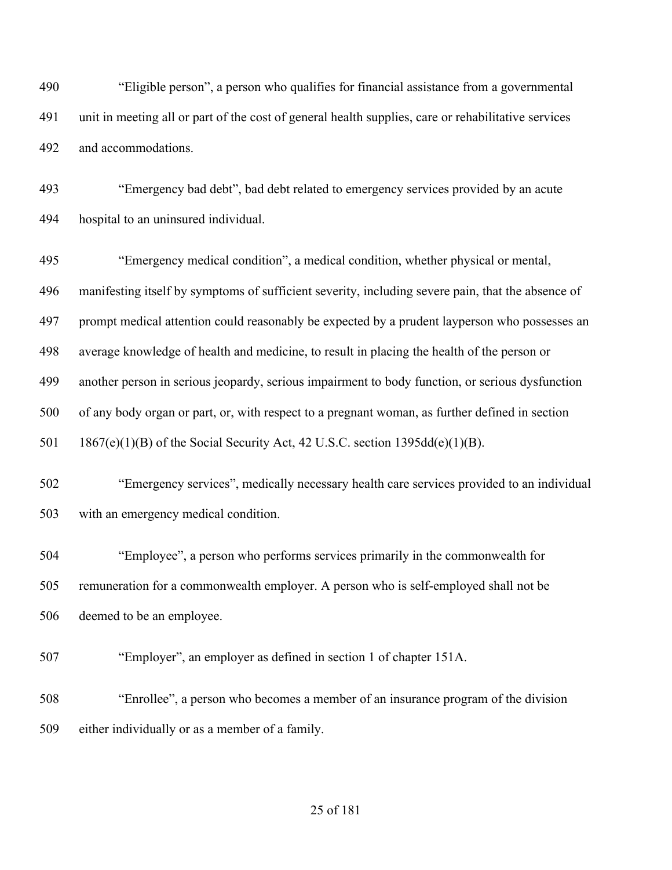"Eligible person", a person who qualifies for financial assistance from a governmental unit in meeting all or part of the cost of general health supplies, care or rehabilitative services and accommodations.

 "Emergency bad debt", bad debt related to emergency services provided by an acute hospital to an uninsured individual.

 "Emergency medical condition", a medical condition, whether physical or mental, manifesting itself by symptoms of sufficient severity, including severe pain, that the absence of prompt medical attention could reasonably be expected by a prudent layperson who possesses an average knowledge of health and medicine, to result in placing the health of the person or another person in serious jeopardy, serious impairment to body function, or serious dysfunction of any body organ or part, or, with respect to a pregnant woman, as further defined in section 1867(e)(1)(B) of the Social Security Act, 42 U.S.C. section 1395dd(e)(1)(B).

 "Emergency services", medically necessary health care services provided to an individual with an emergency medical condition.

 "Employee", a person who performs services primarily in the commonwealth for remuneration for a commonwealth employer. A person who is self-employed shall not be deemed to be an employee.

"Employer", an employer as defined in section 1 of chapter 151A.

 "Enrollee", a person who becomes a member of an insurance program of the division either individually or as a member of a family.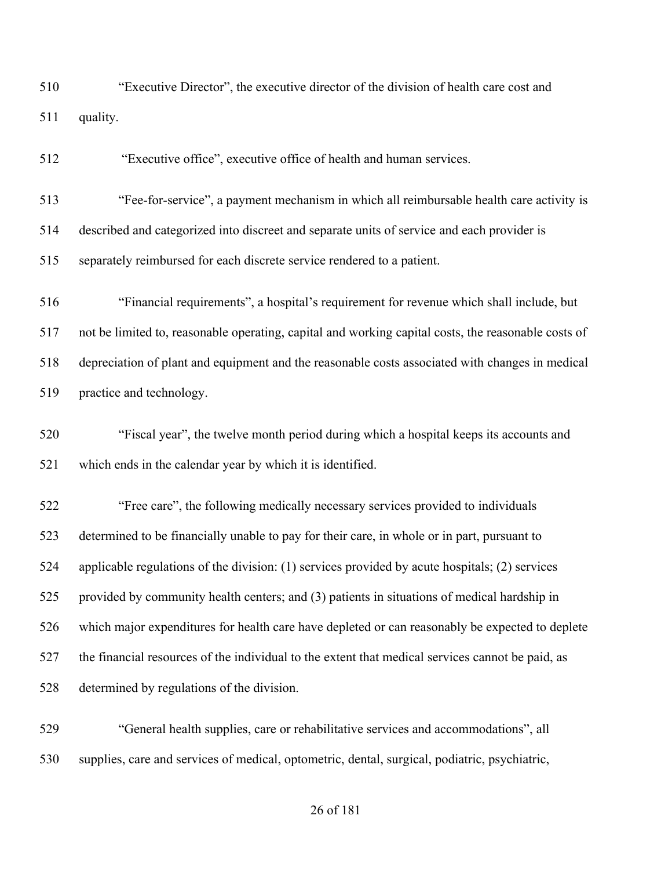"Executive Director", the executive director of the division of health care cost and quality.

"Executive office", executive office of health and human services.

 "Fee-for-service", a payment mechanism in which all reimbursable health care activity is described and categorized into discreet and separate units of service and each provider is separately reimbursed for each discrete service rendered to a patient.

 "Financial requirements", a hospital's requirement for revenue which shall include, but not be limited to, reasonable operating, capital and working capital costs, the reasonable costs of depreciation of plant and equipment and the reasonable costs associated with changes in medical practice and technology.

 "Fiscal year", the twelve month period during which a hospital keeps its accounts and which ends in the calendar year by which it is identified.

 "Free care", the following medically necessary services provided to individuals determined to be financially unable to pay for their care, in whole or in part, pursuant to applicable regulations of the division: (1) services provided by acute hospitals; (2) services provided by community health centers; and (3) patients in situations of medical hardship in which major expenditures for health care have depleted or can reasonably be expected to deplete the financial resources of the individual to the extent that medical services cannot be paid, as determined by regulations of the division.

 "General health supplies, care or rehabilitative services and accommodations", all supplies, care and services of medical, optometric, dental, surgical, podiatric, psychiatric,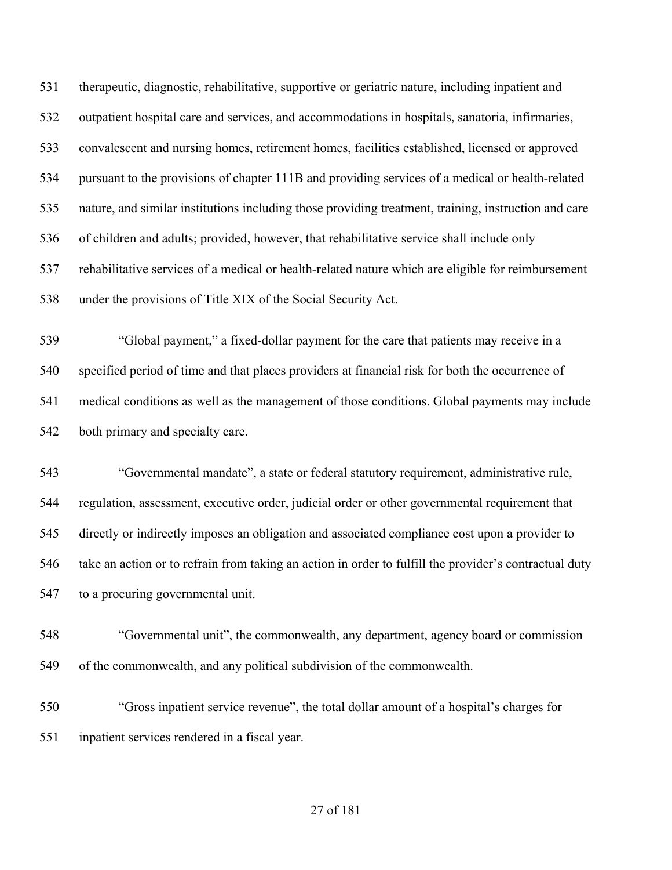therapeutic, diagnostic, rehabilitative, supportive or geriatric nature, including inpatient and outpatient hospital care and services, and accommodations in hospitals, sanatoria, infirmaries, convalescent and nursing homes, retirement homes, facilities established, licensed or approved pursuant to the provisions of chapter 111B and providing services of a medical or health-related nature, and similar institutions including those providing treatment, training, instruction and care of children and adults; provided, however, that rehabilitative service shall include only rehabilitative services of a medical or health-related nature which are eligible for reimbursement under the provisions of Title XIX of the Social Security Act.

 "Global payment," a fixed-dollar payment for the care that patients may receive in a specified period of time and that places providers at financial risk for both the occurrence of medical conditions as well as the management of those conditions. Global payments may include both primary and specialty care.

 "Governmental mandate", a state or federal statutory requirement, administrative rule, regulation, assessment, executive order, judicial order or other governmental requirement that directly or indirectly imposes an obligation and associated compliance cost upon a provider to take an action or to refrain from taking an action in order to fulfill the provider's contractual duty to a procuring governmental unit.

 "Governmental unit", the commonwealth, any department, agency board or commission of the commonwealth, and any political subdivision of the commonwealth.

 "Gross inpatient service revenue", the total dollar amount of a hospital's charges for inpatient services rendered in a fiscal year.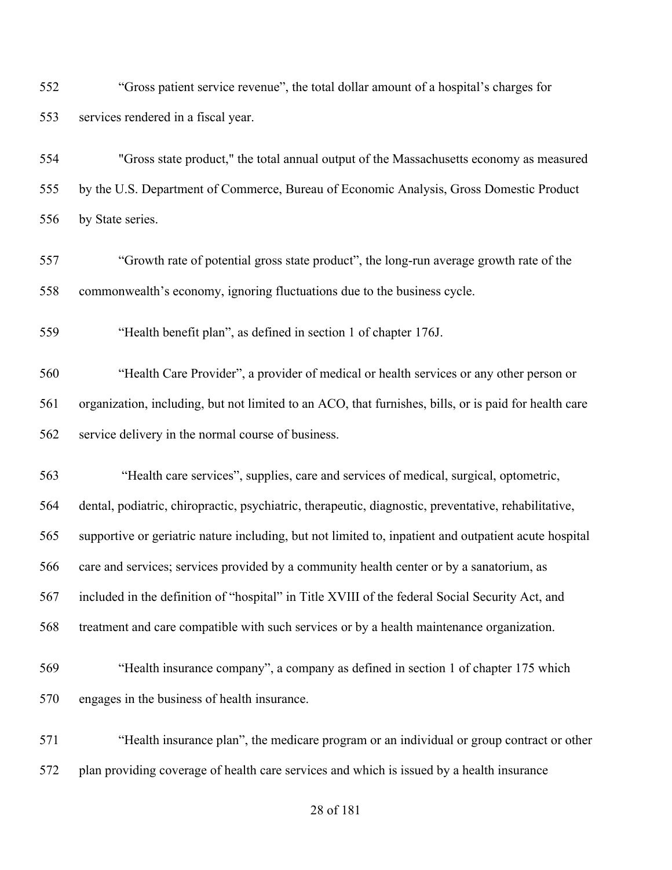"Gross patient service revenue", the total dollar amount of a hospital's charges for services rendered in a fiscal year.

 "Gross state product," the total annual output of the Massachusetts economy as measured by the U.S. Department of Commerce, Bureau of Economic Analysis, Gross Domestic Product by State series.

 "Growth rate of potential gross state product", the long-run average growth rate of the commonwealth's economy, ignoring fluctuations due to the business cycle.

"Health benefit plan", as defined in section 1 of chapter 176J.

 "Health Care Provider", a provider of medical or health services or any other person or organization, including, but not limited to an ACO, that furnishes, bills, or is paid for health care service delivery in the normal course of business.

 "Health care services", supplies, care and services of medical, surgical, optometric, dental, podiatric, chiropractic, psychiatric, therapeutic, diagnostic, preventative, rehabilitative, supportive or geriatric nature including, but not limited to, inpatient and outpatient acute hospital care and services; services provided by a community health center or by a sanatorium, as included in the definition of "hospital" in Title XVIII of the federal Social Security Act, and treatment and care compatible with such services or by a health maintenance organization.

- "Health insurance company", a company as defined in section 1 of chapter 175 which engages in the business of health insurance.
- "Health insurance plan", the medicare program or an individual or group contract or other plan providing coverage of health care services and which is issued by a health insurance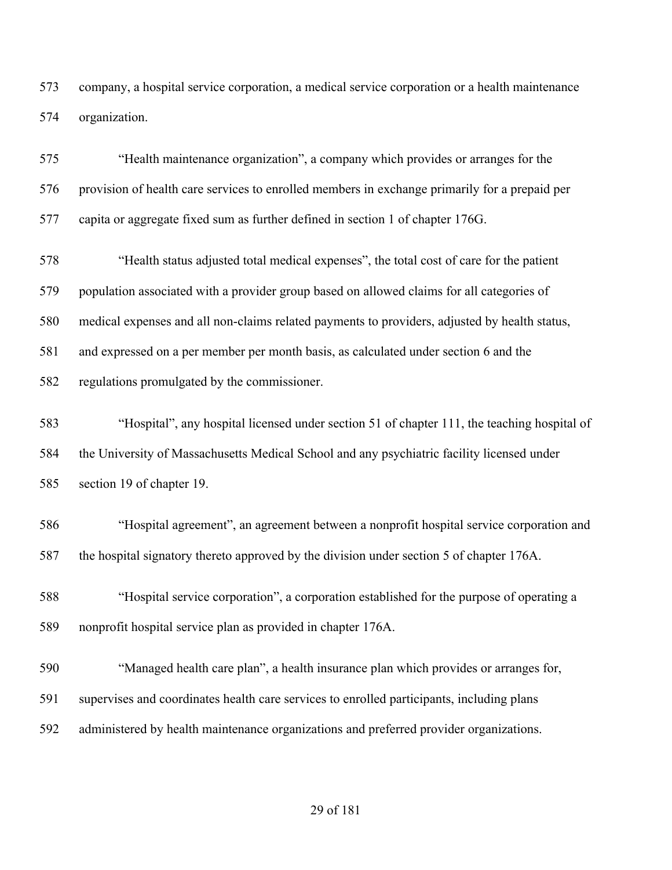company, a hospital service corporation, a medical service corporation or a health maintenance organization.

 "Health maintenance organization", a company which provides or arranges for the provision of health care services to enrolled members in exchange primarily for a prepaid per capita or aggregate fixed sum as further defined in section 1 of chapter 176G.

 "Health status adjusted total medical expenses", the total cost of care for the patient population associated with a provider group based on allowed claims for all categories of medical expenses and all non-claims related payments to providers, adjusted by health status, and expressed on a per member per month basis, as calculated under section 6 and the

regulations promulgated by the commissioner.

 "Hospital", any hospital licensed under section 51 of chapter 111, the teaching hospital of the University of Massachusetts Medical School and any psychiatric facility licensed under section 19 of chapter 19.

 "Hospital agreement", an agreement between a nonprofit hospital service corporation and the hospital signatory thereto approved by the division under section 5 of chapter 176A.

 "Hospital service corporation", a corporation established for the purpose of operating a nonprofit hospital service plan as provided in chapter 176A.

 "Managed health care plan", a health insurance plan which provides or arranges for, supervises and coordinates health care services to enrolled participants, including plans administered by health maintenance organizations and preferred provider organizations.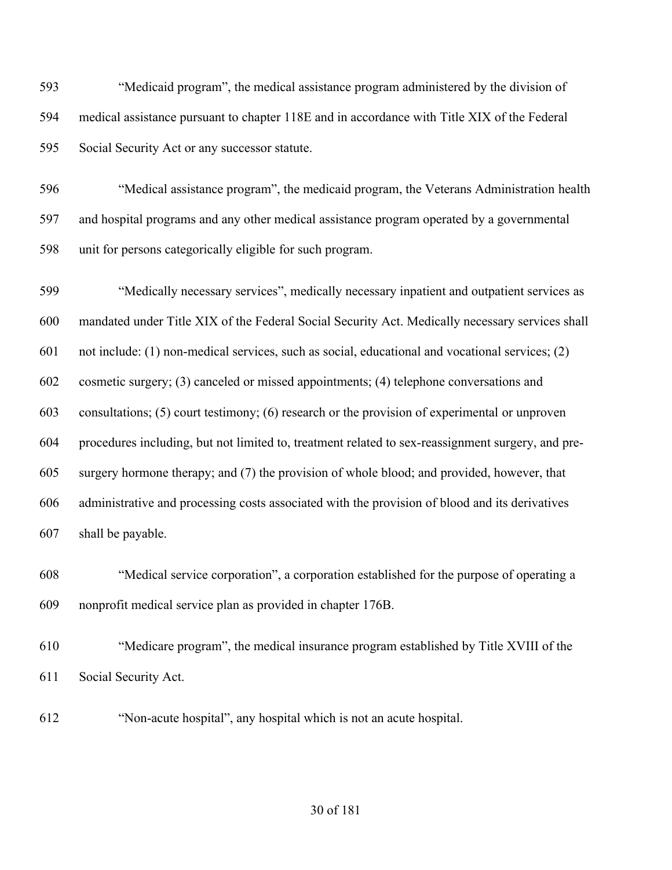"Medicaid program", the medical assistance program administered by the division of medical assistance pursuant to chapter 118E and in accordance with Title XIX of the Federal Social Security Act or any successor statute.

 "Medical assistance program", the medicaid program, the Veterans Administration health and hospital programs and any other medical assistance program operated by a governmental unit for persons categorically eligible for such program.

 "Medically necessary services", medically necessary inpatient and outpatient services as mandated under Title XIX of the Federal Social Security Act. Medically necessary services shall not include: (1) non-medical services, such as social, educational and vocational services; (2) cosmetic surgery; (3) canceled or missed appointments; (4) telephone conversations and consultations; (5) court testimony; (6) research or the provision of experimental or unproven procedures including, but not limited to, treatment related to sex-reassignment surgery, and pre- surgery hormone therapy; and (7) the provision of whole blood; and provided, however, that administrative and processing costs associated with the provision of blood and its derivatives shall be payable.

 "Medical service corporation", a corporation established for the purpose of operating a nonprofit medical service plan as provided in chapter 176B.

 "Medicare program", the medical insurance program established by Title XVIII of the Social Security Act.

"Non-acute hospital", any hospital which is not an acute hospital.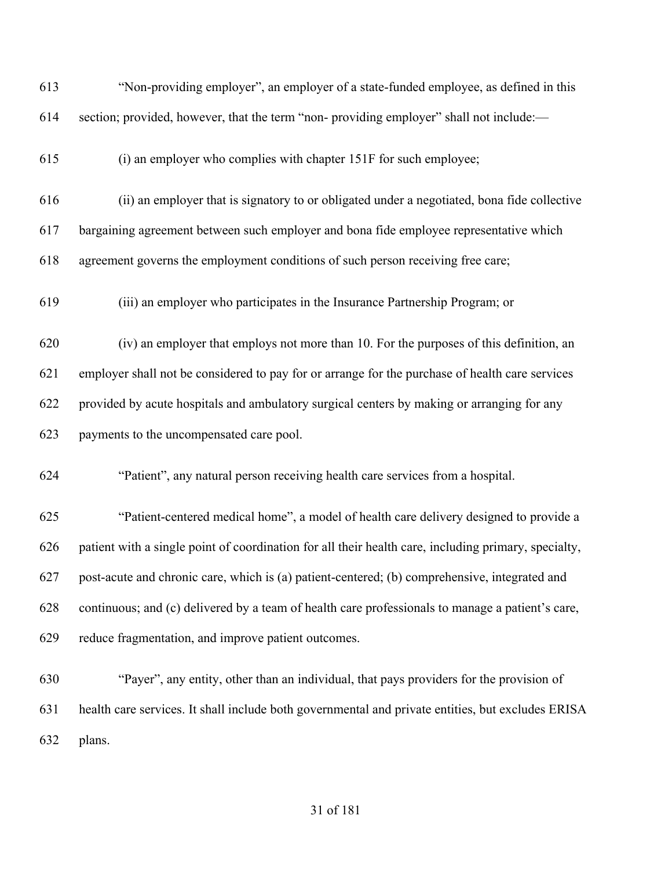| 613 | "Non-providing employer", an employer of a state-funded employee, as defined in this                 |
|-----|------------------------------------------------------------------------------------------------------|
| 614 | section; provided, however, that the term "non- providing employer" shall not include:—              |
| 615 | (i) an employer who complies with chapter 151F for such employee;                                    |
| 616 | (ii) an employer that is signatory to or obligated under a negotiated, bona fide collective          |
| 617 | bargaining agreement between such employer and bona fide employee representative which               |
| 618 | agreement governs the employment conditions of such person receiving free care;                      |
| 619 | (iii) an employer who participates in the Insurance Partnership Program; or                          |
| 620 | (iv) an employer that employs not more than 10. For the purposes of this definition, an              |
| 621 | employer shall not be considered to pay for or arrange for the purchase of health care services      |
| 622 | provided by acute hospitals and ambulatory surgical centers by making or arranging for any           |
| 623 | payments to the uncompensated care pool.                                                             |
| 624 | "Patient", any natural person receiving health care services from a hospital.                        |
| 625 | "Patient-centered medical home", a model of health care delivery designed to provide a               |
| 626 | patient with a single point of coordination for all their health care, including primary, specialty, |
| 627 | post-acute and chronic care, which is (a) patient-centered; (b) comprehensive, integrated and        |
| 628 | continuous; and (c) delivered by a team of health care professionals to manage a patient's care,     |
| 629 | reduce fragmentation, and improve patient outcomes.                                                  |
| 630 | "Payer", any entity, other than an individual, that pays providers for the provision of              |
| 631 | health care services. It shall include both governmental and private entities, but excludes ERISA    |
| 632 | plans.                                                                                               |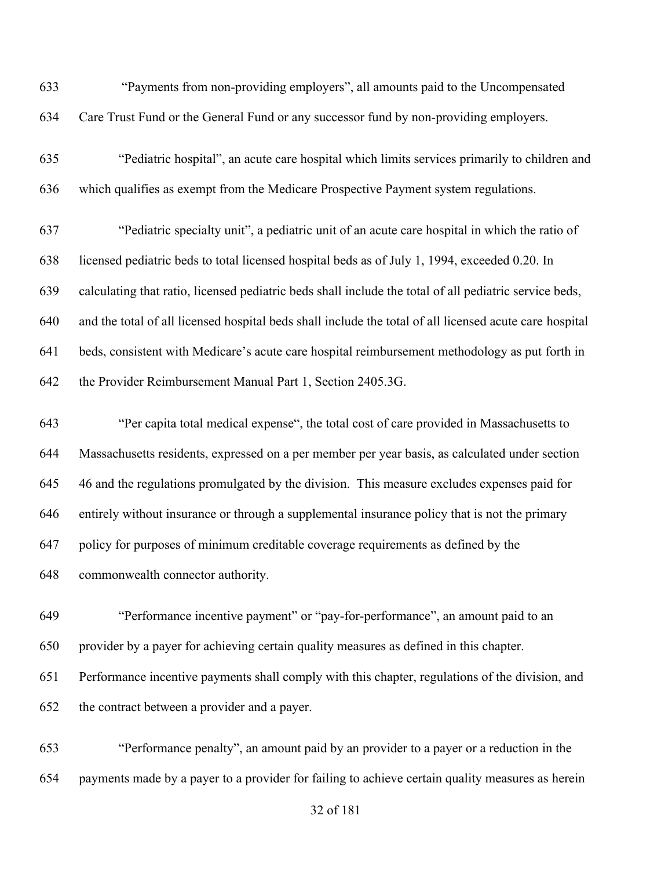"Payments from non-providing employers", all amounts paid to the Uncompensated Care Trust Fund or the General Fund or any successor fund by non-providing employers.

 "Pediatric hospital", an acute care hospital which limits services primarily to children and which qualifies as exempt from the Medicare Prospective Payment system regulations.

 "Pediatric specialty unit", a pediatric unit of an acute care hospital in which the ratio of licensed pediatric beds to total licensed hospital beds as of July 1, 1994, exceeded 0.20. In calculating that ratio, licensed pediatric beds shall include the total of all pediatric service beds, and the total of all licensed hospital beds shall include the total of all licensed acute care hospital beds, consistent with Medicare's acute care hospital reimbursement methodology as put forth in the Provider Reimbursement Manual Part 1, Section 2405.3G.

 "Per capita total medical expense", the total cost of care provided in Massachusetts to Massachusetts residents, expressed on a per member per year basis, as calculated under section 46 and the regulations promulgated by the division. This measure excludes expenses paid for entirely without insurance or through a supplemental insurance policy that is not the primary policy for purposes of minimum creditable coverage requirements as defined by the commonwealth connector authority.

 "Performance incentive payment" or "pay-for-performance", an amount paid to an provider by a payer for achieving certain quality measures as defined in this chapter. Performance incentive payments shall comply with this chapter, regulations of the division, and the contract between a provider and a payer.

 "Performance penalty", an amount paid by an provider to a payer or a reduction in the payments made by a payer to a provider for failing to achieve certain quality measures as herein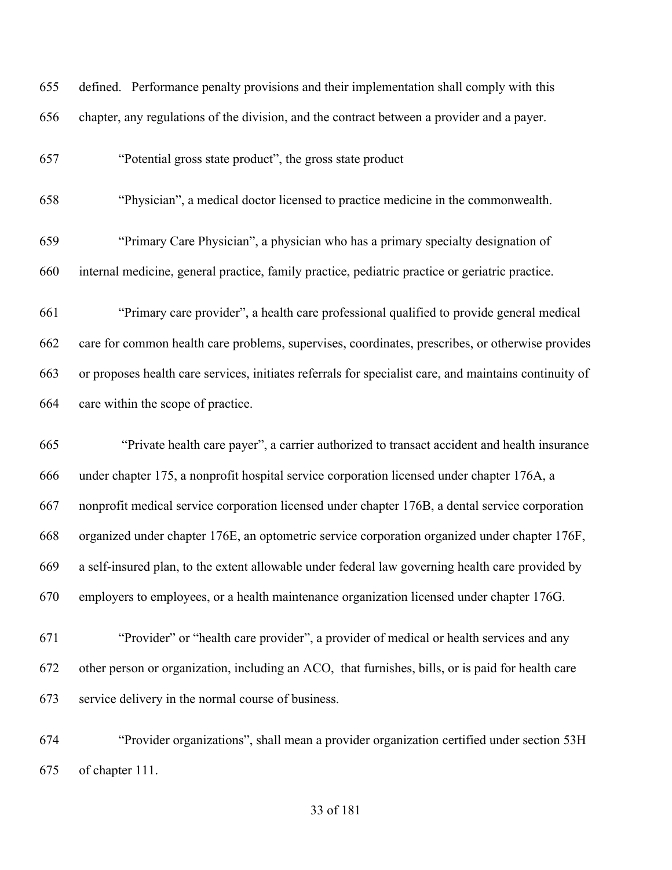defined. Performance penalty provisions and their implementation shall comply with this chapter, any regulations of the division, and the contract between a provider and a payer.

"Potential gross state product", the gross state product

"Physician", a medical doctor licensed to practice medicine in the commonwealth.

 "Primary Care Physician", a physician who has a primary specialty designation of internal medicine, general practice, family practice, pediatric practice or geriatric practice.

 "Primary care provider", a health care professional qualified to provide general medical care for common health care problems, supervises, coordinates, prescribes, or otherwise provides or proposes health care services, initiates referrals for specialist care, and maintains continuity of care within the scope of practice.

 "Private health care payer", a carrier authorized to transact accident and health insurance under chapter 175, a nonprofit hospital service corporation licensed under chapter 176A, a nonprofit medical service corporation licensed under chapter 176B, a dental service corporation organized under chapter 176E, an optometric service corporation organized under chapter 176F, a self-insured plan, to the extent allowable under federal law governing health care provided by employers to employees, or a health maintenance organization licensed under chapter 176G.

 "Provider" or "health care provider", a provider of medical or health services and any other person or organization, including an ACO, that furnishes, bills, or is paid for health care service delivery in the normal course of business.

 "Provider organizations", shall mean a provider organization certified under section 53H of chapter 111.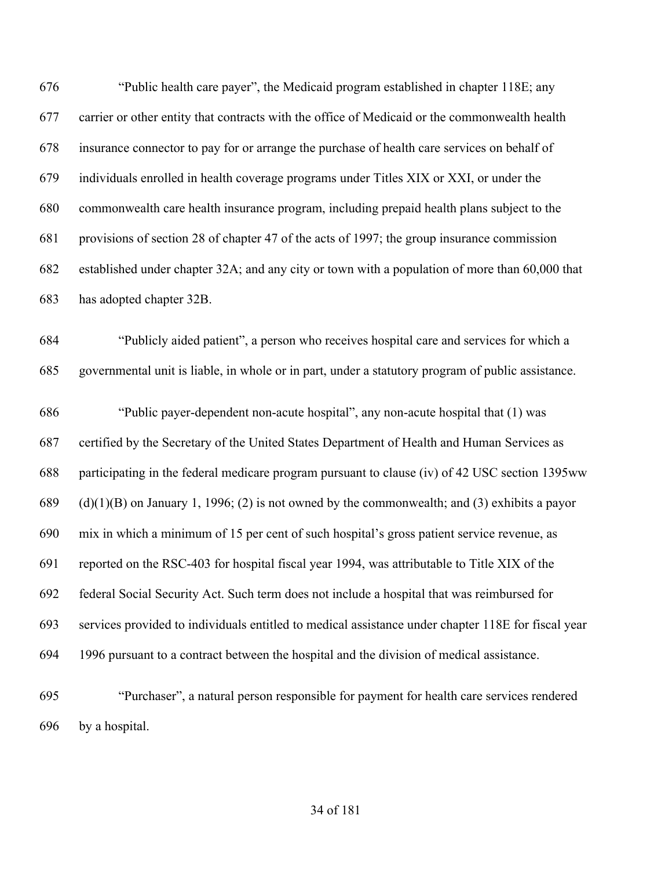"Public health care payer", the Medicaid program established in chapter 118E; any carrier or other entity that contracts with the office of Medicaid or the commonwealth health insurance connector to pay for or arrange the purchase of health care services on behalf of individuals enrolled in health coverage programs under Titles XIX or XXI, or under the commonwealth care health insurance program, including prepaid health plans subject to the provisions of section 28 of chapter 47 of the acts of 1997; the group insurance commission established under chapter 32A; and any city or town with a population of more than 60,000 that has adopted chapter 32B. "Publicly aided patient", a person who receives hospital care and services for which a

governmental unit is liable, in whole or in part, under a statutory program of public assistance.

 "Public payer-dependent non-acute hospital", any non-acute hospital that (1) was certified by the Secretary of the United States Department of Health and Human Services as participating in the federal medicare program pursuant to clause (iv) of 42 USC section 1395ww 689 (d)(1)(B) on January 1, 1996; (2) is not owned by the commonwealth; and (3) exhibits a payor mix in which a minimum of 15 per cent of such hospital's gross patient service revenue, as reported on the RSC-403 for hospital fiscal year 1994, was attributable to Title XIX of the federal Social Security Act. Such term does not include a hospital that was reimbursed for services provided to individuals entitled to medical assistance under chapter 118E for fiscal year 1996 pursuant to a contract between the hospital and the division of medical assistance.

 "Purchaser", a natural person responsible for payment for health care services rendered by a hospital.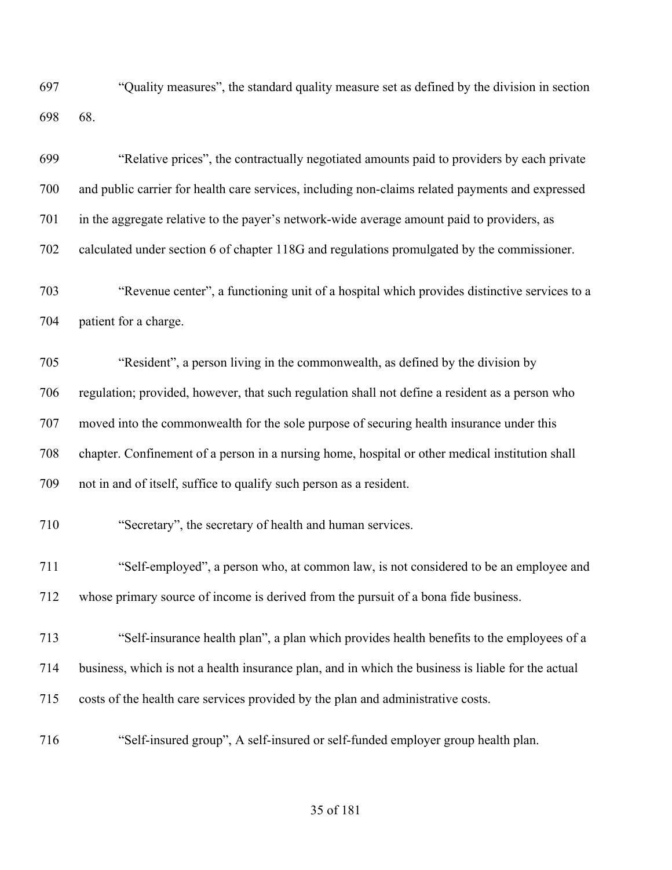"Quality measures", the standard quality measure set as defined by the division in section 68.

| 699 | "Relative prices", the contractually negotiated amounts paid to providers by each private          |
|-----|----------------------------------------------------------------------------------------------------|
| 700 | and public carrier for health care services, including non-claims related payments and expressed   |
| 701 | in the aggregate relative to the payer's network-wide average amount paid to providers, as         |
| 702 | calculated under section 6 of chapter 118G and regulations promulgated by the commissioner.        |
| 703 | "Revenue center", a functioning unit of a hospital which provides distinctive services to a        |
| 704 | patient for a charge.                                                                              |
| 705 | "Resident", a person living in the commonwealth, as defined by the division by                     |
| 706 | regulation; provided, however, that such regulation shall not define a resident as a person who    |
| 707 | moved into the commonwealth for the sole purpose of securing health insurance under this           |
| 708 | chapter. Confinement of a person in a nursing home, hospital or other medical institution shall    |
| 709 | not in and of itself, suffice to qualify such person as a resident.                                |
| 710 | "Secretary", the secretary of health and human services.                                           |
| 711 | "Self-employed", a person who, at common law, is not considered to be an employee and              |
| 712 | whose primary source of income is derived from the pursuit of a bona fide business.                |
| 713 | "Self-insurance health plan", a plan which provides health benefits to the employees of a          |
| 714 | business, which is not a health insurance plan, and in which the business is liable for the actual |
| 715 | costs of the health care services provided by the plan and administrative costs.                   |
| 716 | "Self-insured group", A self-insured or self-funded employer group health plan.                    |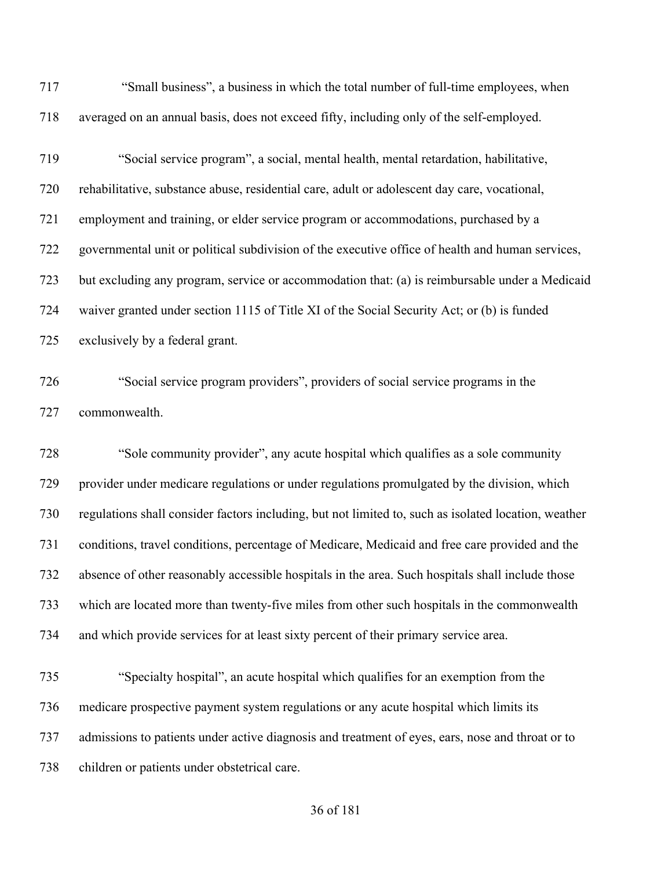| 717        | "Small business", a business in which the total number of full-time employees, when                  |
|------------|------------------------------------------------------------------------------------------------------|
| 718        | averaged on an annual basis, does not exceed fifty, including only of the self-employed.             |
| 719        | "Social service program", a social, mental health, mental retardation, habilitative,                 |
| 720        | rehabilitative, substance abuse, residential care, adult or adolescent day care, vocational,         |
| 721        | employment and training, or elder service program or accommodations, purchased by a                  |
| 722        | governmental unit or political subdivision of the executive office of health and human services,     |
| 723        | but excluding any program, service or accommodation that: (a) is reimbursable under a Medicaid       |
| 724        | waiver granted under section 1115 of Title XI of the Social Security Act; or (b) is funded           |
| 725        | exclusively by a federal grant.                                                                      |
| 726<br>727 | "Social service program providers", providers of social service programs in the<br>commonwealth.     |
|            |                                                                                                      |
| 728        | "Sole community provider", any acute hospital which qualifies as a sole community                    |
| 729        | provider under medicare regulations or under regulations promulgated by the division, which          |
| 730        | regulations shall consider factors including, but not limited to, such as isolated location, weather |
| 731        | conditions, travel conditions, percentage of Medicare, Medicaid and free care provided and the       |
| 732        |                                                                                                      |
|            | absence of other reasonably accessible hospitals in the area. Such hospitals shall include those     |
| 733        | which are located more than twenty-five miles from other such hospitals in the commonwealth          |
| 734        | and which provide services for at least sixty percent of their primary service area.                 |
| 735        | "Specialty hospital", an acute hospital which qualifies for an exemption from the                    |
| 736        | medicare prospective payment system regulations or any acute hospital which limits its               |
| 737        | admissions to patients under active diagnosis and treatment of eyes, ears, nose and throat or to     |
| 738        | children or patients under obstetrical care.                                                         |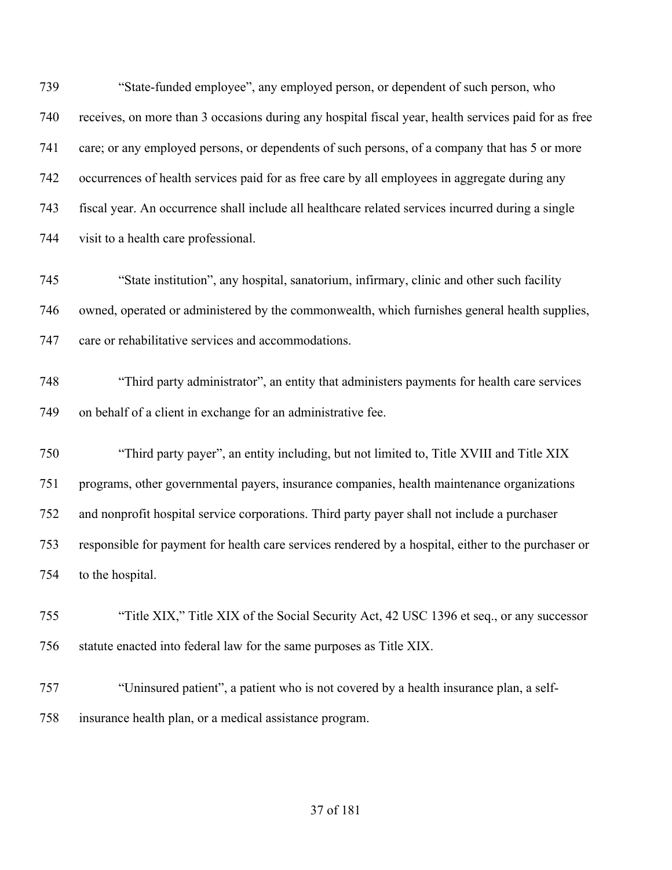"State-funded employee", any employed person, or dependent of such person, who receives, on more than 3 occasions during any hospital fiscal year, health services paid for as free care; or any employed persons, or dependents of such persons, of a company that has 5 or more occurrences of health services paid for as free care by all employees in aggregate during any fiscal year. An occurrence shall include all healthcare related services incurred during a single visit to a health care professional.

 "State institution", any hospital, sanatorium, infirmary, clinic and other such facility owned, operated or administered by the commonwealth, which furnishes general health supplies, care or rehabilitative services and accommodations.

 "Third party administrator", an entity that administers payments for health care services on behalf of a client in exchange for an administrative fee.

 "Third party payer", an entity including, but not limited to, Title XVIII and Title XIX programs, other governmental payers, insurance companies, health maintenance organizations and nonprofit hospital service corporations. Third party payer shall not include a purchaser responsible for payment for health care services rendered by a hospital, either to the purchaser or to the hospital.

 "Title XIX," Title XIX of the Social Security Act, 42 USC 1396 et seq., or any successor statute enacted into federal law for the same purposes as Title XIX.

 "Uninsured patient", a patient who is not covered by a health insurance plan, a self-insurance health plan, or a medical assistance program.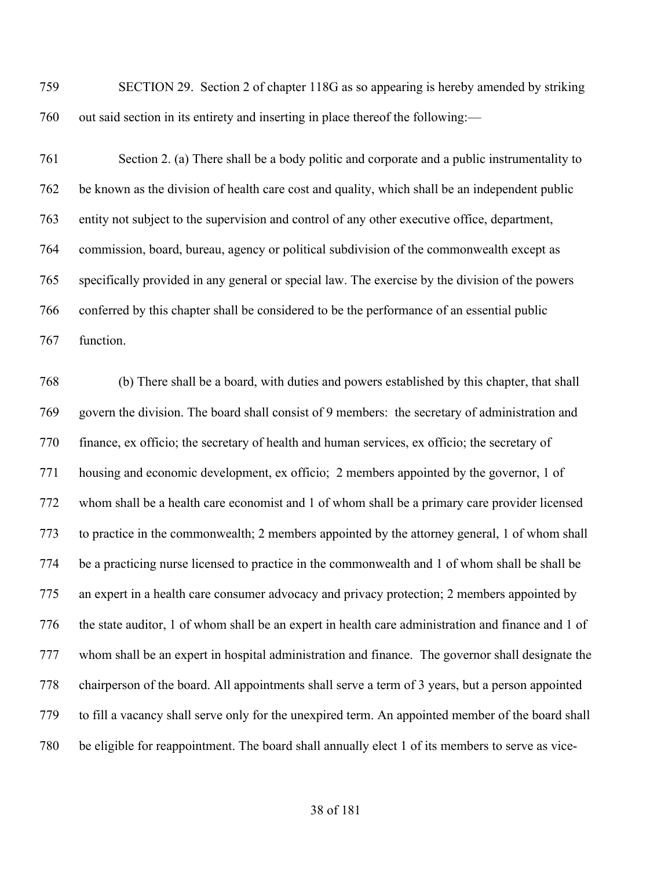SECTION 29. Section 2 of chapter 118G as so appearing is hereby amended by striking out said section in its entirety and inserting in place thereof the following:—

 Section 2. (a) There shall be a body politic and corporate and a public instrumentality to be known as the division of health care cost and quality, which shall be an independent public entity not subject to the supervision and control of any other executive office, department, commission, board, bureau, agency or political subdivision of the commonwealth except as specifically provided in any general or special law. The exercise by the division of the powers conferred by this chapter shall be considered to be the performance of an essential public function.

 (b) There shall be a board, with duties and powers established by this chapter, that shall govern the division. The board shall consist of 9 members: the secretary of administration and finance, ex officio; the secretary of health and human services, ex officio; the secretary of housing and economic development, ex officio; 2 members appointed by the governor, 1 of whom shall be a health care economist and 1 of whom shall be a primary care provider licensed to practice in the commonwealth; 2 members appointed by the attorney general, 1 of whom shall be a practicing nurse licensed to practice in the commonwealth and 1 of whom shall be shall be an expert in a health care consumer advocacy and privacy protection; 2 members appointed by the state auditor, 1 of whom shall be an expert in health care administration and finance and 1 of whom shall be an expert in hospital administration and finance. The governor shall designate the chairperson of the board. All appointments shall serve a term of 3 years, but a person appointed to fill a vacancy shall serve only for the unexpired term. An appointed member of the board shall be eligible for reappointment. The board shall annually elect 1 of its members to serve as vice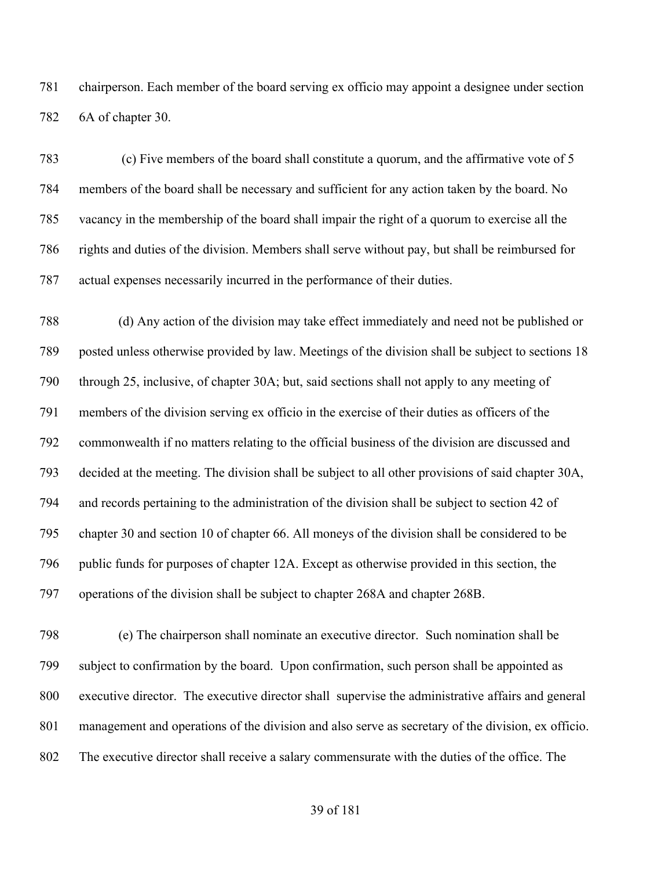chairperson. Each member of the board serving ex officio may appoint a designee under section 6A of chapter 30.

 (c) Five members of the board shall constitute a quorum, and the affirmative vote of 5 members of the board shall be necessary and sufficient for any action taken by the board. No vacancy in the membership of the board shall impair the right of a quorum to exercise all the rights and duties of the division. Members shall serve without pay, but shall be reimbursed for actual expenses necessarily incurred in the performance of their duties.

 (d) Any action of the division may take effect immediately and need not be published or posted unless otherwise provided by law. Meetings of the division shall be subject to sections 18 through 25, inclusive, of chapter 30A; but, said sections shall not apply to any meeting of members of the division serving ex officio in the exercise of their duties as officers of the commonwealth if no matters relating to the official business of the division are discussed and decided at the meeting. The division shall be subject to all other provisions of said chapter 30A, and records pertaining to the administration of the division shall be subject to section 42 of chapter 30 and section 10 of chapter 66. All moneys of the division shall be considered to be public funds for purposes of chapter 12A. Except as otherwise provided in this section, the operations of the division shall be subject to chapter 268A and chapter 268B.

 (e) The chairperson shall nominate an executive director. Such nomination shall be subject to confirmation by the board. Upon confirmation, such person shall be appointed as executive director. The executive director shall supervise the administrative affairs and general management and operations of the division and also serve as secretary of the division, ex officio. The executive director shall receive a salary commensurate with the duties of the office. The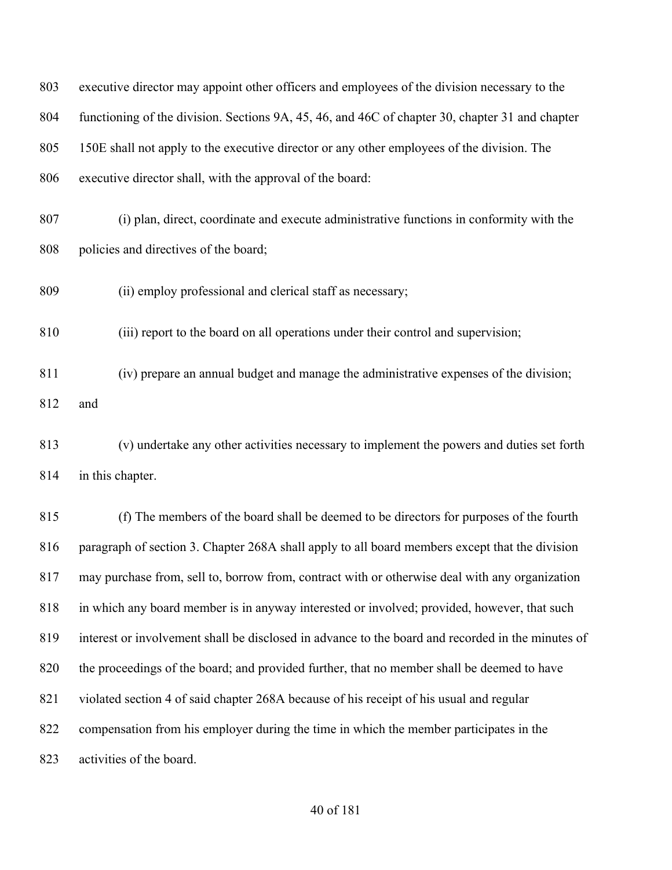| 803 | executive director may appoint other officers and employees of the division necessary to the      |  |
|-----|---------------------------------------------------------------------------------------------------|--|
| 804 | functioning of the division. Sections 9A, 45, 46, and 46C of chapter 30, chapter 31 and chapter   |  |
| 805 | 150E shall not apply to the executive director or any other employees of the division. The        |  |
| 806 | executive director shall, with the approval of the board:                                         |  |
| 807 | (i) plan, direct, coordinate and execute administrative functions in conformity with the          |  |
| 808 | policies and directives of the board;                                                             |  |
| 809 | (ii) employ professional and clerical staff as necessary;                                         |  |
| 810 | (iii) report to the board on all operations under their control and supervision;                  |  |
| 811 | (iv) prepare an annual budget and manage the administrative expenses of the division;             |  |
| 812 | and                                                                                               |  |
| 813 | (v) undertake any other activities necessary to implement the powers and duties set forth         |  |
| 814 | in this chapter.                                                                                  |  |
| 815 | (f) The members of the board shall be deemed to be directors for purposes of the fourth           |  |
| 816 | paragraph of section 3. Chapter 268A shall apply to all board members except that the division    |  |
| 817 | may purchase from, sell to, borrow from, contract with or otherwise deal with any organization    |  |
| 818 | in which any board member is in anyway interested or involved; provided, however, that such       |  |
| 819 | interest or involvement shall be disclosed in advance to the board and recorded in the minutes of |  |
| 820 | the proceedings of the board; and provided further, that no member shall be deemed to have        |  |
| 821 | violated section 4 of said chapter 268A because of his receipt of his usual and regular           |  |
| 822 | compensation from his employer during the time in which the member participates in the            |  |
| 823 | activities of the board.                                                                          |  |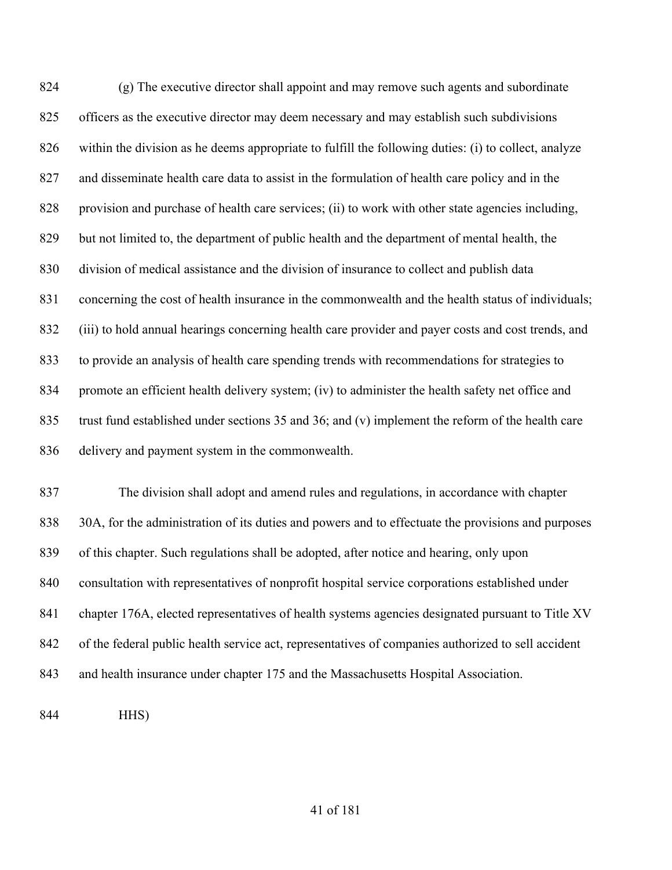(g) The executive director shall appoint and may remove such agents and subordinate officers as the executive director may deem necessary and may establish such subdivisions within the division as he deems appropriate to fulfill the following duties: (i) to collect, analyze and disseminate health care data to assist in the formulation of health care policy and in the 828 provision and purchase of health care services; (ii) to work with other state agencies including, but not limited to, the department of public health and the department of mental health, the division of medical assistance and the division of insurance to collect and publish data concerning the cost of health insurance in the commonwealth and the health status of individuals; (iii) to hold annual hearings concerning health care provider and payer costs and cost trends, and to provide an analysis of health care spending trends with recommendations for strategies to promote an efficient health delivery system; (iv) to administer the health safety net office and trust fund established under sections 35 and 36; and (v) implement the reform of the health care delivery and payment system in the commonwealth.

 The division shall adopt and amend rules and regulations, in accordance with chapter 30A, for the administration of its duties and powers and to effectuate the provisions and purposes of this chapter. Such regulations shall be adopted, after notice and hearing, only upon consultation with representatives of nonprofit hospital service corporations established under chapter 176A, elected representatives of health systems agencies designated pursuant to Title XV of the federal public health service act, representatives of companies authorized to sell accident and health insurance under chapter 175 and the Massachusetts Hospital Association.

HHS)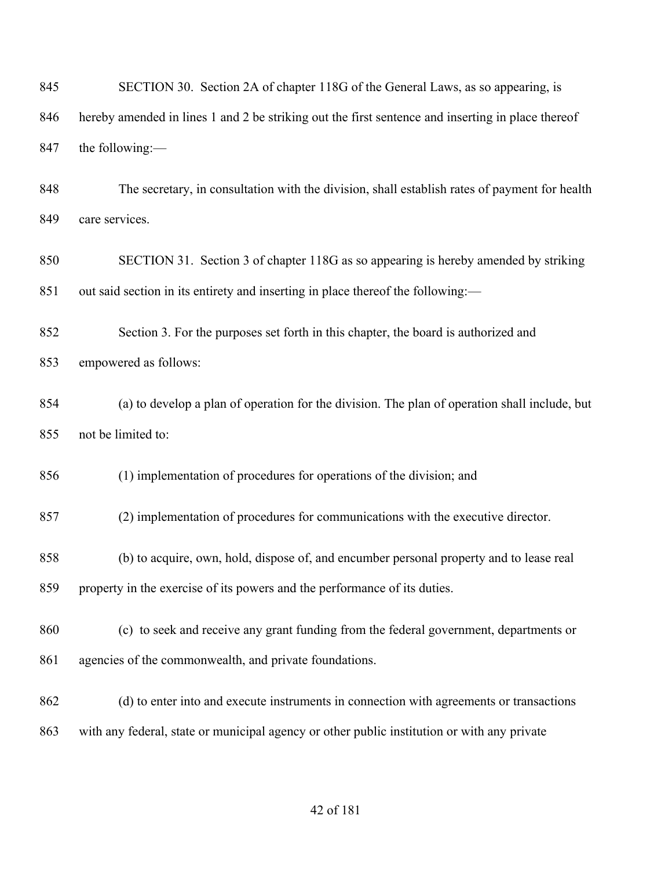| 845 | SECTION 30. Section 2A of chapter 118G of the General Laws, as so appearing, is                   |  |  |
|-----|---------------------------------------------------------------------------------------------------|--|--|
| 846 | hereby amended in lines 1 and 2 be striking out the first sentence and inserting in place thereof |  |  |
| 847 | the following:-                                                                                   |  |  |
| 848 | The secretary, in consultation with the division, shall establish rates of payment for health     |  |  |
| 849 | care services.                                                                                    |  |  |
| 850 | SECTION 31. Section 3 of chapter 118G as so appearing is hereby amended by striking               |  |  |
| 851 | out said section in its entirety and inserting in place thereof the following:-                   |  |  |
| 852 | Section 3. For the purposes set forth in this chapter, the board is authorized and                |  |  |
| 853 | empowered as follows:                                                                             |  |  |
| 854 | (a) to develop a plan of operation for the division. The plan of operation shall include, but     |  |  |
| 855 | not be limited to:                                                                                |  |  |
| 856 | (1) implementation of procedures for operations of the division; and                              |  |  |
| 857 | (2) implementation of procedures for communications with the executive director.                  |  |  |
| 858 | (b) to acquire, own, hold, dispose of, and encumber personal property and to lease real           |  |  |
| 859 | property in the exercise of its powers and the performance of its duties.                         |  |  |
| 860 | (c) to seek and receive any grant funding from the federal government, departments or             |  |  |
| 861 | agencies of the commonwealth, and private foundations.                                            |  |  |
| 862 | (d) to enter into and execute instruments in connection with agreements or transactions           |  |  |
| 863 | with any federal, state or municipal agency or other public institution or with any private       |  |  |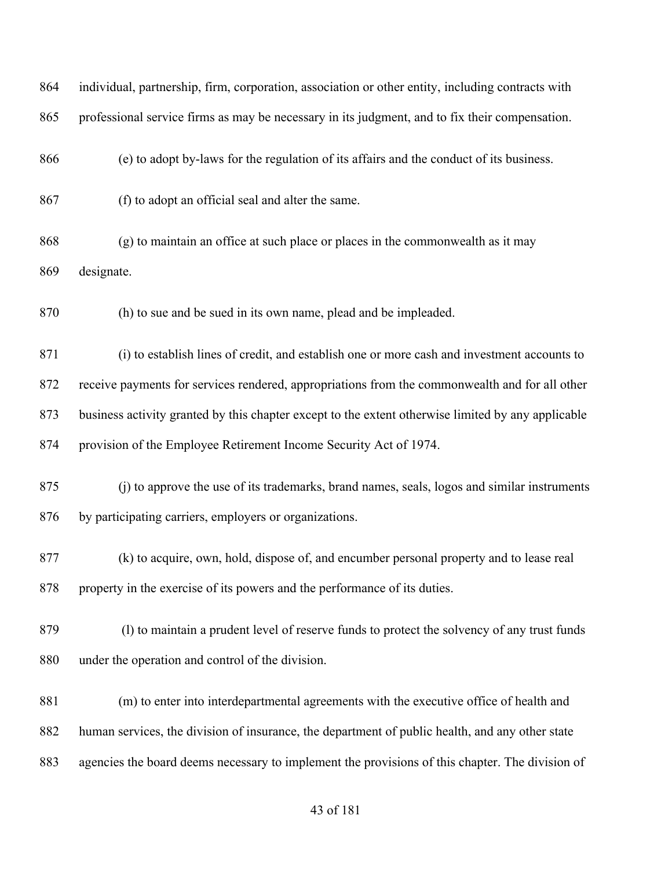| 864 | individual, partnership, firm, corporation, association or other entity, including contracts with  |  |  |  |
|-----|----------------------------------------------------------------------------------------------------|--|--|--|
| 865 | professional service firms as may be necessary in its judgment, and to fix their compensation.     |  |  |  |
| 866 | (e) to adopt by-laws for the regulation of its affairs and the conduct of its business.            |  |  |  |
| 867 | (f) to adopt an official seal and alter the same.                                                  |  |  |  |
| 868 | (g) to maintain an office at such place or places in the commonwealth as it may                    |  |  |  |
| 869 | designate.                                                                                         |  |  |  |
| 870 | (h) to sue and be sued in its own name, plead and be impleaded.                                    |  |  |  |
| 871 | (i) to establish lines of credit, and establish one or more cash and investment accounts to        |  |  |  |
| 872 | receive payments for services rendered, appropriations from the commonwealth and for all other     |  |  |  |
| 873 | business activity granted by this chapter except to the extent otherwise limited by any applicable |  |  |  |
| 874 | provision of the Employee Retirement Income Security Act of 1974.                                  |  |  |  |
| 875 | (j) to approve the use of its trademarks, brand names, seals, logos and similar instruments        |  |  |  |
| 876 | by participating carriers, employers or organizations.                                             |  |  |  |
| 877 | (k) to acquire, own, hold, dispose of, and encumber personal property and to lease real            |  |  |  |
| 878 | property in the exercise of its powers and the performance of its duties.                          |  |  |  |
| 879 | (1) to maintain a prudent level of reserve funds to protect the solvency of any trust funds        |  |  |  |
| 880 | under the operation and control of the division.                                                   |  |  |  |
| 881 | (m) to enter into interdepartmental agreements with the executive office of health and             |  |  |  |
| 882 | human services, the division of insurance, the department of public health, and any other state    |  |  |  |
| 883 | agencies the board deems necessary to implement the provisions of this chapter. The division of    |  |  |  |
|     |                                                                                                    |  |  |  |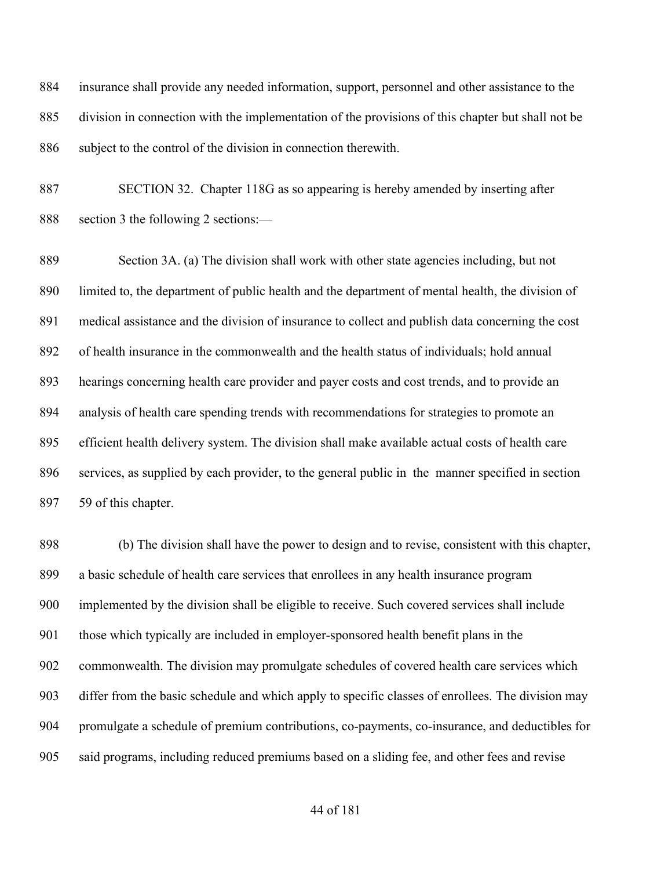insurance shall provide any needed information, support, personnel and other assistance to the division in connection with the implementation of the provisions of this chapter but shall not be 886 subject to the control of the division in connection therewith.

 SECTION 32. Chapter 118G as so appearing is hereby amended by inserting after section 3 the following 2 sections:—

 Section 3A. (a) The division shall work with other state agencies including, but not limited to, the department of public health and the department of mental health, the division of medical assistance and the division of insurance to collect and publish data concerning the cost of health insurance in the commonwealth and the health status of individuals; hold annual hearings concerning health care provider and payer costs and cost trends, and to provide an analysis of health care spending trends with recommendations for strategies to promote an efficient health delivery system. The division shall make available actual costs of health care services, as supplied by each provider, to the general public in the manner specified in section 59 of this chapter.

 (b) The division shall have the power to design and to revise, consistent with this chapter, a basic schedule of health care services that enrollees in any health insurance program implemented by the division shall be eligible to receive. Such covered services shall include those which typically are included in employer-sponsored health benefit plans in the commonwealth. The division may promulgate schedules of covered health care services which differ from the basic schedule and which apply to specific classes of enrollees. The division may promulgate a schedule of premium contributions, co-payments, co-insurance, and deductibles for said programs, including reduced premiums based on a sliding fee, and other fees and revise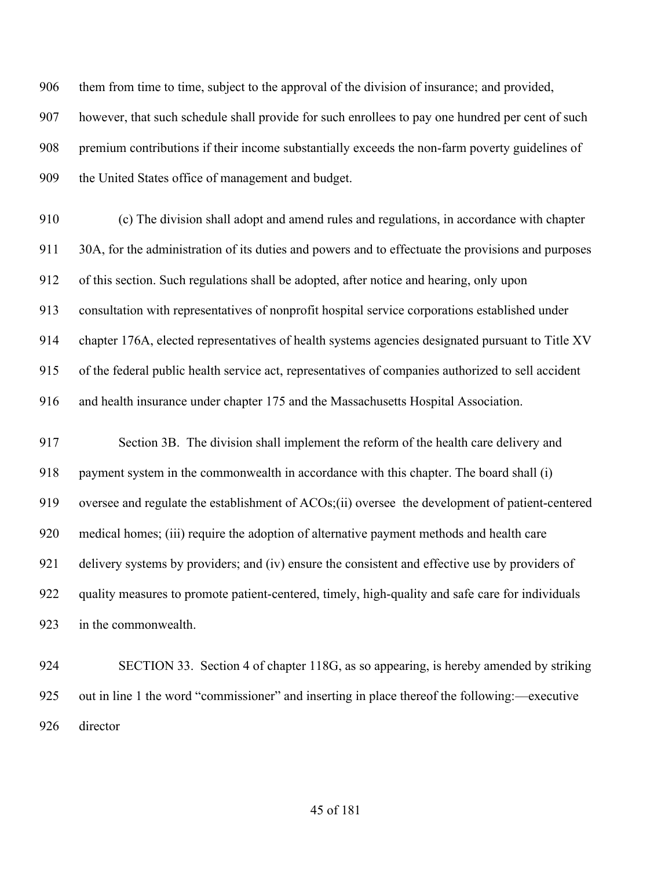them from time to time, subject to the approval of the division of insurance; and provided, however, that such schedule shall provide for such enrollees to pay one hundred per cent of such premium contributions if their income substantially exceeds the non-farm poverty guidelines of 909 the United States office of management and budget.

 (c) The division shall adopt and amend rules and regulations, in accordance with chapter 30A, for the administration of its duties and powers and to effectuate the provisions and purposes of this section. Such regulations shall be adopted, after notice and hearing, only upon consultation with representatives of nonprofit hospital service corporations established under chapter 176A, elected representatives of health systems agencies designated pursuant to Title XV of the federal public health service act, representatives of companies authorized to sell accident and health insurance under chapter 175 and the Massachusetts Hospital Association.

 Section 3B. The division shall implement the reform of the health care delivery and payment system in the commonwealth in accordance with this chapter. The board shall (i) oversee and regulate the establishment of ACOs;(ii) oversee the development of patient-centered medical homes; (iii) require the adoption of alternative payment methods and health care 921 delivery systems by providers; and (iv) ensure the consistent and effective use by providers of quality measures to promote patient-centered, timely, high-quality and safe care for individuals in the commonwealth.

 SECTION 33. Section 4 of chapter 118G, as so appearing, is hereby amended by striking out in line 1 the word "commissioner" and inserting in place thereof the following:—executive director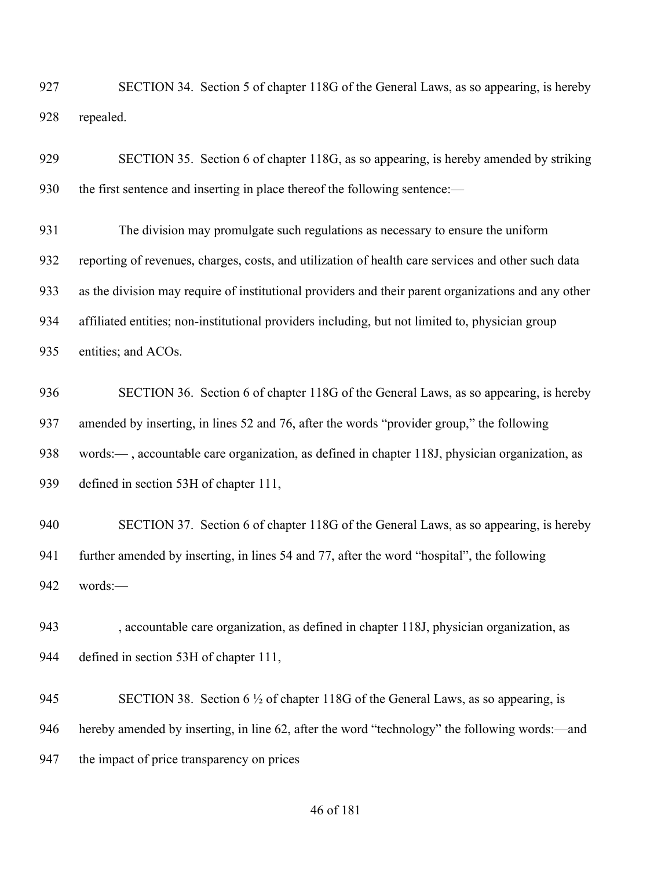| 927 |           | SECTION 34. Section 5 of chapter 118G of the General Laws, as so appearing, is hereby |
|-----|-----------|---------------------------------------------------------------------------------------|
| 928 | repealed. |                                                                                       |

| 929 | SECTION 35. Section 6 of chapter 118G, as so appearing, is hereby amended by striking               |
|-----|-----------------------------------------------------------------------------------------------------|
| 930 | the first sentence and inserting in place thereof the following sentence:—                          |
| 931 | The division may promulgate such regulations as necessary to ensure the uniform                     |
| 932 | reporting of revenues, charges, costs, and utilization of health care services and other such data  |
| 933 | as the division may require of institutional providers and their parent organizations and any other |
| 934 | affiliated entities; non-institutional providers including, but not limited to, physician group     |
| 935 | entities; and ACOs.                                                                                 |
| 936 | SECTION 36. Section 6 of chapter 118G of the General Laws, as so appearing, is hereby               |
| 937 | amended by inserting, in lines 52 and 76, after the words "provider group," the following           |
| 938 | words:—, accountable care organization, as defined in chapter 118J, physician organization, as      |
| 939 | defined in section 53H of chapter 111,                                                              |
| 940 | SECTION 37. Section 6 of chapter 118G of the General Laws, as so appearing, is hereby               |
| 941 | further amended by inserting, in lines 54 and 77, after the word "hospital", the following          |
| 942 | words:-                                                                                             |
| 943 | , accountable care organization, as defined in chapter 118J, physician organization, as             |
| 944 | defined in section 53H of chapter 111,                                                              |

945 SECTION 38. Section 6 <sup>1</sup>/<sub>2</sub> of chapter 118G of the General Laws, as so appearing, is hereby amended by inserting, in line 62, after the word "technology" the following words:—and the impact of price transparency on prices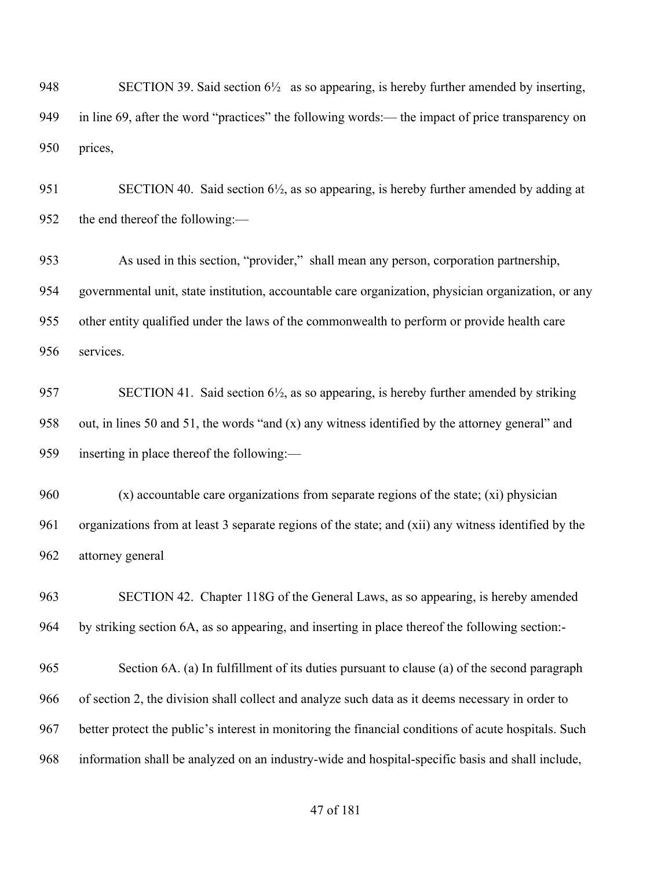SECTION 39. Said section 6½ as so appearing, is hereby further amended by inserting, in line 69, after the word "practices" the following words:— the impact of price transparency on prices,

951 SECTION 40. Said section 6<sup>1</sup>/<sub>2</sub>, as so appearing, is hereby further amended by adding at the end thereof the following:—

 As used in this section, "provider," shall mean any person, corporation partnership, governmental unit, state institution, accountable care organization, physician organization, or any other entity qualified under the laws of the commonwealth to perform or provide health care services.

957 SECTION 41. Said section  $6\frac{1}{2}$ , as so appearing, is hereby further amended by striking out, in lines 50 and 51, the words "and (x) any witness identified by the attorney general" and inserting in place thereof the following:—

 (x) accountable care organizations from separate regions of the state; (xi) physician organizations from at least 3 separate regions of the state; and (xii) any witness identified by the attorney general

 SECTION 42. Chapter 118G of the General Laws, as so appearing, is hereby amended by striking section 6A, as so appearing, and inserting in place thereof the following section:-

 Section 6A. (a) In fulfillment of its duties pursuant to clause (a) of the second paragraph of section 2, the division shall collect and analyze such data as it deems necessary in order to better protect the public's interest in monitoring the financial conditions of acute hospitals. Such information shall be analyzed on an industry-wide and hospital-specific basis and shall include,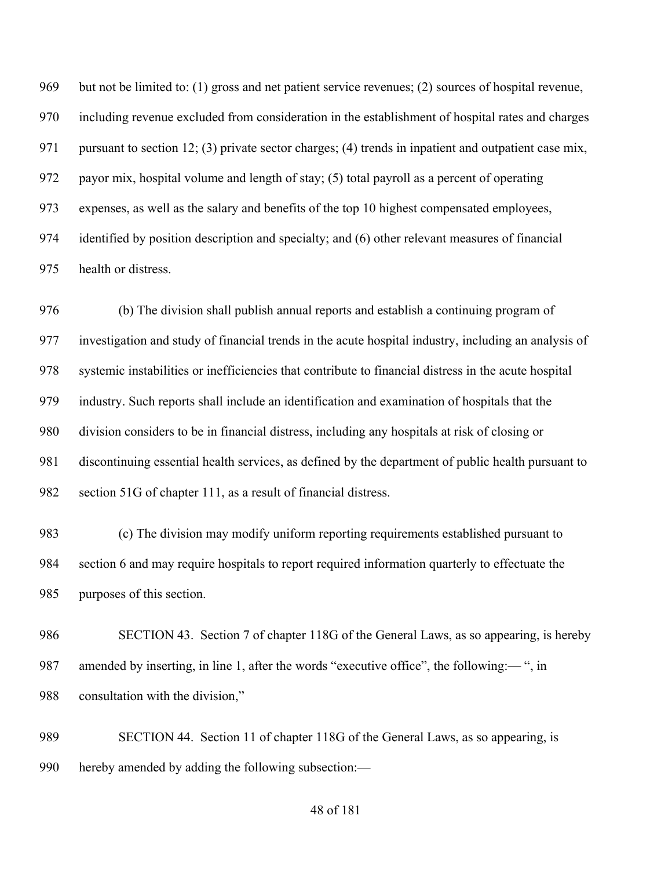but not be limited to: (1) gross and net patient service revenues; (2) sources of hospital revenue, including revenue excluded from consideration in the establishment of hospital rates and charges 971 pursuant to section 12; (3) private sector charges; (4) trends in inpatient and outpatient case mix, payor mix, hospital volume and length of stay; (5) total payroll as a percent of operating expenses, as well as the salary and benefits of the top 10 highest compensated employees, identified by position description and specialty; and (6) other relevant measures of financial health or distress.

 (b) The division shall publish annual reports and establish a continuing program of investigation and study of financial trends in the acute hospital industry, including an analysis of systemic instabilities or inefficiencies that contribute to financial distress in the acute hospital industry. Such reports shall include an identification and examination of hospitals that the division considers to be in financial distress, including any hospitals at risk of closing or discontinuing essential health services, as defined by the department of public health pursuant to section 51G of chapter 111, as a result of financial distress.

 (c) The division may modify uniform reporting requirements established pursuant to section 6 and may require hospitals to report required information quarterly to effectuate the purposes of this section.

 SECTION 43. Section 7 of chapter 118G of the General Laws, as so appearing, is hereby 987 amended by inserting, in line 1, after the words "executive office", the following:— ", in consultation with the division,"

 SECTION 44. Section 11 of chapter 118G of the General Laws, as so appearing, is hereby amended by adding the following subsection:—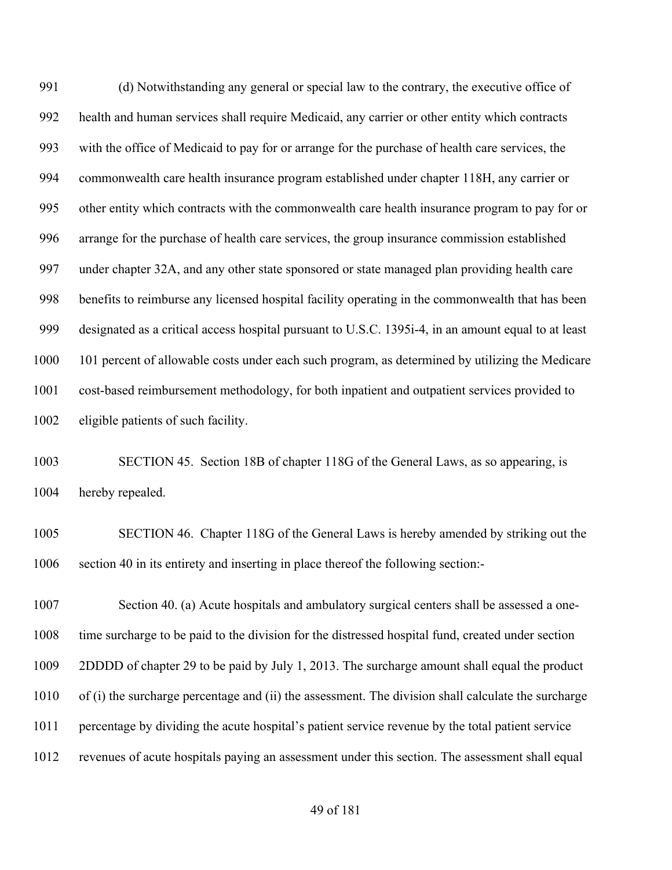(d) Notwithstanding any general or special law to the contrary, the executive office of health and human services shall require Medicaid, any carrier or other entity which contracts with the office of Medicaid to pay for or arrange for the purchase of health care services, the commonwealth care health insurance program established under chapter 118H, any carrier or other entity which contracts with the commonwealth care health insurance program to pay for or arrange for the purchase of health care services, the group insurance commission established under chapter 32A, and any other state sponsored or state managed plan providing health care benefits to reimburse any licensed hospital facility operating in the commonwealth that has been designated as a critical access hospital pursuant to U.S.C. 1395i-4, in an amount equal to at least 101 percent of allowable costs under each such program, as determined by utilizing the Medicare cost-based reimbursement methodology, for both inpatient and outpatient services provided to eligible patients of such facility.

 SECTION 45. Section 18B of chapter 118G of the General Laws, as so appearing, is hereby repealed.

 SECTION 46. Chapter 118G of the General Laws is hereby amended by striking out the section 40 in its entirety and inserting in place thereof the following section:-

 Section 40. (a) Acute hospitals and ambulatory surgical centers shall be assessed a one- time surcharge to be paid to the division for the distressed hospital fund, created under section 2DDDD of chapter 29 to be paid by July 1, 2013. The surcharge amount shall equal the product of (i) the surcharge percentage and (ii) the assessment. The division shall calculate the surcharge percentage by dividing the acute hospital's patient service revenue by the total patient service revenues of acute hospitals paying an assessment under this section. The assessment shall equal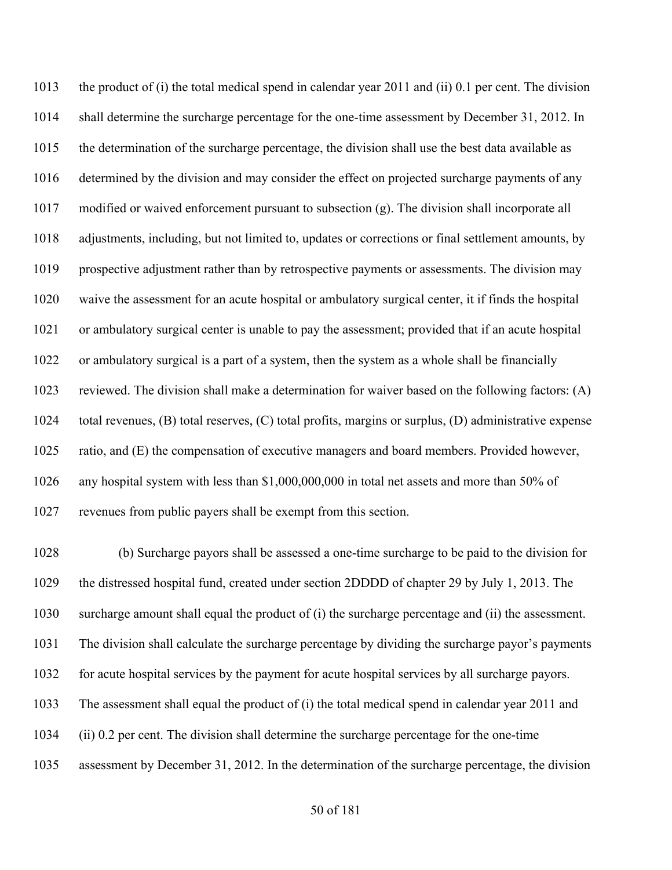the product of (i) the total medical spend in calendar year 2011 and (ii) 0.1 per cent. The division shall determine the surcharge percentage for the one-time assessment by December 31, 2012. In the determination of the surcharge percentage, the division shall use the best data available as determined by the division and may consider the effect on projected surcharge payments of any modified or waived enforcement pursuant to subsection (g). The division shall incorporate all adjustments, including, but not limited to, updates or corrections or final settlement amounts, by prospective adjustment rather than by retrospective payments or assessments. The division may waive the assessment for an acute hospital or ambulatory surgical center, it if finds the hospital or ambulatory surgical center is unable to pay the assessment; provided that if an acute hospital or ambulatory surgical is a part of a system, then the system as a whole shall be financially reviewed. The division shall make a determination for waiver based on the following factors: (A) total revenues, (B) total reserves, (C) total profits, margins or surplus, (D) administrative expense ratio, and (E) the compensation of executive managers and board members. Provided however, any hospital system with less than \$1,000,000,000 in total net assets and more than 50% of revenues from public payers shall be exempt from this section.

 (b) Surcharge payors shall be assessed a one-time surcharge to be paid to the division for the distressed hospital fund, created under section 2DDDD of chapter 29 by July 1, 2013. The surcharge amount shall equal the product of (i) the surcharge percentage and (ii) the assessment. The division shall calculate the surcharge percentage by dividing the surcharge payor's payments for acute hospital services by the payment for acute hospital services by all surcharge payors. The assessment shall equal the product of (i) the total medical spend in calendar year 2011 and (ii) 0.2 per cent. The division shall determine the surcharge percentage for the one-time assessment by December 31, 2012. In the determination of the surcharge percentage, the division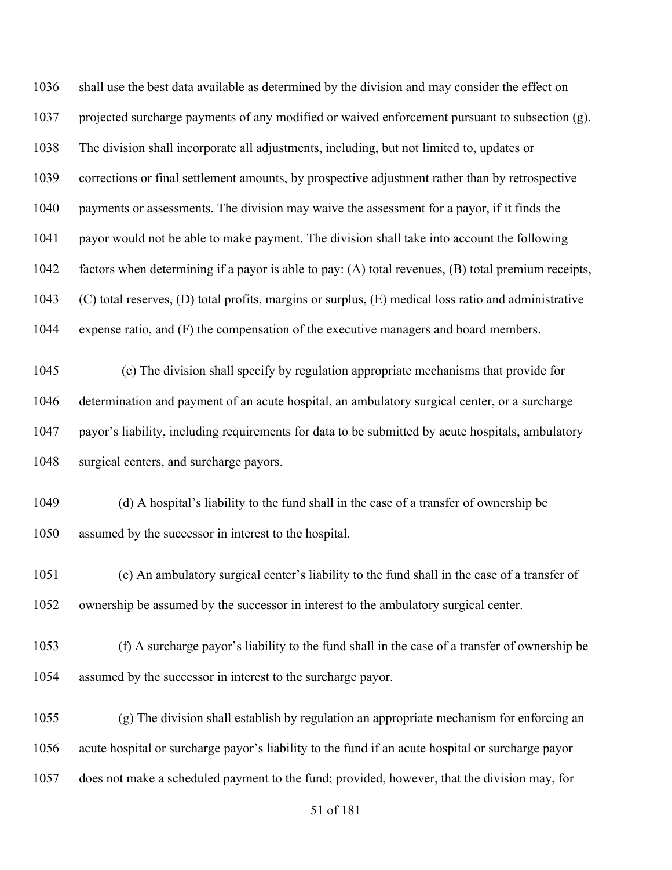shall use the best data available as determined by the division and may consider the effect on projected surcharge payments of any modified or waived enforcement pursuant to subsection (g). The division shall incorporate all adjustments, including, but not limited to, updates or corrections or final settlement amounts, by prospective adjustment rather than by retrospective payments or assessments. The division may waive the assessment for a payor, if it finds the payor would not be able to make payment. The division shall take into account the following factors when determining if a payor is able to pay: (A) total revenues, (B) total premium receipts, (C) total reserves, (D) total profits, margins or surplus, (E) medical loss ratio and administrative expense ratio, and (F) the compensation of the executive managers and board members.

 (c) The division shall specify by regulation appropriate mechanisms that provide for determination and payment of an acute hospital, an ambulatory surgical center, or a surcharge payor's liability, including requirements for data to be submitted by acute hospitals, ambulatory surgical centers, and surcharge payors.

 (d) A hospital's liability to the fund shall in the case of a transfer of ownership be assumed by the successor in interest to the hospital.

 (e) An ambulatory surgical center's liability to the fund shall in the case of a transfer of ownership be assumed by the successor in interest to the ambulatory surgical center.

 (f) A surcharge payor's liability to the fund shall in the case of a transfer of ownership be assumed by the successor in interest to the surcharge payor.

 (g) The division shall establish by regulation an appropriate mechanism for enforcing an acute hospital or surcharge payor's liability to the fund if an acute hospital or surcharge payor does not make a scheduled payment to the fund; provided, however, that the division may, for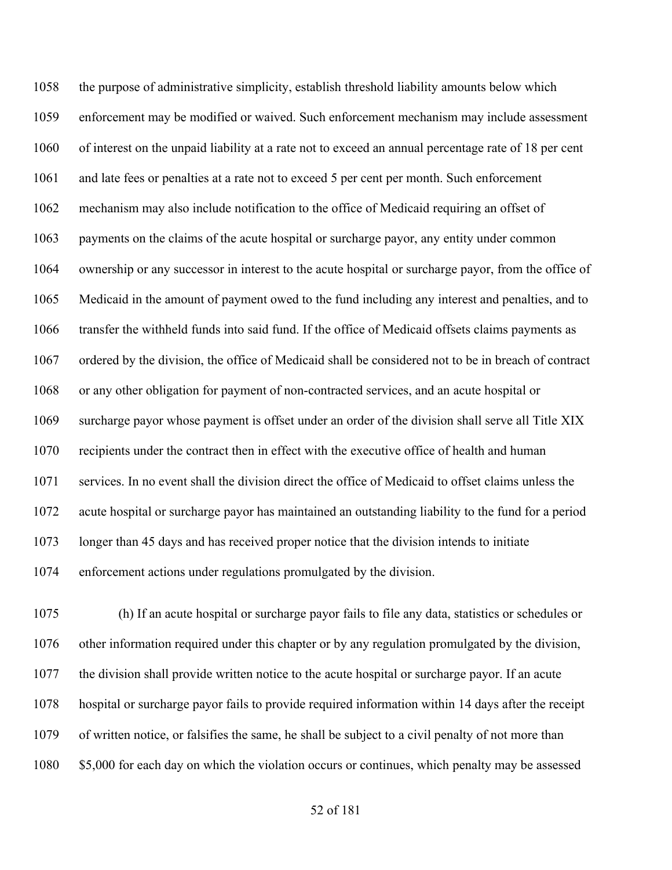the purpose of administrative simplicity, establish threshold liability amounts below which enforcement may be modified or waived. Such enforcement mechanism may include assessment of interest on the unpaid liability at a rate not to exceed an annual percentage rate of 18 per cent and late fees or penalties at a rate not to exceed 5 per cent per month. Such enforcement mechanism may also include notification to the office of Medicaid requiring an offset of payments on the claims of the acute hospital or surcharge payor, any entity under common ownership or any successor in interest to the acute hospital or surcharge payor, from the office of Medicaid in the amount of payment owed to the fund including any interest and penalties, and to transfer the withheld funds into said fund. If the office of Medicaid offsets claims payments as ordered by the division, the office of Medicaid shall be considered not to be in breach of contract or any other obligation for payment of non-contracted services, and an acute hospital or surcharge payor whose payment is offset under an order of the division shall serve all Title XIX recipients under the contract then in effect with the executive office of health and human services. In no event shall the division direct the office of Medicaid to offset claims unless the acute hospital or surcharge payor has maintained an outstanding liability to the fund for a period longer than 45 days and has received proper notice that the division intends to initiate enforcement actions under regulations promulgated by the division.

 (h) If an acute hospital or surcharge payor fails to file any data, statistics or schedules or other information required under this chapter or by any regulation promulgated by the division, the division shall provide written notice to the acute hospital or surcharge payor. If an acute hospital or surcharge payor fails to provide required information within 14 days after the receipt of written notice, or falsifies the same, he shall be subject to a civil penalty of not more than \$5,000 for each day on which the violation occurs or continues, which penalty may be assessed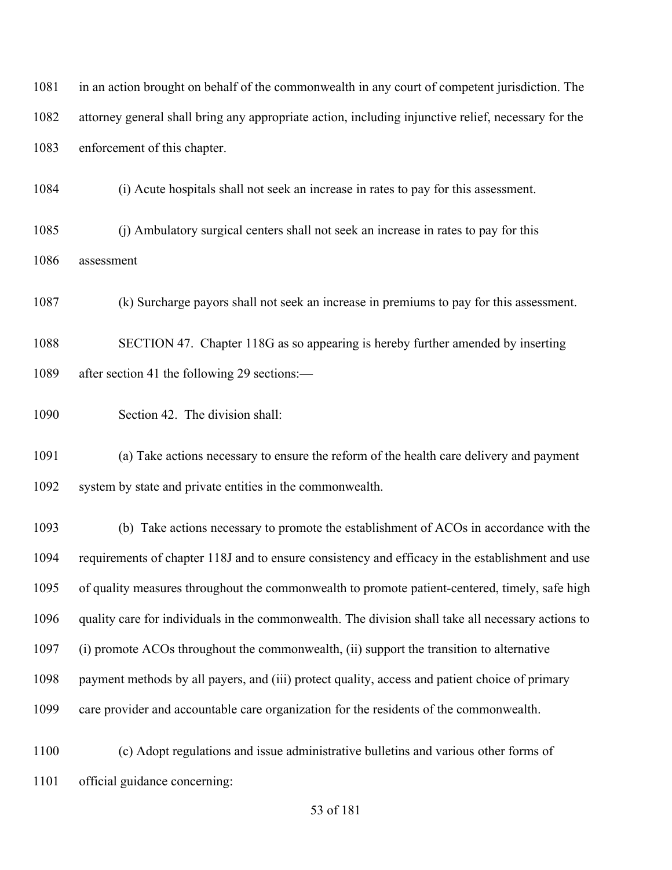| 1081 | in an action brought on behalf of the commonwealth in any court of competent jurisdiction. The      |  |  |
|------|-----------------------------------------------------------------------------------------------------|--|--|
| 1082 | attorney general shall bring any appropriate action, including injunctive relief, necessary for the |  |  |
| 1083 | enforcement of this chapter.                                                                        |  |  |
| 1084 | (i) Acute hospitals shall not seek an increase in rates to pay for this assessment.                 |  |  |
| 1085 | (j) Ambulatory surgical centers shall not seek an increase in rates to pay for this                 |  |  |
| 1086 | assessment                                                                                          |  |  |
| 1087 | (k) Surcharge payors shall not seek an increase in premiums to pay for this assessment.             |  |  |
| 1088 | SECTION 47. Chapter 118G as so appearing is hereby further amended by inserting                     |  |  |
| 1089 | after section 41 the following 29 sections:—                                                        |  |  |
| 1090 | Section 42. The division shall:                                                                     |  |  |
| 1091 | (a) Take actions necessary to ensure the reform of the health care delivery and payment             |  |  |
| 1092 | system by state and private entities in the commonwealth.                                           |  |  |
| 1093 | (b) Take actions necessary to promote the establishment of ACOs in accordance with the              |  |  |
| 1094 | requirements of chapter 118J and to ensure consistency and efficacy in the establishment and use    |  |  |
| 1095 | of quality measures throughout the commonwealth to promote patient-centered, timely, safe high      |  |  |
| 1096 | quality care for individuals in the commonwealth. The division shall take all necessary actions to  |  |  |
| 1097 | (i) promote ACOs throughout the commonwealth, (ii) support the transition to alternative            |  |  |
| 1098 | payment methods by all payers, and (iii) protect quality, access and patient choice of primary      |  |  |
| 1099 | care provider and accountable care organization for the residents of the commonwealth.              |  |  |
| 1100 | (c) Adopt regulations and issue administrative bulletins and various other forms of                 |  |  |
| 1101 | official guidance concerning:                                                                       |  |  |
|      | 53 of 181                                                                                           |  |  |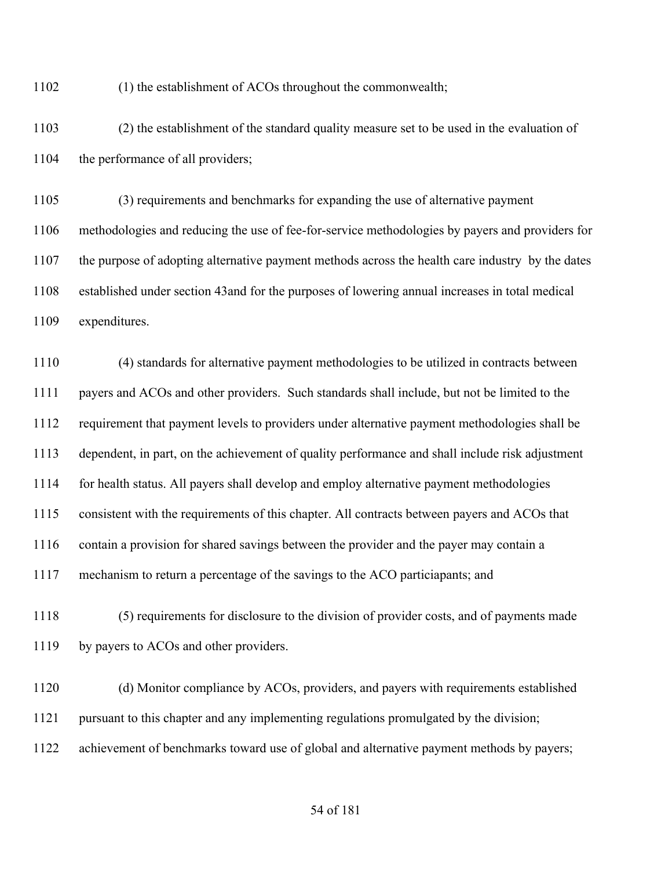(1) the establishment of ACOs throughout the commonwealth;

 (2) the establishment of the standard quality measure set to be used in the evaluation of 1104 the performance of all providers;

 (3) requirements and benchmarks for expanding the use of alternative payment methodologies and reducing the use of fee-for-service methodologies by payers and providers for the purpose of adopting alternative payment methods across the health care industry by the dates established under section 43and for the purposes of lowering annual increases in total medical expenditures.

 (4) standards for alternative payment methodologies to be utilized in contracts between payers and ACOs and other providers. Such standards shall include, but not be limited to the requirement that payment levels to providers under alternative payment methodologies shall be dependent, in part, on the achievement of quality performance and shall include risk adjustment for health status. All payers shall develop and employ alternative payment methodologies consistent with the requirements of this chapter. All contracts between payers and ACOs that contain a provision for shared savings between the provider and the payer may contain a mechanism to return a percentage of the savings to the ACO particiapants; and

 (5) requirements for disclosure to the division of provider costs, and of payments made 1119 by payers to ACOs and other providers.

 (d) Monitor compliance by ACOs, providers, and payers with requirements established pursuant to this chapter and any implementing regulations promulgated by the division; achievement of benchmarks toward use of global and alternative payment methods by payers;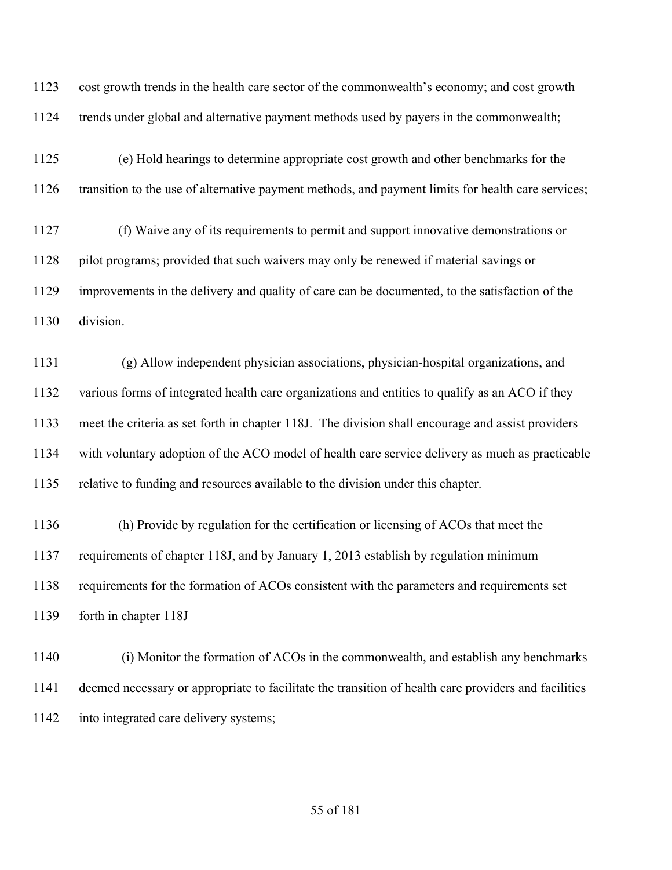cost growth trends in the health care sector of the commonwealth's economy; and cost growth trends under global and alternative payment methods used by payers in the commonwealth;

 (e) Hold hearings to determine appropriate cost growth and other benchmarks for the transition to the use of alternative payment methods, and payment limits for health care services;

 (f) Waive any of its requirements to permit and support innovative demonstrations or 1128 pilot programs; provided that such waivers may only be renewed if material savings or improvements in the delivery and quality of care can be documented, to the satisfaction of the division.

 (g) Allow independent physician associations, physician-hospital organizations, and various forms of integrated health care organizations and entities to qualify as an ACO if they meet the criteria as set forth in chapter 118J. The division shall encourage and assist providers with voluntary adoption of the ACO model of health care service delivery as much as practicable relative to funding and resources available to the division under this chapter.

 (h) Provide by regulation for the certification or licensing of ACOs that meet the requirements of chapter 118J, and by January 1, 2013 establish by regulation minimum requirements for the formation of ACOs consistent with the parameters and requirements set forth in chapter 118J

 (i) Monitor the formation of ACOs in the commonwealth, and establish any benchmarks deemed necessary or appropriate to facilitate the transition of health care providers and facilities into integrated care delivery systems;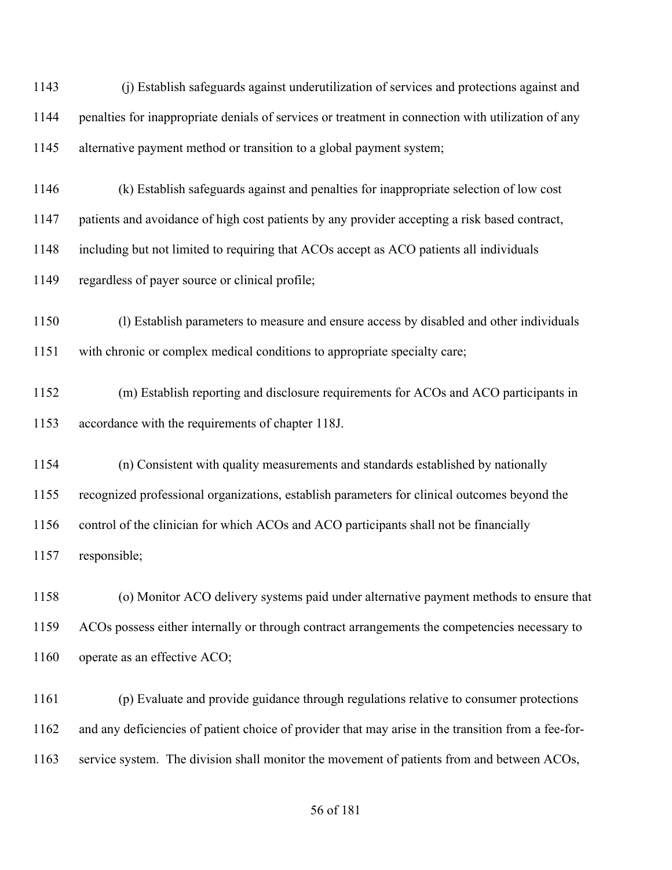(j) Establish safeguards against underutilization of services and protections against and penalties for inappropriate denials of services or treatment in connection with utilization of any alternative payment method or transition to a global payment system;

(k) Establish safeguards against and penalties for inappropriate selection of low cost

patients and avoidance of high cost patients by any provider accepting a risk based contract,

including but not limited to requiring that ACOs accept as ACO patients all individuals

regardless of payer source or clinical profile;

 (l) Establish parameters to measure and ensure access by disabled and other individuals with chronic or complex medical conditions to appropriate specialty care;

 (m) Establish reporting and disclosure requirements for ACOs and ACO participants in accordance with the requirements of chapter 118J.

 (n) Consistent with quality measurements and standards established by nationally recognized professional organizations, establish parameters for clinical outcomes beyond the 1156 control of the clinician for which ACOs and ACO participants shall not be financially responsible;

 (o) Monitor ACO delivery systems paid under alternative payment methods to ensure that ACOs possess either internally or through contract arrangements the competencies necessary to 1160 operate as an effective ACO;

 (p) Evaluate and provide guidance through regulations relative to consumer protections and any deficiencies of patient choice of provider that may arise in the transition from a fee-for-service system. The division shall monitor the movement of patients from and between ACOs,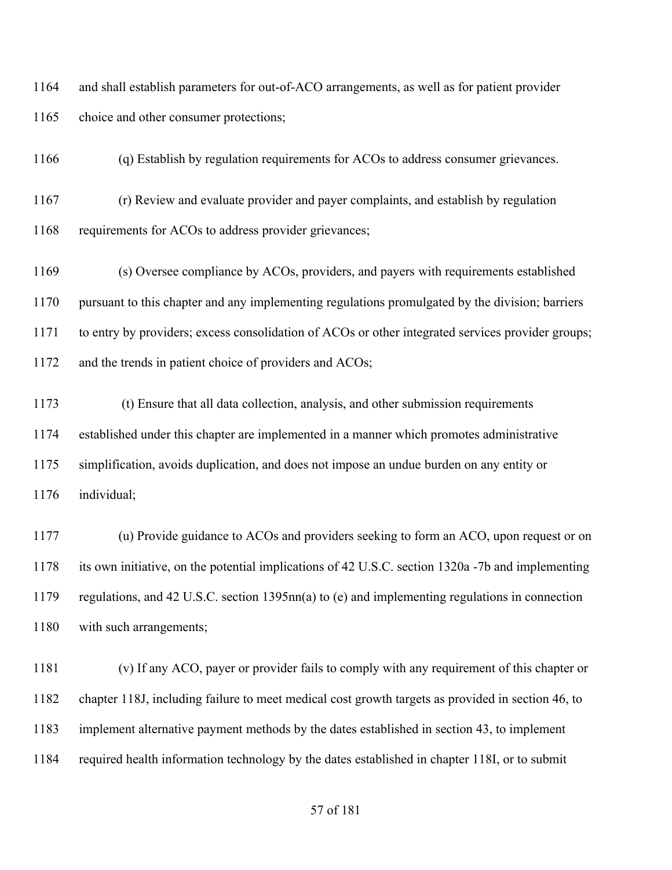and shall establish parameters for out-of-ACO arrangements, as well as for patient provider 1165 choice and other consumer protections;

(q) Establish by regulation requirements for ACOs to address consumer grievances.

 (r) Review and evaluate provider and payer complaints, and establish by regulation requirements for ACOs to address provider grievances;

 (s) Oversee compliance by ACOs, providers, and payers with requirements established pursuant to this chapter and any implementing regulations promulgated by the division; barriers to entry by providers; excess consolidation of ACOs or other integrated services provider groups; 1172 and the trends in patient choice of providers and ACOs;

 (t) Ensure that all data collection, analysis, and other submission requirements established under this chapter are implemented in a manner which promotes administrative simplification, avoids duplication, and does not impose an undue burden on any entity or individual;

 (u) Provide guidance to ACOs and providers seeking to form an ACO, upon request or on its own initiative, on the potential implications of 42 U.S.C. section 1320a -7b and implementing regulations, and 42 U.S.C. section 1395nn(a) to (e) and implementing regulations in connection 1180 with such arrangements;

 (v) If any ACO, payer or provider fails to comply with any requirement of this chapter or chapter 118J, including failure to meet medical cost growth targets as provided in section 46, to implement alternative payment methods by the dates established in section 43, to implement required health information technology by the dates established in chapter 118I, or to submit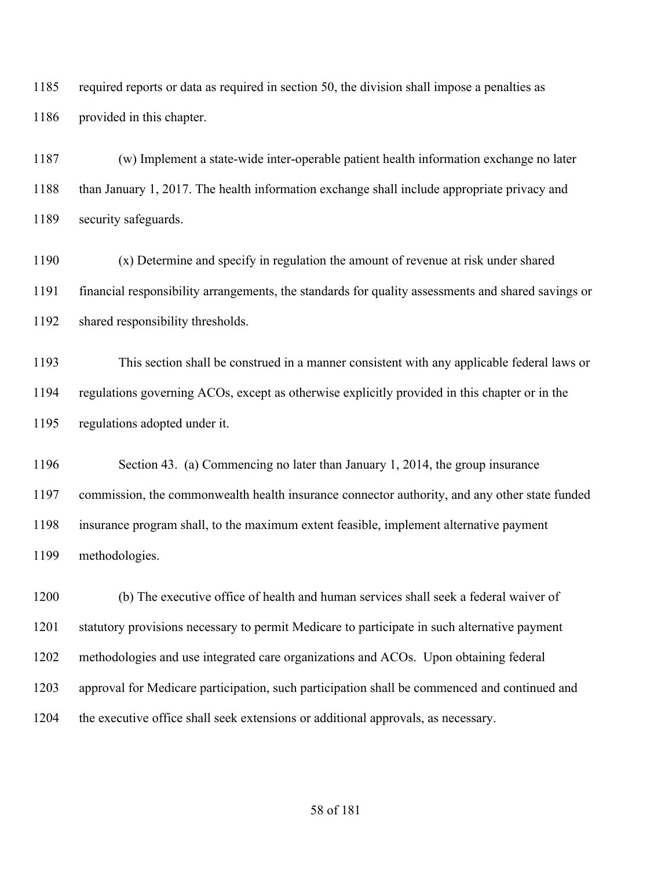required reports or data as required in section 50, the division shall impose a penalties as provided in this chapter.

 (w) Implement a state-wide inter-operable patient health information exchange no later than January 1, 2017. The health information exchange shall include appropriate privacy and security safeguards.

 (x) Determine and specify in regulation the amount of revenue at risk under shared financial responsibility arrangements, the standards for quality assessments and shared savings or shared responsibility thresholds.

 This section shall be construed in a manner consistent with any applicable federal laws or regulations governing ACOs, except as otherwise explicitly provided in this chapter or in the regulations adopted under it.

 Section 43. (a) Commencing no later than January 1, 2014, the group insurance commission, the commonwealth health insurance connector authority, and any other state funded insurance program shall, to the maximum extent feasible, implement alternative payment methodologies.

 (b) The executive office of health and human services shall seek a federal waiver of statutory provisions necessary to permit Medicare to participate in such alternative payment methodologies and use integrated care organizations and ACOs. Upon obtaining federal approval for Medicare participation, such participation shall be commenced and continued and the executive office shall seek extensions or additional approvals, as necessary.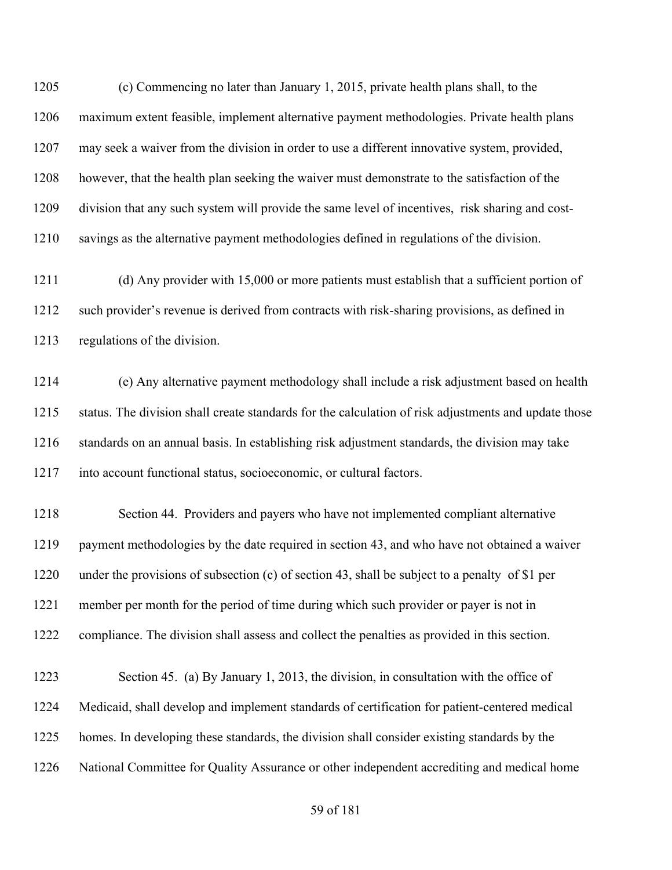(c) Commencing no later than January 1, 2015, private health plans shall, to the maximum extent feasible, implement alternative payment methodologies. Private health plans may seek a waiver from the division in order to use a different innovative system, provided, however, that the health plan seeking the waiver must demonstrate to the satisfaction of the division that any such system will provide the same level of incentives, risk sharing and cost-savings as the alternative payment methodologies defined in regulations of the division.

 (d) Any provider with 15,000 or more patients must establish that a sufficient portion of such provider's revenue is derived from contracts with risk-sharing provisions, as defined in regulations of the division.

 (e) Any alternative payment methodology shall include a risk adjustment based on health status. The division shall create standards for the calculation of risk adjustments and update those standards on an annual basis. In establishing risk adjustment standards, the division may take into account functional status, socioeconomic, or cultural factors.

 Section 44. Providers and payers who have not implemented compliant alternative payment methodologies by the date required in section 43, and who have not obtained a waiver under the provisions of subsection (c) of section 43, shall be subject to a penalty of \$1 per member per month for the period of time during which such provider or payer is not in compliance. The division shall assess and collect the penalties as provided in this section.

 Section 45. (a) By January 1, 2013, the division, in consultation with the office of Medicaid, shall develop and implement standards of certification for patient-centered medical homes. In developing these standards, the division shall consider existing standards by the National Committee for Quality Assurance or other independent accrediting and medical home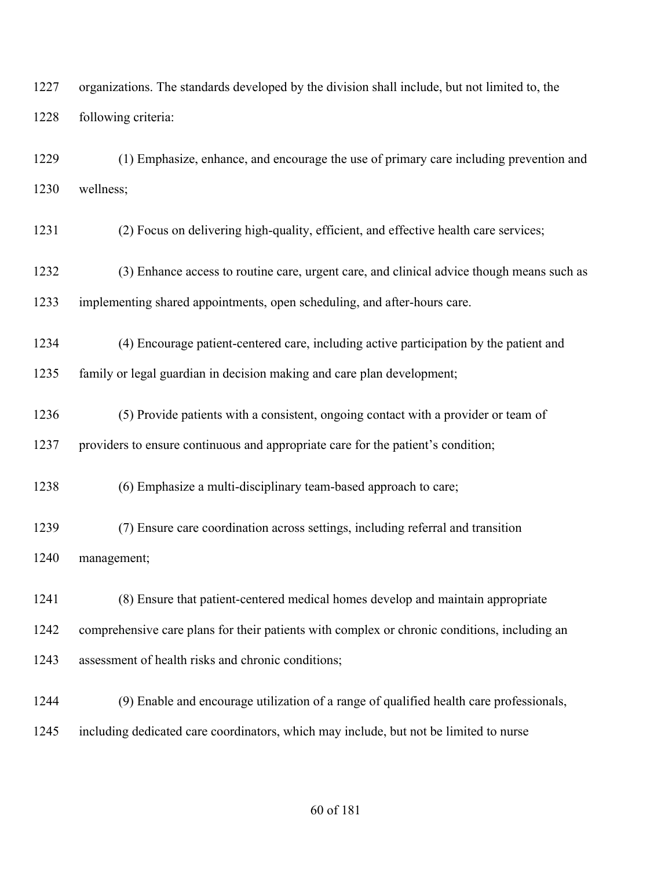organizations. The standards developed by the division shall include, but not limited to, the following criteria:

 (1) Emphasize, enhance, and encourage the use of primary care including prevention and wellness;

(2) Focus on delivering high-quality, efficient, and effective health care services;

 (3) Enhance access to routine care, urgent care, and clinical advice though means such as implementing shared appointments, open scheduling, and after-hours care.

(4) Encourage patient-centered care, including active participation by the patient and

family or legal guardian in decision making and care plan development;

 (5) Provide patients with a consistent, ongoing contact with a provider or team of providers to ensure continuous and appropriate care for the patient's condition;

(6) Emphasize a multi-disciplinary team-based approach to care;

 (7) Ensure care coordination across settings, including referral and transition management;

 (8) Ensure that patient-centered medical homes develop and maintain appropriate comprehensive care plans for their patients with complex or chronic conditions, including an assessment of health risks and chronic conditions;

 (9) Enable and encourage utilization of a range of qualified health care professionals, including dedicated care coordinators, which may include, but not be limited to nurse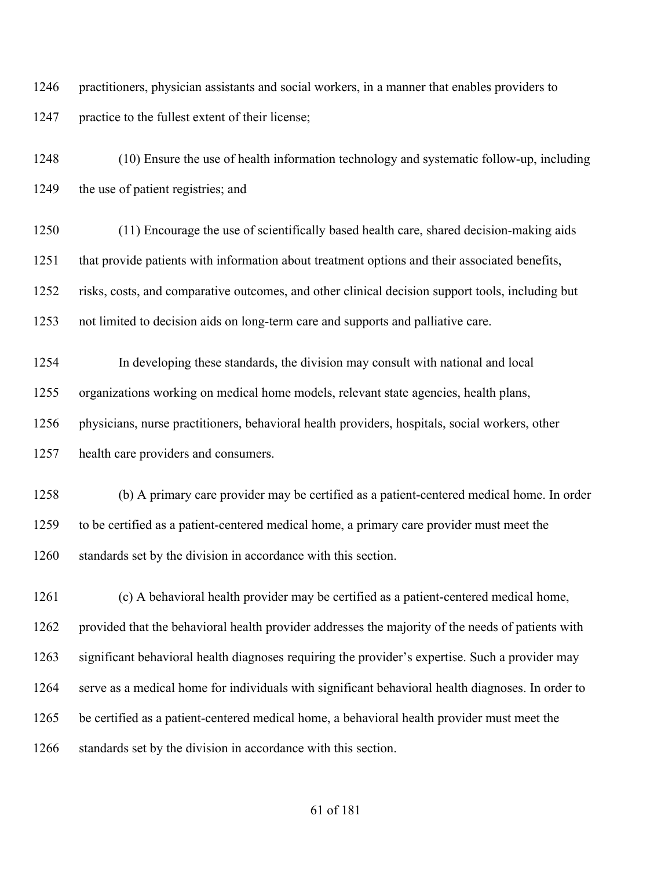practitioners, physician assistants and social workers, in a manner that enables providers to practice to the fullest extent of their license;

 (10) Ensure the use of health information technology and systematic follow-up, including 1249 the use of patient registries; and

 (11) Encourage the use of scientifically based health care, shared decision-making aids that provide patients with information about treatment options and their associated benefits, risks, costs, and comparative outcomes, and other clinical decision support tools, including but not limited to decision aids on long-term care and supports and palliative care.

 In developing these standards, the division may consult with national and local organizations working on medical home models, relevant state agencies, health plans, physicians, nurse practitioners, behavioral health providers, hospitals, social workers, other health care providers and consumers.

 (b) A primary care provider may be certified as a patient-centered medical home. In order to be certified as a patient-centered medical home, a primary care provider must meet the standards set by the division in accordance with this section.

 (c) A behavioral health provider may be certified as a patient-centered medical home, provided that the behavioral health provider addresses the majority of the needs of patients with significant behavioral health diagnoses requiring the provider's expertise. Such a provider may serve as a medical home for individuals with significant behavioral health diagnoses. In order to be certified as a patient-centered medical home, a behavioral health provider must meet the 1266 standards set by the division in accordance with this section.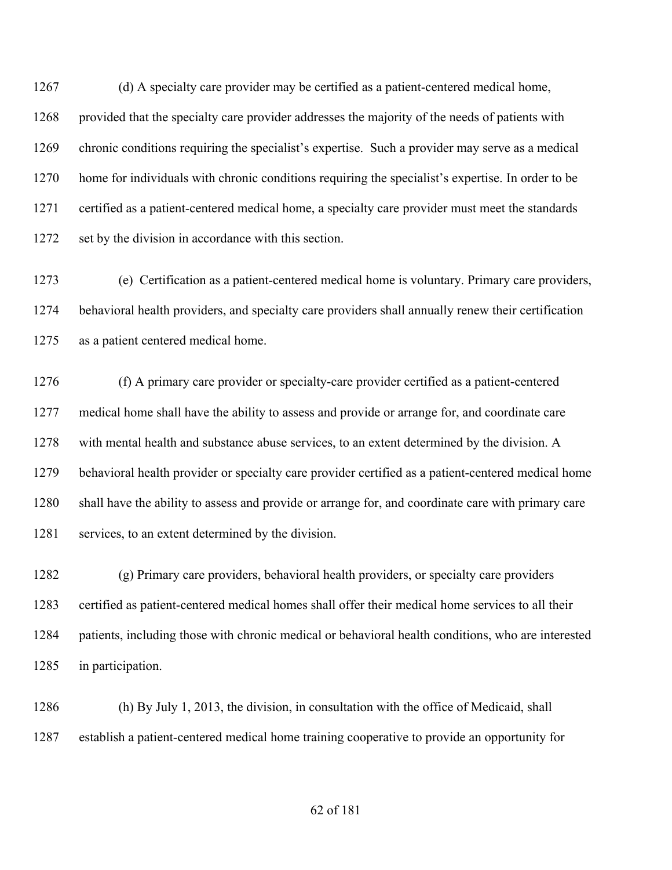(d) A specialty care provider may be certified as a patient-centered medical home, 1268 provided that the specialty care provider addresses the majority of the needs of patients with chronic conditions requiring the specialist's expertise. Such a provider may serve as a medical home for individuals with chronic conditions requiring the specialist's expertise. In order to be certified as a patient-centered medical home, a specialty care provider must meet the standards 1272 set by the division in accordance with this section.

 (e) Certification as a patient-centered medical home is voluntary. Primary care providers, behavioral health providers, and specialty care providers shall annually renew their certification as a patient centered medical home.

 (f) A primary care provider or specialty-care provider certified as a patient-centered medical home shall have the ability to assess and provide or arrange for, and coordinate care with mental health and substance abuse services, to an extent determined by the division. A behavioral health provider or specialty care provider certified as a patient-centered medical home shall have the ability to assess and provide or arrange for, and coordinate care with primary care services, to an extent determined by the division.

 (g) Primary care providers, behavioral health providers, or specialty care providers certified as patient-centered medical homes shall offer their medical home services to all their patients, including those with chronic medical or behavioral health conditions, who are interested in participation.

 (h) By July 1, 2013, the division, in consultation with the office of Medicaid, shall establish a patient-centered medical home training cooperative to provide an opportunity for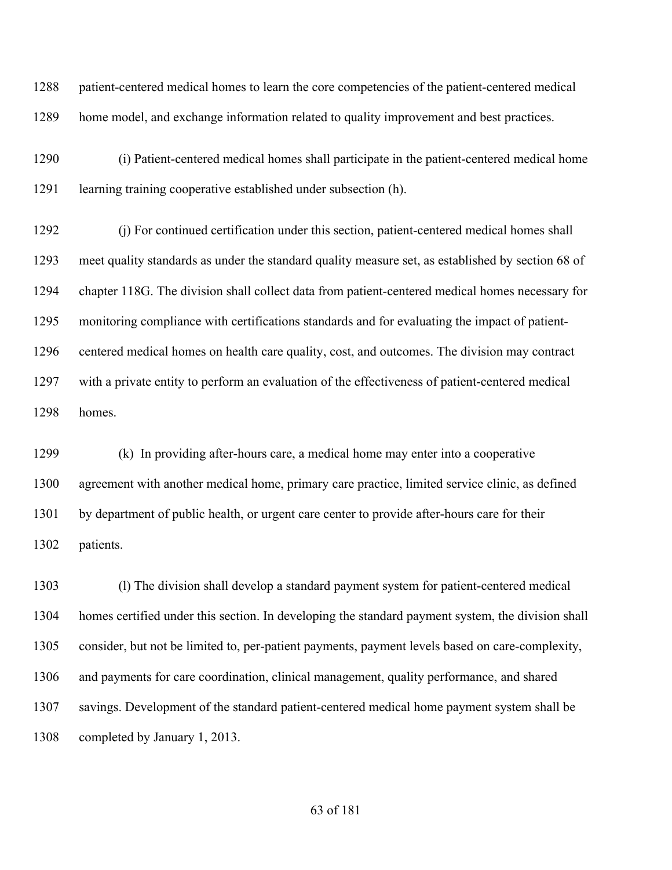patient-centered medical homes to learn the core competencies of the patient-centered medical home model, and exchange information related to quality improvement and best practices.

 (i) Patient-centered medical homes shall participate in the patient-centered medical home learning training cooperative established under subsection (h).

 (j) For continued certification under this section, patient-centered medical homes shall meet quality standards as under the standard quality measure set, as established by section 68 of chapter 118G. The division shall collect data from patient-centered medical homes necessary for monitoring compliance with certifications standards and for evaluating the impact of patient- centered medical homes on health care quality, cost, and outcomes. The division may contract with a private entity to perform an evaluation of the effectiveness of patient-centered medical homes.

 (k) In providing after-hours care, a medical home may enter into a cooperative agreement with another medical home, primary care practice, limited service clinic, as defined by department of public health, or urgent care center to provide after-hours care for their patients.

 (l) The division shall develop a standard payment system for patient-centered medical homes certified under this section. In developing the standard payment system, the division shall consider, but not be limited to, per-patient payments, payment levels based on care-complexity, and payments for care coordination, clinical management, quality performance, and shared savings. Development of the standard patient-centered medical home payment system shall be completed by January 1, 2013.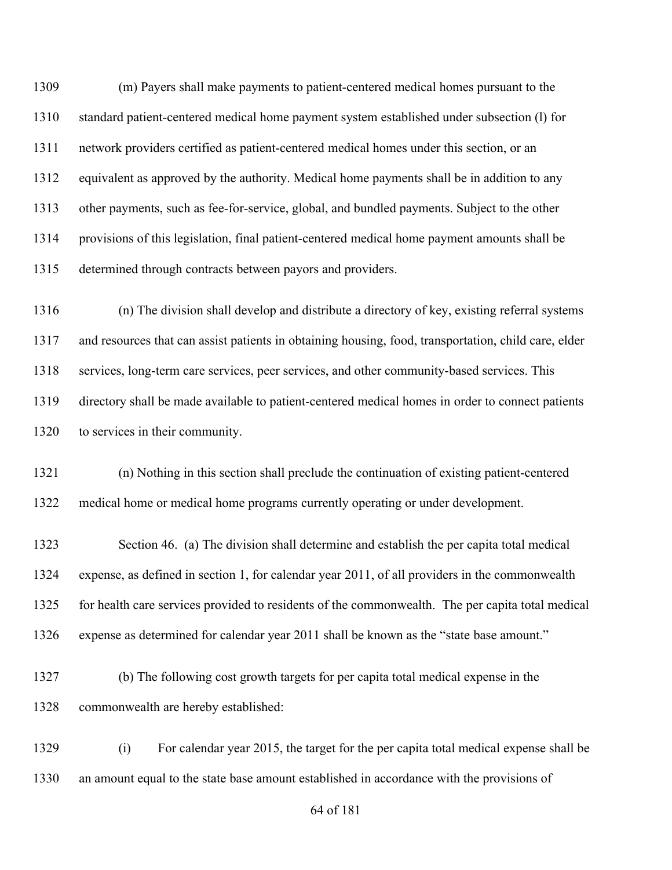(m) Payers shall make payments to patient-centered medical homes pursuant to the standard patient-centered medical home payment system established under subsection (l) for network providers certified as patient-centered medical homes under this section, or an equivalent as approved by the authority. Medical home payments shall be in addition to any other payments, such as fee-for-service, global, and bundled payments. Subject to the other provisions of this legislation, final patient-centered medical home payment amounts shall be determined through contracts between payors and providers.

 (n) The division shall develop and distribute a directory of key, existing referral systems and resources that can assist patients in obtaining housing, food, transportation, child care, elder services, long-term care services, peer services, and other community-based services. This directory shall be made available to patient-centered medical homes in order to connect patients to services in their community.

 (n) Nothing in this section shall preclude the continuation of existing patient-centered medical home or medical home programs currently operating or under development.

 Section 46. (a) The division shall determine and establish the per capita total medical expense, as defined in section 1, for calendar year 2011, of all providers in the commonwealth for health care services provided to residents of the commonwealth. The per capita total medical expense as determined for calendar year 2011 shall be known as the "state base amount."

 (b) The following cost growth targets for per capita total medical expense in the commonwealth are hereby established:

 (i) For calendar year 2015, the target for the per capita total medical expense shall be an amount equal to the state base amount established in accordance with the provisions of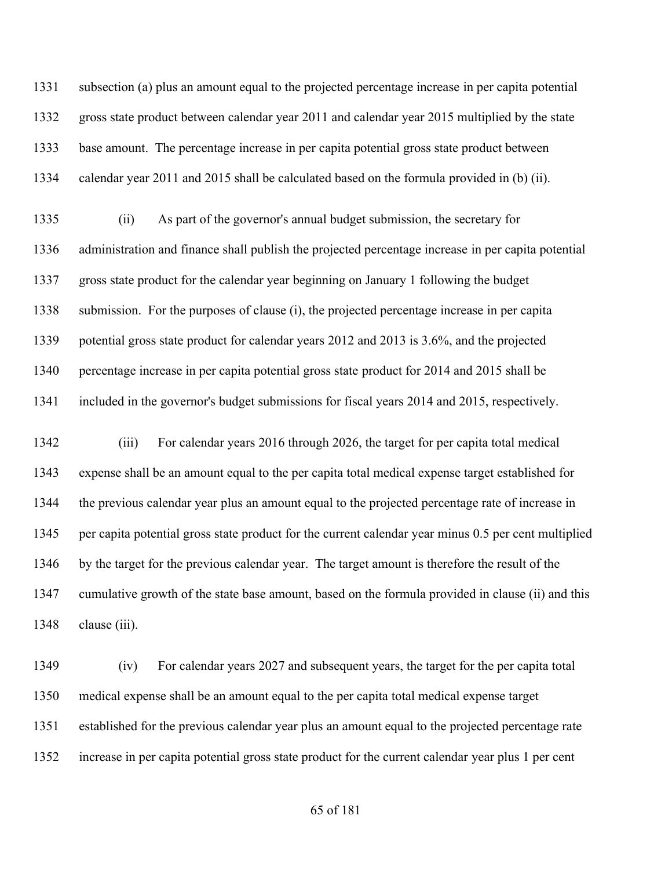subsection (a) plus an amount equal to the projected percentage increase in per capita potential gross state product between calendar year 2011 and calendar year 2015 multiplied by the state base amount. The percentage increase in per capita potential gross state product between calendar year 2011 and 2015 shall be calculated based on the formula provided in (b) (ii).

 (ii) As part of the governor's annual budget submission, the secretary for administration and finance shall publish the projected percentage increase in per capita potential gross state product for the calendar year beginning on January 1 following the budget submission. For the purposes of clause (i), the projected percentage increase in per capita potential gross state product for calendar years 2012 and 2013 is 3.6%, and the projected percentage increase in per capita potential gross state product for 2014 and 2015 shall be included in the governor's budget submissions for fiscal years 2014 and 2015, respectively.

 (iii) For calendar years 2016 through 2026, the target for per capita total medical expense shall be an amount equal to the per capita total medical expense target established for the previous calendar year plus an amount equal to the projected percentage rate of increase in per capita potential gross state product for the current calendar year minus 0.5 per cent multiplied 1346 by the target for the previous calendar year. The target amount is therefore the result of the cumulative growth of the state base amount, based on the formula provided in clause (ii) and this 1348 clause (iii).

 (iv) For calendar years 2027 and subsequent years, the target for the per capita total medical expense shall be an amount equal to the per capita total medical expense target established for the previous calendar year plus an amount equal to the projected percentage rate increase in per capita potential gross state product for the current calendar year plus 1 per cent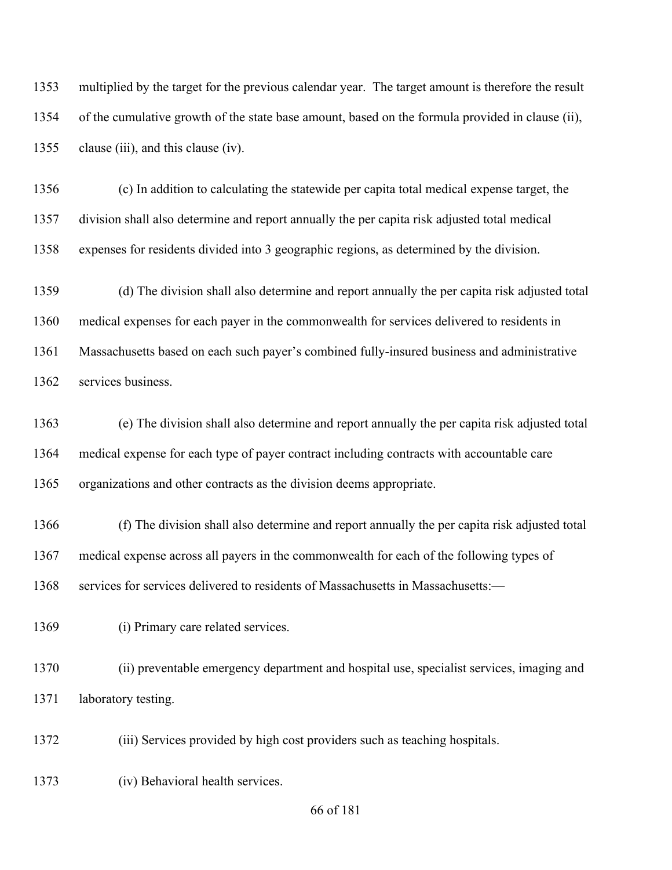multiplied by the target for the previous calendar year. The target amount is therefore the result of the cumulative growth of the state base amount, based on the formula provided in clause (ii), 1355 clause (iii), and this clause (iv).

 (c) In addition to calculating the statewide per capita total medical expense target, the division shall also determine and report annually the per capita risk adjusted total medical expenses for residents divided into 3 geographic regions, as determined by the division.

 (d) The division shall also determine and report annually the per capita risk adjusted total medical expenses for each payer in the commonwealth for services delivered to residents in Massachusetts based on each such payer's combined fully-insured business and administrative services business.

 (e) The division shall also determine and report annually the per capita risk adjusted total medical expense for each type of payer contract including contracts with accountable care organizations and other contracts as the division deems appropriate.

 (f) The division shall also determine and report annually the per capita risk adjusted total medical expense across all payers in the commonwealth for each of the following types of services for services delivered to residents of Massachusetts in Massachusetts:—

(i) Primary care related services.

 (ii) preventable emergency department and hospital use, specialist services, imaging and laboratory testing.

(iii) Services provided by high cost providers such as teaching hospitals.

(iv) Behavioral health services.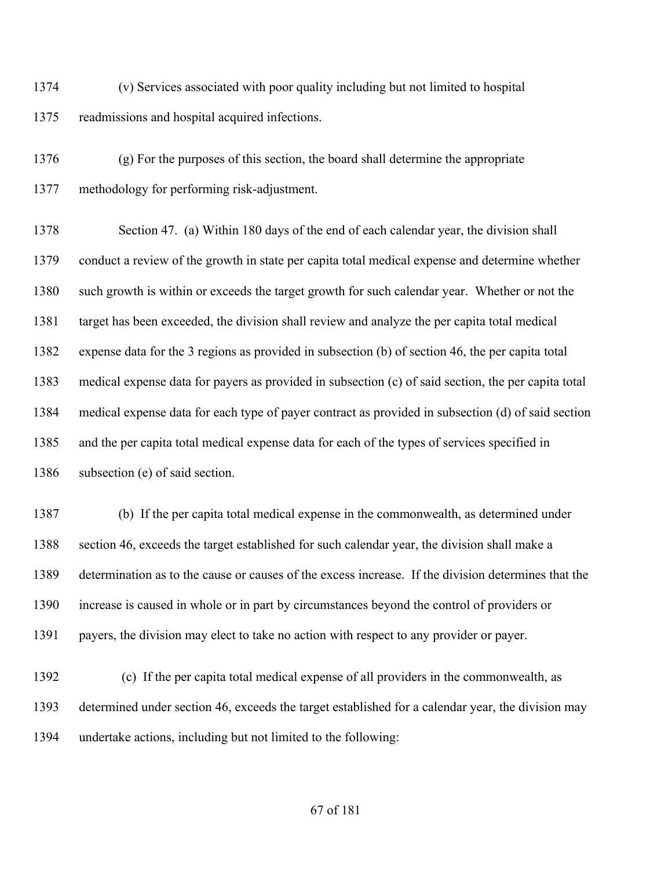(v) Services associated with poor quality including but not limited to hospital readmissions and hospital acquired infections.

 (g) For the purposes of this section, the board shall determine the appropriate methodology for performing risk-adjustment.

 Section 47. (a) Within 180 days of the end of each calendar year, the division shall conduct a review of the growth in state per capita total medical expense and determine whether such growth is within or exceeds the target growth for such calendar year. Whether or not the target has been exceeded, the division shall review and analyze the per capita total medical expense data for the 3 regions as provided in subsection (b) of section 46, the per capita total medical expense data for payers as provided in subsection (c) of said section, the per capita total medical expense data for each type of payer contract as provided in subsection (d) of said section and the per capita total medical expense data for each of the types of services specified in 1386 subsection (e) of said section.

 (b) If the per capita total medical expense in the commonwealth, as determined under section 46, exceeds the target established for such calendar year, the division shall make a determination as to the cause or causes of the excess increase. If the division determines that the increase is caused in whole or in part by circumstances beyond the control of providers or payers, the division may elect to take no action with respect to any provider or payer.

 (c) If the per capita total medical expense of all providers in the commonwealth, as determined under section 46, exceeds the target established for a calendar year, the division may undertake actions, including but not limited to the following: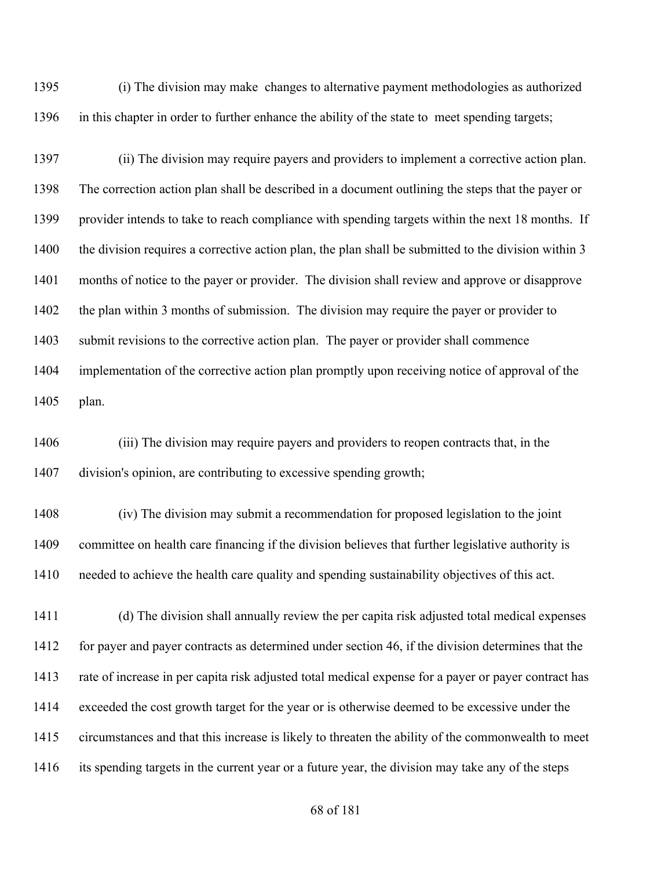(i) The division may make changes to alternative payment methodologies as authorized in this chapter in order to further enhance the ability of the state to meet spending targets;

 (ii) The division may require payers and providers to implement a corrective action plan. The correction action plan shall be described in a document outlining the steps that the payer or provider intends to take to reach compliance with spending targets within the next 18 months. If 1400 the division requires a corrective action plan, the plan shall be submitted to the division within 3 months of notice to the payer or provider. The division shall review and approve or disapprove the plan within 3 months of submission. The division may require the payer or provider to submit revisions to the corrective action plan. The payer or provider shall commence implementation of the corrective action plan promptly upon receiving notice of approval of the plan.

 (iii) The division may require payers and providers to reopen contracts that, in the division's opinion, are contributing to excessive spending growth;

 (iv) The division may submit a recommendation for proposed legislation to the joint committee on health care financing if the division believes that further legislative authority is needed to achieve the health care quality and spending sustainability objectives of this act.

 (d) The division shall annually review the per capita risk adjusted total medical expenses 1412 for payer and payer contracts as determined under section 46, if the division determines that the rate of increase in per capita risk adjusted total medical expense for a payer or payer contract has exceeded the cost growth target for the year or is otherwise deemed to be excessive under the circumstances and that this increase is likely to threaten the ability of the commonwealth to meet its spending targets in the current year or a future year, the division may take any of the steps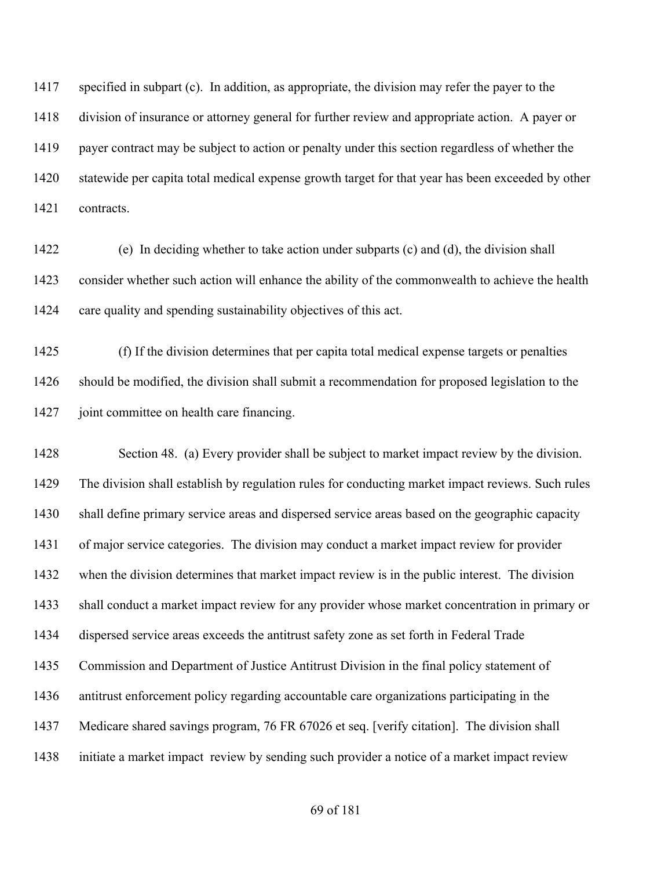specified in subpart (c). In addition, as appropriate, the division may refer the payer to the division of insurance or attorney general for further review and appropriate action. A payer or payer contract may be subject to action or penalty under this section regardless of whether the statewide per capita total medical expense growth target for that year has been exceeded by other contracts.

 (e) In deciding whether to take action under subparts (c) and (d), the division shall consider whether such action will enhance the ability of the commonwealth to achieve the health care quality and spending sustainability objectives of this act.

 (f) If the division determines that per capita total medical expense targets or penalties should be modified, the division shall submit a recommendation for proposed legislation to the joint committee on health care financing.

 Section 48. (a) Every provider shall be subject to market impact review by the division. The division shall establish by regulation rules for conducting market impact reviews. Such rules shall define primary service areas and dispersed service areas based on the geographic capacity of major service categories. The division may conduct a market impact review for provider when the division determines that market impact review is in the public interest. The division shall conduct a market impact review for any provider whose market concentration in primary or dispersed service areas exceeds the antitrust safety zone as set forth in Federal Trade Commission and Department of Justice Antitrust Division in the final policy statement of antitrust enforcement policy regarding accountable care organizations participating in the Medicare shared savings program, 76 FR 67026 et seq. [verify citation]. The division shall initiate a market impact review by sending such provider a notice of a market impact review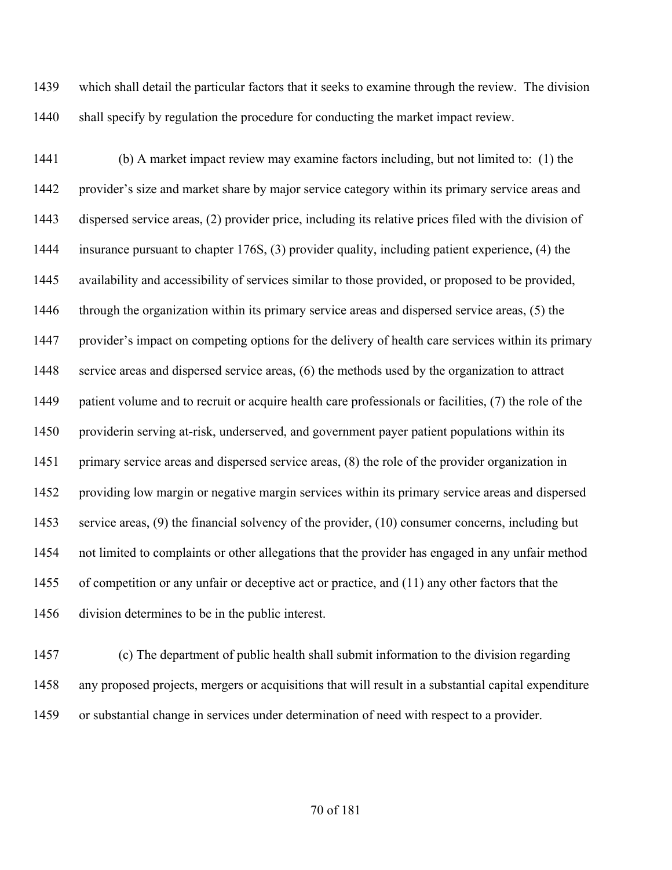which shall detail the particular factors that it seeks to examine through the review. The division 1440 shall specify by regulation the procedure for conducting the market impact review.

 (b) A market impact review may examine factors including, but not limited to: (1) the provider's size and market share by major service category within its primary service areas and dispersed service areas, (2) provider price, including its relative prices filed with the division of insurance pursuant to chapter 176S, (3) provider quality, including patient experience, (4) the availability and accessibility of services similar to those provided, or proposed to be provided, through the organization within its primary service areas and dispersed service areas, (5) the provider's impact on competing options for the delivery of health care services within its primary service areas and dispersed service areas, (6) the methods used by the organization to attract 1449 patient volume and to recruit or acquire health care professionals or facilities, (7) the role of the providerin serving at-risk, underserved, and government payer patient populations within its primary service areas and dispersed service areas, (8) the role of the provider organization in providing low margin or negative margin services within its primary service areas and dispersed service areas, (9) the financial solvency of the provider, (10) consumer concerns, including but not limited to complaints or other allegations that the provider has engaged in any unfair method of competition or any unfair or deceptive act or practice, and (11) any other factors that the division determines to be in the public interest.

 (c) The department of public health shall submit information to the division regarding any proposed projects, mergers or acquisitions that will result in a substantial capital expenditure or substantial change in services under determination of need with respect to a provider.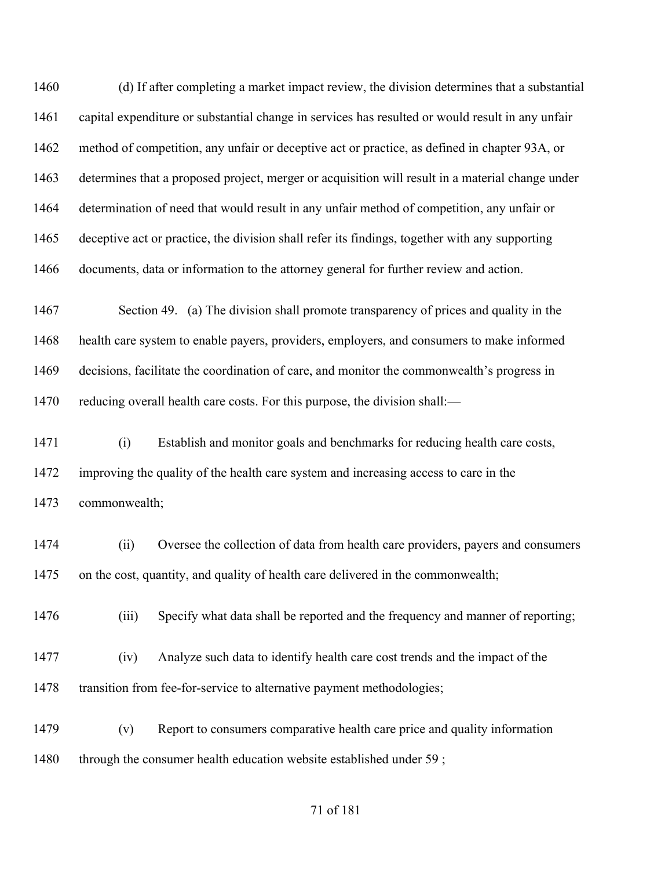(d) If after completing a market impact review, the division determines that a substantial capital expenditure or substantial change in services has resulted or would result in any unfair method of competition, any unfair or deceptive act or practice, as defined in chapter 93A, or determines that a proposed project, merger or acquisition will result in a material change under determination of need that would result in any unfair method of competition, any unfair or deceptive act or practice, the division shall refer its findings, together with any supporting documents, data or information to the attorney general for further review and action.

 Section 49. (a) The division shall promote transparency of prices and quality in the health care system to enable payers, providers, employers, and consumers to make informed decisions, facilitate the coordination of care, and monitor the commonwealth's progress in 1470 reducing overall health care costs. For this purpose, the division shall:—

 (i) Establish and monitor goals and benchmarks for reducing health care costs, improving the quality of the health care system and increasing access to care in the commonwealth;

 (ii) Oversee the collection of data from health care providers, payers and consumers on the cost, quantity, and quality of health care delivered in the commonwealth;

1476 (iii) Specify what data shall be reported and the frequency and manner of reporting;

 (iv) Analyze such data to identify health care cost trends and the impact of the 1478 transition from fee-for-service to alternative payment methodologies;

 (v) Report to consumers comparative health care price and quality information 1480 through the consumer health education website established under 59;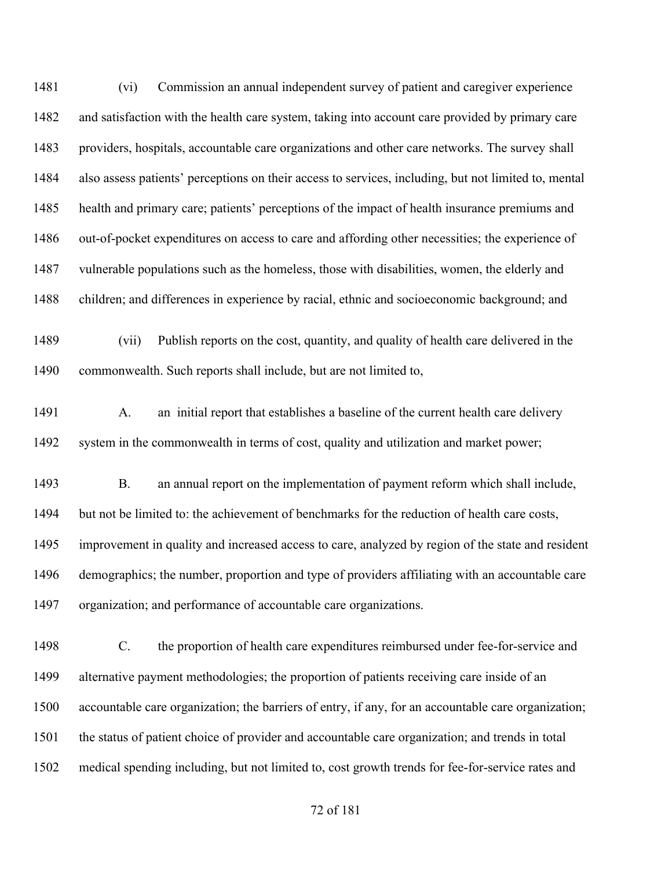(vi) Commission an annual independent survey of patient and caregiver experience and satisfaction with the health care system, taking into account care provided by primary care providers, hospitals, accountable care organizations and other care networks. The survey shall also assess patients' perceptions on their access to services, including, but not limited to, mental health and primary care; patients' perceptions of the impact of health insurance premiums and 1486 out-of-pocket expenditures on access to care and affording other necessities; the experience of vulnerable populations such as the homeless, those with disabilities, women, the elderly and children; and differences in experience by racial, ethnic and socioeconomic background; and (vii) Publish reports on the cost, quantity, and quality of health care delivered in the commonwealth. Such reports shall include, but are not limited to, 1491 A. an initial report that establishes a baseline of the current health care delivery system in the commonwealth in terms of cost, quality and utilization and market power; B. an annual report on the implementation of payment reform which shall include, but not be limited to: the achievement of benchmarks for the reduction of health care costs, improvement in quality and increased access to care, analyzed by region of the state and resident demographics; the number, proportion and type of providers affiliating with an accountable care organization; and performance of accountable care organizations. C. the proportion of health care expenditures reimbursed under fee-for-service and alternative payment methodologies; the proportion of patients receiving care inside of an accountable care organization; the barriers of entry, if any, for an accountable care organization; the status of patient choice of provider and accountable care organization; and trends in total

medical spending including, but not limited to, cost growth trends for fee-for-service rates and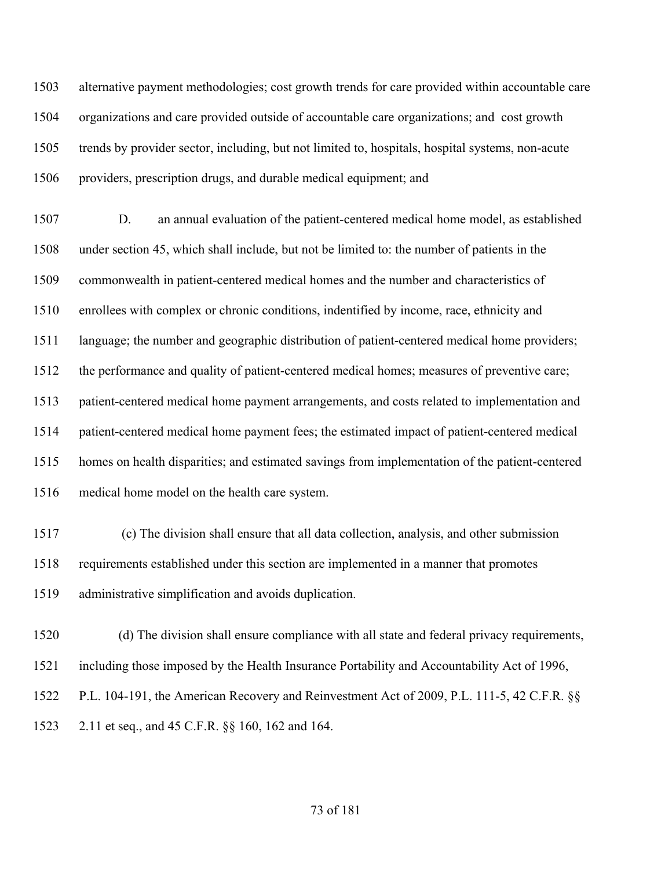alternative payment methodologies; cost growth trends for care provided within accountable care organizations and care provided outside of accountable care organizations; and cost growth trends by provider sector, including, but not limited to, hospitals, hospital systems, non-acute providers, prescription drugs, and durable medical equipment; and

 D. an annual evaluation of the patient-centered medical home model, as established under section 45, which shall include, but not be limited to: the number of patients in the commonwealth in patient-centered medical homes and the number and characteristics of enrollees with complex or chronic conditions, indentified by income, race, ethnicity and language; the number and geographic distribution of patient-centered medical home providers; the performance and quality of patient-centered medical homes; measures of preventive care; patient-centered medical home payment arrangements, and costs related to implementation and patient-centered medical home payment fees; the estimated impact of patient-centered medical homes on health disparities; and estimated savings from implementation of the patient-centered medical home model on the health care system.

- (c) The division shall ensure that all data collection, analysis, and other submission requirements established under this section are implemented in a manner that promotes administrative simplification and avoids duplication.
- (d) The division shall ensure compliance with all state and federal privacy requirements, including those imposed by the Health Insurance Portability and Accountability Act of 1996, P.L. 104-191, the American Recovery and Reinvestment Act of 2009, P.L. 111-5, 42 C.F.R. §§
- 2.11 et seq., and 45 C.F.R. §§ 160, 162 and 164.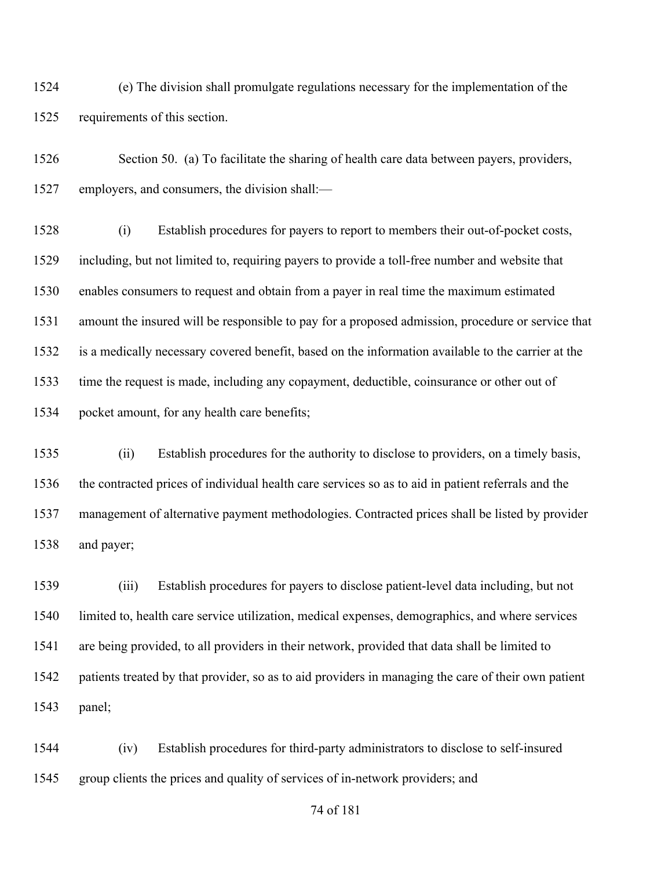(e) The division shall promulgate regulations necessary for the implementation of the requirements of this section.

 Section 50. (a) To facilitate the sharing of health care data between payers, providers, employers, and consumers, the division shall:—

 (i) Establish procedures for payers to report to members their out-of-pocket costs, including, but not limited to, requiring payers to provide a toll-free number and website that enables consumers to request and obtain from a payer in real time the maximum estimated amount the insured will be responsible to pay for a proposed admission, procedure or service that is a medically necessary covered benefit, based on the information available to the carrier at the time the request is made, including any copayment, deductible, coinsurance or other out of pocket amount, for any health care benefits;

 (ii) Establish procedures for the authority to disclose to providers, on a timely basis, the contracted prices of individual health care services so as to aid in patient referrals and the management of alternative payment methodologies. Contracted prices shall be listed by provider and payer;

 (iii) Establish procedures for payers to disclose patient-level data including, but not limited to, health care service utilization, medical expenses, demographics, and where services are being provided, to all providers in their network, provided that data shall be limited to patients treated by that provider, so as to aid providers in managing the care of their own patient panel;

 (iv) Establish procedures for third-party administrators to disclose to self-insured group clients the prices and quality of services of in-network providers; and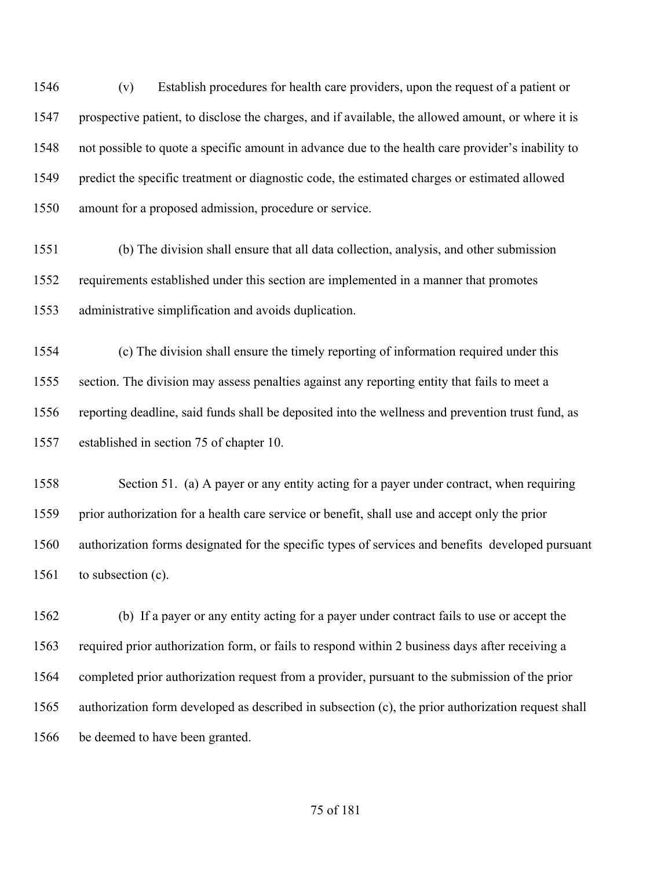(v) Establish procedures for health care providers, upon the request of a patient or prospective patient, to disclose the charges, and if available, the allowed amount, or where it is not possible to quote a specific amount in advance due to the health care provider's inability to predict the specific treatment or diagnostic code, the estimated charges or estimated allowed amount for a proposed admission, procedure or service.

 (b) The division shall ensure that all data collection, analysis, and other submission requirements established under this section are implemented in a manner that promotes administrative simplification and avoids duplication.

 (c) The division shall ensure the timely reporting of information required under this section. The division may assess penalties against any reporting entity that fails to meet a reporting deadline, said funds shall be deposited into the wellness and prevention trust fund, as established in section 75 of chapter 10.

 Section 51. (a) A payer or any entity acting for a payer under contract, when requiring prior authorization for a health care service or benefit, shall use and accept only the prior authorization forms designated for the specific types of services and benefits developed pursuant to subsection (c).

 (b) If a payer or any entity acting for a payer under contract fails to use or accept the required prior authorization form, or fails to respond within 2 business days after receiving a completed prior authorization request from a provider, pursuant to the submission of the prior authorization form developed as described in subsection (c), the prior authorization request shall 1566 be deemed to have been granted.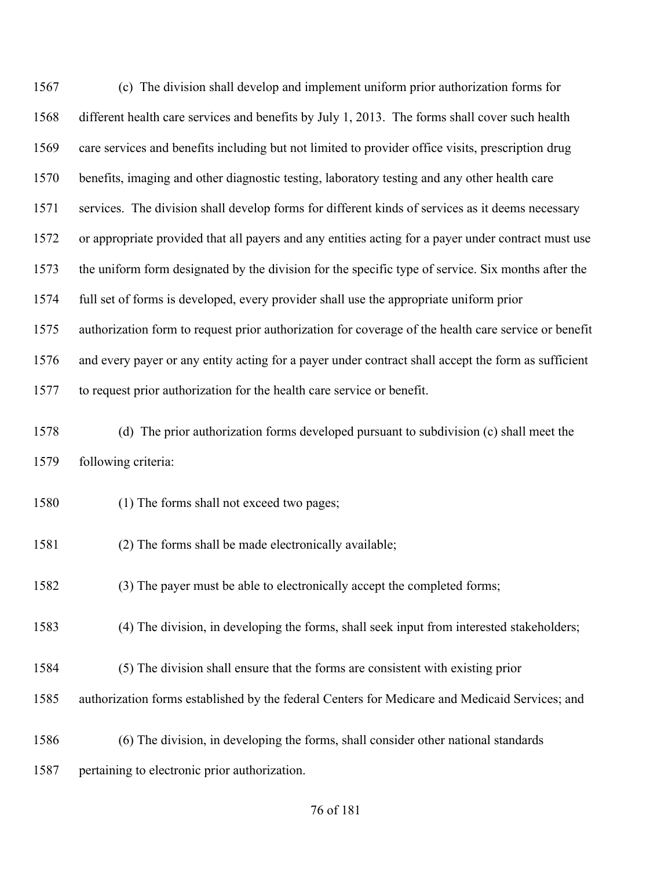(c) The division shall develop and implement uniform prior authorization forms for different health care services and benefits by July 1, 2013. The forms shall cover such health care services and benefits including but not limited to provider office visits, prescription drug benefits, imaging and other diagnostic testing, laboratory testing and any other health care services. The division shall develop forms for different kinds of services as it deems necessary or appropriate provided that all payers and any entities acting for a payer under contract must use the uniform form designated by the division for the specific type of service. Six months after the full set of forms is developed, every provider shall use the appropriate uniform prior authorization form to request prior authorization for coverage of the health care service or benefit and every payer or any entity acting for a payer under contract shall accept the form as sufficient to request prior authorization for the health care service or benefit. (d) The prior authorization forms developed pursuant to subdivision (c) shall meet the following criteria: (1) The forms shall not exceed two pages; (2) The forms shall be made electronically available; (3) The payer must be able to electronically accept the completed forms; (4) The division, in developing the forms, shall seek input from interested stakeholders; (5) The division shall ensure that the forms are consistent with existing prior authorization forms established by the federal Centers for Medicare and Medicaid Services; and (6) The division, in developing the forms, shall consider other national standards pertaining to electronic prior authorization.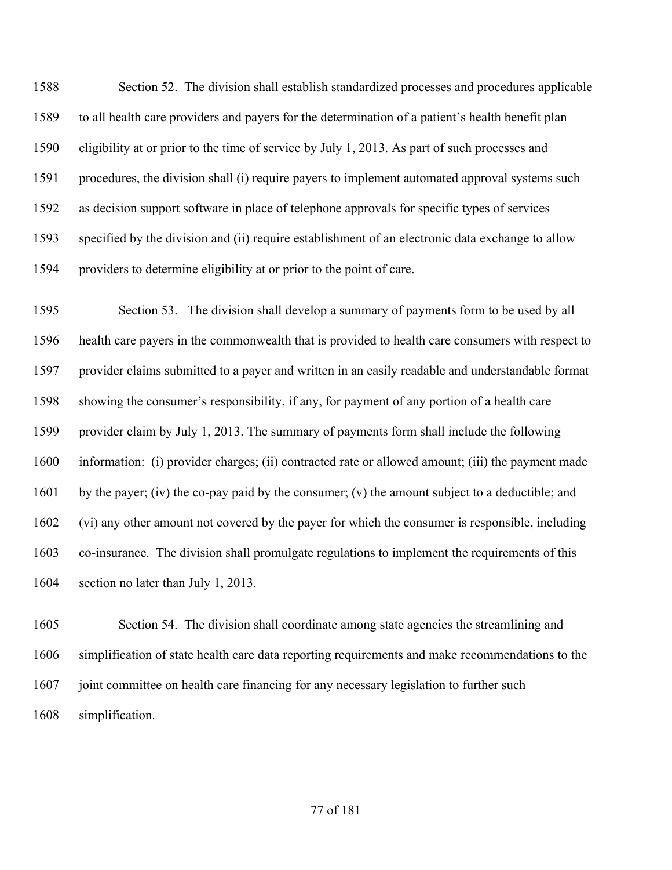Section 52. The division shall establish standardized processes and procedures applicable to all health care providers and payers for the determination of a patient's health benefit plan eligibility at or prior to the time of service by July 1, 2013. As part of such processes and procedures, the division shall (i) require payers to implement automated approval systems such as decision support software in place of telephone approvals for specific types of services specified by the division and (ii) require establishment of an electronic data exchange to allow providers to determine eligibility at or prior to the point of care.

 Section 53. The division shall develop a summary of payments form to be used by all health care payers in the commonwealth that is provided to health care consumers with respect to provider claims submitted to a payer and written in an easily readable and understandable format showing the consumer's responsibility, if any, for payment of any portion of a health care provider claim by July 1, 2013. The summary of payments form shall include the following information: (i) provider charges; (ii) contracted rate or allowed amount; (iii) the payment made 1601 by the payer; (iv) the co-pay paid by the consumer; (v) the amount subject to a deductible; and (vi) any other amount not covered by the payer for which the consumer is responsible, including co-insurance. The division shall promulgate regulations to implement the requirements of this section no later than July 1, 2013.

 Section 54. The division shall coordinate among state agencies the streamlining and simplification of state health care data reporting requirements and make recommendations to the joint committee on health care financing for any necessary legislation to further such simplification.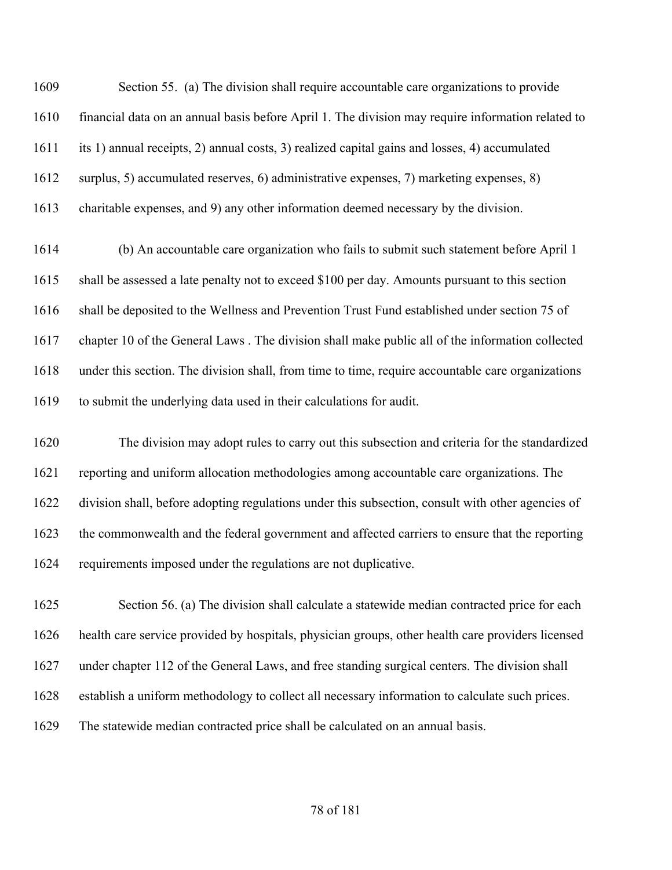Section 55. (a) The division shall require accountable care organizations to provide financial data on an annual basis before April 1. The division may require information related to its 1) annual receipts, 2) annual costs, 3) realized capital gains and losses, 4) accumulated surplus, 5) accumulated reserves, 6) administrative expenses, 7) marketing expenses, 8) charitable expenses, and 9) any other information deemed necessary by the division.

 (b) An accountable care organization who fails to submit such statement before April 1 shall be assessed a late penalty not to exceed \$100 per day. Amounts pursuant to this section shall be deposited to the Wellness and Prevention Trust Fund established under section 75 of chapter 10 of the General Laws . The division shall make public all of the information collected under this section. The division shall, from time to time, require accountable care organizations to submit the underlying data used in their calculations for audit.

 The division may adopt rules to carry out this subsection and criteria for the standardized reporting and uniform allocation methodologies among accountable care organizations. The division shall, before adopting regulations under this subsection, consult with other agencies of the commonwealth and the federal government and affected carriers to ensure that the reporting requirements imposed under the regulations are not duplicative.

 Section 56. (a) The division shall calculate a statewide median contracted price for each health care service provided by hospitals, physician groups, other health care providers licensed under chapter 112 of the General Laws, and free standing surgical centers. The division shall establish a uniform methodology to collect all necessary information to calculate such prices. The statewide median contracted price shall be calculated on an annual basis.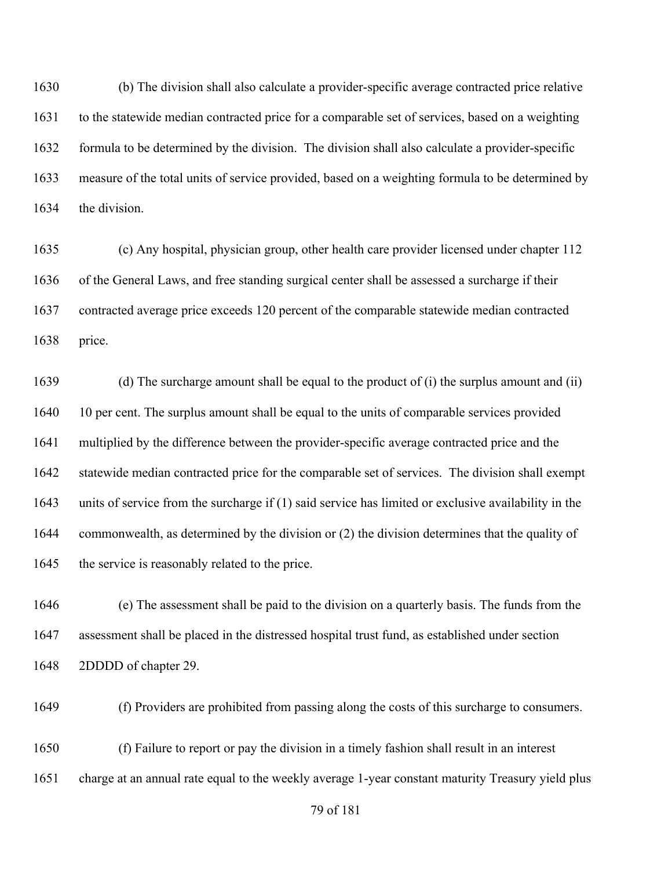(b) The division shall also calculate a provider-specific average contracted price relative to the statewide median contracted price for a comparable set of services, based on a weighting formula to be determined by the division. The division shall also calculate a provider-specific measure of the total units of service provided, based on a weighting formula to be determined by the division.

 (c) Any hospital, physician group, other health care provider licensed under chapter 112 of the General Laws, and free standing surgical center shall be assessed a surcharge if their contracted average price exceeds 120 percent of the comparable statewide median contracted price.

 (d) The surcharge amount shall be equal to the product of (i) the surplus amount and (ii) 1640 10 per cent. The surplus amount shall be equal to the units of comparable services provided multiplied by the difference between the provider-specific average contracted price and the statewide median contracted price for the comparable set of services. The division shall exempt units of service from the surcharge if (1) said service has limited or exclusive availability in the commonwealth, as determined by the division or (2) the division determines that the quality of 1645 the service is reasonably related to the price.

 (e) The assessment shall be paid to the division on a quarterly basis. The funds from the assessment shall be placed in the distressed hospital trust fund, as established under section 2DDDD of chapter 29.

(f) Providers are prohibited from passing along the costs of this surcharge to consumers.

 (f) Failure to report or pay the division in a timely fashion shall result in an interest charge at an annual rate equal to the weekly average 1-year constant maturity Treasury yield plus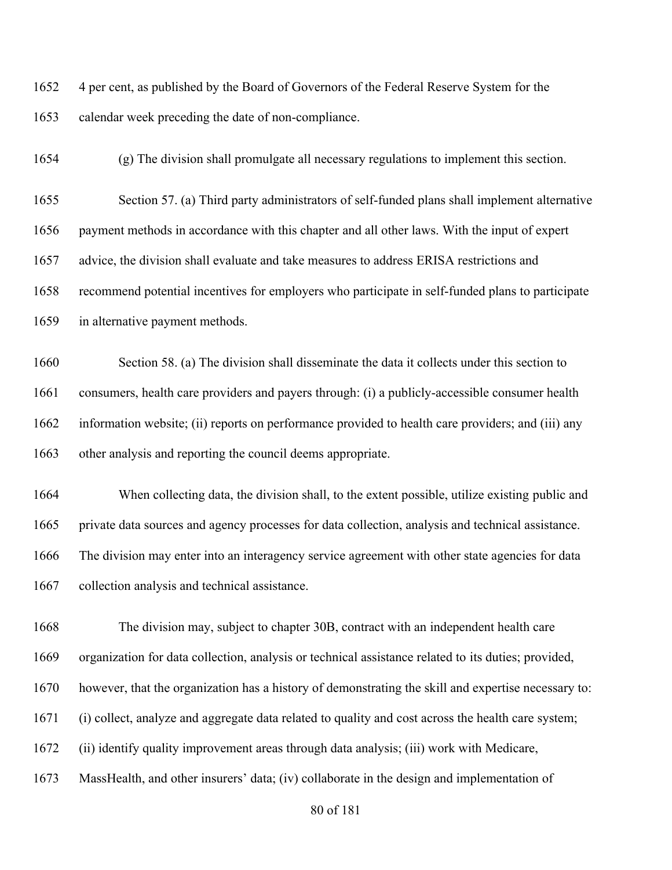4 per cent, as published by the Board of Governors of the Federal Reserve System for the calendar week preceding the date of non-compliance.

(g) The division shall promulgate all necessary regulations to implement this section.

 Section 57. (a) Third party administrators of self-funded plans shall implement alternative payment methods in accordance with this chapter and all other laws. With the input of expert advice, the division shall evaluate and take measures to address ERISA restrictions and recommend potential incentives for employers who participate in self-funded plans to participate in alternative payment methods.

 Section 58. (a) The division shall disseminate the data it collects under this section to consumers, health care providers and payers through: (i) a publicly-accessible consumer health information website; (ii) reports on performance provided to health care providers; and (iii) any other analysis and reporting the council deems appropriate.

 When collecting data, the division shall, to the extent possible, utilize existing public and private data sources and agency processes for data collection, analysis and technical assistance. The division may enter into an interagency service agreement with other state agencies for data collection analysis and technical assistance.

 The division may, subject to chapter 30B, contract with an independent health care organization for data collection, analysis or technical assistance related to its duties; provided, however, that the organization has a history of demonstrating the skill and expertise necessary to: (i) collect, analyze and aggregate data related to quality and cost across the health care system; (ii) identify quality improvement areas through data analysis; (iii) work with Medicare, MassHealth, and other insurers' data; (iv) collaborate in the design and implementation of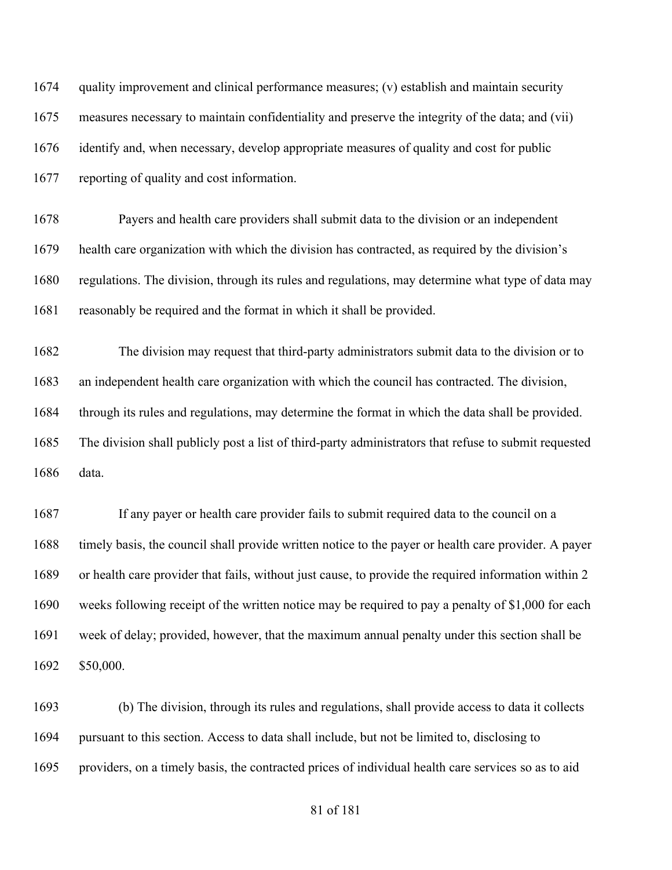quality improvement and clinical performance measures; (v) establish and maintain security measures necessary to maintain confidentiality and preserve the integrity of the data; and (vii) identify and, when necessary, develop appropriate measures of quality and cost for public reporting of quality and cost information.

 Payers and health care providers shall submit data to the division or an independent health care organization with which the division has contracted, as required by the division's regulations. The division, through its rules and regulations, may determine what type of data may reasonably be required and the format in which it shall be provided.

 The division may request that third-party administrators submit data to the division or to an independent health care organization with which the council has contracted. The division, through its rules and regulations, may determine the format in which the data shall be provided. The division shall publicly post a list of third-party administrators that refuse to submit requested data.

 If any payer or health care provider fails to submit required data to the council on a timely basis, the council shall provide written notice to the payer or health care provider. A payer or health care provider that fails, without just cause, to provide the required information within 2 weeks following receipt of the written notice may be required to pay a penalty of \$1,000 for each week of delay; provided, however, that the maximum annual penalty under this section shall be \$50,000.

 (b) The division, through its rules and regulations, shall provide access to data it collects pursuant to this section. Access to data shall include, but not be limited to, disclosing to providers, on a timely basis, the contracted prices of individual health care services so as to aid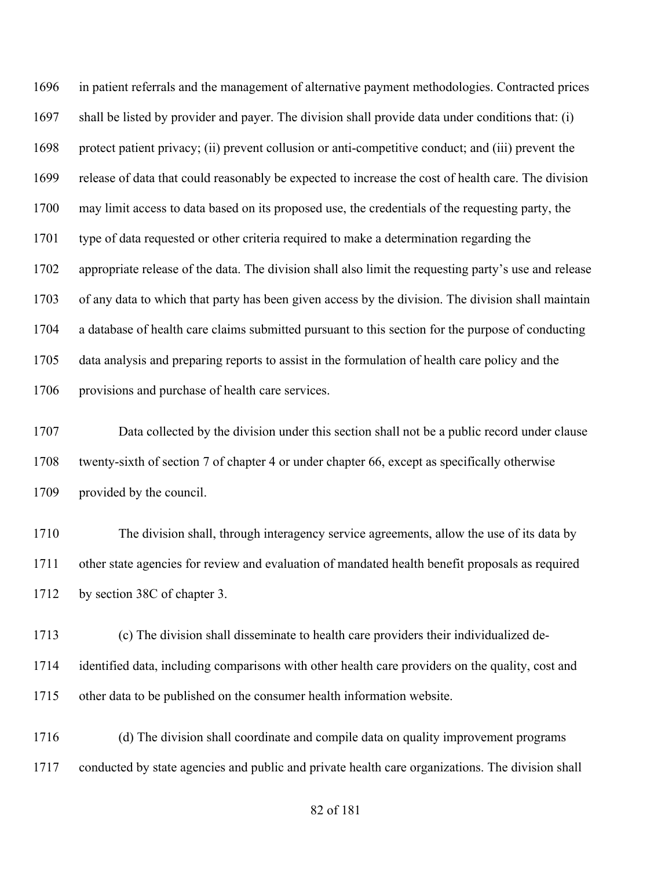in patient referrals and the management of alternative payment methodologies. Contracted prices shall be listed by provider and payer. The division shall provide data under conditions that: (i) protect patient privacy; (ii) prevent collusion or anti-competitive conduct; and (iii) prevent the release of data that could reasonably be expected to increase the cost of health care. The division may limit access to data based on its proposed use, the credentials of the requesting party, the type of data requested or other criteria required to make a determination regarding the appropriate release of the data. The division shall also limit the requesting party's use and release of any data to which that party has been given access by the division. The division shall maintain a database of health care claims submitted pursuant to this section for the purpose of conducting data analysis and preparing reports to assist in the formulation of health care policy and the provisions and purchase of health care services.

 Data collected by the division under this section shall not be a public record under clause twenty-sixth of section 7 of chapter 4 or under chapter 66, except as specifically otherwise provided by the council.

 The division shall, through interagency service agreements, allow the use of its data by other state agencies for review and evaluation of mandated health benefit proposals as required by section 38C of chapter 3.

 (c) The division shall disseminate to health care providers their individualized de- identified data, including comparisons with other health care providers on the quality, cost and other data to be published on the consumer health information website.

 (d) The division shall coordinate and compile data on quality improvement programs conducted by state agencies and public and private health care organizations. The division shall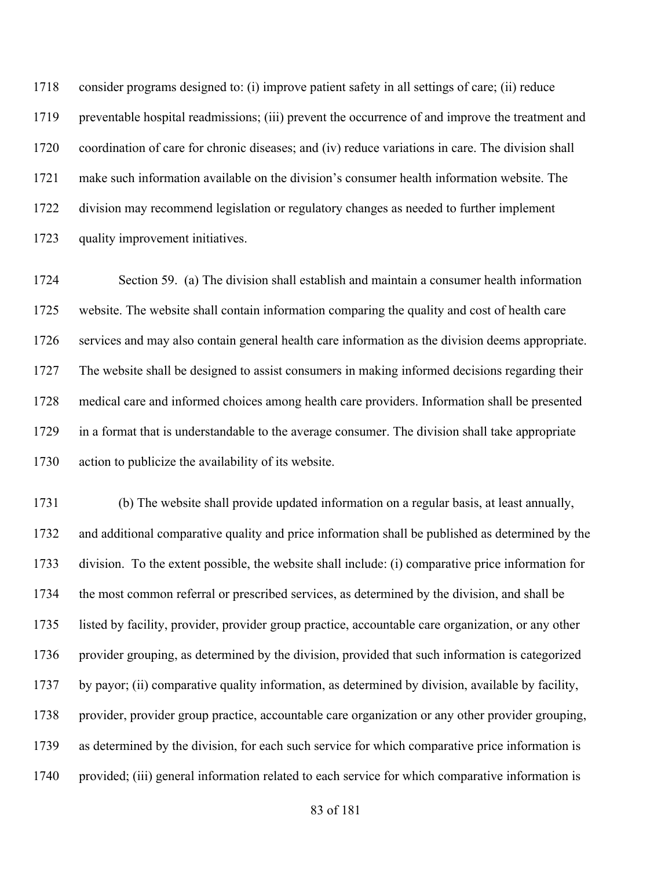consider programs designed to: (i) improve patient safety in all settings of care; (ii) reduce preventable hospital readmissions; (iii) prevent the occurrence of and improve the treatment and coordination of care for chronic diseases; and (iv) reduce variations in care. The division shall make such information available on the division's consumer health information website. The division may recommend legislation or regulatory changes as needed to further implement quality improvement initiatives.

 Section 59. (a) The division shall establish and maintain a consumer health information website. The website shall contain information comparing the quality and cost of health care services and may also contain general health care information as the division deems appropriate. The website shall be designed to assist consumers in making informed decisions regarding their medical care and informed choices among health care providers. Information shall be presented in a format that is understandable to the average consumer. The division shall take appropriate action to publicize the availability of its website.

 (b) The website shall provide updated information on a regular basis, at least annually, and additional comparative quality and price information shall be published as determined by the division. To the extent possible, the website shall include: (i) comparative price information for the most common referral or prescribed services, as determined by the division, and shall be listed by facility, provider, provider group practice, accountable care organization, or any other provider grouping, as determined by the division, provided that such information is categorized by payor; (ii) comparative quality information, as determined by division, available by facility, provider, provider group practice, accountable care organization or any other provider grouping, as determined by the division, for each such service for which comparative price information is 1740 provided; (iii) general information related to each service for which comparative information is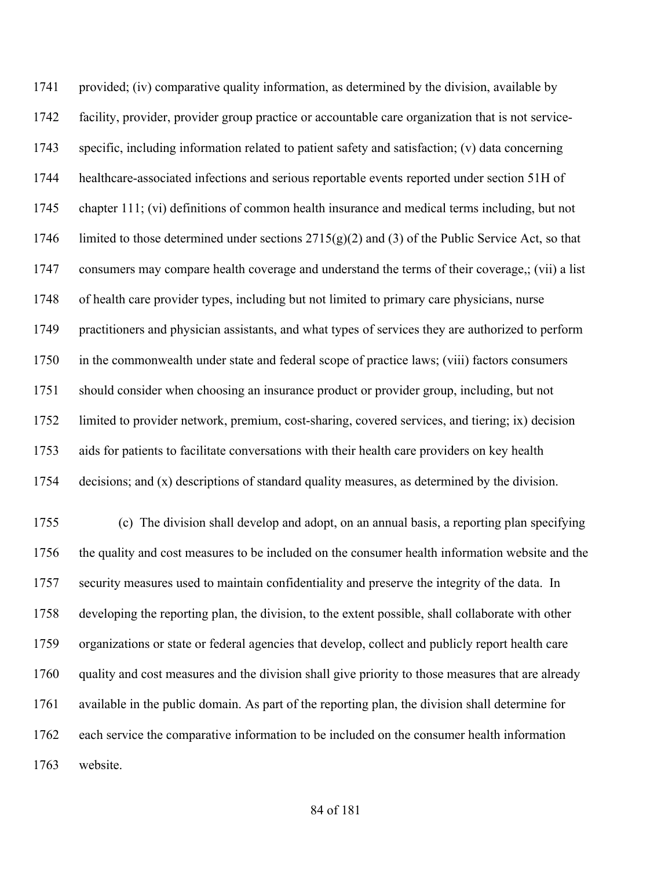provided; (iv) comparative quality information, as determined by the division, available by facility, provider, provider group practice or accountable care organization that is not service- specific, including information related to patient safety and satisfaction; (v) data concerning healthcare-associated infections and serious reportable events reported under section 51H of chapter 111; (vi) definitions of common health insurance and medical terms including, but not 1746 limited to those determined under sections  $2715(g)(2)$  and (3) of the Public Service Act, so that consumers may compare health coverage and understand the terms of their coverage,; (vii) a list of health care provider types, including but not limited to primary care physicians, nurse practitioners and physician assistants, and what types of services they are authorized to perform 1750 in the commonwealth under state and federal scope of practice laws; (viii) factors consumers should consider when choosing an insurance product or provider group, including, but not limited to provider network, premium, cost-sharing, covered services, and tiering; ix) decision aids for patients to facilitate conversations with their health care providers on key health decisions; and (x) descriptions of standard quality measures, as determined by the division. (c) The division shall develop and adopt, on an annual basis, a reporting plan specifying the quality and cost measures to be included on the consumer health information website and the security measures used to maintain confidentiality and preserve the integrity of the data. In developing the reporting plan, the division, to the extent possible, shall collaborate with other organizations or state or federal agencies that develop, collect and publicly report health care

 quality and cost measures and the division shall give priority to those measures that are already available in the public domain. As part of the reporting plan, the division shall determine for each service the comparative information to be included on the consumer health information website.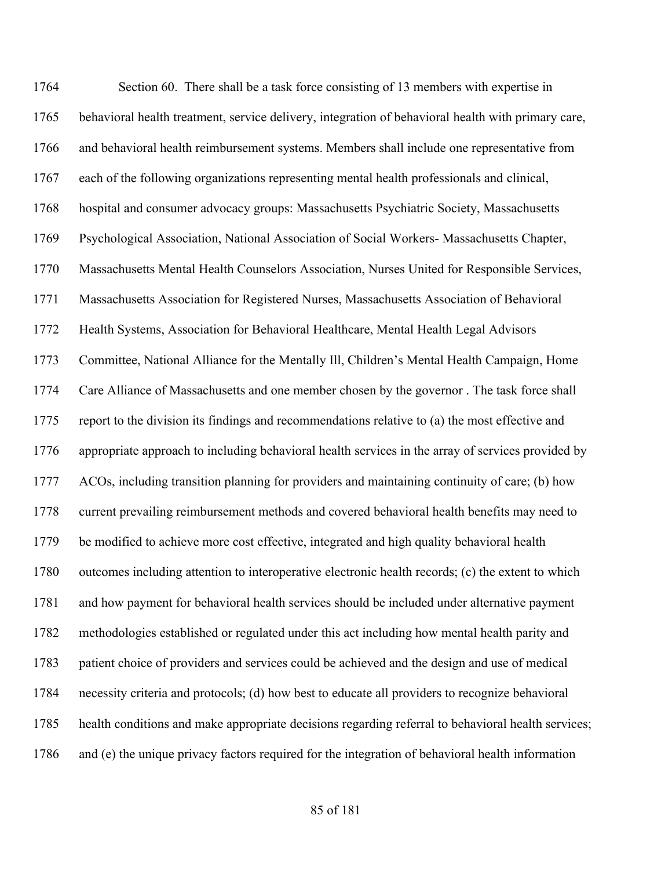Section 60. There shall be a task force consisting of 13 members with expertise in behavioral health treatment, service delivery, integration of behavioral health with primary care, and behavioral health reimbursement systems. Members shall include one representative from each of the following organizations representing mental health professionals and clinical, hospital and consumer advocacy groups: Massachusetts Psychiatric Society, Massachusetts Psychological Association, National Association of Social Workers- Massachusetts Chapter, Massachusetts Mental Health Counselors Association, Nurses United for Responsible Services, Massachusetts Association for Registered Nurses, Massachusetts Association of Behavioral Health Systems, Association for Behavioral Healthcare, Mental Health Legal Advisors Committee, National Alliance for the Mentally Ill, Children's Mental Health Campaign, Home Care Alliance of Massachusetts and one member chosen by the governor . The task force shall report to the division its findings and recommendations relative to (a) the most effective and appropriate approach to including behavioral health services in the array of services provided by ACOs, including transition planning for providers and maintaining continuity of care; (b) how current prevailing reimbursement methods and covered behavioral health benefits may need to be modified to achieve more cost effective, integrated and high quality behavioral health outcomes including attention to interoperative electronic health records; (c) the extent to which and how payment for behavioral health services should be included under alternative payment methodologies established or regulated under this act including how mental health parity and patient choice of providers and services could be achieved and the design and use of medical necessity criteria and protocols; (d) how best to educate all providers to recognize behavioral health conditions and make appropriate decisions regarding referral to behavioral health services; and (e) the unique privacy factors required for the integration of behavioral health information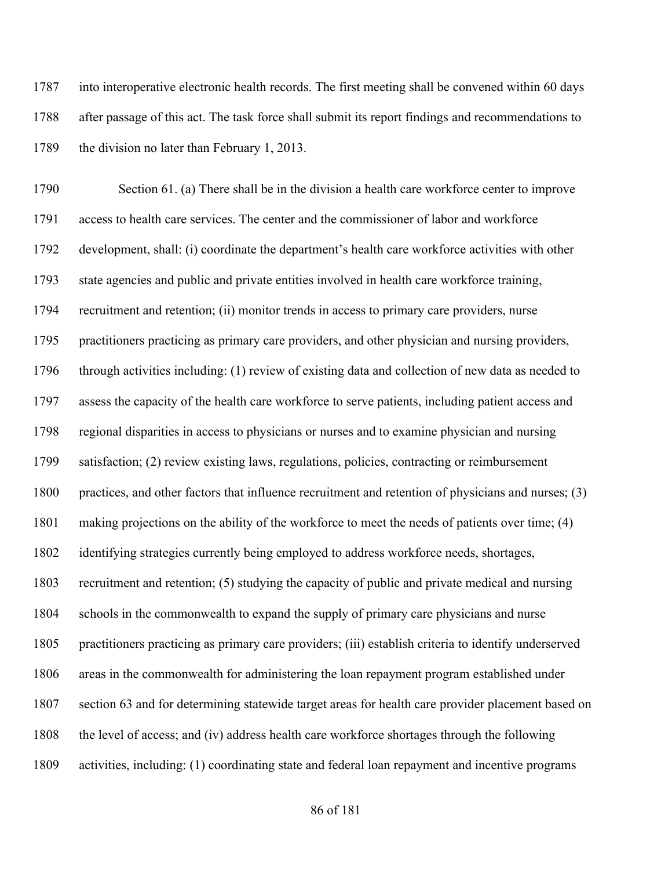into interoperative electronic health records. The first meeting shall be convened within 60 days after passage of this act. The task force shall submit its report findings and recommendations to 1789 the division no later than February 1, 2013.

 Section 61. (a) There shall be in the division a health care workforce center to improve access to health care services. The center and the commissioner of labor and workforce development, shall: (i) coordinate the department's health care workforce activities with other state agencies and public and private entities involved in health care workforce training, recruitment and retention; (ii) monitor trends in access to primary care providers, nurse practitioners practicing as primary care providers, and other physician and nursing providers, through activities including: (1) review of existing data and collection of new data as needed to assess the capacity of the health care workforce to serve patients, including patient access and regional disparities in access to physicians or nurses and to examine physician and nursing satisfaction; (2) review existing laws, regulations, policies, contracting or reimbursement practices, and other factors that influence recruitment and retention of physicians and nurses; (3) making projections on the ability of the workforce to meet the needs of patients over time; (4) identifying strategies currently being employed to address workforce needs, shortages, recruitment and retention; (5) studying the capacity of public and private medical and nursing schools in the commonwealth to expand the supply of primary care physicians and nurse practitioners practicing as primary care providers; (iii) establish criteria to identify underserved areas in the commonwealth for administering the loan repayment program established under section 63 and for determining statewide target areas for health care provider placement based on 1808 the level of access; and (iv) address health care workforce shortages through the following activities, including: (1) coordinating state and federal loan repayment and incentive programs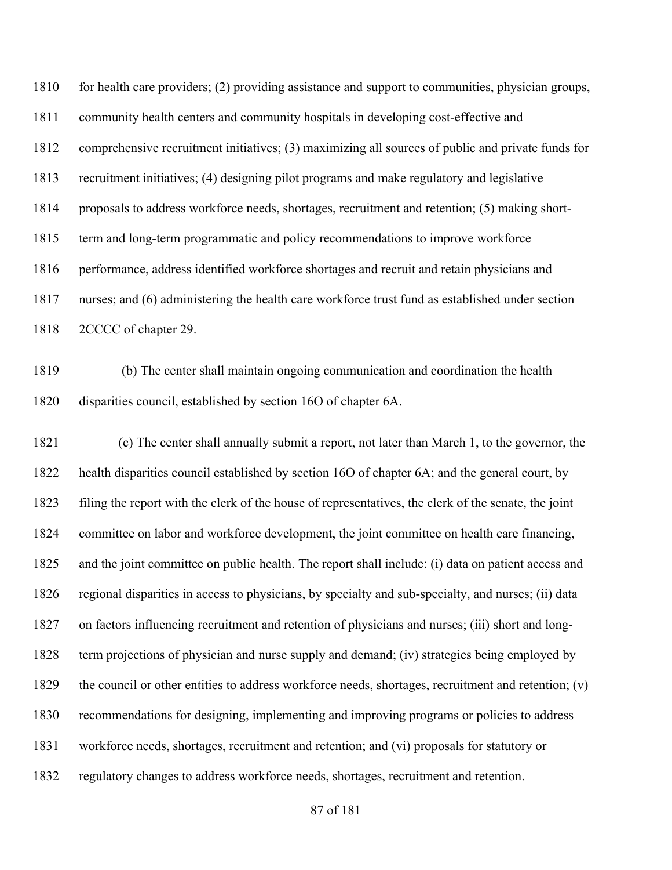for health care providers; (2) providing assistance and support to communities, physician groups, community health centers and community hospitals in developing cost-effective and comprehensive recruitment initiatives; (3) maximizing all sources of public and private funds for recruitment initiatives; (4) designing pilot programs and make regulatory and legislative proposals to address workforce needs, shortages, recruitment and retention; (5) making short- term and long-term programmatic and policy recommendations to improve workforce performance, address identified workforce shortages and recruit and retain physicians and nurses; and (6) administering the health care workforce trust fund as established under section 2CCCC of chapter 29.

 (b) The center shall maintain ongoing communication and coordination the health disparities council, established by section 16O of chapter 6A.

 (c) The center shall annually submit a report, not later than March 1, to the governor, the health disparities council established by section 16O of chapter 6A; and the general court, by filing the report with the clerk of the house of representatives, the clerk of the senate, the joint committee on labor and workforce development, the joint committee on health care financing, and the joint committee on public health. The report shall include: (i) data on patient access and regional disparities in access to physicians, by specialty and sub-specialty, and nurses; (ii) data on factors influencing recruitment and retention of physicians and nurses; (iii) short and long- term projections of physician and nurse supply and demand; (iv) strategies being employed by the council or other entities to address workforce needs, shortages, recruitment and retention; (v) recommendations for designing, implementing and improving programs or policies to address workforce needs, shortages, recruitment and retention; and (vi) proposals for statutory or regulatory changes to address workforce needs, shortages, recruitment and retention.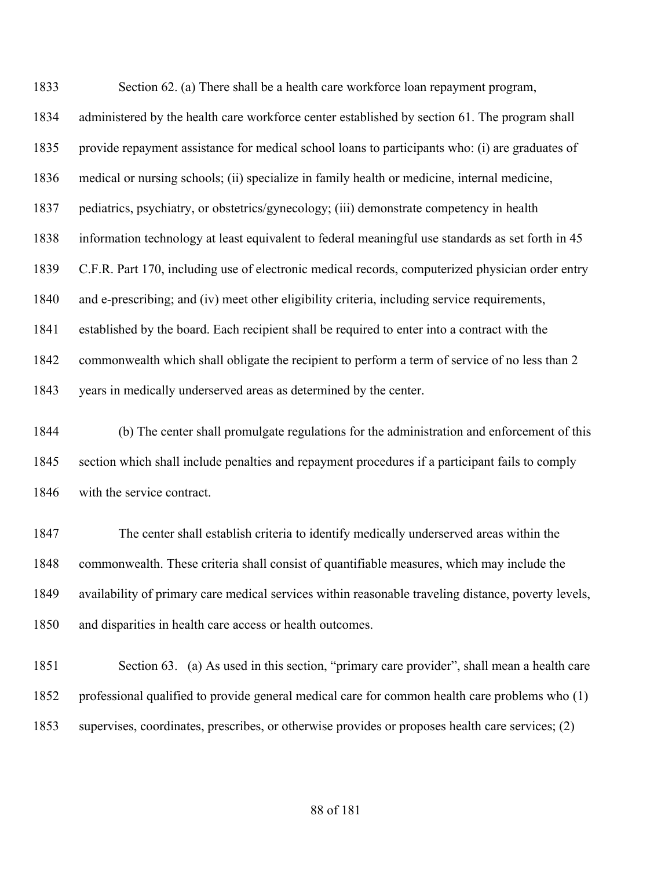Section 62. (a) There shall be a health care workforce loan repayment program, administered by the health care workforce center established by section 61. The program shall provide repayment assistance for medical school loans to participants who: (i) are graduates of medical or nursing schools; (ii) specialize in family health or medicine, internal medicine, pediatrics, psychiatry, or obstetrics/gynecology; (iii) demonstrate competency in health information technology at least equivalent to federal meaningful use standards as set forth in 45 C.F.R. Part 170, including use of electronic medical records, computerized physician order entry and e-prescribing; and (iv) meet other eligibility criteria, including service requirements, established by the board. Each recipient shall be required to enter into a contract with the commonwealth which shall obligate the recipient to perform a term of service of no less than 2 years in medically underserved areas as determined by the center.

 (b) The center shall promulgate regulations for the administration and enforcement of this section which shall include penalties and repayment procedures if a participant fails to comply with the service contract.

 The center shall establish criteria to identify medically underserved areas within the commonwealth. These criteria shall consist of quantifiable measures, which may include the availability of primary care medical services within reasonable traveling distance, poverty levels, and disparities in health care access or health outcomes.

 Section 63. (a) As used in this section, "primary care provider", shall mean a health care professional qualified to provide general medical care for common health care problems who (1) supervises, coordinates, prescribes, or otherwise provides or proposes health care services; (2)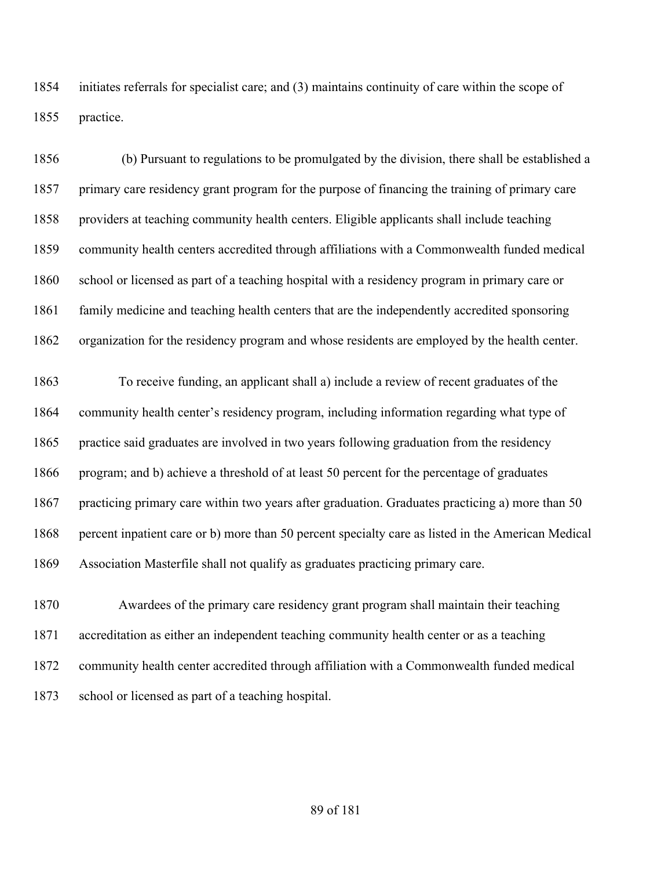initiates referrals for specialist care; and (3) maintains continuity of care within the scope of practice.

 (b) Pursuant to regulations to be promulgated by the division, there shall be established a primary care residency grant program for the purpose of financing the training of primary care providers at teaching community health centers. Eligible applicants shall include teaching community health centers accredited through affiliations with a Commonwealth funded medical school or licensed as part of a teaching hospital with a residency program in primary care or family medicine and teaching health centers that are the independently accredited sponsoring organization for the residency program and whose residents are employed by the health center.

 To receive funding, an applicant shall a) include a review of recent graduates of the community health center's residency program, including information regarding what type of practice said graduates are involved in two years following graduation from the residency program; and b) achieve a threshold of at least 50 percent for the percentage of graduates 1867 practicing primary care within two years after graduation. Graduates practicing a) more than 50 percent inpatient care or b) more than 50 percent specialty care as listed in the American Medical Association Masterfile shall not qualify as graduates practicing primary care.

 Awardees of the primary care residency grant program shall maintain their teaching accreditation as either an independent teaching community health center or as a teaching community health center accredited through affiliation with a Commonwealth funded medical school or licensed as part of a teaching hospital.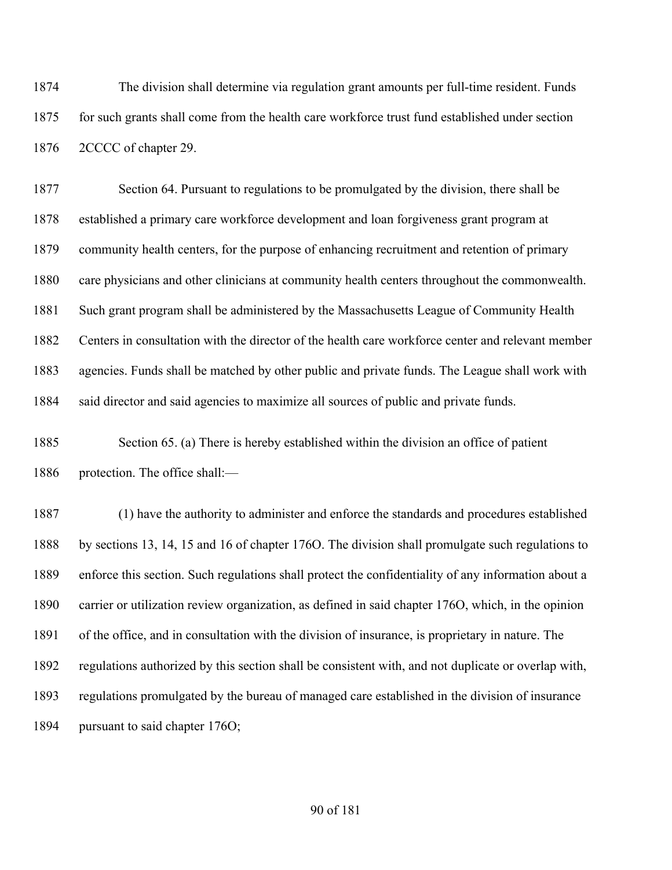The division shall determine via regulation grant amounts per full-time resident. Funds for such grants shall come from the health care workforce trust fund established under section 2CCCC of chapter 29.

 Section 64. Pursuant to regulations to be promulgated by the division, there shall be established a primary care workforce development and loan forgiveness grant program at community health centers, for the purpose of enhancing recruitment and retention of primary care physicians and other clinicians at community health centers throughout the commonwealth. Such grant program shall be administered by the Massachusetts League of Community Health Centers in consultation with the director of the health care workforce center and relevant member agencies. Funds shall be matched by other public and private funds. The League shall work with 1884 said director and said agencies to maximize all sources of public and private funds.

 Section 65. (a) There is hereby established within the division an office of patient protection. The office shall:—

 (1) have the authority to administer and enforce the standards and procedures established by sections 13, 14, 15 and 16 of chapter 176O. The division shall promulgate such regulations to enforce this section. Such regulations shall protect the confidentiality of any information about a carrier or utilization review organization, as defined in said chapter 176O, which, in the opinion of the office, and in consultation with the division of insurance, is proprietary in nature. The regulations authorized by this section shall be consistent with, and not duplicate or overlap with, regulations promulgated by the bureau of managed care established in the division of insurance pursuant to said chapter 176O;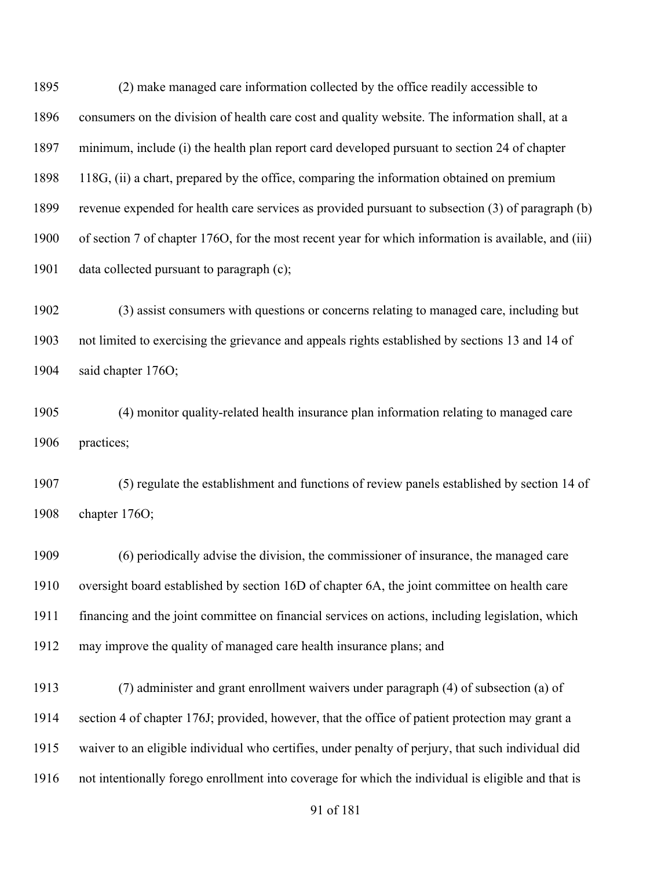(2) make managed care information collected by the office readily accessible to consumers on the division of health care cost and quality website. The information shall, at a minimum, include (i) the health plan report card developed pursuant to section 24 of chapter 118G, (ii) a chart, prepared by the office, comparing the information obtained on premium revenue expended for health care services as provided pursuant to subsection (3) of paragraph (b) of section 7 of chapter 176O, for the most recent year for which information is available, and (iii) data collected pursuant to paragraph (c);

 (3) assist consumers with questions or concerns relating to managed care, including but not limited to exercising the grievance and appeals rights established by sections 13 and 14 of said chapter 176O;

 (4) monitor quality-related health insurance plan information relating to managed care practices;

 (5) regulate the establishment and functions of review panels established by section 14 of chapter 176O;

 (6) periodically advise the division, the commissioner of insurance, the managed care oversight board established by section 16D of chapter 6A, the joint committee on health care financing and the joint committee on financial services on actions, including legislation, which may improve the quality of managed care health insurance plans; and

 (7) administer and grant enrollment waivers under paragraph (4) of subsection (a) of section 4 of chapter 176J; provided, however, that the office of patient protection may grant a waiver to an eligible individual who certifies, under penalty of perjury, that such individual did not intentionally forego enrollment into coverage for which the individual is eligible and that is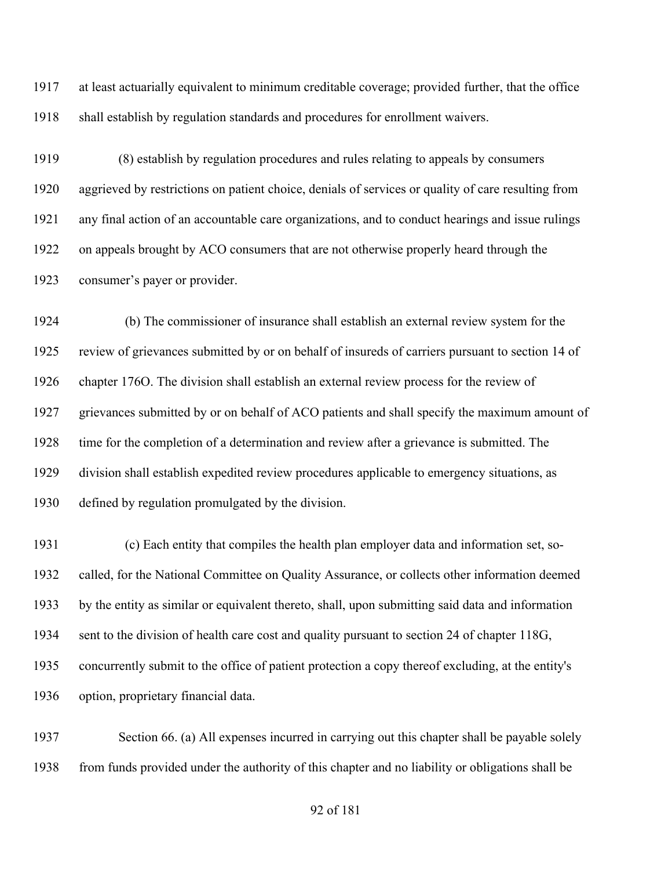at least actuarially equivalent to minimum creditable coverage; provided further, that the office shall establish by regulation standards and procedures for enrollment waivers.

 (8) establish by regulation procedures and rules relating to appeals by consumers aggrieved by restrictions on patient choice, denials of services or quality of care resulting from any final action of an accountable care organizations, and to conduct hearings and issue rulings on appeals brought by ACO consumers that are not otherwise properly heard through the consumer's payer or provider.

1924 (b) The commissioner of insurance shall establish an external review system for the review of grievances submitted by or on behalf of insureds of carriers pursuant to section 14 of chapter 176O. The division shall establish an external review process for the review of grievances submitted by or on behalf of ACO patients and shall specify the maximum amount of time for the completion of a determination and review after a grievance is submitted. The division shall establish expedited review procedures applicable to emergency situations, as defined by regulation promulgated by the division.

1931 (c) Each entity that compiles the health plan employer data and information set, so- called, for the National Committee on Quality Assurance, or collects other information deemed by the entity as similar or equivalent thereto, shall, upon submitting said data and information sent to the division of health care cost and quality pursuant to section 24 of chapter 118G, concurrently submit to the office of patient protection a copy thereof excluding, at the entity's option, proprietary financial data.

 Section 66. (a) All expenses incurred in carrying out this chapter shall be payable solely from funds provided under the authority of this chapter and no liability or obligations shall be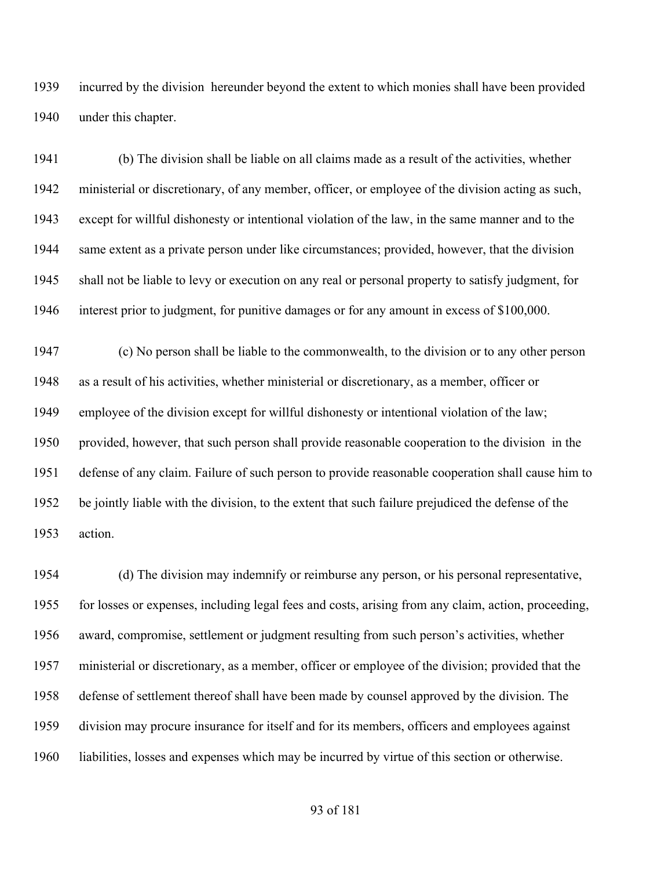incurred by the division hereunder beyond the extent to which monies shall have been provided under this chapter.

 (b) The division shall be liable on all claims made as a result of the activities, whether ministerial or discretionary, of any member, officer, or employee of the division acting as such, except for willful dishonesty or intentional violation of the law, in the same manner and to the same extent as a private person under like circumstances; provided, however, that the division shall not be liable to levy or execution on any real or personal property to satisfy judgment, for interest prior to judgment, for punitive damages or for any amount in excess of \$100,000.

 (c) No person shall be liable to the commonwealth, to the division or to any other person as a result of his activities, whether ministerial or discretionary, as a member, officer or employee of the division except for willful dishonesty or intentional violation of the law; provided, however, that such person shall provide reasonable cooperation to the division in the defense of any claim. Failure of such person to provide reasonable cooperation shall cause him to be jointly liable with the division, to the extent that such failure prejudiced the defense of the action.

 (d) The division may indemnify or reimburse any person, or his personal representative, for losses or expenses, including legal fees and costs, arising from any claim, action, proceeding, award, compromise, settlement or judgment resulting from such person's activities, whether ministerial or discretionary, as a member, officer or employee of the division; provided that the defense of settlement thereof shall have been made by counsel approved by the division. The division may procure insurance for itself and for its members, officers and employees against liabilities, losses and expenses which may be incurred by virtue of this section or otherwise.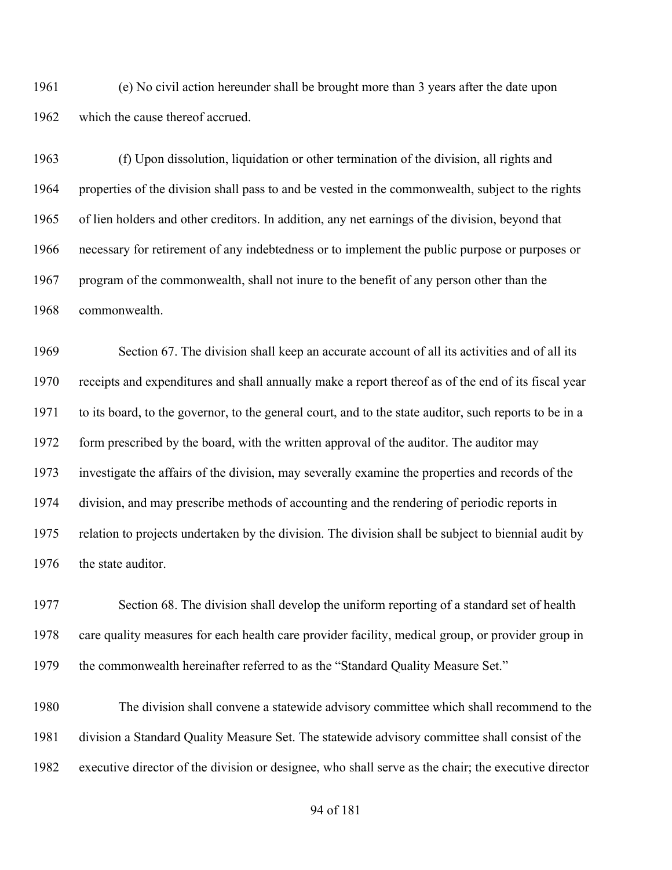(e) No civil action hereunder shall be brought more than 3 years after the date upon which the cause thereof accrued.

 (f) Upon dissolution, liquidation or other termination of the division, all rights and properties of the division shall pass to and be vested in the commonwealth, subject to the rights of lien holders and other creditors. In addition, any net earnings of the division, beyond that necessary for retirement of any indebtedness or to implement the public purpose or purposes or program of the commonwealth, shall not inure to the benefit of any person other than the commonwealth.

 Section 67. The division shall keep an accurate account of all its activities and of all its receipts and expenditures and shall annually make a report thereof as of the end of its fiscal year to its board, to the governor, to the general court, and to the state auditor, such reports to be in a 1972 form prescribed by the board, with the written approval of the auditor. The auditor may investigate the affairs of the division, may severally examine the properties and records of the division, and may prescribe methods of accounting and the rendering of periodic reports in relation to projects undertaken by the division. The division shall be subject to biennial audit by 1976 the state auditor.

 Section 68. The division shall develop the uniform reporting of a standard set of health care quality measures for each health care provider facility, medical group, or provider group in the commonwealth hereinafter referred to as the "Standard Quality Measure Set."

 The division shall convene a statewide advisory committee which shall recommend to the division a Standard Quality Measure Set. The statewide advisory committee shall consist of the executive director of the division or designee, who shall serve as the chair; the executive director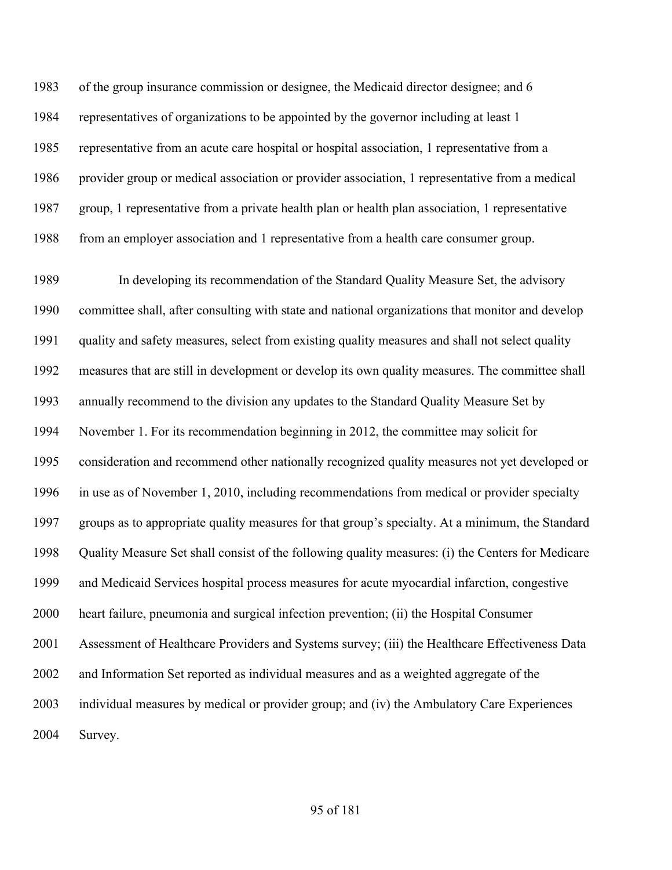of the group insurance commission or designee, the Medicaid director designee; and 6 representatives of organizations to be appointed by the governor including at least 1 representative from an acute care hospital or hospital association, 1 representative from a provider group or medical association or provider association, 1 representative from a medical group, 1 representative from a private health plan or health plan association, 1 representative 1988 from an employer association and 1 representative from a health care consumer group.

 In developing its recommendation of the Standard Quality Measure Set, the advisory committee shall, after consulting with state and national organizations that monitor and develop quality and safety measures, select from existing quality measures and shall not select quality measures that are still in development or develop its own quality measures. The committee shall annually recommend to the division any updates to the Standard Quality Measure Set by November 1. For its recommendation beginning in 2012, the committee may solicit for consideration and recommend other nationally recognized quality measures not yet developed or in use as of November 1, 2010, including recommendations from medical or provider specialty groups as to appropriate quality measures for that group's specialty. At a minimum, the Standard Quality Measure Set shall consist of the following quality measures: (i) the Centers for Medicare and Medicaid Services hospital process measures for acute myocardial infarction, congestive heart failure, pneumonia and surgical infection prevention; (ii) the Hospital Consumer Assessment of Healthcare Providers and Systems survey; (iii) the Healthcare Effectiveness Data and Information Set reported as individual measures and as a weighted aggregate of the individual measures by medical or provider group; and (iv) the Ambulatory Care Experiences Survey.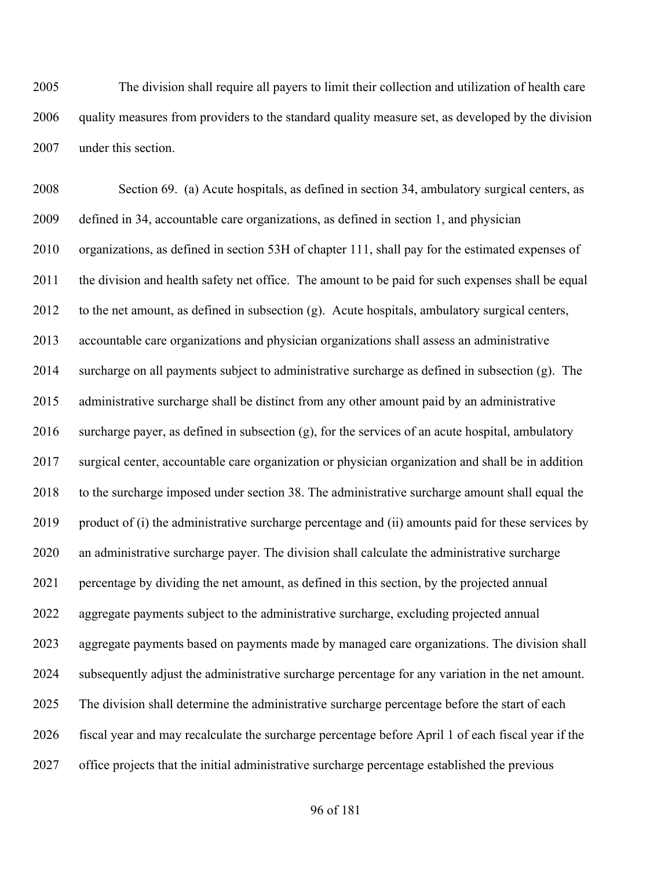The division shall require all payers to limit their collection and utilization of health care quality measures from providers to the standard quality measure set, as developed by the division under this section.

 Section 69. (a) Acute hospitals, as defined in section 34, ambulatory surgical centers, as defined in 34, accountable care organizations, as defined in section 1, and physician organizations, as defined in section 53H of chapter 111, shall pay for the estimated expenses of 2011 the division and health safety net office. The amount to be paid for such expenses shall be equal to the net amount, as defined in subsection (g). Acute hospitals, ambulatory surgical centers, accountable care organizations and physician organizations shall assess an administrative 2014 surcharge on all payments subject to administrative surcharge as defined in subsection  $(g)$ . The administrative surcharge shall be distinct from any other amount paid by an administrative 2016 surcharge payer, as defined in subsection  $(g)$ , for the services of an acute hospital, ambulatory surgical center, accountable care organization or physician organization and shall be in addition 2018 to the surcharge imposed under section 38. The administrative surcharge amount shall equal the product of (i) the administrative surcharge percentage and (ii) amounts paid for these services by an administrative surcharge payer. The division shall calculate the administrative surcharge percentage by dividing the net amount, as defined in this section, by the projected annual aggregate payments subject to the administrative surcharge, excluding projected annual aggregate payments based on payments made by managed care organizations. The division shall subsequently adjust the administrative surcharge percentage for any variation in the net amount. The division shall determine the administrative surcharge percentage before the start of each fiscal year and may recalculate the surcharge percentage before April 1 of each fiscal year if the office projects that the initial administrative surcharge percentage established the previous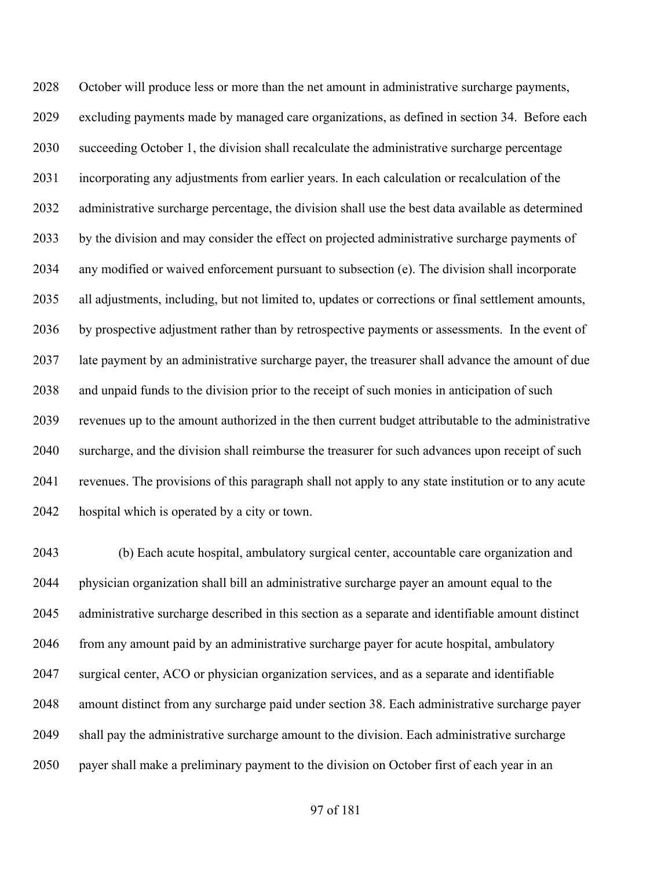October will produce less or more than the net amount in administrative surcharge payments, excluding payments made by managed care organizations, as defined in section 34. Before each succeeding October 1, the division shall recalculate the administrative surcharge percentage incorporating any adjustments from earlier years. In each calculation or recalculation of the administrative surcharge percentage, the division shall use the best data available as determined by the division and may consider the effect on projected administrative surcharge payments of any modified or waived enforcement pursuant to subsection (e). The division shall incorporate all adjustments, including, but not limited to, updates or corrections or final settlement amounts, by prospective adjustment rather than by retrospective payments or assessments. In the event of late payment by an administrative surcharge payer, the treasurer shall advance the amount of due and unpaid funds to the division prior to the receipt of such monies in anticipation of such revenues up to the amount authorized in the then current budget attributable to the administrative surcharge, and the division shall reimburse the treasurer for such advances upon receipt of such revenues. The provisions of this paragraph shall not apply to any state institution or to any acute hospital which is operated by a city or town.

 (b) Each acute hospital, ambulatory surgical center, accountable care organization and physician organization shall bill an administrative surcharge payer an amount equal to the administrative surcharge described in this section as a separate and identifiable amount distinct from any amount paid by an administrative surcharge payer for acute hospital, ambulatory surgical center, ACO or physician organization services, and as a separate and identifiable amount distinct from any surcharge paid under section 38. Each administrative surcharge payer shall pay the administrative surcharge amount to the division. Each administrative surcharge payer shall make a preliminary payment to the division on October first of each year in an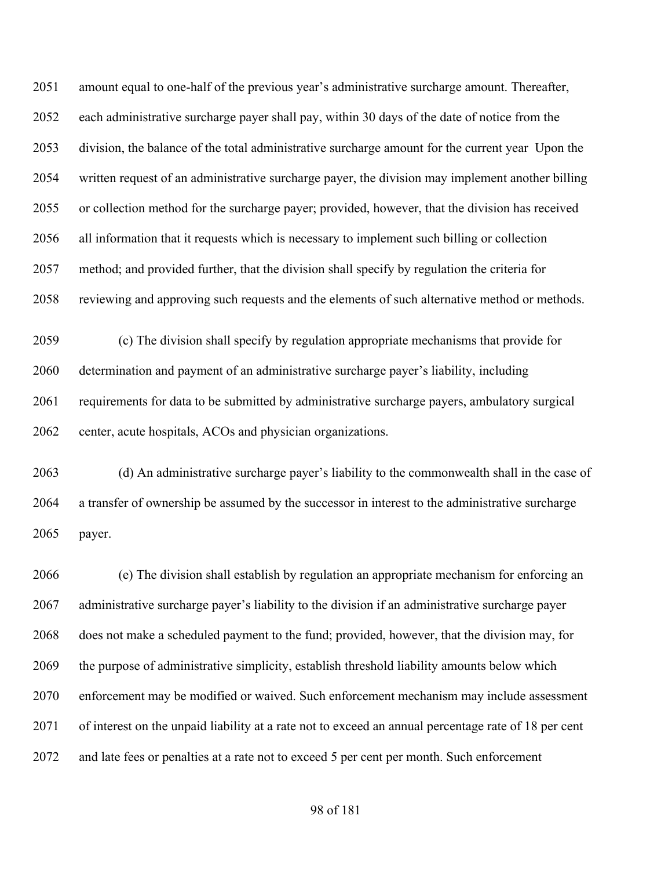amount equal to one-half of the previous year's administrative surcharge amount. Thereafter, each administrative surcharge payer shall pay, within 30 days of the date of notice from the division, the balance of the total administrative surcharge amount for the current year Upon the written request of an administrative surcharge payer, the division may implement another billing or collection method for the surcharge payer; provided, however, that the division has received all information that it requests which is necessary to implement such billing or collection method; and provided further, that the division shall specify by regulation the criteria for reviewing and approving such requests and the elements of such alternative method or methods.

 (c) The division shall specify by regulation appropriate mechanisms that provide for determination and payment of an administrative surcharge payer's liability, including requirements for data to be submitted by administrative surcharge payers, ambulatory surgical center, acute hospitals, ACOs and physician organizations.

 (d) An administrative surcharge payer's liability to the commonwealth shall in the case of a transfer of ownership be assumed by the successor in interest to the administrative surcharge payer.

 (e) The division shall establish by regulation an appropriate mechanism for enforcing an administrative surcharge payer's liability to the division if an administrative surcharge payer does not make a scheduled payment to the fund; provided, however, that the division may, for the purpose of administrative simplicity, establish threshold liability amounts below which enforcement may be modified or waived. Such enforcement mechanism may include assessment of interest on the unpaid liability at a rate not to exceed an annual percentage rate of 18 per cent and late fees or penalties at a rate not to exceed 5 per cent per month. Such enforcement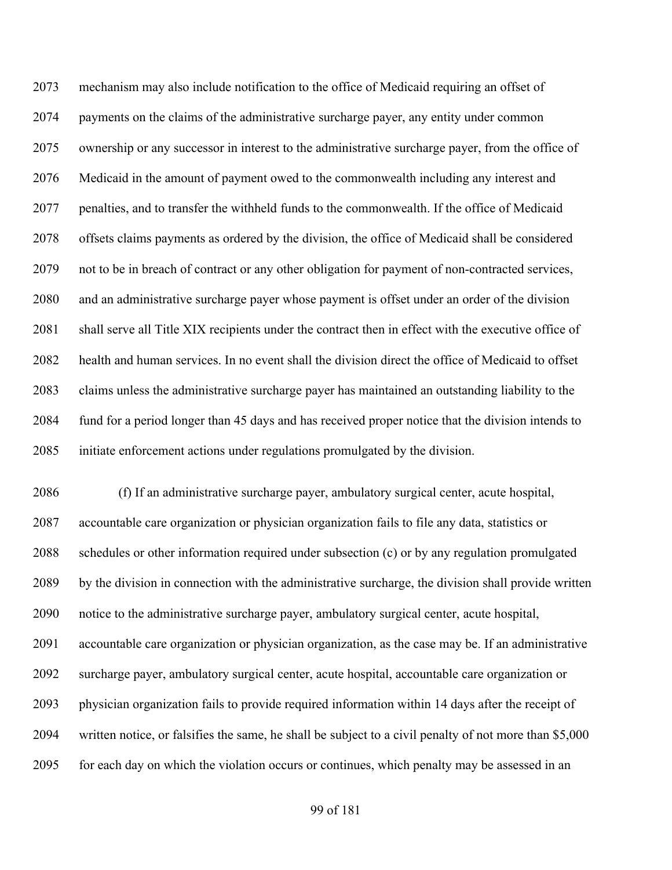mechanism may also include notification to the office of Medicaid requiring an offset of payments on the claims of the administrative surcharge payer, any entity under common ownership or any successor in interest to the administrative surcharge payer, from the office of Medicaid in the amount of payment owed to the commonwealth including any interest and penalties, and to transfer the withheld funds to the commonwealth. If the office of Medicaid offsets claims payments as ordered by the division, the office of Medicaid shall be considered not to be in breach of contract or any other obligation for payment of non-contracted services, and an administrative surcharge payer whose payment is offset under an order of the division shall serve all Title XIX recipients under the contract then in effect with the executive office of health and human services. In no event shall the division direct the office of Medicaid to offset claims unless the administrative surcharge payer has maintained an outstanding liability to the fund for a period longer than 45 days and has received proper notice that the division intends to initiate enforcement actions under regulations promulgated by the division.

 (f) If an administrative surcharge payer, ambulatory surgical center, acute hospital, accountable care organization or physician organization fails to file any data, statistics or schedules or other information required under subsection (c) or by any regulation promulgated by the division in connection with the administrative surcharge, the division shall provide written notice to the administrative surcharge payer, ambulatory surgical center, acute hospital, accountable care organization or physician organization, as the case may be. If an administrative surcharge payer, ambulatory surgical center, acute hospital, accountable care organization or physician organization fails to provide required information within 14 days after the receipt of written notice, or falsifies the same, he shall be subject to a civil penalty of not more than \$5,000 for each day on which the violation occurs or continues, which penalty may be assessed in an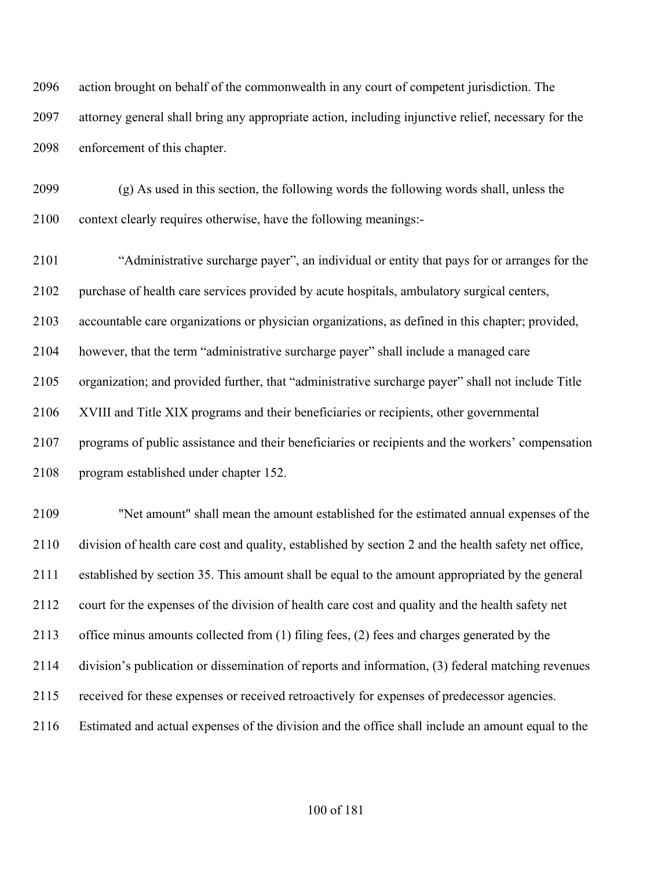action brought on behalf of the commonwealth in any court of competent jurisdiction. The attorney general shall bring any appropriate action, including injunctive relief, necessary for the enforcement of this chapter.

 (g) As used in this section, the following words the following words shall, unless the context clearly requires otherwise, have the following meanings:-

 "Administrative surcharge payer", an individual or entity that pays for or arranges for the purchase of health care services provided by acute hospitals, ambulatory surgical centers, accountable care organizations or physician organizations, as defined in this chapter; provided, however, that the term "administrative surcharge payer" shall include a managed care organization; and provided further, that "administrative surcharge payer" shall not include Title XVIII and Title XIX programs and their beneficiaries or recipients, other governmental programs of public assistance and their beneficiaries or recipients and the workers' compensation program established under chapter 152.

 "Net amount" shall mean the amount established for the estimated annual expenses of the division of health care cost and quality, established by section 2 and the health safety net office, established by section 35. This amount shall be equal to the amount appropriated by the general court for the expenses of the division of health care cost and quality and the health safety net office minus amounts collected from (1) filing fees, (2) fees and charges generated by the division's publication or dissemination of reports and information, (3) federal matching revenues received for these expenses or received retroactively for expenses of predecessor agencies. Estimated and actual expenses of the division and the office shall include an amount equal to the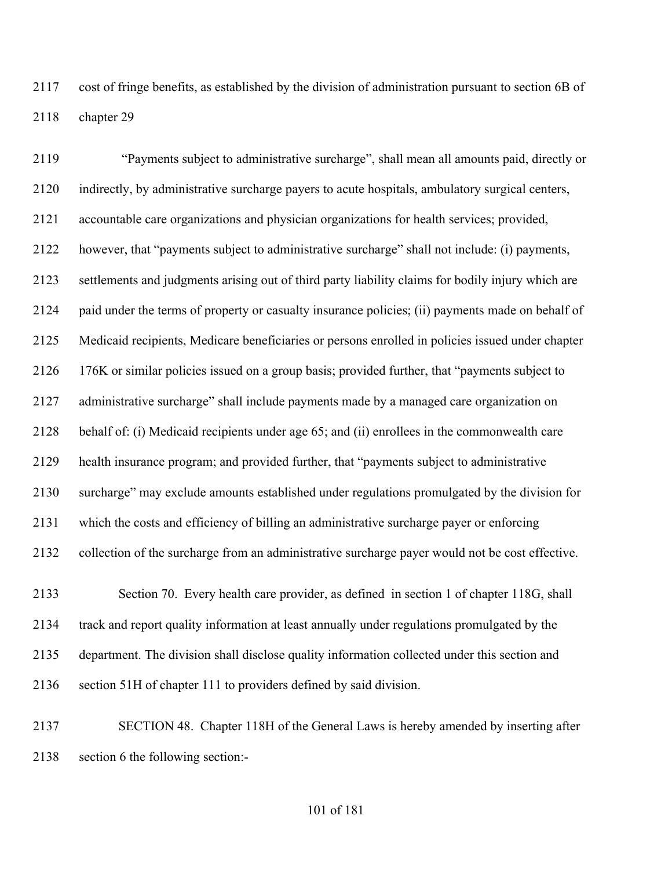cost of fringe benefits, as established by the division of administration pursuant to section 6B of chapter 29

 "Payments subject to administrative surcharge", shall mean all amounts paid, directly or indirectly, by administrative surcharge payers to acute hospitals, ambulatory surgical centers, accountable care organizations and physician organizations for health services; provided, however, that "payments subject to administrative surcharge" shall not include: (i) payments, settlements and judgments arising out of third party liability claims for bodily injury which are paid under the terms of property or casualty insurance policies; (ii) payments made on behalf of Medicaid recipients, Medicare beneficiaries or persons enrolled in policies issued under chapter 176K or similar policies issued on a group basis; provided further, that "payments subject to administrative surcharge" shall include payments made by a managed care organization on behalf of: (i) Medicaid recipients under age 65; and (ii) enrollees in the commonwealth care health insurance program; and provided further, that "payments subject to administrative surcharge" may exclude amounts established under regulations promulgated by the division for which the costs and efficiency of billing an administrative surcharge payer or enforcing collection of the surcharge from an administrative surcharge payer would not be cost effective. Section 70. Every health care provider, as defined in section 1 of chapter 118G, shall

 track and report quality information at least annually under regulations promulgated by the department. The division shall disclose quality information collected under this section and section 51H of chapter 111 to providers defined by said division.

 SECTION 48. Chapter 118H of the General Laws is hereby amended by inserting after section 6 the following section:-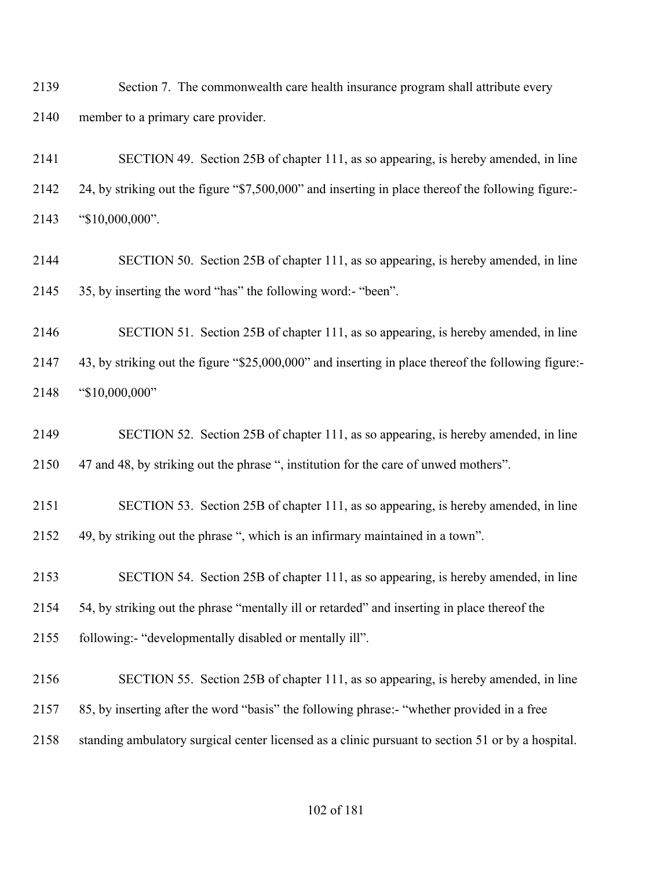Section 7. The commonwealth care health insurance program shall attribute every member to a primary care provider.

 SECTION 49. Section 25B of chapter 111, as so appearing, is hereby amended, in line 24, by striking out the figure "\$7,500,000" and inserting in place thereof the following figure:- "\$10,000,000".

 SECTION 50. Section 25B of chapter 111, as so appearing, is hereby amended, in line 35, by inserting the word "has" the following word:- "been".

 SECTION 51. Section 25B of chapter 111, as so appearing, is hereby amended, in line 43, by striking out the figure "\$25,000,000" and inserting in place thereof the following figure:- "\$10,000,000"

 SECTION 52. Section 25B of chapter 111, as so appearing, is hereby amended, in line 47 and 48, by striking out the phrase ", institution for the care of unwed mothers".

 SECTION 53. Section 25B of chapter 111, as so appearing, is hereby amended, in line 49, by striking out the phrase ", which is an infirmary maintained in a town".

 SECTION 54. Section 25B of chapter 111, as so appearing, is hereby amended, in line 54, by striking out the phrase "mentally ill or retarded" and inserting in place thereof the following:- "developmentally disabled or mentally ill".

 SECTION 55. Section 25B of chapter 111, as so appearing, is hereby amended, in line 85, by inserting after the word "basis" the following phrase:- "whether provided in a free standing ambulatory surgical center licensed as a clinic pursuant to section 51 or by a hospital.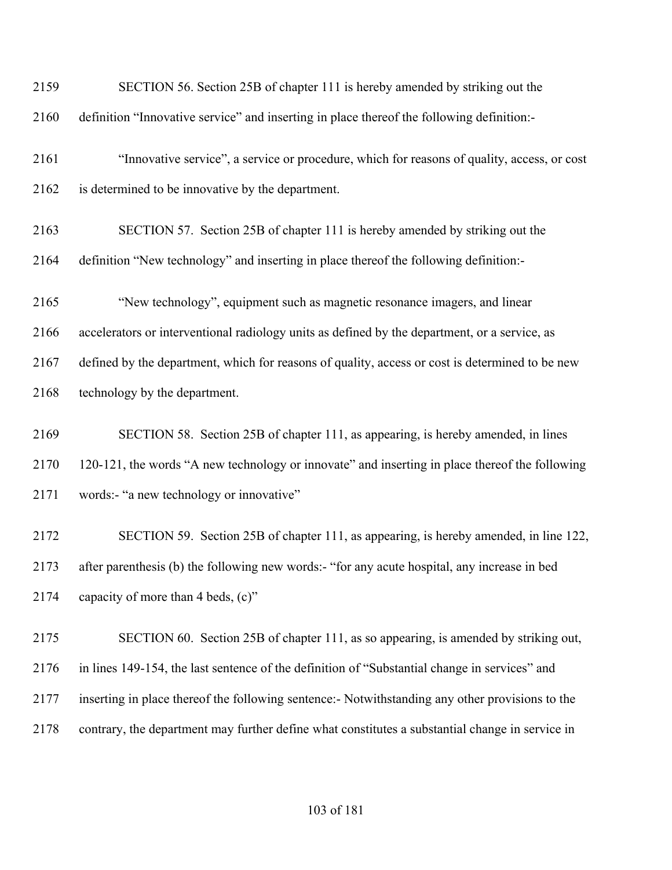| 2159 | SECTION 56. Section 25B of chapter 111 is hereby amended by striking out the                    |
|------|-------------------------------------------------------------------------------------------------|
| 2160 | definition "Innovative service" and inserting in place thereof the following definition:-       |
| 2161 | "Innovative service", a service or procedure, which for reasons of quality, access, or cost     |
| 2162 | is determined to be innovative by the department.                                               |
| 2163 | SECTION 57. Section 25B of chapter 111 is hereby amended by striking out the                    |
| 2164 | definition "New technology" and inserting in place thereof the following definition:-           |
| 2165 | "New technology", equipment such as magnetic resonance imagers, and linear                      |
| 2166 | accelerators or interventional radiology units as defined by the department, or a service, as   |
| 2167 | defined by the department, which for reasons of quality, access or cost is determined to be new |
| 2168 | technology by the department.                                                                   |
| 2169 | SECTION 58. Section 25B of chapter 111, as appearing, is hereby amended, in lines               |
| 2170 | 120-121, the words "A new technology or innovate" and inserting in place thereof the following  |
| 2171 | words:- "a new technology or innovative"                                                        |
| 2172 | SECTION 59. Section 25B of chapter 111, as appearing, is hereby amended, in line 122,           |
| 2173 | after parenthesis (b) the following new words:- "for any acute hospital, any increase in bed    |
| 2174 | capacity of more than 4 beds, (c)"                                                              |
| 2175 | SECTION 60. Section 25B of chapter 111, as so appearing, is amended by striking out,            |
| 2176 | in lines 149-154, the last sentence of the definition of "Substantial change in services" and   |
| 2177 | inserting in place thereof the following sentence:- Notwithstanding any other provisions to the |
| 2178 | contrary, the department may further define what constitutes a substantial change in service in |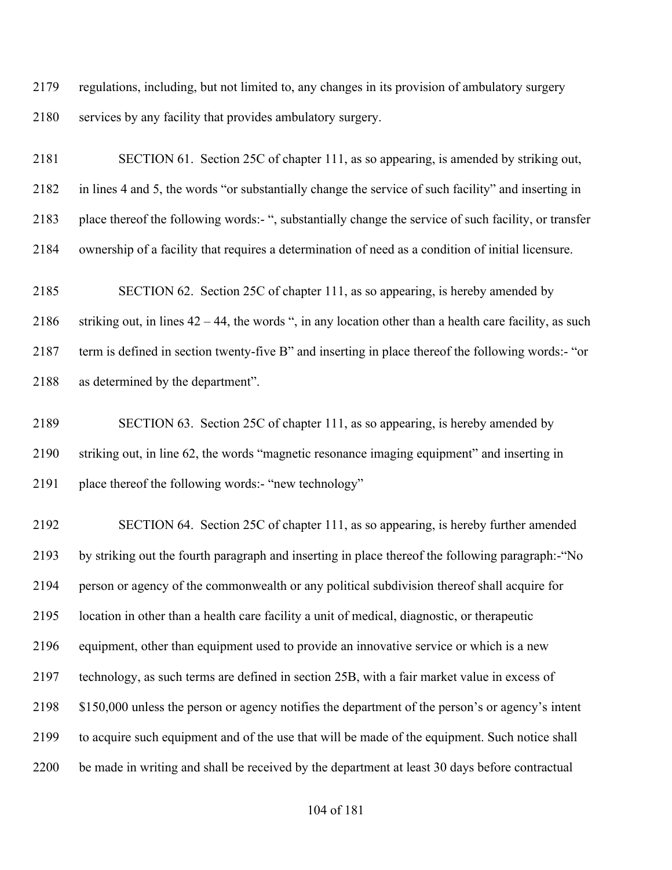regulations, including, but not limited to, any changes in its provision of ambulatory surgery services by any facility that provides ambulatory surgery.

 SECTION 61. Section 25C of chapter 111, as so appearing, is amended by striking out, in lines 4 and 5, the words "or substantially change the service of such facility" and inserting in place thereof the following words:- ", substantially change the service of such facility, or transfer ownership of a facility that requires a determination of need as a condition of initial licensure.

 SECTION 62. Section 25C of chapter 111, as so appearing, is hereby amended by 2186 striking out, in lines  $42 - 44$ , the words ", in any location other than a health care facility, as such term is defined in section twenty-five B" and inserting in place thereof the following words:- "or as determined by the department".

 SECTION 63. Section 25C of chapter 111, as so appearing, is hereby amended by striking out, in line 62, the words "magnetic resonance imaging equipment" and inserting in place thereof the following words:- "new technology"

 SECTION 64. Section 25C of chapter 111, as so appearing, is hereby further amended by striking out the fourth paragraph and inserting in place thereof the following paragraph:-"No person or agency of the commonwealth or any political subdivision thereof shall acquire for location in other than a health care facility a unit of medical, diagnostic, or therapeutic equipment, other than equipment used to provide an innovative service or which is a new technology, as such terms are defined in section 25B, with a fair market value in excess of \$150,000 unless the person or agency notifies the department of the person's or agency's intent to acquire such equipment and of the use that will be made of the equipment. Such notice shall be made in writing and shall be received by the department at least 30 days before contractual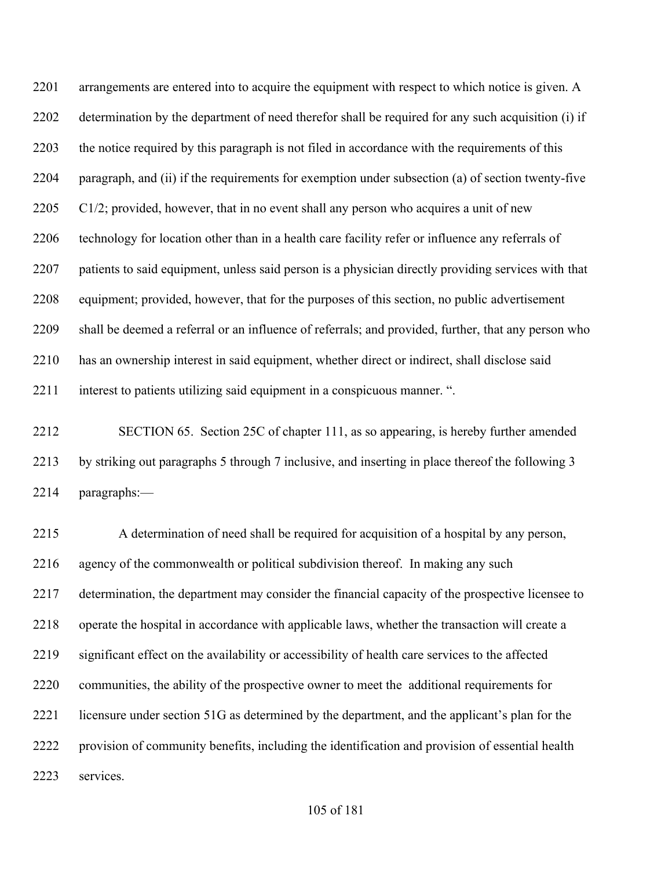2201 arrangements are entered into to acquire the equipment with respect to which notice is given. A determination by the department of need therefor shall be required for any such acquisition (i) if the notice required by this paragraph is not filed in accordance with the requirements of this paragraph, and (ii) if the requirements for exemption under subsection (a) of section twenty-five C1/2; provided, however, that in no event shall any person who acquires a unit of new 2206 technology for location other than in a health care facility refer or influence any referrals of patients to said equipment, unless said person is a physician directly providing services with that equipment; provided, however, that for the purposes of this section, no public advertisement shall be deemed a referral or an influence of referrals; and provided, further, that any person who has an ownership interest in said equipment, whether direct or indirect, shall disclose said interest to patients utilizing said equipment in a conspicuous manner. ".

 SECTION 65. Section 25C of chapter 111, as so appearing, is hereby further amended by striking out paragraphs 5 through 7 inclusive, and inserting in place thereof the following 3 paragraphs:—

 A determination of need shall be required for acquisition of a hospital by any person, agency of the commonwealth or political subdivision thereof. In making any such 2217 determination, the department may consider the financial capacity of the prospective licensee to operate the hospital in accordance with applicable laws, whether the transaction will create a significant effect on the availability or accessibility of health care services to the affected communities, the ability of the prospective owner to meet the additional requirements for 2221 licensure under section 51G as determined by the department, and the applicant's plan for the provision of community benefits, including the identification and provision of essential health services.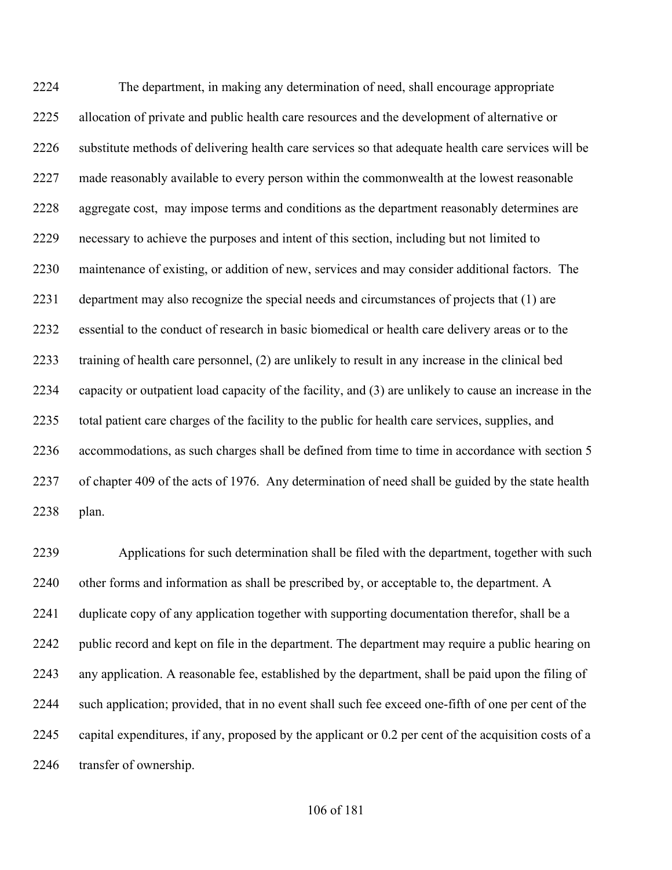The department, in making any determination of need, shall encourage appropriate allocation of private and public health care resources and the development of alternative or substitute methods of delivering health care services so that adequate health care services will be made reasonably available to every person within the commonwealth at the lowest reasonable aggregate cost, may impose terms and conditions as the department reasonably determines are necessary to achieve the purposes and intent of this section, including but not limited to maintenance of existing, or addition of new, services and may consider additional factors. The department may also recognize the special needs and circumstances of projects that (1) are essential to the conduct of research in basic biomedical or health care delivery areas or to the training of health care personnel, (2) are unlikely to result in any increase in the clinical bed capacity or outpatient load capacity of the facility, and (3) are unlikely to cause an increase in the total patient care charges of the facility to the public for health care services, supplies, and accommodations, as such charges shall be defined from time to time in accordance with section 5 of chapter 409 of the acts of 1976. Any determination of need shall be guided by the state health plan.

 Applications for such determination shall be filed with the department, together with such 2240 other forms and information as shall be prescribed by, or acceptable to, the department. A duplicate copy of any application together with supporting documentation therefor, shall be a public record and kept on file in the department. The department may require a public hearing on any application. A reasonable fee, established by the department, shall be paid upon the filing of such application; provided, that in no event shall such fee exceed one-fifth of one per cent of the capital expenditures, if any, proposed by the applicant or 0.2 per cent of the acquisition costs of a transfer of ownership.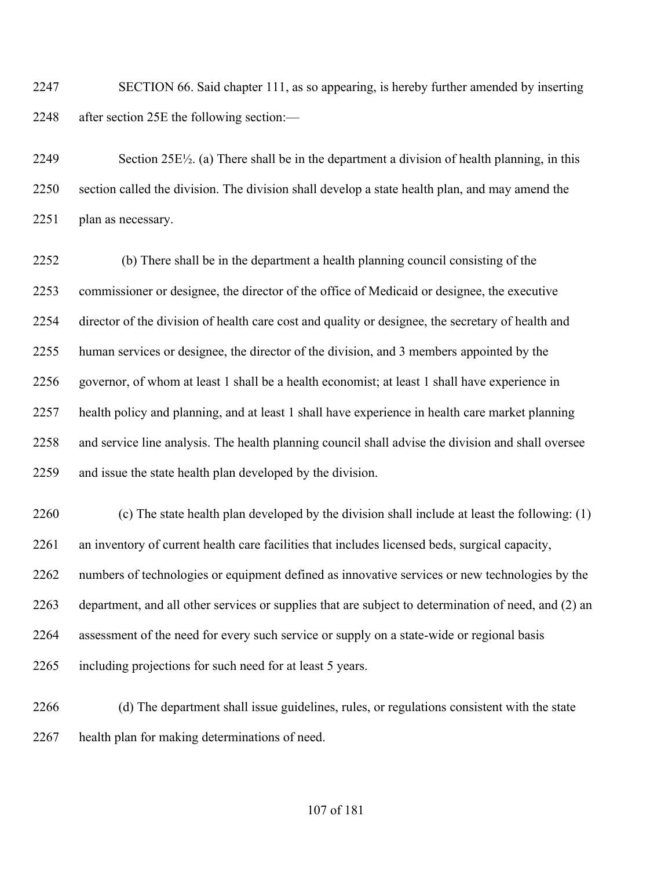SECTION 66. Said chapter 111, as so appearing, is hereby further amended by inserting after section 25E the following section:—

 Section 25E½. (a) There shall be in the department a division of health planning, in this section called the division. The division shall develop a state health plan, and may amend the 2251 plan as necessary.

 (b) There shall be in the department a health planning council consisting of the commissioner or designee, the director of the office of Medicaid or designee, the executive director of the division of health care cost and quality or designee, the secretary of health and human services or designee, the director of the division, and 3 members appointed by the governor, of whom at least 1 shall be a health economist; at least 1 shall have experience in health policy and planning, and at least 1 shall have experience in health care market planning and service line analysis. The health planning council shall advise the division and shall oversee and issue the state health plan developed by the division.

 (c) The state health plan developed by the division shall include at least the following: (1) an inventory of current health care facilities that includes licensed beds, surgical capacity, numbers of technologies or equipment defined as innovative services or new technologies by the department, and all other services or supplies that are subject to determination of need, and (2) an assessment of the need for every such service or supply on a state-wide or regional basis including projections for such need for at least 5 years.

 (d) The department shall issue guidelines, rules, or regulations consistent with the state health plan for making determinations of need.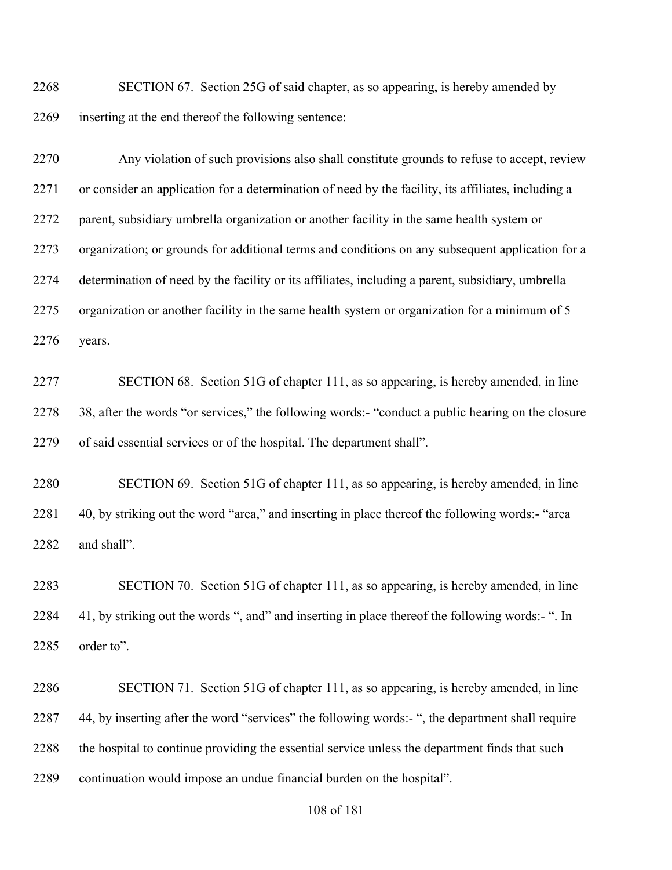SECTION 67. Section 25G of said chapter, as so appearing, is hereby amended by inserting at the end thereof the following sentence:—

 Any violation of such provisions also shall constitute grounds to refuse to accept, review or consider an application for a determination of need by the facility, its affiliates, including a parent, subsidiary umbrella organization or another facility in the same health system or organization; or grounds for additional terms and conditions on any subsequent application for a determination of need by the facility or its affiliates, including a parent, subsidiary, umbrella organization or another facility in the same health system or organization for a minimum of 5 years.

 SECTION 68. Section 51G of chapter 111, as so appearing, is hereby amended, in line 38, after the words "or services," the following words:- "conduct a public hearing on the closure of said essential services or of the hospital. The department shall".

 SECTION 69. Section 51G of chapter 111, as so appearing, is hereby amended, in line 40, by striking out the word "area," and inserting in place thereof the following words:- "area and shall".

 SECTION 70. Section 51G of chapter 111, as so appearing, is hereby amended, in line 41, by striking out the words ", and" and inserting in place thereof the following words:- ". In order to".

 SECTION 71. Section 51G of chapter 111, as so appearing, is hereby amended, in line 44, by inserting after the word "services" the following words:- ", the department shall require 2288 the hospital to continue providing the essential service unless the department finds that such continuation would impose an undue financial burden on the hospital".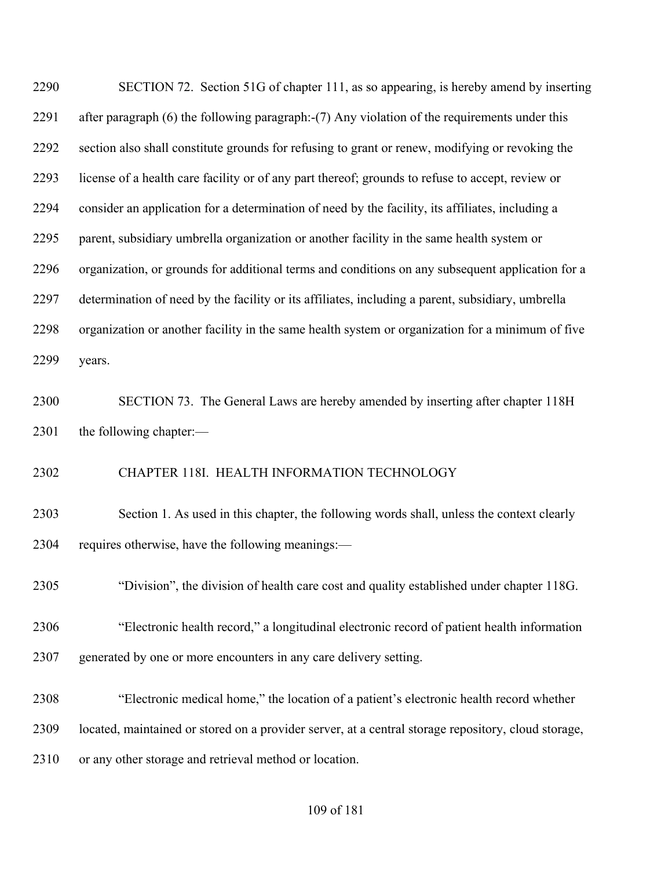SECTION 72. Section 51G of chapter 111, as so appearing, is hereby amend by inserting after paragraph (6) the following paragraph:-(7) Any violation of the requirements under this section also shall constitute grounds for refusing to grant or renew, modifying or revoking the license of a health care facility or of any part thereof; grounds to refuse to accept, review or consider an application for a determination of need by the facility, its affiliates, including a parent, subsidiary umbrella organization or another facility in the same health system or organization, or grounds for additional terms and conditions on any subsequent application for a determination of need by the facility or its affiliates, including a parent, subsidiary, umbrella organization or another facility in the same health system or organization for a minimum of five years.

 SECTION 73. The General Laws are hereby amended by inserting after chapter 118H 2301 the following chapter:—

CHAPTER 118I. HEALTH INFORMATION TECHNOLOGY

 Section 1. As used in this chapter, the following words shall, unless the context clearly requires otherwise, have the following meanings:—

"Division", the division of health care cost and quality established under chapter 118G.

 "Electronic health record," a longitudinal electronic record of patient health information generated by one or more encounters in any care delivery setting.

"Electronic medical home," the location of a patient's electronic health record whether

located, maintained or stored on a provider server, at a central storage repository, cloud storage,

or any other storage and retrieval method or location.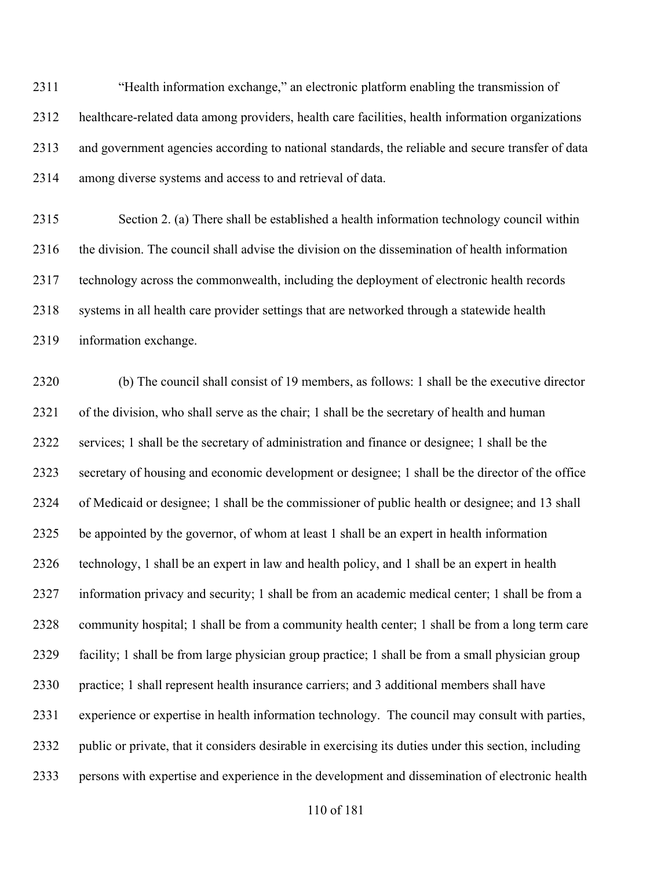"Health information exchange," an electronic platform enabling the transmission of healthcare-related data among providers, health care facilities, health information organizations and government agencies according to national standards, the reliable and secure transfer of data among diverse systems and access to and retrieval of data.

 Section 2. (a) There shall be established a health information technology council within the division. The council shall advise the division on the dissemination of health information technology across the commonwealth, including the deployment of electronic health records systems in all health care provider settings that are networked through a statewide health information exchange.

 (b) The council shall consist of 19 members, as follows: 1 shall be the executive director of the division, who shall serve as the chair; 1 shall be the secretary of health and human services; 1 shall be the secretary of administration and finance or designee; 1 shall be the secretary of housing and economic development or designee; 1 shall be the director of the office of Medicaid or designee; 1 shall be the commissioner of public health or designee; and 13 shall be appointed by the governor, of whom at least 1 shall be an expert in health information technology, 1 shall be an expert in law and health policy, and 1 shall be an expert in health information privacy and security; 1 shall be from an academic medical center; 1 shall be from a community hospital; 1 shall be from a community health center; 1 shall be from a long term care facility; 1 shall be from large physician group practice; 1 shall be from a small physician group practice; 1 shall represent health insurance carriers; and 3 additional members shall have experience or expertise in health information technology. The council may consult with parties, public or private, that it considers desirable in exercising its duties under this section, including persons with expertise and experience in the development and dissemination of electronic health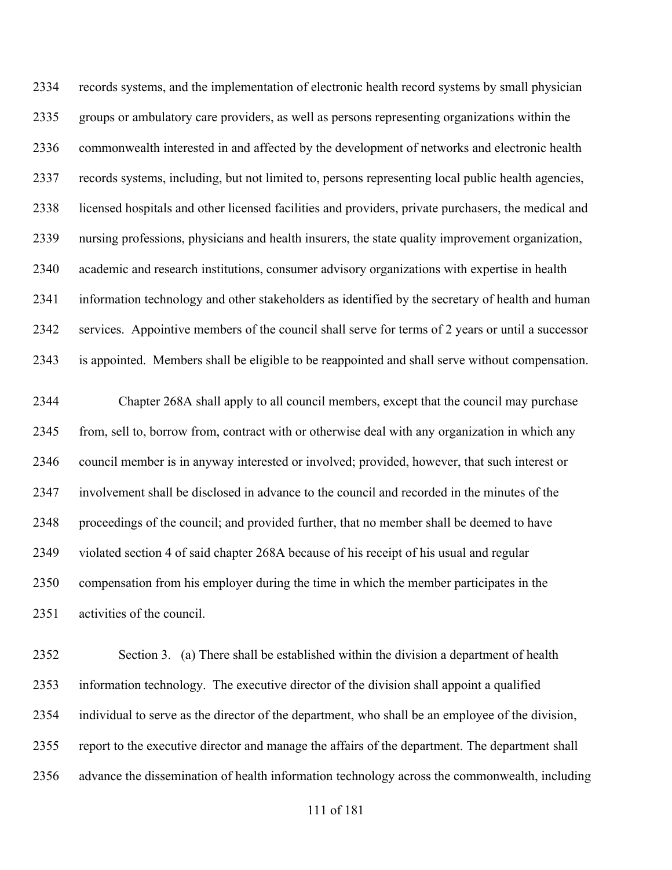records systems, and the implementation of electronic health record systems by small physician groups or ambulatory care providers, as well as persons representing organizations within the commonwealth interested in and affected by the development of networks and electronic health records systems, including, but not limited to, persons representing local public health agencies, licensed hospitals and other licensed facilities and providers, private purchasers, the medical and nursing professions, physicians and health insurers, the state quality improvement organization, academic and research institutions, consumer advisory organizations with expertise in health information technology and other stakeholders as identified by the secretary of health and human services. Appointive members of the council shall serve for terms of 2 years or until a successor is appointed. Members shall be eligible to be reappointed and shall serve without compensation.

 Chapter 268A shall apply to all council members, except that the council may purchase from, sell to, borrow from, contract with or otherwise deal with any organization in which any council member is in anyway interested or involved; provided, however, that such interest or involvement shall be disclosed in advance to the council and recorded in the minutes of the proceedings of the council; and provided further, that no member shall be deemed to have violated section 4 of said chapter 268A because of his receipt of his usual and regular compensation from his employer during the time in which the member participates in the activities of the council.

 Section 3. (a) There shall be established within the division a department of health information technology. The executive director of the division shall appoint a qualified individual to serve as the director of the department, who shall be an employee of the division, report to the executive director and manage the affairs of the department. The department shall advance the dissemination of health information technology across the commonwealth, including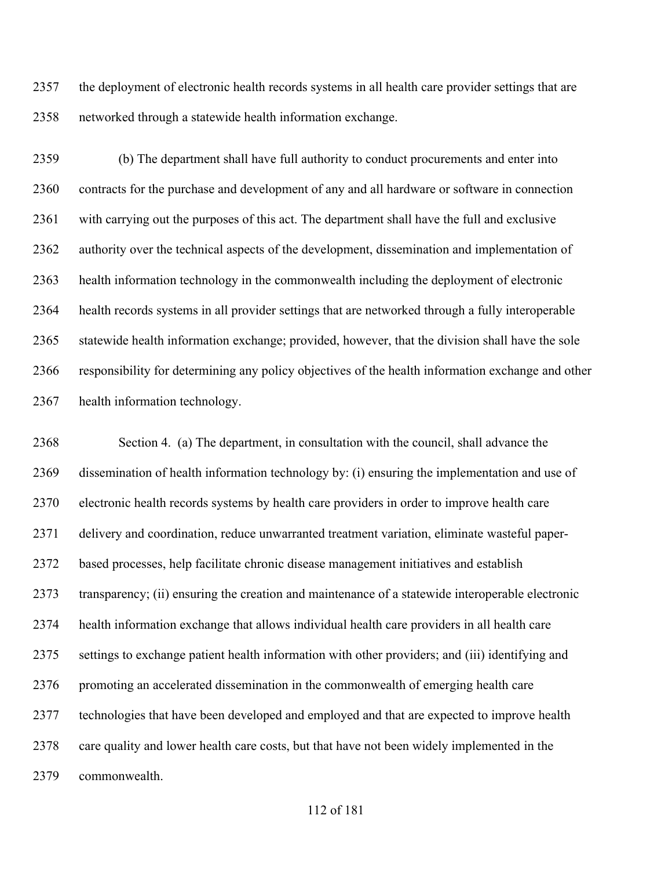the deployment of electronic health records systems in all health care provider settings that are networked through a statewide health information exchange.

 (b) The department shall have full authority to conduct procurements and enter into contracts for the purchase and development of any and all hardware or software in connection with carrying out the purposes of this act. The department shall have the full and exclusive authority over the technical aspects of the development, dissemination and implementation of health information technology in the commonwealth including the deployment of electronic health records systems in all provider settings that are networked through a fully interoperable statewide health information exchange; provided, however, that the division shall have the sole responsibility for determining any policy objectives of the health information exchange and other health information technology.

 Section 4. (a) The department, in consultation with the council, shall advance the dissemination of health information technology by: (i) ensuring the implementation and use of electronic health records systems by health care providers in order to improve health care delivery and coordination, reduce unwarranted treatment variation, eliminate wasteful paper- based processes, help facilitate chronic disease management initiatives and establish transparency; (ii) ensuring the creation and maintenance of a statewide interoperable electronic health information exchange that allows individual health care providers in all health care settings to exchange patient health information with other providers; and (iii) identifying and promoting an accelerated dissemination in the commonwealth of emerging health care technologies that have been developed and employed and that are expected to improve health care quality and lower health care costs, but that have not been widely implemented in the commonwealth.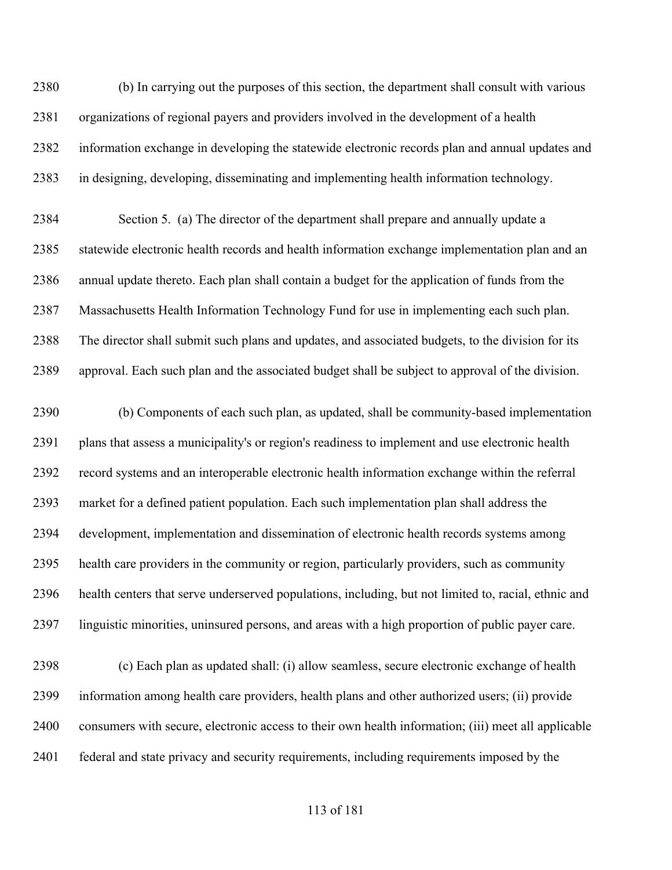(b) In carrying out the purposes of this section, the department shall consult with various organizations of regional payers and providers involved in the development of a health information exchange in developing the statewide electronic records plan and annual updates and in designing, developing, disseminating and implementing health information technology.

 Section 5. (a) The director of the department shall prepare and annually update a statewide electronic health records and health information exchange implementation plan and an annual update thereto. Each plan shall contain a budget for the application of funds from the Massachusetts Health Information Technology Fund for use in implementing each such plan. The director shall submit such plans and updates, and associated budgets, to the division for its approval. Each such plan and the associated budget shall be subject to approval of the division.

 (b) Components of each such plan, as updated, shall be community-based implementation plans that assess a municipality's or region's readiness to implement and use electronic health record systems and an interoperable electronic health information exchange within the referral market for a defined patient population. Each such implementation plan shall address the development, implementation and dissemination of electronic health records systems among health care providers in the community or region, particularly providers, such as community health centers that serve underserved populations, including, but not limited to, racial, ethnic and linguistic minorities, uninsured persons, and areas with a high proportion of public payer care.

 (c) Each plan as updated shall: (i) allow seamless, secure electronic exchange of health information among health care providers, health plans and other authorized users; (ii) provide consumers with secure, electronic access to their own health information; (iii) meet all applicable federal and state privacy and security requirements, including requirements imposed by the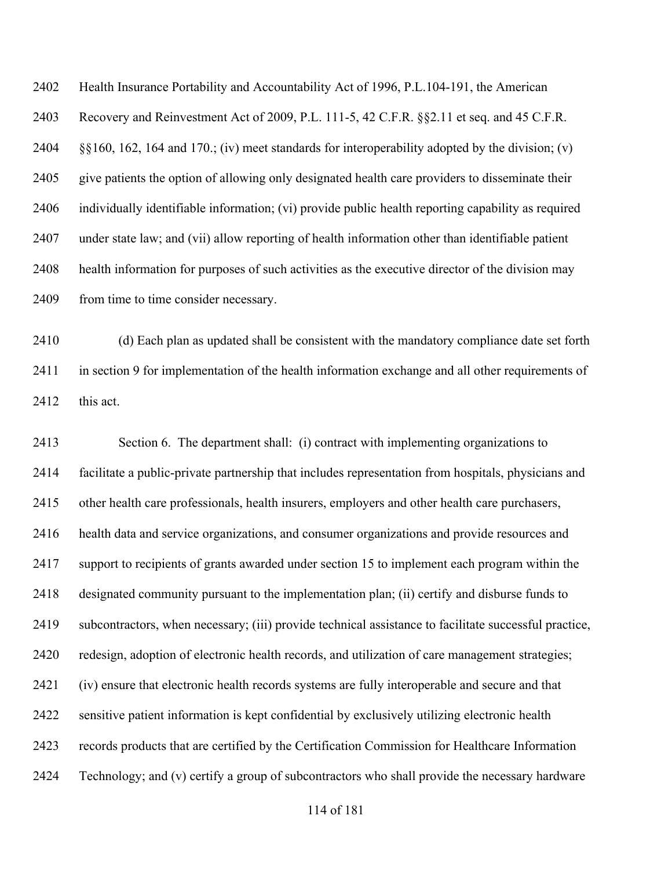Health Insurance Portability and Accountability Act of 1996, P.L.104-191, the American Recovery and Reinvestment Act of 2009, P.L. 111-5, 42 C.F.R. §§2.11 et seq. and 45 C.F.R. §§160, 162, 164 and 170.; (iv) meet standards for interoperability adopted by the division; (v) give patients the option of allowing only designated health care providers to disseminate their individually identifiable information; (vi) provide public health reporting capability as required under state law; and (vii) allow reporting of health information other than identifiable patient health information for purposes of such activities as the executive director of the division may 2409 from time to time consider necessary.

 (d) Each plan as updated shall be consistent with the mandatory compliance date set forth 2411 in section 9 for implementation of the health information exchange and all other requirements of 2412 this act.

 Section 6. The department shall: (i) contract with implementing organizations to facilitate a public-private partnership that includes representation from hospitals, physicians and other health care professionals, health insurers, employers and other health care purchasers, health data and service organizations, and consumer organizations and provide resources and support to recipients of grants awarded under section 15 to implement each program within the designated community pursuant to the implementation plan; (ii) certify and disburse funds to subcontractors, when necessary; (iii) provide technical assistance to facilitate successful practice, redesign, adoption of electronic health records, and utilization of care management strategies; (iv) ensure that electronic health records systems are fully interoperable and secure and that sensitive patient information is kept confidential by exclusively utilizing electronic health records products that are certified by the Certification Commission for Healthcare Information Technology; and (v) certify a group of subcontractors who shall provide the necessary hardware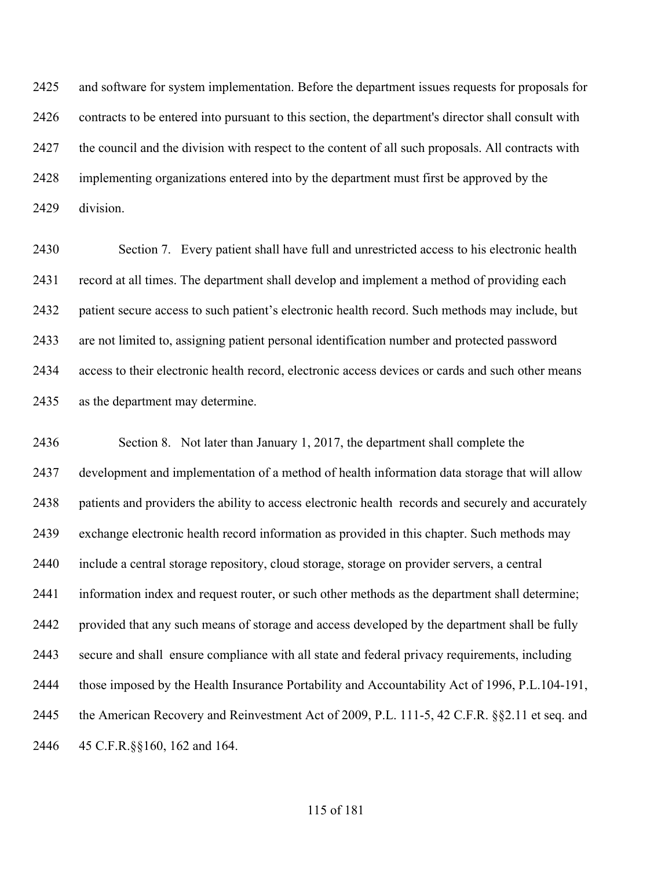and software for system implementation. Before the department issues requests for proposals for contracts to be entered into pursuant to this section, the department's director shall consult with the council and the division with respect to the content of all such proposals. All contracts with implementing organizations entered into by the department must first be approved by the division.

 Section 7. Every patient shall have full and unrestricted access to his electronic health record at all times. The department shall develop and implement a method of providing each patient secure access to such patient's electronic health record. Such methods may include, but are not limited to, assigning patient personal identification number and protected password access to their electronic health record, electronic access devices or cards and such other means as the department may determine.

 Section 8. Not later than January 1, 2017, the department shall complete the development and implementation of a method of health information data storage that will allow patients and providers the ability to access electronic health records and securely and accurately exchange electronic health record information as provided in this chapter. Such methods may include a central storage repository, cloud storage, storage on provider servers, a central information index and request router, or such other methods as the department shall determine; provided that any such means of storage and access developed by the department shall be fully secure and shall ensure compliance with all state and federal privacy requirements, including those imposed by the Health Insurance Portability and Accountability Act of 1996, P.L.104-191, the American Recovery and Reinvestment Act of 2009, P.L. 111-5, 42 C.F.R. §§2.11 et seq. and 45 C.F.R.§§160, 162 and 164.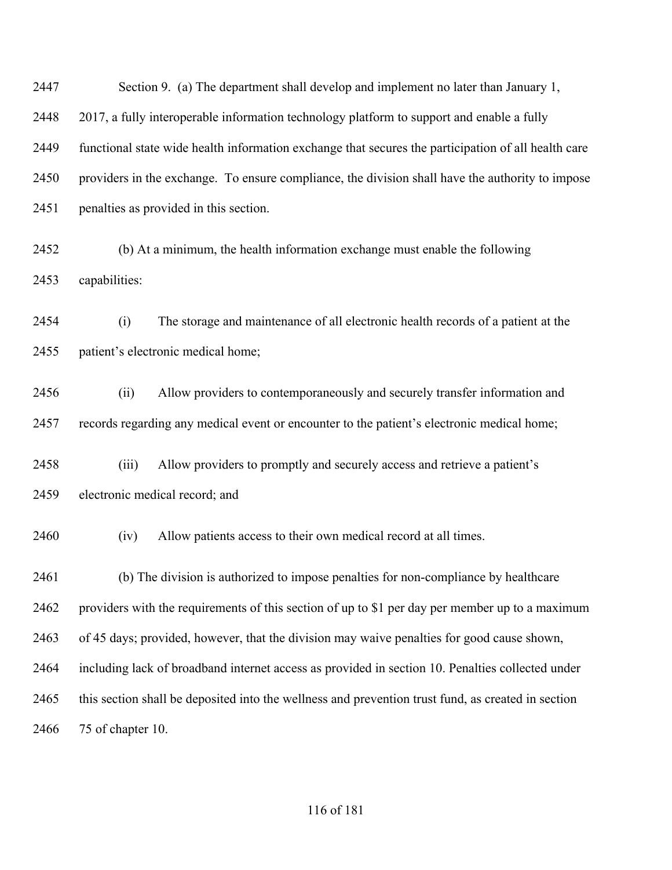Section 9. (a) The department shall develop and implement no later than January 1, 2017, a fully interoperable information technology platform to support and enable a fully functional state wide health information exchange that secures the participation of all health care providers in the exchange. To ensure compliance, the division shall have the authority to impose penalties as provided in this section.

 (b) At a minimum, the health information exchange must enable the following capabilities:

 (i) The storage and maintenance of all electronic health records of a patient at the patient's electronic medical home;

 (ii) Allow providers to contemporaneously and securely transfer information and records regarding any medical event or encounter to the patient's electronic medical home;

 (iii) Allow providers to promptly and securely access and retrieve a patient's electronic medical record; and

(iv) Allow patients access to their own medical record at all times.

 (b) The division is authorized to impose penalties for non-compliance by healthcare providers with the requirements of this section of up to \$1 per day per member up to a maximum of 45 days; provided, however, that the division may waive penalties for good cause shown, including lack of broadband internet access as provided in section 10. Penalties collected under this section shall be deposited into the wellness and prevention trust fund, as created in section 75 of chapter 10.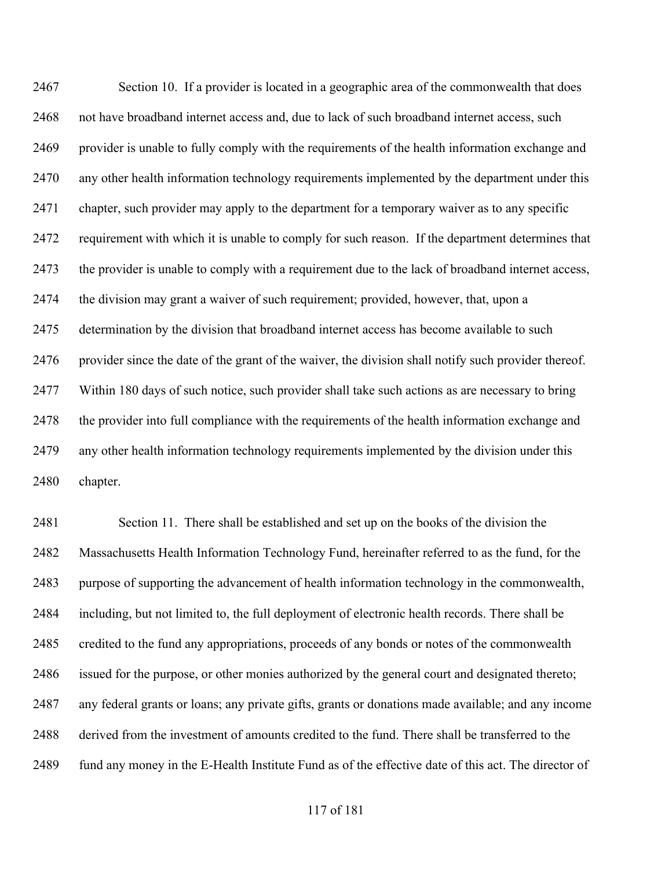Section 10. If a provider is located in a geographic area of the commonwealth that does not have broadband internet access and, due to lack of such broadband internet access, such provider is unable to fully comply with the requirements of the health information exchange and any other health information technology requirements implemented by the department under this chapter, such provider may apply to the department for a temporary waiver as to any specific requirement with which it is unable to comply for such reason. If the department determines that the provider is unable to comply with a requirement due to the lack of broadband internet access, the division may grant a waiver of such requirement; provided, however, that, upon a 2475 determination by the division that broadband internet access has become available to such 2476 provider since the date of the grant of the waiver, the division shall notify such provider thereof. Within 180 days of such notice, such provider shall take such actions as are necessary to bring the provider into full compliance with the requirements of the health information exchange and any other health information technology requirements implemented by the division under this chapter.

 Section 11. There shall be established and set up on the books of the division the Massachusetts Health Information Technology Fund, hereinafter referred to as the fund, for the purpose of supporting the advancement of health information technology in the commonwealth, including, but not limited to, the full deployment of electronic health records. There shall be credited to the fund any appropriations, proceeds of any bonds or notes of the commonwealth issued for the purpose, or other monies authorized by the general court and designated thereto; any federal grants or loans; any private gifts, grants or donations made available; and any income derived from the investment of amounts credited to the fund. There shall be transferred to the fund any money in the E-Health Institute Fund as of the effective date of this act. The director of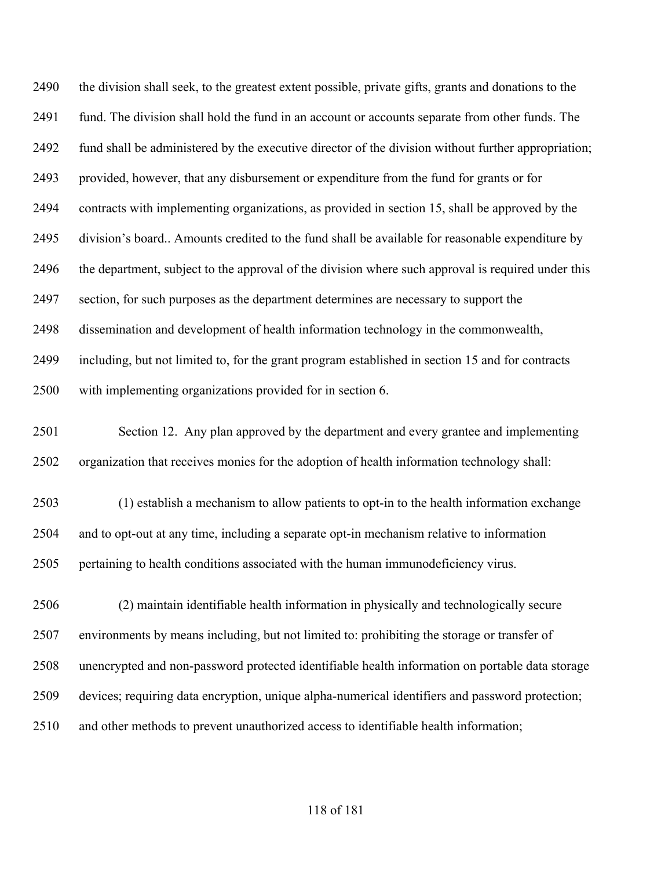the division shall seek, to the greatest extent possible, private gifts, grants and donations to the 2491 fund. The division shall hold the fund in an account or accounts separate from other funds. The fund shall be administered by the executive director of the division without further appropriation; provided, however, that any disbursement or expenditure from the fund for grants or for contracts with implementing organizations, as provided in section 15, shall be approved by the division's board.. Amounts credited to the fund shall be available for reasonable expenditure by the department, subject to the approval of the division where such approval is required under this section, for such purposes as the department determines are necessary to support the dissemination and development of health information technology in the commonwealth, including, but not limited to, for the grant program established in section 15 and for contracts with implementing organizations provided for in section 6. Section 12. Any plan approved by the department and every grantee and implementing organization that receives monies for the adoption of health information technology shall: (1) establish a mechanism to allow patients to opt-in to the health information exchange and to opt-out at any time, including a separate opt-in mechanism relative to information pertaining to health conditions associated with the human immunodeficiency virus.

 (2) maintain identifiable health information in physically and technologically secure environments by means including, but not limited to: prohibiting the storage or transfer of unencrypted and non-password protected identifiable health information on portable data storage devices; requiring data encryption, unique alpha-numerical identifiers and password protection; and other methods to prevent unauthorized access to identifiable health information;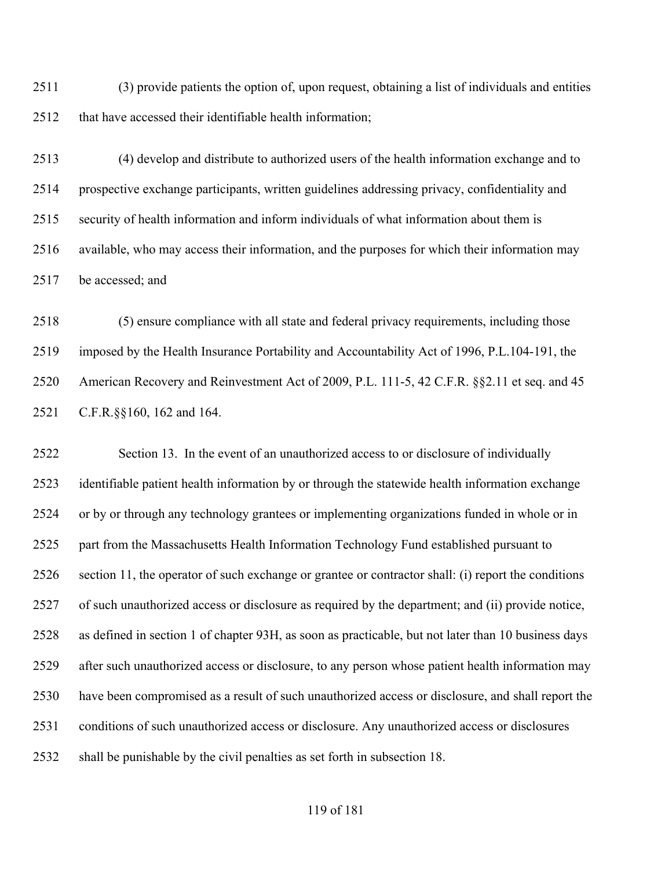(3) provide patients the option of, upon request, obtaining a list of individuals and entities 2512 that have accessed their identifiable health information;

 (4) develop and distribute to authorized users of the health information exchange and to prospective exchange participants, written guidelines addressing privacy, confidentiality and security of health information and inform individuals of what information about them is available, who may access their information, and the purposes for which their information may be accessed; and

 (5) ensure compliance with all state and federal privacy requirements, including those imposed by the Health Insurance Portability and Accountability Act of 1996, P.L.104-191, the American Recovery and Reinvestment Act of 2009, P.L. 111-5, 42 C.F.R. §§2.11 et seq. and 45 C.F.R.§§160, 162 and 164.

 Section 13. In the event of an unauthorized access to or disclosure of individually identifiable patient health information by or through the statewide health information exchange or by or through any technology grantees or implementing organizations funded in whole or in part from the Massachusetts Health Information Technology Fund established pursuant to section 11, the operator of such exchange or grantee or contractor shall: (i) report the conditions of such unauthorized access or disclosure as required by the department; and (ii) provide notice, as defined in section 1 of chapter 93H, as soon as practicable, but not later than 10 business days after such unauthorized access or disclosure, to any person whose patient health information may have been compromised as a result of such unauthorized access or disclosure, and shall report the conditions of such unauthorized access or disclosure. Any unauthorized access or disclosures shall be punishable by the civil penalties as set forth in subsection 18.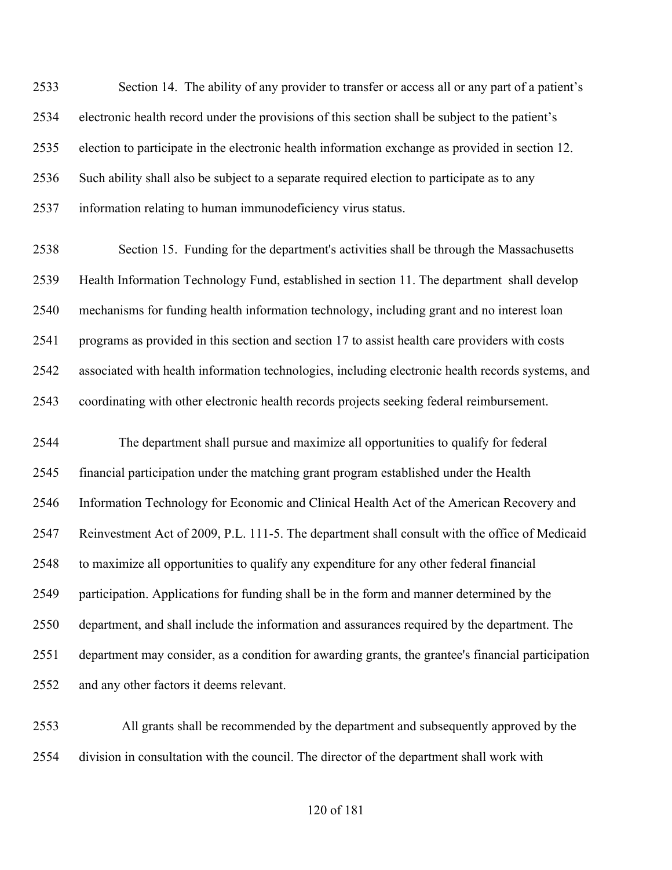Section 14. The ability of any provider to transfer or access all or any part of a patient's electronic health record under the provisions of this section shall be subject to the patient's election to participate in the electronic health information exchange as provided in section 12. Such ability shall also be subject to a separate required election to participate as to any information relating to human immunodeficiency virus status.

 Section 15. Funding for the department's activities shall be through the Massachusetts Health Information Technology Fund, established in section 11. The department shall develop mechanisms for funding health information technology, including grant and no interest loan programs as provided in this section and section 17 to assist health care providers with costs associated with health information technologies, including electronic health records systems, and coordinating with other electronic health records projects seeking federal reimbursement.

 The department shall pursue and maximize all opportunities to qualify for federal financial participation under the matching grant program established under the Health Information Technology for Economic and Clinical Health Act of the American Recovery and Reinvestment Act of 2009, P.L. 111-5. The department shall consult with the office of Medicaid to maximize all opportunities to qualify any expenditure for any other federal financial participation. Applications for funding shall be in the form and manner determined by the department, and shall include the information and assurances required by the department. The department may consider, as a condition for awarding grants, the grantee's financial participation and any other factors it deems relevant.

 All grants shall be recommended by the department and subsequently approved by the division in consultation with the council. The director of the department shall work with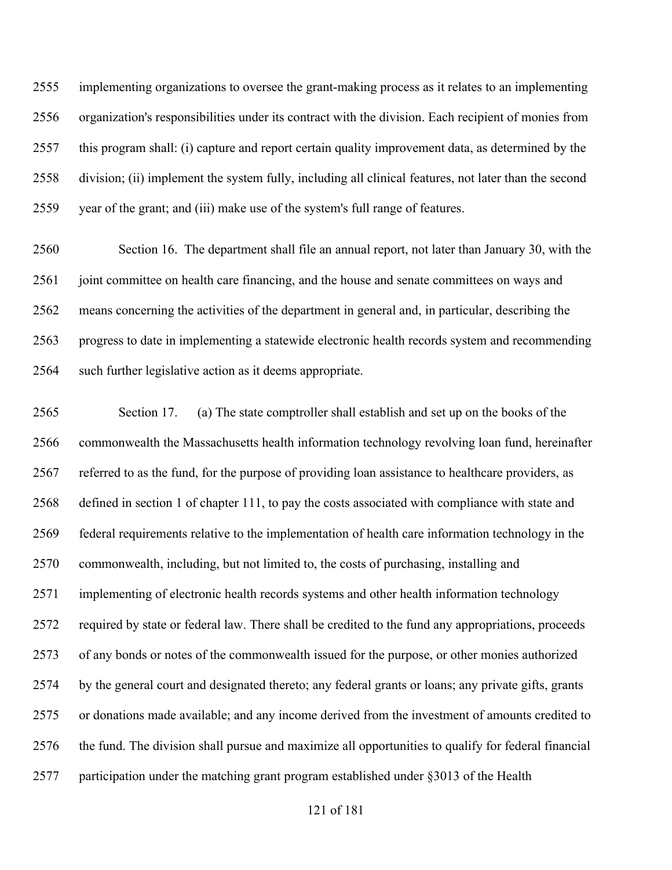implementing organizations to oversee the grant-making process as it relates to an implementing organization's responsibilities under its contract with the division. Each recipient of monies from this program shall: (i) capture and report certain quality improvement data, as determined by the division; (ii) implement the system fully, including all clinical features, not later than the second year of the grant; and (iii) make use of the system's full range of features.

 Section 16. The department shall file an annual report, not later than January 30, with the 2561 joint committee on health care financing, and the house and senate committees on ways and means concerning the activities of the department in general and, in particular, describing the progress to date in implementing a statewide electronic health records system and recommending such further legislative action as it deems appropriate.

 Section 17. (a) The state comptroller shall establish and set up on the books of the commonwealth the Massachusetts health information technology revolving loan fund, hereinafter referred to as the fund, for the purpose of providing loan assistance to healthcare providers, as defined in section 1 of chapter 111, to pay the costs associated with compliance with state and federal requirements relative to the implementation of health care information technology in the commonwealth, including, but not limited to, the costs of purchasing, installing and implementing of electronic health records systems and other health information technology required by state or federal law. There shall be credited to the fund any appropriations, proceeds of any bonds or notes of the commonwealth issued for the purpose, or other monies authorized by the general court and designated thereto; any federal grants or loans; any private gifts, grants or donations made available; and any income derived from the investment of amounts credited to the fund. The division shall pursue and maximize all opportunities to qualify for federal financial participation under the matching grant program established under §3013 of the Health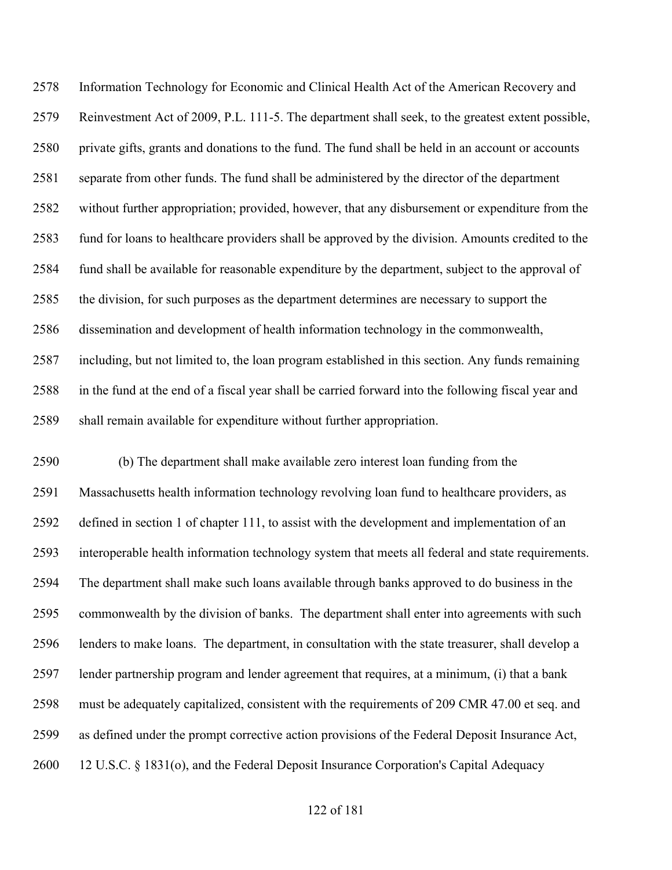Information Technology for Economic and Clinical Health Act of the American Recovery and Reinvestment Act of 2009, P.L. 111-5. The department shall seek, to the greatest extent possible, private gifts, grants and donations to the fund. The fund shall be held in an account or accounts separate from other funds. The fund shall be administered by the director of the department without further appropriation; provided, however, that any disbursement or expenditure from the fund for loans to healthcare providers shall be approved by the division. Amounts credited to the fund shall be available for reasonable expenditure by the department, subject to the approval of the division, for such purposes as the department determines are necessary to support the dissemination and development of health information technology in the commonwealth, including, but not limited to, the loan program established in this section. Any funds remaining in the fund at the end of a fiscal year shall be carried forward into the following fiscal year and shall remain available for expenditure without further appropriation.

 (b) The department shall make available zero interest loan funding from the Massachusetts health information technology revolving loan fund to healthcare providers, as defined in section 1 of chapter 111, to assist with the development and implementation of an interoperable health information technology system that meets all federal and state requirements. The department shall make such loans available through banks approved to do business in the commonwealth by the division of banks. The department shall enter into agreements with such lenders to make loans. The department, in consultation with the state treasurer, shall develop a lender partnership program and lender agreement that requires, at a minimum, (i) that a bank must be adequately capitalized, consistent with the requirements of 209 CMR 47.00 et seq. and as defined under the prompt corrective action provisions of the Federal Deposit Insurance Act, 12 U.S.C. § 1831(o), and the Federal Deposit Insurance Corporation's Capital Adequacy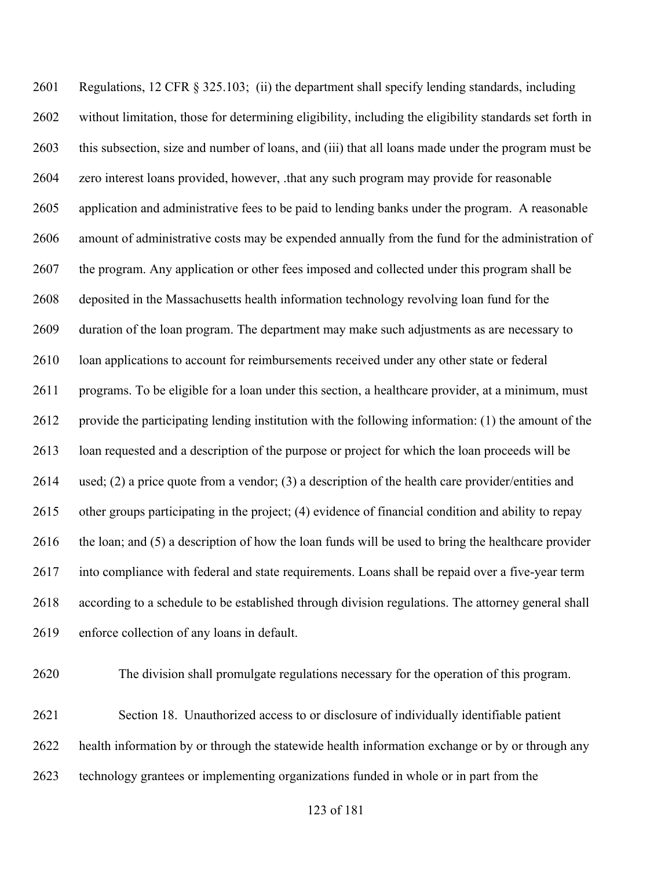Regulations, 12 CFR § 325.103; (ii) the department shall specify lending standards, including without limitation, those for determining eligibility, including the eligibility standards set forth in this subsection, size and number of loans, and (iii) that all loans made under the program must be zero interest loans provided, however, .that any such program may provide for reasonable application and administrative fees to be paid to lending banks under the program. A reasonable amount of administrative costs may be expended annually from the fund for the administration of the program. Any application or other fees imposed and collected under this program shall be deposited in the Massachusetts health information technology revolving loan fund for the duration of the loan program. The department may make such adjustments as are necessary to 2610 loan applications to account for reimbursements received under any other state or federal programs. To be eligible for a loan under this section, a healthcare provider, at a minimum, must provide the participating lending institution with the following information: (1) the amount of the loan requested and a description of the purpose or project for which the loan proceeds will be used; (2) a price quote from a vendor; (3) a description of the health care provider/entities and other groups participating in the project; (4) evidence of financial condition and ability to repay the loan; and (5) a description of how the loan funds will be used to bring the healthcare provider into compliance with federal and state requirements. Loans shall be repaid over a five-year term according to a schedule to be established through division regulations. The attorney general shall enforce collection of any loans in default.

The division shall promulgate regulations necessary for the operation of this program.

 Section 18. Unauthorized access to or disclosure of individually identifiable patient health information by or through the statewide health information exchange or by or through any technology grantees or implementing organizations funded in whole or in part from the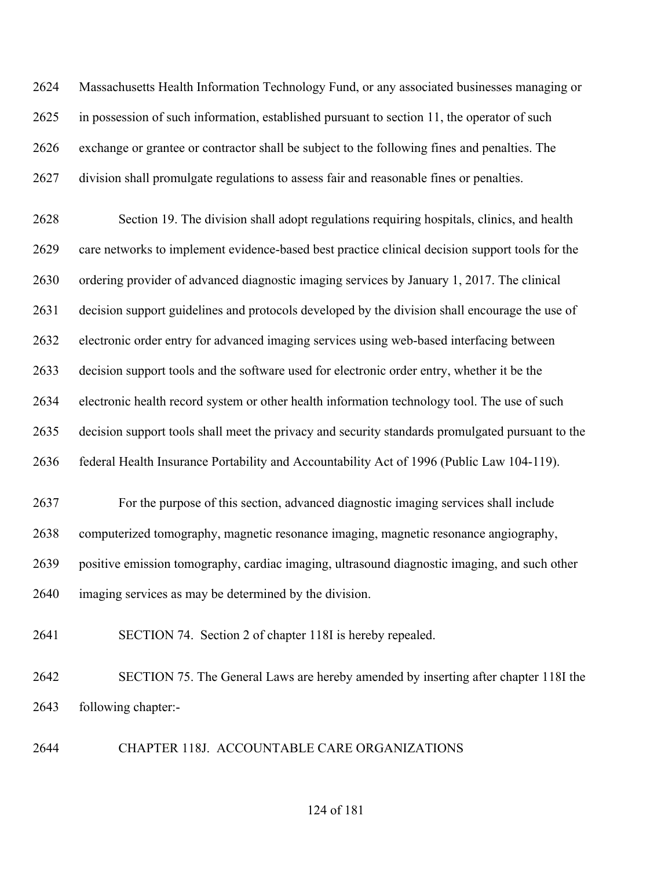Massachusetts Health Information Technology Fund, or any associated businesses managing or in possession of such information, established pursuant to section 11, the operator of such exchange or grantee or contractor shall be subject to the following fines and penalties. The division shall promulgate regulations to assess fair and reasonable fines or penalties.

 Section 19. The division shall adopt regulations requiring hospitals, clinics, and health care networks to implement evidence-based best practice clinical decision support tools for the ordering provider of advanced diagnostic imaging services by January 1, 2017. The clinical decision support guidelines and protocols developed by the division shall encourage the use of electronic order entry for advanced imaging services using web-based interfacing between decision support tools and the software used for electronic order entry, whether it be the electronic health record system or other health information technology tool. The use of such decision support tools shall meet the privacy and security standards promulgated pursuant to the federal Health Insurance Portability and Accountability Act of 1996 (Public Law 104-119).

 For the purpose of this section, advanced diagnostic imaging services shall include computerized tomography, magnetic resonance imaging, magnetic resonance angiography, positive emission tomography, cardiac imaging, ultrasound diagnostic imaging, and such other imaging services as may be determined by the division.

SECTION 74. Section 2 of chapter 118I is hereby repealed.

 SECTION 75. The General Laws are hereby amended by inserting after chapter 118I the following chapter:-

CHAPTER 118J. ACCOUNTABLE CARE ORGANIZATIONS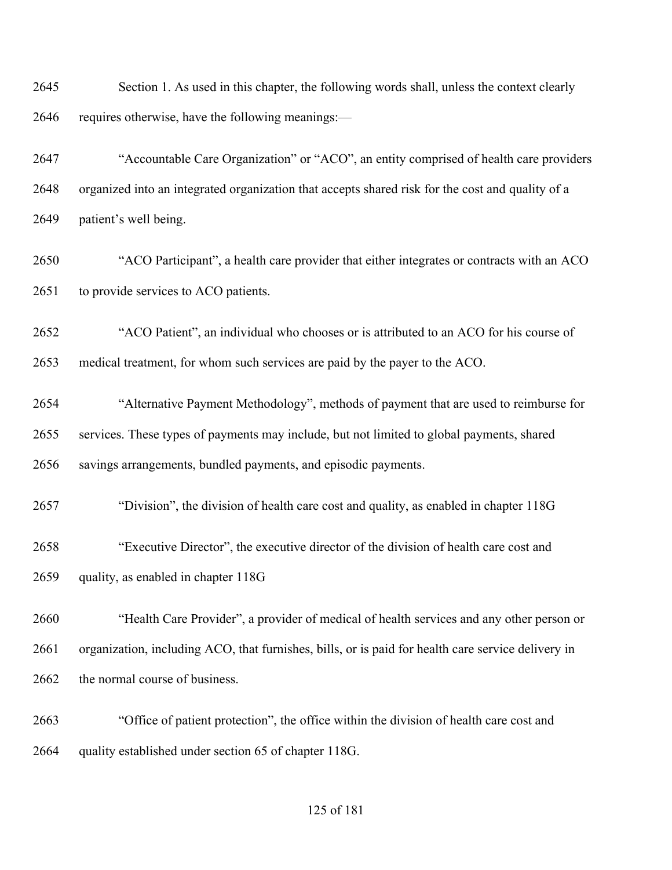Section 1. As used in this chapter, the following words shall, unless the context clearly requires otherwise, have the following meanings:—

 "Accountable Care Organization" or "ACO", an entity comprised of health care providers organized into an integrated organization that accepts shared risk for the cost and quality of a patient's well being.

 "ACO Participant", a health care provider that either integrates or contracts with an ACO 2651 to provide services to ACO patients.

 "ACO Patient", an individual who chooses or is attributed to an ACO for his course of medical treatment, for whom such services are paid by the payer to the ACO.

 "Alternative Payment Methodology", methods of payment that are used to reimburse for services. These types of payments may include, but not limited to global payments, shared savings arrangements, bundled payments, and episodic payments.

"Division", the division of health care cost and quality, as enabled in chapter 118G

 "Executive Director", the executive director of the division of health care cost and quality, as enabled in chapter 118G

 "Health Care Provider", a provider of medical of health services and any other person or organization, including ACO, that furnishes, bills, or is paid for health care service delivery in 2662 the normal course of business.

 "Office of patient protection", the office within the division of health care cost and quality established under section 65 of chapter 118G.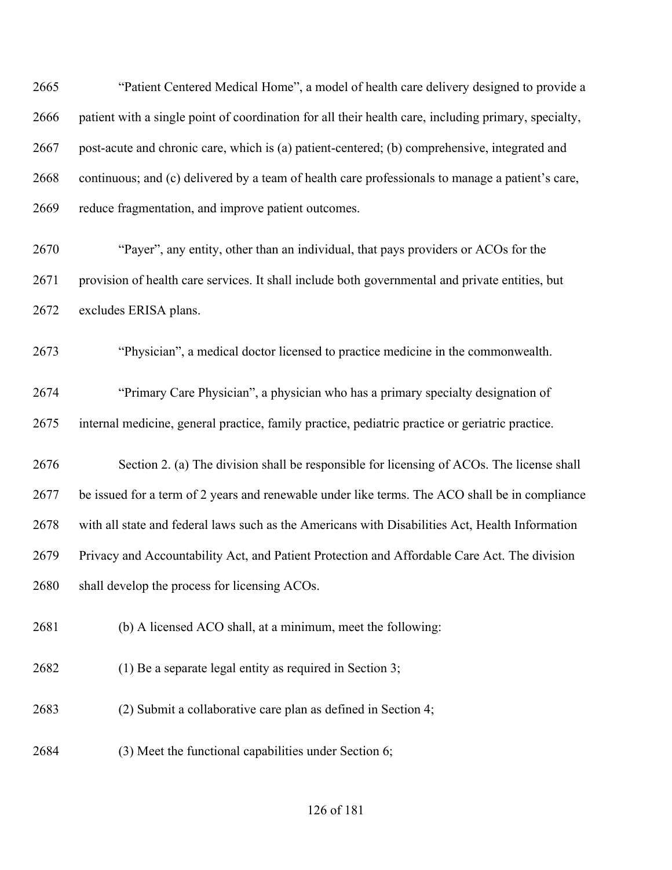"Patient Centered Medical Home", a model of health care delivery designed to provide a patient with a single point of coordination for all their health care, including primary, specialty, post-acute and chronic care, which is (a) patient-centered; (b) comprehensive, integrated and continuous; and (c) delivered by a team of health care professionals to manage a patient's care, reduce fragmentation, and improve patient outcomes.

 "Payer", any entity, other than an individual, that pays providers or ACOs for the provision of health care services. It shall include both governmental and private entities, but excludes ERISA plans.

"Physician", a medical doctor licensed to practice medicine in the commonwealth.

 "Primary Care Physician", a physician who has a primary specialty designation of internal medicine, general practice, family practice, pediatric practice or geriatric practice.

 Section 2. (a) The division shall be responsible for licensing of ACOs. The license shall be issued for a term of 2 years and renewable under like terms. The ACO shall be in compliance with all state and federal laws such as the Americans with Disabilities Act, Health Information Privacy and Accountability Act, and Patient Protection and Affordable Care Act. The division shall develop the process for licensing ACOs.

(b) A licensed ACO shall, at a minimum, meet the following:

(1) Be a separate legal entity as required in Section 3;

(2) Submit a collaborative care plan as defined in Section 4;

(3) Meet the functional capabilities under Section 6;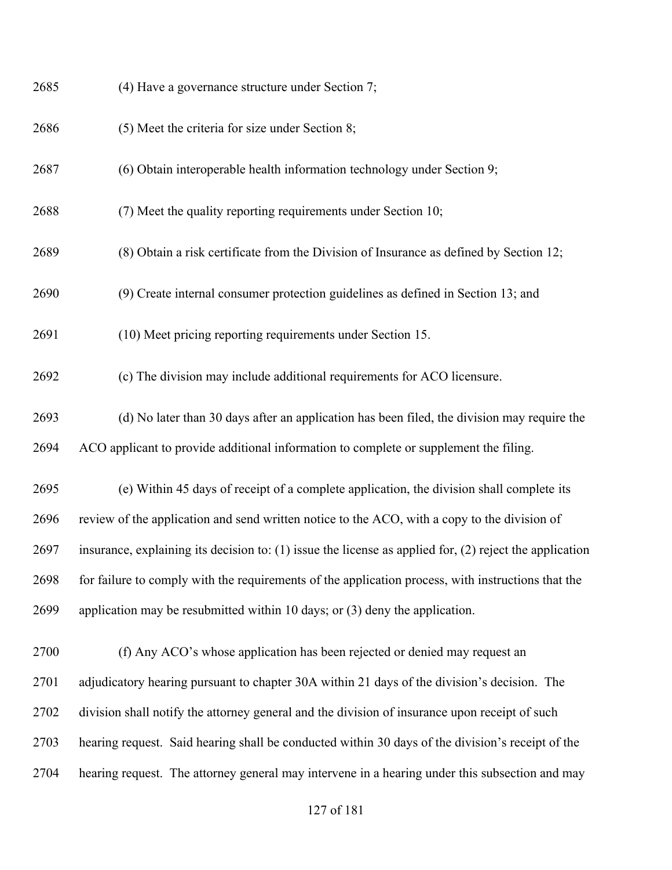| 2685 | (4) Have a governance structure under Section 7;                                                            |
|------|-------------------------------------------------------------------------------------------------------------|
| 2686 | (5) Meet the criteria for size under Section 8;                                                             |
| 2687 | (6) Obtain interoperable health information technology under Section 9;                                     |
| 2688 | (7) Meet the quality reporting requirements under Section 10;                                               |
| 2689 | (8) Obtain a risk certificate from the Division of Insurance as defined by Section 12;                      |
| 2690 | (9) Create internal consumer protection guidelines as defined in Section 13; and                            |
| 2691 | (10) Meet pricing reporting requirements under Section 15.                                                  |
| 2692 | (c) The division may include additional requirements for ACO licensure.                                     |
| 2693 | (d) No later than 30 days after an application has been filed, the division may require the                 |
| 2694 | ACO applicant to provide additional information to complete or supplement the filing.                       |
| 2695 | (e) Within 45 days of receipt of a complete application, the division shall complete its                    |
| 2696 | review of the application and send written notice to the ACO, with a copy to the division of                |
| 2697 | insurance, explaining its decision to: $(1)$ issue the license as applied for, $(2)$ reject the application |
| 2698 | for failure to comply with the requirements of the application process, with instructions that the          |
| 2699 | application may be resubmitted within 10 days; or $(3)$ deny the application.                               |
| 2700 | (f) Any ACO's whose application has been rejected or denied may request an                                  |
| 2701 | adjudicatory hearing pursuant to chapter 30A within 21 days of the division's decision. The                 |
| 2702 | division shall notify the attorney general and the division of insurance upon receipt of such               |
| 2703 | hearing request. Said hearing shall be conducted within 30 days of the division's receipt of the            |
| 2704 | hearing request. The attorney general may intervene in a hearing under this subsection and may              |
|      |                                                                                                             |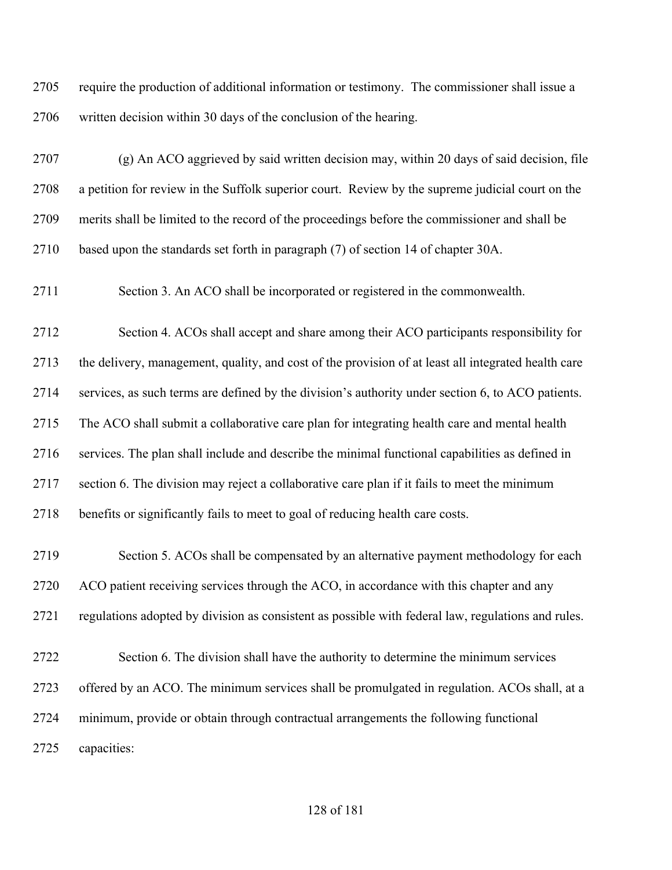require the production of additional information or testimony. The commissioner shall issue a written decision within 30 days of the conclusion of the hearing.

 (g) An ACO aggrieved by said written decision may, within 20 days of said decision, file a petition for review in the Suffolk superior court. Review by the supreme judicial court on the merits shall be limited to the record of the proceedings before the commissioner and shall be based upon the standards set forth in paragraph (7) of section 14 of chapter 30A.

Section 3. An ACO shall be incorporated or registered in the commonwealth.

 Section 4. ACOs shall accept and share among their ACO participants responsibility for the delivery, management, quality, and cost of the provision of at least all integrated health care services, as such terms are defined by the division's authority under section 6, to ACO patients. The ACO shall submit a collaborative care plan for integrating health care and mental health services. The plan shall include and describe the minimal functional capabilities as defined in section 6. The division may reject a collaborative care plan if it fails to meet the minimum benefits or significantly fails to meet to goal of reducing health care costs.

 Section 5. ACOs shall be compensated by an alternative payment methodology for each ACO patient receiving services through the ACO, in accordance with this chapter and any regulations adopted by division as consistent as possible with federal law, regulations and rules.

 Section 6. The division shall have the authority to determine the minimum services offered by an ACO. The minimum services shall be promulgated in regulation. ACOs shall, at a minimum, provide or obtain through contractual arrangements the following functional capacities: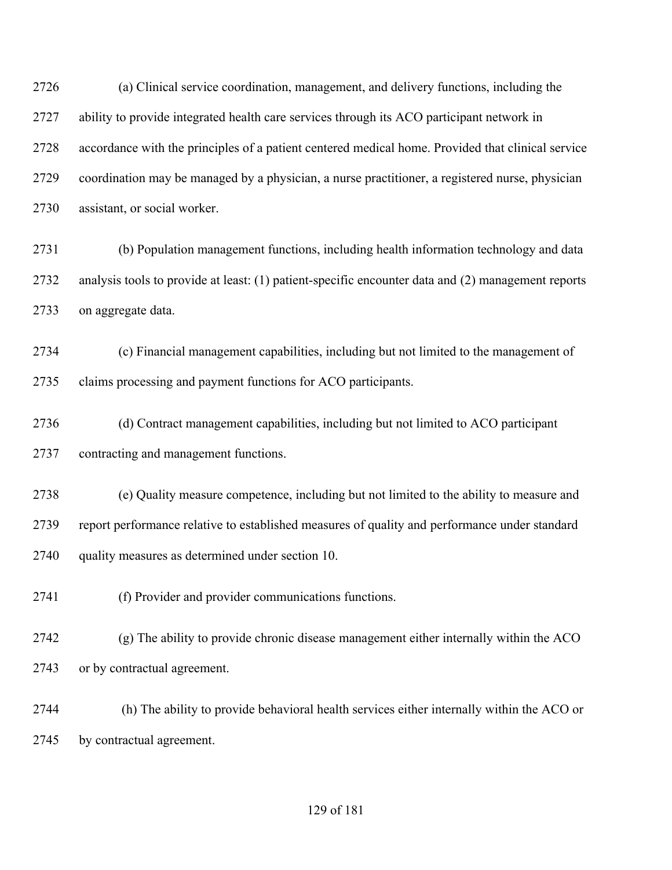(a) Clinical service coordination, management, and delivery functions, including the ability to provide integrated health care services through its ACO participant network in accordance with the principles of a patient centered medical home. Provided that clinical service coordination may be managed by a physician, a nurse practitioner, a registered nurse, physician assistant, or social worker.

 (b) Population management functions, including health information technology and data analysis tools to provide at least: (1) patient-specific encounter data and (2) management reports on aggregate data.

 (c) Financial management capabilities, including but not limited to the management of claims processing and payment functions for ACO participants.

 (d) Contract management capabilities, including but not limited to ACO participant contracting and management functions.

 (e) Quality measure competence, including but not limited to the ability to measure and report performance relative to established measures of quality and performance under standard quality measures as determined under section 10.

(f) Provider and provider communications functions.

 (g) The ability to provide chronic disease management either internally within the ACO or by contractual agreement.

 (h) The ability to provide behavioral health services either internally within the ACO or by contractual agreement.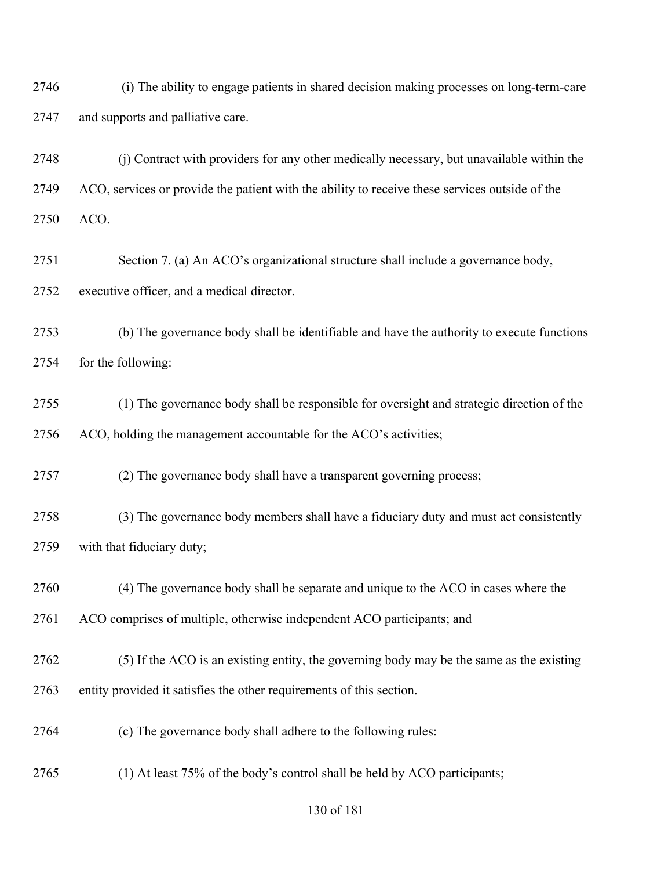(i) The ability to engage patients in shared decision making processes on long-term-care and supports and palliative care.

 (j) Contract with providers for any other medically necessary, but unavailable within the ACO, services or provide the patient with the ability to receive these services outside of the ACO.

 Section 7. (a) An ACO's organizational structure shall include a governance body, executive officer, and a medical director.

 (b) The governance body shall be identifiable and have the authority to execute functions for the following:

 (1) The governance body shall be responsible for oversight and strategic direction of the ACO, holding the management accountable for the ACO's activities;

(2) The governance body shall have a transparent governing process;

 (3) The governance body members shall have a fiduciary duty and must act consistently with that fiduciary duty;

(4) The governance body shall be separate and unique to the ACO in cases where the

ACO comprises of multiple, otherwise independent ACO participants; and

(5) If the ACO is an existing entity, the governing body may be the same as the existing

entity provided it satisfies the other requirements of this section.

- (c) The governance body shall adhere to the following rules:
- (1) At least 75% of the body's control shall be held by ACO participants;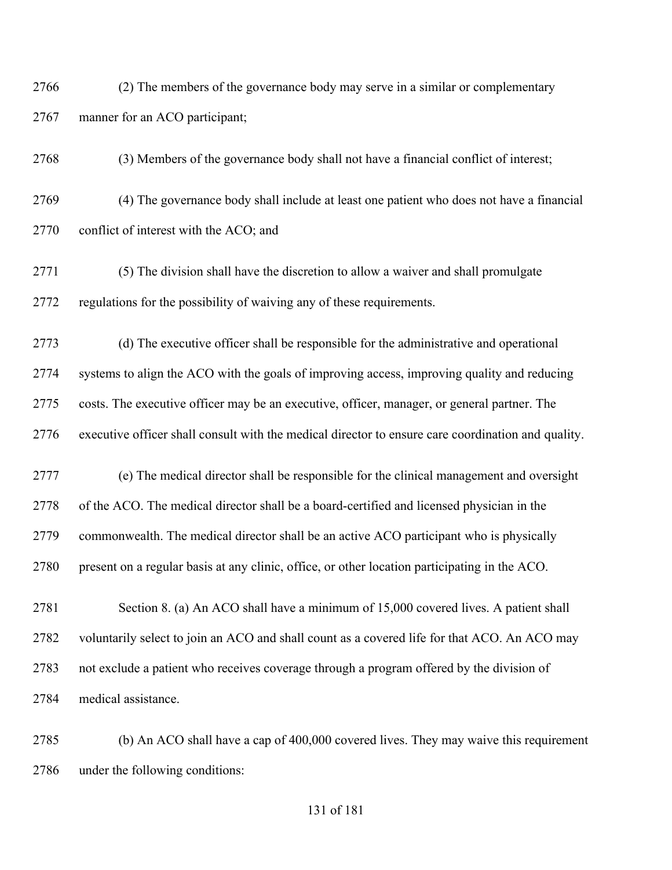(2) The members of the governance body may serve in a similar or complementary manner for an ACO participant;

(3) Members of the governance body shall not have a financial conflict of interest;

 (4) The governance body shall include at least one patient who does not have a financial conflict of interest with the ACO; and

 (5) The division shall have the discretion to allow a waiver and shall promulgate regulations for the possibility of waiving any of these requirements.

 (d) The executive officer shall be responsible for the administrative and operational systems to align the ACO with the goals of improving access, improving quality and reducing costs. The executive officer may be an executive, officer, manager, or general partner. The executive officer shall consult with the medical director to ensure care coordination and quality.

 (e) The medical director shall be responsible for the clinical management and oversight of the ACO. The medical director shall be a board-certified and licensed physician in the commonwealth. The medical director shall be an active ACO participant who is physically present on a regular basis at any clinic, office, or other location participating in the ACO.

 Section 8. (a) An ACO shall have a minimum of 15,000 covered lives. A patient shall voluntarily select to join an ACO and shall count as a covered life for that ACO. An ACO may not exclude a patient who receives coverage through a program offered by the division of medical assistance.

 (b) An ACO shall have a cap of 400,000 covered lives. They may waive this requirement under the following conditions: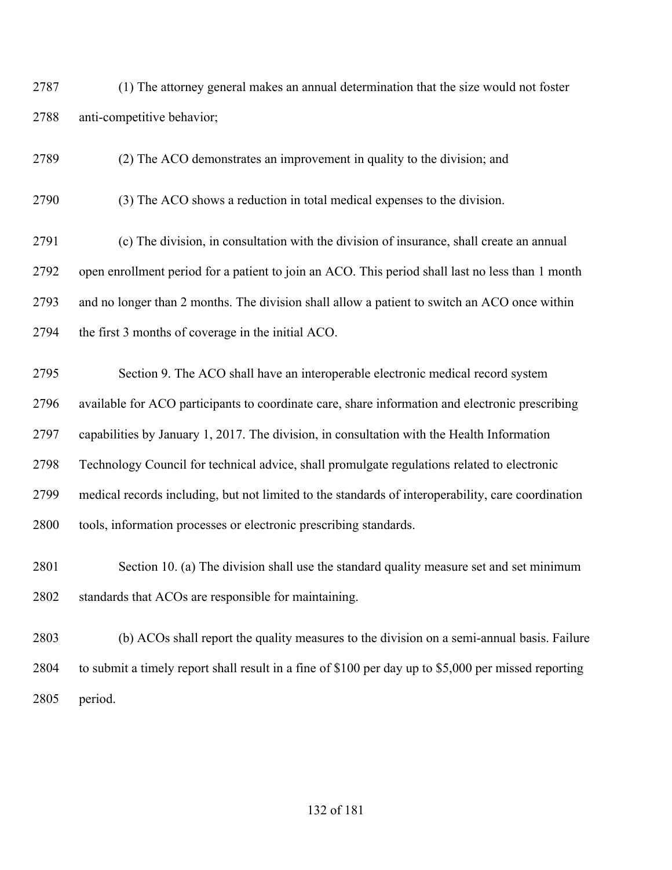(1) The attorney general makes an annual determination that the size would not foster anti-competitive behavior;

(2) The ACO demonstrates an improvement in quality to the division; and

(3) The ACO shows a reduction in total medical expenses to the division.

 (c) The division, in consultation with the division of insurance, shall create an annual open enrollment period for a patient to join an ACO. This period shall last no less than 1 month and no longer than 2 months. The division shall allow a patient to switch an ACO once within the first 3 months of coverage in the initial ACO.

 Section 9. The ACO shall have an interoperable electronic medical record system available for ACO participants to coordinate care, share information and electronic prescribing capabilities by January 1, 2017. The division, in consultation with the Health Information Technology Council for technical advice, shall promulgate regulations related to electronic medical records including, but not limited to the standards of interoperability, care coordination tools, information processes or electronic prescribing standards.

 Section 10. (a) The division shall use the standard quality measure set and set minimum standards that ACOs are responsible for maintaining.

 (b) ACOs shall report the quality measures to the division on a semi-annual basis. Failure to submit a timely report shall result in a fine of \$100 per day up to \$5,000 per missed reporting period.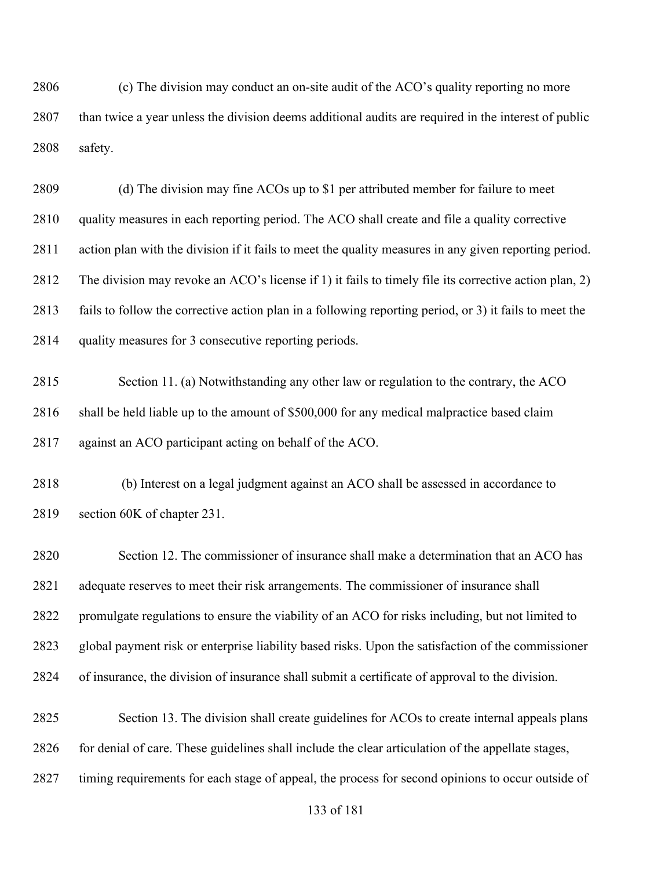(c) The division may conduct an on-site audit of the ACO's quality reporting no more than twice a year unless the division deems additional audits are required in the interest of public safety.

 (d) The division may fine ACOs up to \$1 per attributed member for failure to meet quality measures in each reporting period. The ACO shall create and file a quality corrective action plan with the division if it fails to meet the quality measures in any given reporting period. The division may revoke an ACO's license if 1) it fails to timely file its corrective action plan, 2) fails to follow the corrective action plan in a following reporting period, or 3) it fails to meet the quality measures for 3 consecutive reporting periods.

 Section 11. (a) Notwithstanding any other law or regulation to the contrary, the ACO 2816 shall be held liable up to the amount of \$500,000 for any medical malpractice based claim against an ACO participant acting on behalf of the ACO.

 (b) Interest on a legal judgment against an ACO shall be assessed in accordance to section 60K of chapter 231.

 Section 12. The commissioner of insurance shall make a determination that an ACO has adequate reserves to meet their risk arrangements. The commissioner of insurance shall promulgate regulations to ensure the viability of an ACO for risks including, but not limited to global payment risk or enterprise liability based risks. Upon the satisfaction of the commissioner of insurance, the division of insurance shall submit a certificate of approval to the division.

 Section 13. The division shall create guidelines for ACOs to create internal appeals plans for denial of care. These guidelines shall include the clear articulation of the appellate stages, timing requirements for each stage of appeal, the process for second opinions to occur outside of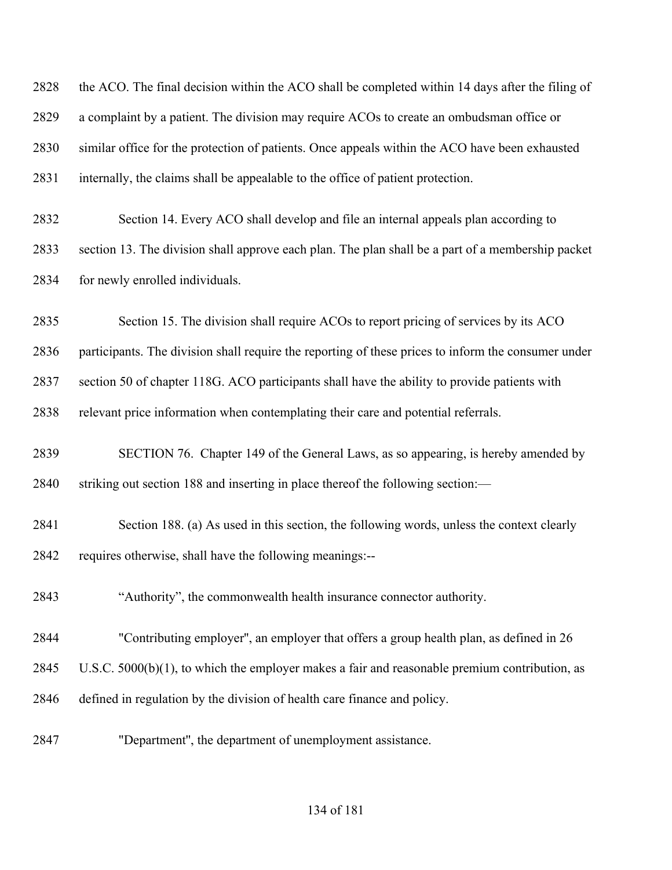| 2828 | the ACO. The final decision within the ACO shall be completed within 14 days after the filing of    |
|------|-----------------------------------------------------------------------------------------------------|
| 2829 | a complaint by a patient. The division may require ACOs to create an ombudsman office or            |
| 2830 | similar office for the protection of patients. Once appeals within the ACO have been exhausted      |
| 2831 | internally, the claims shall be appealable to the office of patient protection.                     |
| 2832 | Section 14. Every ACO shall develop and file an internal appeals plan according to                  |
| 2833 | section 13. The division shall approve each plan. The plan shall be a part of a membership packet   |
| 2834 | for newly enrolled individuals.                                                                     |
| 2835 | Section 15. The division shall require ACOs to report pricing of services by its ACO                |
| 2836 | participants. The division shall require the reporting of these prices to inform the consumer under |
| 2837 | section 50 of chapter 118G. ACO participants shall have the ability to provide patients with        |
| 2838 | relevant price information when contemplating their care and potential referrals.                   |
| 2839 | SECTION 76. Chapter 149 of the General Laws, as so appearing, is hereby amended by                  |
| 2840 | striking out section 188 and inserting in place thereof the following section:-                     |
| 2841 | Section 188. (a) As used in this section, the following words, unless the context clearly           |
| 2842 | requires otherwise, shall have the following meanings:--                                            |
| 2843 | "Authority", the commonwealth health insurance connector authority.                                 |
| 2844 | "Contributing employer", an employer that offers a group health plan, as defined in 26              |
| 2845 | U.S.C. $5000(b)(1)$ , to which the employer makes a fair and reasonable premium contribution, as    |
| 2846 | defined in regulation by the division of health care finance and policy.                            |
| 2847 | "Department", the department of unemployment assistance.                                            |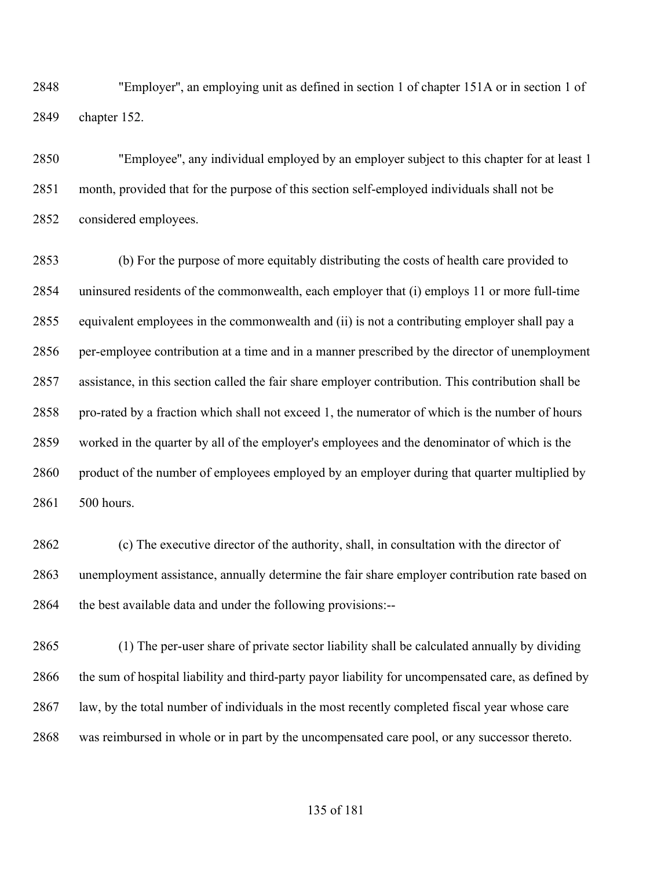"Employer'', an employing unit as defined in section 1 of chapter 151A or in section 1 of chapter 152.

 "Employee'', any individual employed by an employer subject to this chapter for at least 1 month, provided that for the purpose of this section self-employed individuals shall not be considered employees.

 (b) For the purpose of more equitably distributing the costs of health care provided to uninsured residents of the commonwealth, each employer that (i) employs 11 or more full-time equivalent employees in the commonwealth and (ii) is not a contributing employer shall pay a per-employee contribution at a time and in a manner prescribed by the director of unemployment assistance, in this section called the fair share employer contribution. This contribution shall be pro-rated by a fraction which shall not exceed 1, the numerator of which is the number of hours worked in the quarter by all of the employer's employees and the denominator of which is the 2860 product of the number of employees employed by an employer during that quarter multiplied by 500 hours.

 (c) The executive director of the authority, shall, in consultation with the director of unemployment assistance, annually determine the fair share employer contribution rate based on 2864 the best available data and under the following provisions:--

 (1) The per-user share of private sector liability shall be calculated annually by dividing the sum of hospital liability and third-party payor liability for uncompensated care, as defined by law, by the total number of individuals in the most recently completed fiscal year whose care was reimbursed in whole or in part by the uncompensated care pool, or any successor thereto.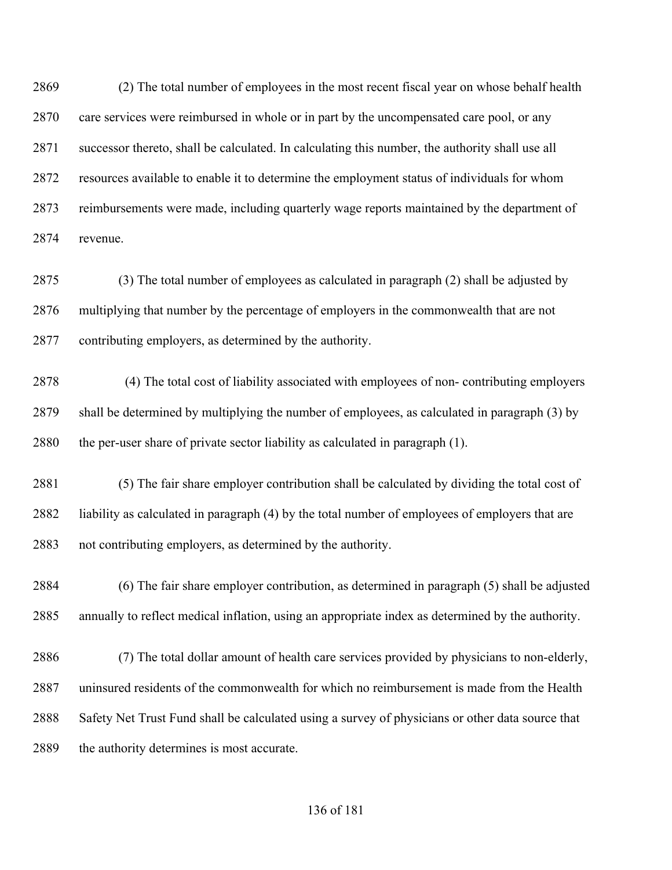(2) The total number of employees in the most recent fiscal year on whose behalf health care services were reimbursed in whole or in part by the uncompensated care pool, or any successor thereto, shall be calculated. In calculating this number, the authority shall use all resources available to enable it to determine the employment status of individuals for whom reimbursements were made, including quarterly wage reports maintained by the department of revenue.

 (3) The total number of employees as calculated in paragraph (2) shall be adjusted by multiplying that number by the percentage of employers in the commonwealth that are not contributing employers, as determined by the authority.

2878 (4) The total cost of liability associated with employees of non- contributing employers shall be determined by multiplying the number of employees, as calculated in paragraph (3) by the per-user share of private sector liability as calculated in paragraph (1).

 (5) The fair share employer contribution shall be calculated by dividing the total cost of liability as calculated in paragraph (4) by the total number of employees of employers that are not contributing employers, as determined by the authority.

 (6) The fair share employer contribution, as determined in paragraph (5) shall be adjusted annually to reflect medical inflation, using an appropriate index as determined by the authority.

 (7) The total dollar amount of health care services provided by physicians to non-elderly, uninsured residents of the commonwealth for which no reimbursement is made from the Health Safety Net Trust Fund shall be calculated using a survey of physicians or other data source that 2889 the authority determines is most accurate.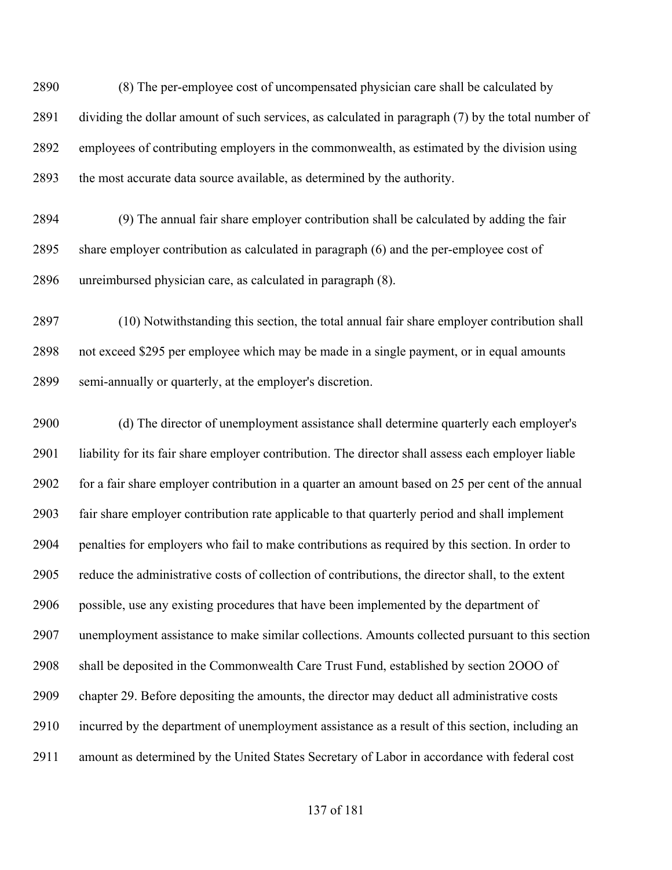(8) The per-employee cost of uncompensated physician care shall be calculated by dividing the dollar amount of such services, as calculated in paragraph (7) by the total number of employees of contributing employers in the commonwealth, as estimated by the division using the most accurate data source available, as determined by the authority.

 (9) The annual fair share employer contribution shall be calculated by adding the fair share employer contribution as calculated in paragraph (6) and the per-employee cost of unreimbursed physician care, as calculated in paragraph (8).

 (10) Notwithstanding this section, the total annual fair share employer contribution shall not exceed \$295 per employee which may be made in a single payment, or in equal amounts semi-annually or quarterly, at the employer's discretion.

 (d) The director of unemployment assistance shall determine quarterly each employer's liability for its fair share employer contribution. The director shall assess each employer liable for a fair share employer contribution in a quarter an amount based on 25 per cent of the annual fair share employer contribution rate applicable to that quarterly period and shall implement penalties for employers who fail to make contributions as required by this section. In order to reduce the administrative costs of collection of contributions, the director shall, to the extent possible, use any existing procedures that have been implemented by the department of unemployment assistance to make similar collections. Amounts collected pursuant to this section shall be deposited in the Commonwealth Care Trust Fund, established by section 2OOO of chapter 29. Before depositing the amounts, the director may deduct all administrative costs incurred by the department of unemployment assistance as a result of this section, including an amount as determined by the United States Secretary of Labor in accordance with federal cost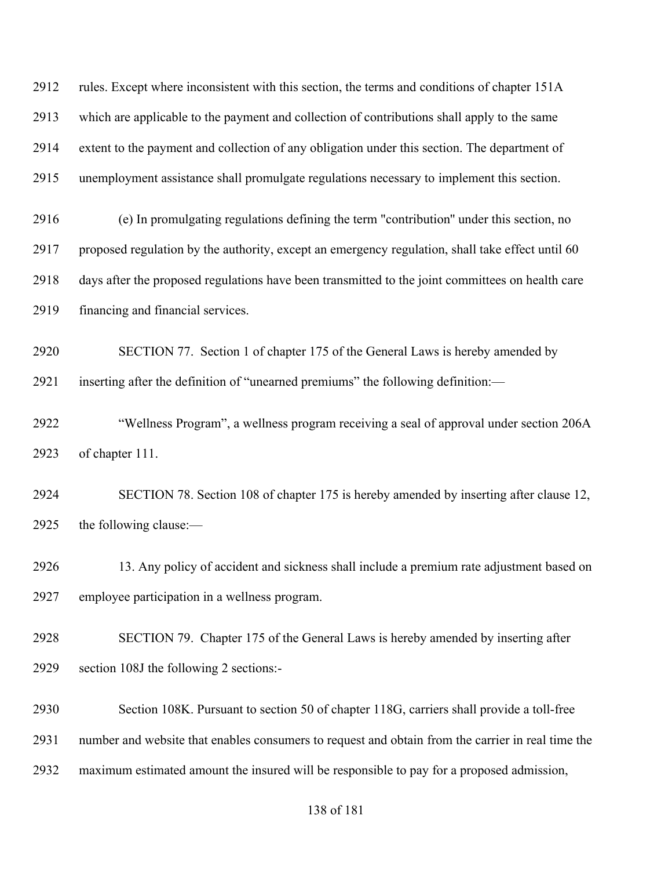rules. Except where inconsistent with this section, the terms and conditions of chapter 151A which are applicable to the payment and collection of contributions shall apply to the same extent to the payment and collection of any obligation under this section. The department of unemployment assistance shall promulgate regulations necessary to implement this section.

 (e) In promulgating regulations defining the term "contribution'' under this section, no proposed regulation by the authority, except an emergency regulation, shall take effect until 60 days after the proposed regulations have been transmitted to the joint committees on health care financing and financial services.

 SECTION 77. Section 1 of chapter 175 of the General Laws is hereby amended by inserting after the definition of "unearned premiums" the following definition:—

 "Wellness Program", a wellness program receiving a seal of approval under section 206A of chapter 111.

 SECTION 78. Section 108 of chapter 175 is hereby amended by inserting after clause 12, the following clause:—

 13. Any policy of accident and sickness shall include a premium rate adjustment based on employee participation in a wellness program.

 SECTION 79. Chapter 175 of the General Laws is hereby amended by inserting after section 108J the following 2 sections:-

 Section 108K. Pursuant to section 50 of chapter 118G, carriers shall provide a toll-free number and website that enables consumers to request and obtain from the carrier in real time the maximum estimated amount the insured will be responsible to pay for a proposed admission,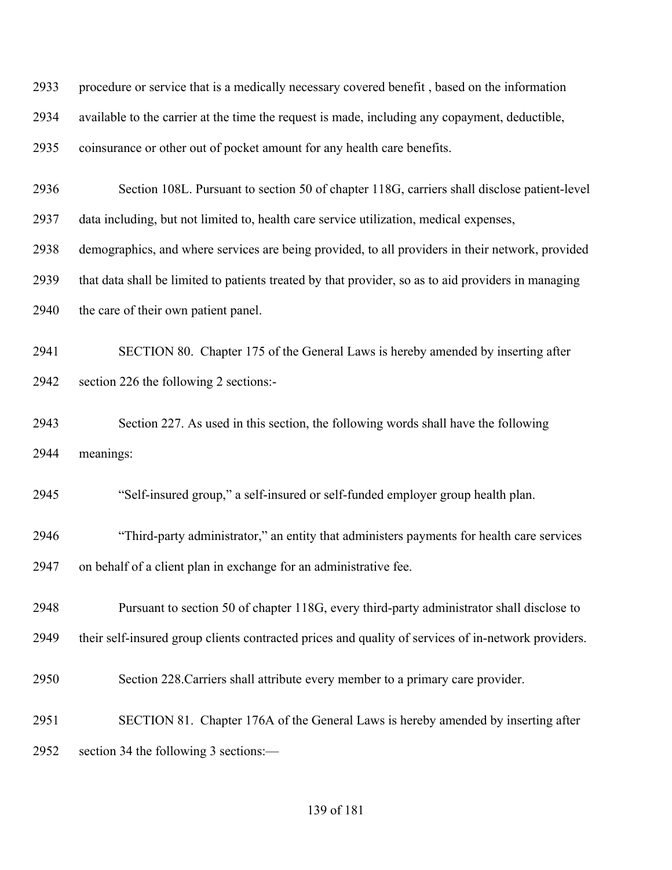| 2933 | procedure or service that is a medically necessary covered benefit, based on the information        |
|------|-----------------------------------------------------------------------------------------------------|
| 2934 | available to the carrier at the time the request is made, including any copayment, deductible,      |
| 2935 | coinsurance or other out of pocket amount for any health care benefits.                             |
| 2936 | Section 108L. Pursuant to section 50 of chapter 118G, carriers shall disclose patient-level         |
| 2937 | data including, but not limited to, health care service utilization, medical expenses,              |
| 2938 | demographics, and where services are being provided, to all providers in their network, provided    |
| 2939 | that data shall be limited to patients treated by that provider, so as to aid providers in managing |
| 2940 | the care of their own patient panel.                                                                |
| 2941 | SECTION 80. Chapter 175 of the General Laws is hereby amended by inserting after                    |
| 2942 | section 226 the following 2 sections:-                                                              |
| 2943 | Section 227. As used in this section, the following words shall have the following                  |
| 2944 | meanings:                                                                                           |
| 2945 | "Self-insured group," a self-insured or self-funded employer group health plan.                     |
| 2946 | "Third-party administrator," an entity that administers payments for health care services           |
| 2947 | on behalf of a client plan in exchange for an administrative fee.                                   |
| 2948 | Pursuant to section 50 of chapter 118G, every third-party administrator shall disclose to           |
| 2949 | their self-insured group clients contracted prices and quality of services of in-network providers. |
| 2950 | Section 228. Carriers shall attribute every member to a primary care provider.                      |
| 2951 | SECTION 81. Chapter 176A of the General Laws is hereby amended by inserting after                   |
| 2952 | section 34 the following 3 sections:—                                                               |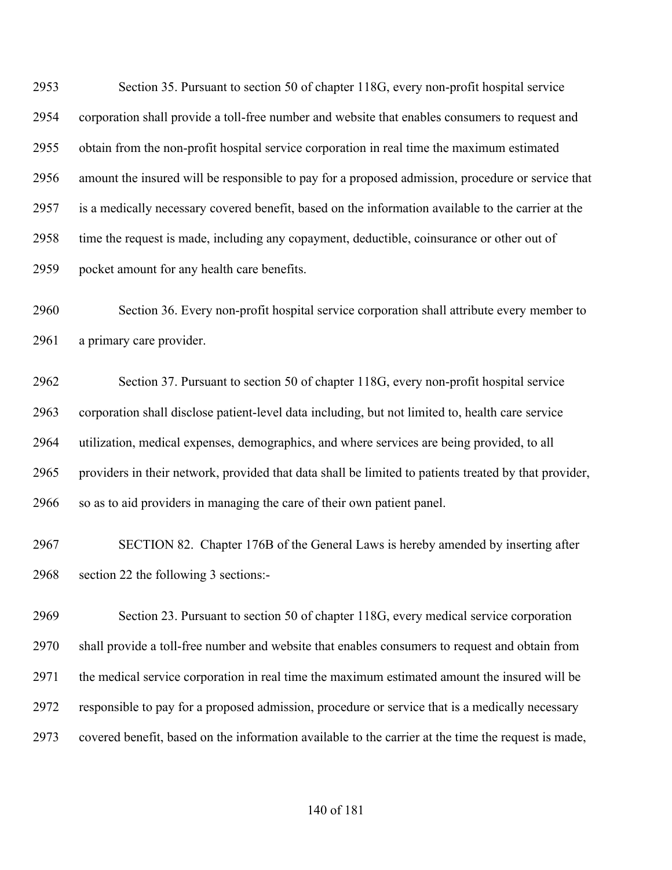Section 35. Pursuant to section 50 of chapter 118G, every non-profit hospital service corporation shall provide a toll-free number and website that enables consumers to request and obtain from the non-profit hospital service corporation in real time the maximum estimated amount the insured will be responsible to pay for a proposed admission, procedure or service that is a medically necessary covered benefit, based on the information available to the carrier at the time the request is made, including any copayment, deductible, coinsurance or other out of pocket amount for any health care benefits.

 Section 36. Every non-profit hospital service corporation shall attribute every member to a primary care provider.

 Section 37. Pursuant to section 50 of chapter 118G, every non-profit hospital service corporation shall disclose patient-level data including, but not limited to, health care service utilization, medical expenses, demographics, and where services are being provided, to all providers in their network, provided that data shall be limited to patients treated by that provider, so as to aid providers in managing the care of their own patient panel.

 SECTION 82. Chapter 176B of the General Laws is hereby amended by inserting after section 22 the following 3 sections:-

 Section 23. Pursuant to section 50 of chapter 118G, every medical service corporation shall provide a toll-free number and website that enables consumers to request and obtain from the medical service corporation in real time the maximum estimated amount the insured will be responsible to pay for a proposed admission, procedure or service that is a medically necessary covered benefit, based on the information available to the carrier at the time the request is made,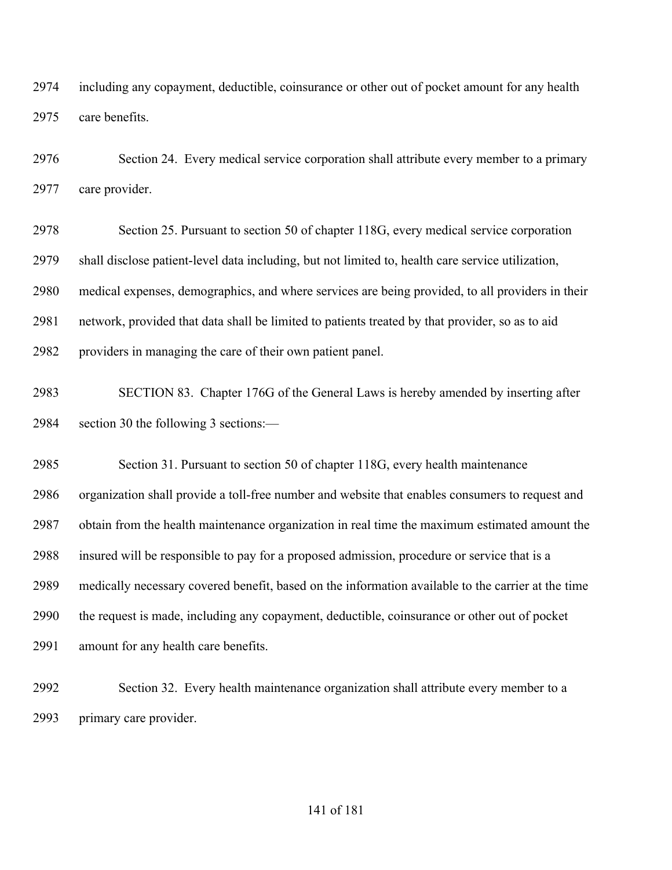including any copayment, deductible, coinsurance or other out of pocket amount for any health care benefits.

 Section 24. Every medical service corporation shall attribute every member to a primary care provider.

 Section 25. Pursuant to section 50 of chapter 118G, every medical service corporation shall disclose patient-level data including, but not limited to, health care service utilization, medical expenses, demographics, and where services are being provided, to all providers in their network, provided that data shall be limited to patients treated by that provider, so as to aid providers in managing the care of their own patient panel.

 SECTION 83. Chapter 176G of the General Laws is hereby amended by inserting after section 30 the following 3 sections:—

 Section 31. Pursuant to section 50 of chapter 118G, every health maintenance organization shall provide a toll-free number and website that enables consumers to request and obtain from the health maintenance organization in real time the maximum estimated amount the insured will be responsible to pay for a proposed admission, procedure or service that is a medically necessary covered benefit, based on the information available to the carrier at the time the request is made, including any copayment, deductible, coinsurance or other out of pocket amount for any health care benefits.

 Section 32. Every health maintenance organization shall attribute every member to a primary care provider.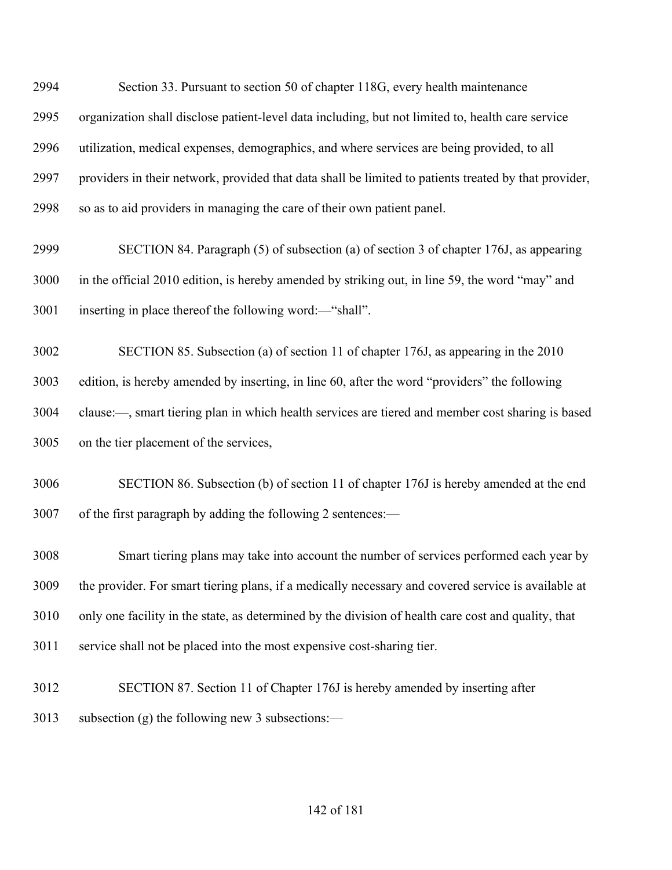Section 33. Pursuant to section 50 of chapter 118G, every health maintenance organization shall disclose patient-level data including, but not limited to, health care service utilization, medical expenses, demographics, and where services are being provided, to all providers in their network, provided that data shall be limited to patients treated by that provider, so as to aid providers in managing the care of their own patient panel.

 SECTION 84. Paragraph (5) of subsection (a) of section 3 of chapter 176J, as appearing in the official 2010 edition, is hereby amended by striking out, in line 59, the word "may" and inserting in place thereof the following word:—"shall".

 SECTION 85. Subsection (a) of section 11 of chapter 176J, as appearing in the 2010 edition, is hereby amended by inserting, in line 60, after the word "providers" the following clause:—, smart tiering plan in which health services are tiered and member cost sharing is based on the tier placement of the services,

 SECTION 86. Subsection (b) of section 11 of chapter 176J is hereby amended at the end of the first paragraph by adding the following 2 sentences:—

 Smart tiering plans may take into account the number of services performed each year by the provider. For smart tiering plans, if a medically necessary and covered service is available at only one facility in the state, as determined by the division of health care cost and quality, that service shall not be placed into the most expensive cost-sharing tier.

 SECTION 87. Section 11 of Chapter 176J is hereby amended by inserting after subsection (g) the following new 3 subsections:—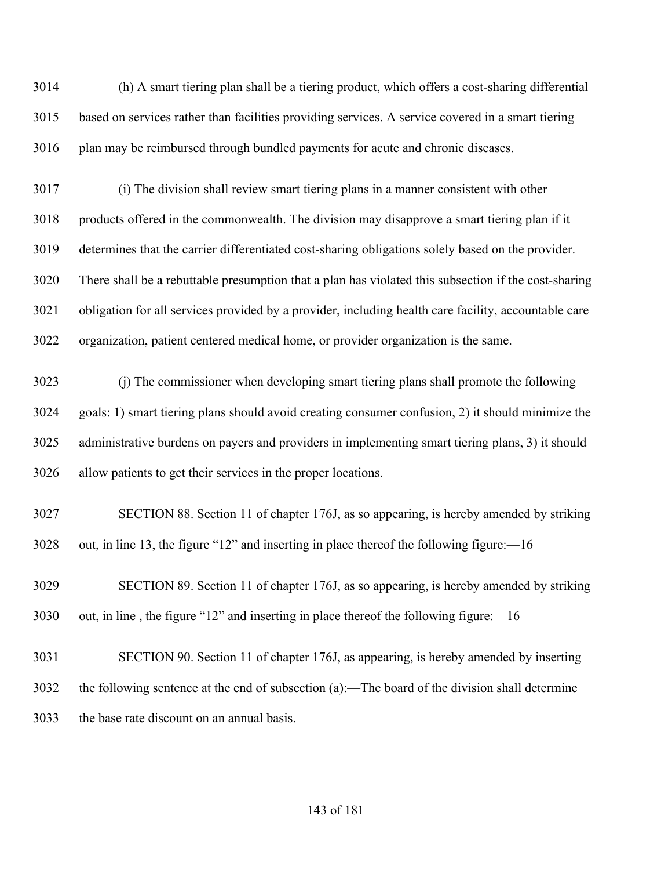(h) A smart tiering plan shall be a tiering product, which offers a cost-sharing differential based on services rather than facilities providing services. A service covered in a smart tiering plan may be reimbursed through bundled payments for acute and chronic diseases.

 (i) The division shall review smart tiering plans in a manner consistent with other products offered in the commonwealth. The division may disapprove a smart tiering plan if it determines that the carrier differentiated cost-sharing obligations solely based on the provider. There shall be a rebuttable presumption that a plan has violated this subsection if the cost-sharing obligation for all services provided by a provider, including health care facility, accountable care organization, patient centered medical home, or provider organization is the same.

 (j) The commissioner when developing smart tiering plans shall promote the following goals: 1) smart tiering plans should avoid creating consumer confusion, 2) it should minimize the administrative burdens on payers and providers in implementing smart tiering plans, 3) it should allow patients to get their services in the proper locations.

 SECTION 88. Section 11 of chapter 176J, as so appearing, is hereby amended by striking out, in line 13, the figure "12" and inserting in place thereof the following figure:—16

 SECTION 89. Section 11 of chapter 176J, as so appearing, is hereby amended by striking out, in line , the figure "12" and inserting in place thereof the following figure:—16

 SECTION 90. Section 11 of chapter 176J, as appearing, is hereby amended by inserting the following sentence at the end of subsection (a):—The board of the division shall determine the base rate discount on an annual basis.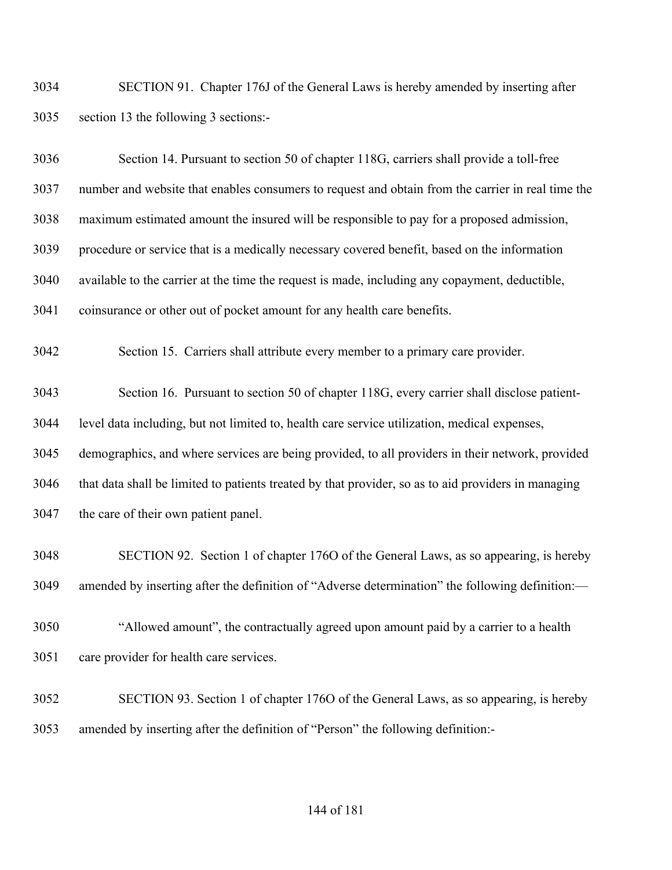SECTION 91. Chapter 176J of the General Laws is hereby amended by inserting after section 13 the following 3 sections:-

| 3036 | Section 14. Pursuant to section 50 of chapter 118G, carriers shall provide a toll-free              |
|------|-----------------------------------------------------------------------------------------------------|
| 3037 | number and website that enables consumers to request and obtain from the carrier in real time the   |
| 3038 | maximum estimated amount the insured will be responsible to pay for a proposed admission,           |
| 3039 | procedure or service that is a medically necessary covered benefit, based on the information        |
| 3040 | available to the carrier at the time the request is made, including any copayment, deductible,      |
| 3041 | coinsurance or other out of pocket amount for any health care benefits.                             |
| 3042 | Section 15. Carriers shall attribute every member to a primary care provider.                       |
| 3043 | Section 16. Pursuant to section 50 of chapter 118G, every carrier shall disclose patient-           |
| 3044 | level data including, but not limited to, health care service utilization, medical expenses,        |
| 3045 | demographics, and where services are being provided, to all providers in their network, provided    |
| 3046 | that data shall be limited to patients treated by that provider, so as to aid providers in managing |
| 3047 | the care of their own patient panel.                                                                |
| 3048 | SECTION 92. Section 1 of chapter 1760 of the General Laws, as so appearing, is hereby               |
| 3049 | amended by inserting after the definition of "Adverse determination" the following definition:-     |
| 3050 | "Allowed amount", the contractually agreed upon amount paid by a carrier to a health                |
| 3051 | care provider for health care services.                                                             |
| 3052 | SECTION 93. Section 1 of chapter 1760 of the General Laws, as so appearing, is hereby               |
| 3053 | amended by inserting after the definition of "Person" the following definition:-                    |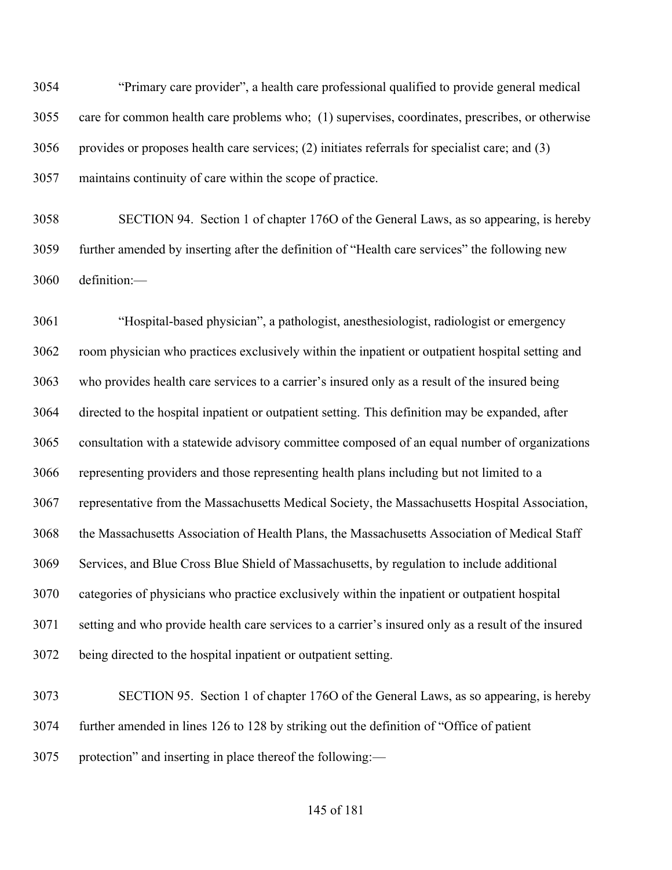"Primary care provider", a health care professional qualified to provide general medical care for common health care problems who; (1) supervises, coordinates, prescribes, or otherwise provides or proposes health care services; (2) initiates referrals for specialist care; and (3) maintains continuity of care within the scope of practice.

 SECTION 94. Section 1 of chapter 176O of the General Laws, as so appearing, is hereby further amended by inserting after the definition of "Health care services" the following new definition:—

 "Hospital-based physician", a pathologist, anesthesiologist, radiologist or emergency room physician who practices exclusively within the inpatient or outpatient hospital setting and who provides health care services to a carrier's insured only as a result of the insured being directed to the hospital inpatient or outpatient setting. This definition may be expanded, after consultation with a statewide advisory committee composed of an equal number of organizations representing providers and those representing health plans including but not limited to a representative from the Massachusetts Medical Society, the Massachusetts Hospital Association, the Massachusetts Association of Health Plans, the Massachusetts Association of Medical Staff Services, and Blue Cross Blue Shield of Massachusetts, by regulation to include additional categories of physicians who practice exclusively within the inpatient or outpatient hospital setting and who provide health care services to a carrier's insured only as a result of the insured being directed to the hospital inpatient or outpatient setting.

 SECTION 95. Section 1 of chapter 176O of the General Laws, as so appearing, is hereby further amended in lines 126 to 128 by striking out the definition of "Office of patient protection" and inserting in place thereof the following:—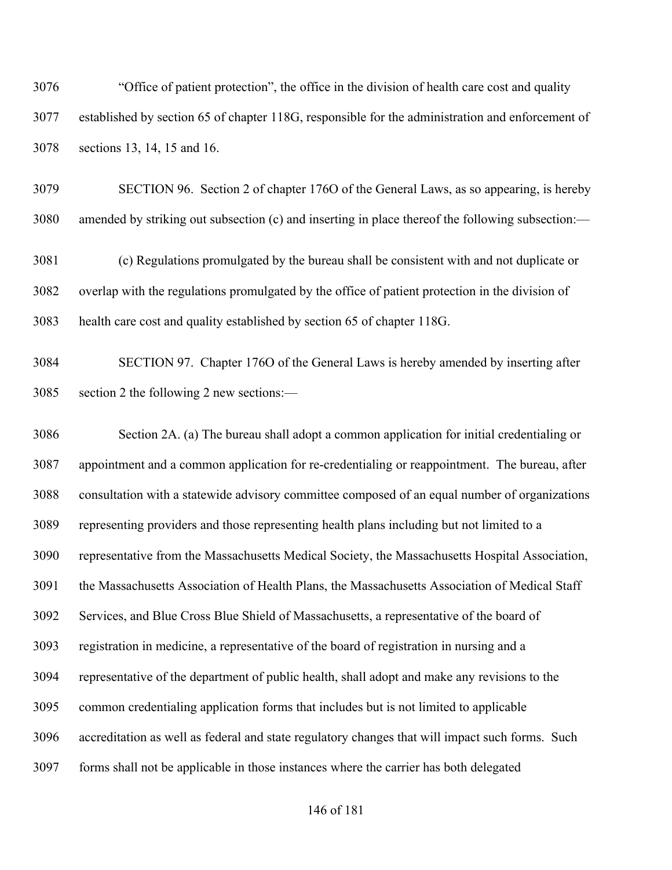"Office of patient protection", the office in the division of health care cost and quality established by section 65 of chapter 118G, responsible for the administration and enforcement of sections 13, 14, 15 and 16.

 SECTION 96. Section 2 of chapter 176O of the General Laws, as so appearing, is hereby amended by striking out subsection (c) and inserting in place thereof the following subsection:—

 (c) Regulations promulgated by the bureau shall be consistent with and not duplicate or overlap with the regulations promulgated by the office of patient protection in the division of health care cost and quality established by section 65 of chapter 118G.

 SECTION 97. Chapter 176O of the General Laws is hereby amended by inserting after section 2 the following 2 new sections:—

 Section 2A. (a) The bureau shall adopt a common application for initial credentialing or appointment and a common application for re-credentialing or reappointment. The bureau, after consultation with a statewide advisory committee composed of an equal number of organizations representing providers and those representing health plans including but not limited to a representative from the Massachusetts Medical Society, the Massachusetts Hospital Association, the Massachusetts Association of Health Plans, the Massachusetts Association of Medical Staff Services, and Blue Cross Blue Shield of Massachusetts, a representative of the board of registration in medicine, a representative of the board of registration in nursing and a representative of the department of public health, shall adopt and make any revisions to the common credentialing application forms that includes but is not limited to applicable accreditation as well as federal and state regulatory changes that will impact such forms. Such forms shall not be applicable in those instances where the carrier has both delegated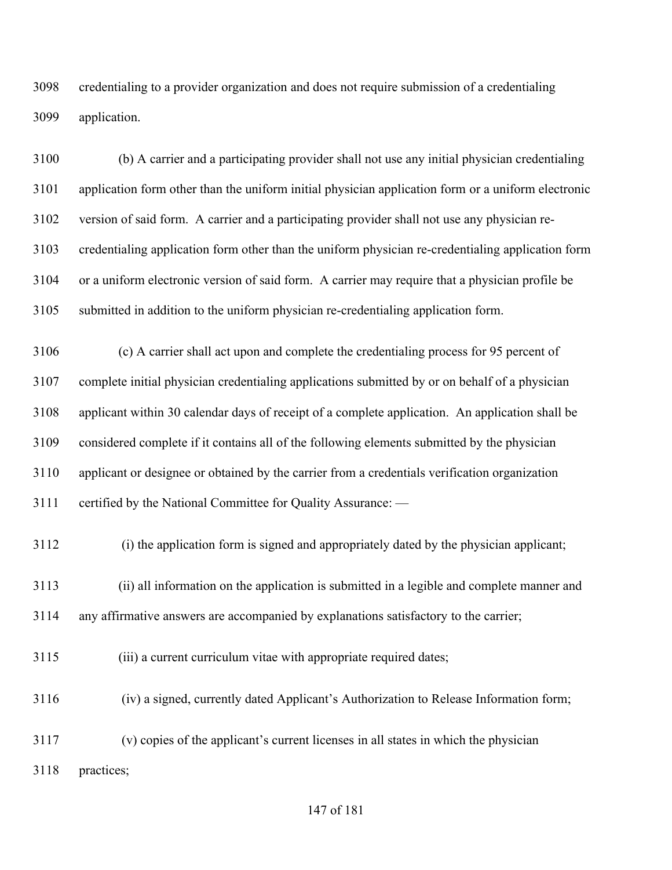credentialing to a provider organization and does not require submission of a credentialing application.

 (b) A carrier and a participating provider shall not use any initial physician credentialing application form other than the uniform initial physician application form or a uniform electronic version of said form. A carrier and a participating provider shall not use any physician re- credentialing application form other than the uniform physician re-credentialing application form or a uniform electronic version of said form. A carrier may require that a physician profile be submitted in addition to the uniform physician re-credentialing application form.

 (c) A carrier shall act upon and complete the credentialing process for 95 percent of complete initial physician credentialing applications submitted by or on behalf of a physician applicant within 30 calendar days of receipt of a complete application. An application shall be considered complete if it contains all of the following elements submitted by the physician applicant or designee or obtained by the carrier from a credentials verification organization certified by the National Committee for Quality Assurance: —

(i) the application form is signed and appropriately dated by the physician applicant;

 (ii) all information on the application is submitted in a legible and complete manner and any affirmative answers are accompanied by explanations satisfactory to the carrier;

(iii) a current curriculum vitae with appropriate required dates;

(iv) a signed, currently dated Applicant's Authorization to Release Information form;

 (v) copies of the applicant's current licenses in all states in which the physician practices;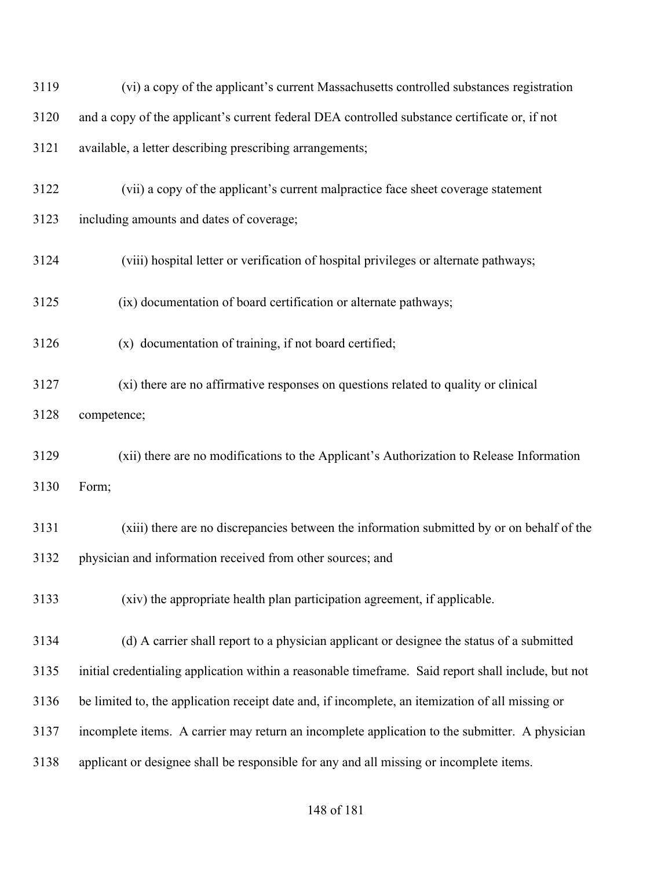| 3119 | (vi) a copy of the applicant's current Massachusetts controlled substances registration             |
|------|-----------------------------------------------------------------------------------------------------|
| 3120 | and a copy of the applicant's current federal DEA controlled substance certificate or, if not       |
| 3121 | available, a letter describing prescribing arrangements;                                            |
| 3122 | (vii) a copy of the applicant's current malpractice face sheet coverage statement                   |
| 3123 | including amounts and dates of coverage;                                                            |
| 3124 | (viii) hospital letter or verification of hospital privileges or alternate pathways;                |
| 3125 | (ix) documentation of board certification or alternate pathways;                                    |
| 3126 | (x) documentation of training, if not board certified;                                              |
| 3127 | (xi) there are no affirmative responses on questions related to quality or clinical                 |
| 3128 | competence;                                                                                         |
| 3129 | (xii) there are no modifications to the Applicant's Authorization to Release Information            |
| 3130 | Form;                                                                                               |
| 3131 | (xiii) there are no discrepancies between the information submitted by or on behalf of the          |
| 3132 | physician and information received from other sources; and                                          |
| 3133 | (xiv) the appropriate health plan participation agreement, if applicable.                           |
| 3134 | (d) A carrier shall report to a physician applicant or designee the status of a submitted           |
| 3135 | initial credentialing application within a reasonable timeframe. Said report shall include, but not |
| 3136 | be limited to, the application receipt date and, if incomplete, an itemization of all missing or    |
| 3137 | incomplete items. A carrier may return an incomplete application to the submitter. A physician      |
| 3138 | applicant or designee shall be responsible for any and all missing or incomplete items.             |
|      |                                                                                                     |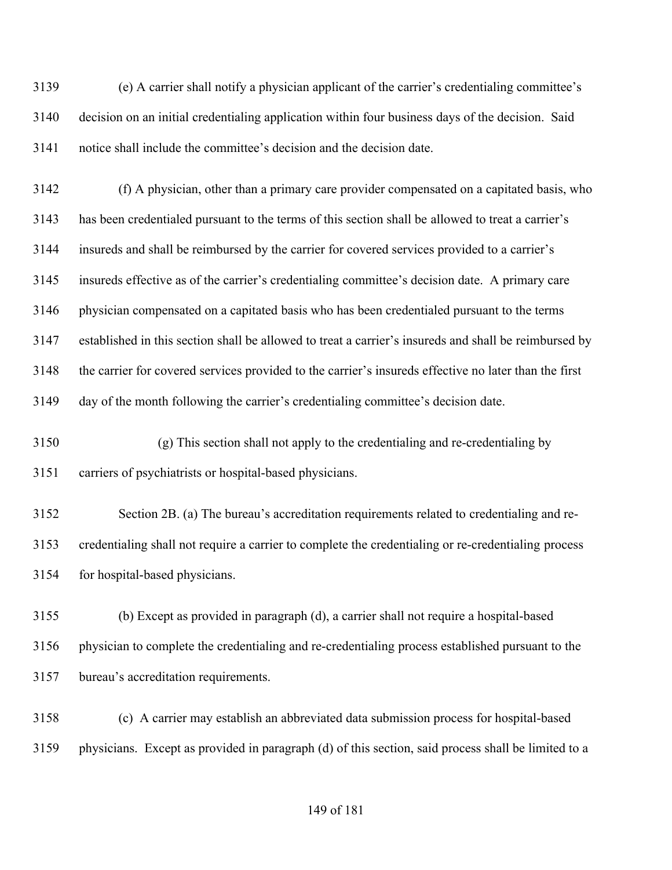(e) A carrier shall notify a physician applicant of the carrier's credentialing committee's decision on an initial credentialing application within four business days of the decision. Said notice shall include the committee's decision and the decision date.

 (f) A physician, other than a primary care provider compensated on a capitated basis, who has been credentialed pursuant to the terms of this section shall be allowed to treat a carrier's insureds and shall be reimbursed by the carrier for covered services provided to a carrier's insureds effective as of the carrier's credentialing committee's decision date. A primary care physician compensated on a capitated basis who has been credentialed pursuant to the terms established in this section shall be allowed to treat a carrier's insureds and shall be reimbursed by the carrier for covered services provided to the carrier's insureds effective no later than the first day of the month following the carrier's credentialing committee's decision date.

 (g) This section shall not apply to the credentialing and re-credentialing by carriers of psychiatrists or hospital-based physicians.

 Section 2B. (a) The bureau's accreditation requirements related to credentialing and re- credentialing shall not require a carrier to complete the credentialing or re-credentialing process for hospital-based physicians.

 (b) Except as provided in paragraph (d), a carrier shall not require a hospital-based physician to complete the credentialing and re-credentialing process established pursuant to the bureau's accreditation requirements.

 (c) A carrier may establish an abbreviated data submission process for hospital-based physicians. Except as provided in paragraph (d) of this section, said process shall be limited to a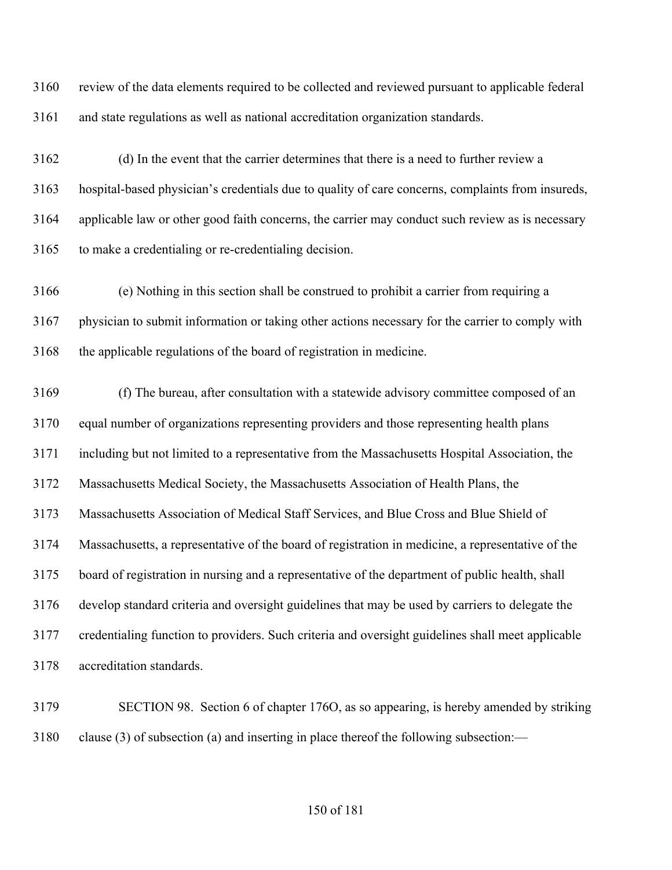review of the data elements required to be collected and reviewed pursuant to applicable federal and state regulations as well as national accreditation organization standards.

 (d) In the event that the carrier determines that there is a need to further review a hospital-based physician's credentials due to quality of care concerns, complaints from insureds, applicable law or other good faith concerns, the carrier may conduct such review as is necessary to make a credentialing or re-credentialing decision.

 (e) Nothing in this section shall be construed to prohibit a carrier from requiring a physician to submit information or taking other actions necessary for the carrier to comply with the applicable regulations of the board of registration in medicine.

 (f) The bureau, after consultation with a statewide advisory committee composed of an equal number of organizations representing providers and those representing health plans including but not limited to a representative from the Massachusetts Hospital Association, the Massachusetts Medical Society, the Massachusetts Association of Health Plans, the Massachusetts Association of Medical Staff Services, and Blue Cross and Blue Shield of Massachusetts, a representative of the board of registration in medicine, a representative of the board of registration in nursing and a representative of the department of public health, shall develop standard criteria and oversight guidelines that may be used by carriers to delegate the credentialing function to providers. Such criteria and oversight guidelines shall meet applicable accreditation standards.

 SECTION 98. Section 6 of chapter 176O, as so appearing, is hereby amended by striking clause (3) of subsection (a) and inserting in place thereof the following subsection:—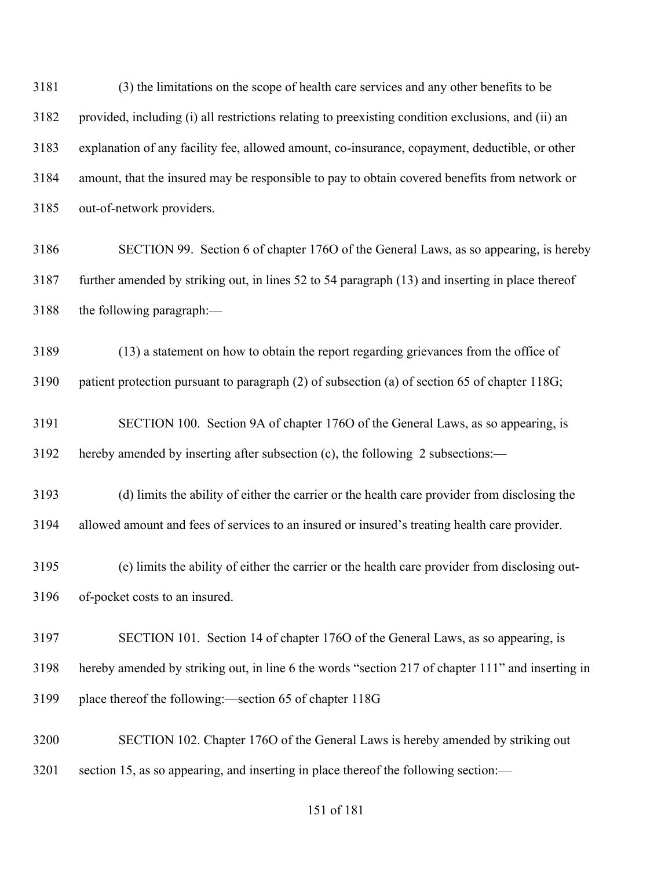(3) the limitations on the scope of health care services and any other benefits to be provided, including (i) all restrictions relating to preexisting condition exclusions, and (ii) an explanation of any facility fee, allowed amount, co-insurance, copayment, deductible, or other amount, that the insured may be responsible to pay to obtain covered benefits from network or out-of-network providers.

 SECTION 99. Section 6 of chapter 176O of the General Laws, as so appearing, is hereby further amended by striking out, in lines 52 to 54 paragraph (13) and inserting in place thereof the following paragraph:—

 (13) a statement on how to obtain the report regarding grievances from the office of patient protection pursuant to paragraph (2) of subsection (a) of section 65 of chapter 118G;

 SECTION 100. Section 9A of chapter 176O of the General Laws, as so appearing, is hereby amended by inserting after subsection (c), the following 2 subsections:—

 (d) limits the ability of either the carrier or the health care provider from disclosing the allowed amount and fees of services to an insured or insured's treating health care provider.

 (e) limits the ability of either the carrier or the health care provider from disclosing out-of-pocket costs to an insured.

 SECTION 101. Section 14 of chapter 176O of the General Laws, as so appearing, is hereby amended by striking out, in line 6 the words "section 217 of chapter 111" and inserting in place thereof the following:—section 65 of chapter 118G

 SECTION 102. Chapter 176O of the General Laws is hereby amended by striking out section 15, as so appearing, and inserting in place thereof the following section:—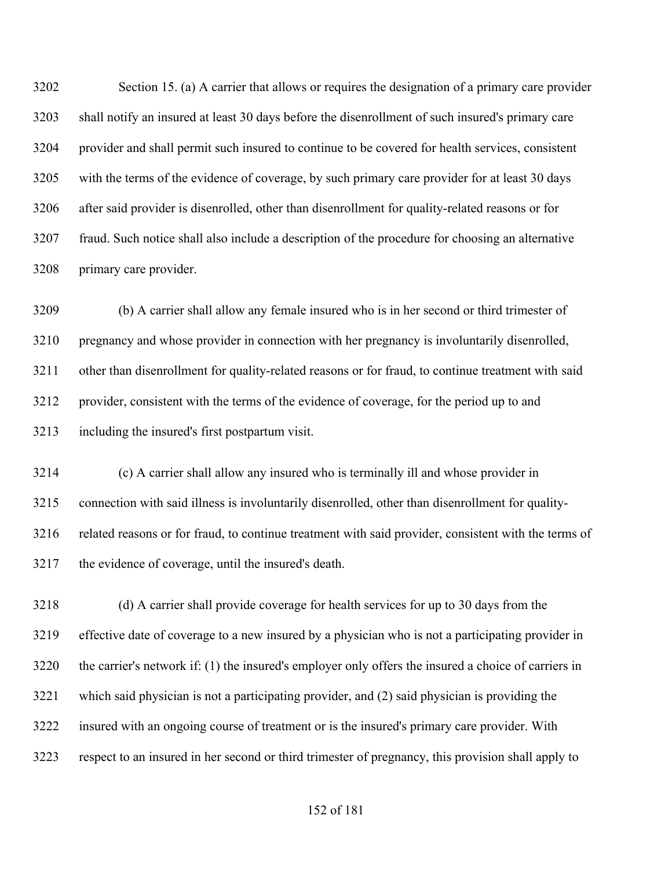Section 15. (a) A carrier that allows or requires the designation of a primary care provider shall notify an insured at least 30 days before the disenrollment of such insured's primary care provider and shall permit such insured to continue to be covered for health services, consistent with the terms of the evidence of coverage, by such primary care provider for at least 30 days after said provider is disenrolled, other than disenrollment for quality-related reasons or for fraud. Such notice shall also include a description of the procedure for choosing an alternative primary care provider.

 (b) A carrier shall allow any female insured who is in her second or third trimester of pregnancy and whose provider in connection with her pregnancy is involuntarily disenrolled, other than disenrollment for quality-related reasons or for fraud, to continue treatment with said provider, consistent with the terms of the evidence of coverage, for the period up to and including the insured's first postpartum visit.

 (c) A carrier shall allow any insured who is terminally ill and whose provider in connection with said illness is involuntarily disenrolled, other than disenrollment for quality- related reasons or for fraud, to continue treatment with said provider, consistent with the terms of the evidence of coverage, until the insured's death.

 (d) A carrier shall provide coverage for health services for up to 30 days from the effective date of coverage to a new insured by a physician who is not a participating provider in the carrier's network if: (1) the insured's employer only offers the insured a choice of carriers in which said physician is not a participating provider, and (2) said physician is providing the insured with an ongoing course of treatment or is the insured's primary care provider. With respect to an insured in her second or third trimester of pregnancy, this provision shall apply to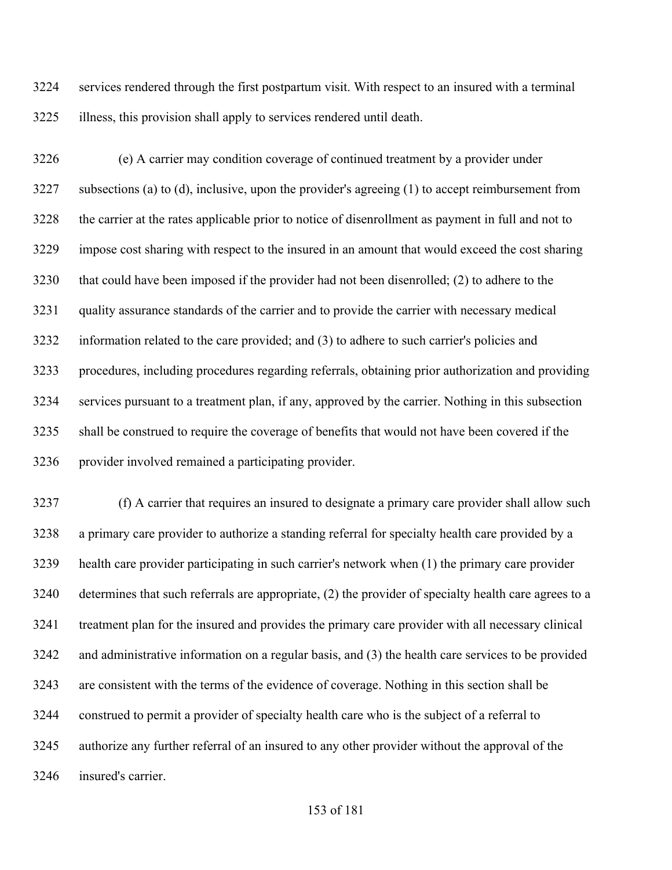services rendered through the first postpartum visit. With respect to an insured with a terminal illness, this provision shall apply to services rendered until death.

 (e) A carrier may condition coverage of continued treatment by a provider under subsections (a) to (d), inclusive, upon the provider's agreeing (1) to accept reimbursement from the carrier at the rates applicable prior to notice of disenrollment as payment in full and not to impose cost sharing with respect to the insured in an amount that would exceed the cost sharing that could have been imposed if the provider had not been disenrolled; (2) to adhere to the quality assurance standards of the carrier and to provide the carrier with necessary medical information related to the care provided; and (3) to adhere to such carrier's policies and procedures, including procedures regarding referrals, obtaining prior authorization and providing services pursuant to a treatment plan, if any, approved by the carrier. Nothing in this subsection shall be construed to require the coverage of benefits that would not have been covered if the provider involved remained a participating provider.

 (f) A carrier that requires an insured to designate a primary care provider shall allow such a primary care provider to authorize a standing referral for specialty health care provided by a health care provider participating in such carrier's network when (1) the primary care provider determines that such referrals are appropriate, (2) the provider of specialty health care agrees to a treatment plan for the insured and provides the primary care provider with all necessary clinical and administrative information on a regular basis, and (3) the health care services to be provided are consistent with the terms of the evidence of coverage. Nothing in this section shall be construed to permit a provider of specialty health care who is the subject of a referral to authorize any further referral of an insured to any other provider without the approval of the insured's carrier.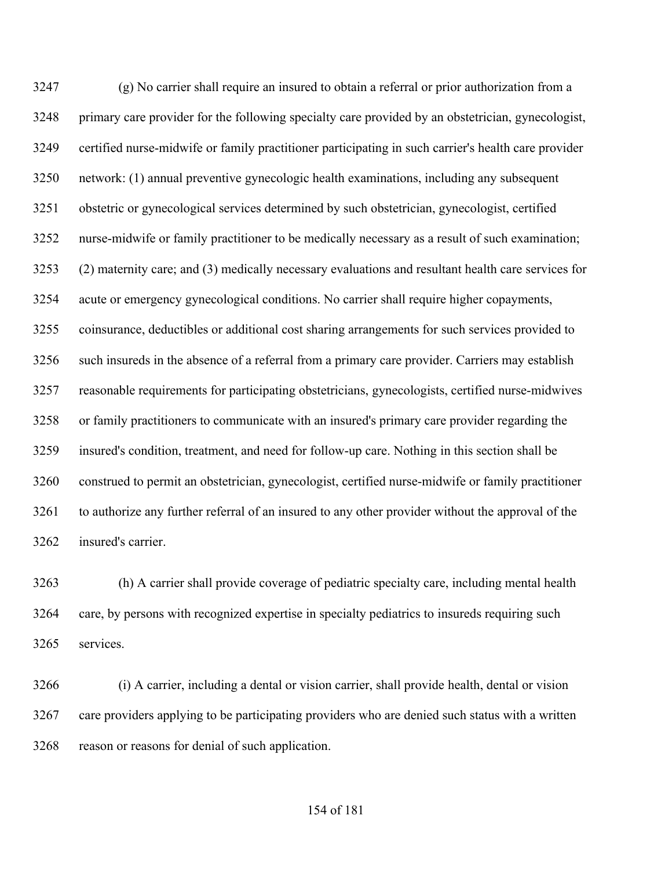(g) No carrier shall require an insured to obtain a referral or prior authorization from a primary care provider for the following specialty care provided by an obstetrician, gynecologist, certified nurse-midwife or family practitioner participating in such carrier's health care provider network: (1) annual preventive gynecologic health examinations, including any subsequent obstetric or gynecological services determined by such obstetrician, gynecologist, certified nurse-midwife or family practitioner to be medically necessary as a result of such examination; (2) maternity care; and (3) medically necessary evaluations and resultant health care services for acute or emergency gynecological conditions. No carrier shall require higher copayments, coinsurance, deductibles or additional cost sharing arrangements for such services provided to such insureds in the absence of a referral from a primary care provider. Carriers may establish reasonable requirements for participating obstetricians, gynecologists, certified nurse-midwives or family practitioners to communicate with an insured's primary care provider regarding the insured's condition, treatment, and need for follow-up care. Nothing in this section shall be construed to permit an obstetrician, gynecologist, certified nurse-midwife or family practitioner to authorize any further referral of an insured to any other provider without the approval of the insured's carrier.

 (h) A carrier shall provide coverage of pediatric specialty care, including mental health care, by persons with recognized expertise in specialty pediatrics to insureds requiring such services.

 (i) A carrier, including a dental or vision carrier, shall provide health, dental or vision care providers applying to be participating providers who are denied such status with a written reason or reasons for denial of such application.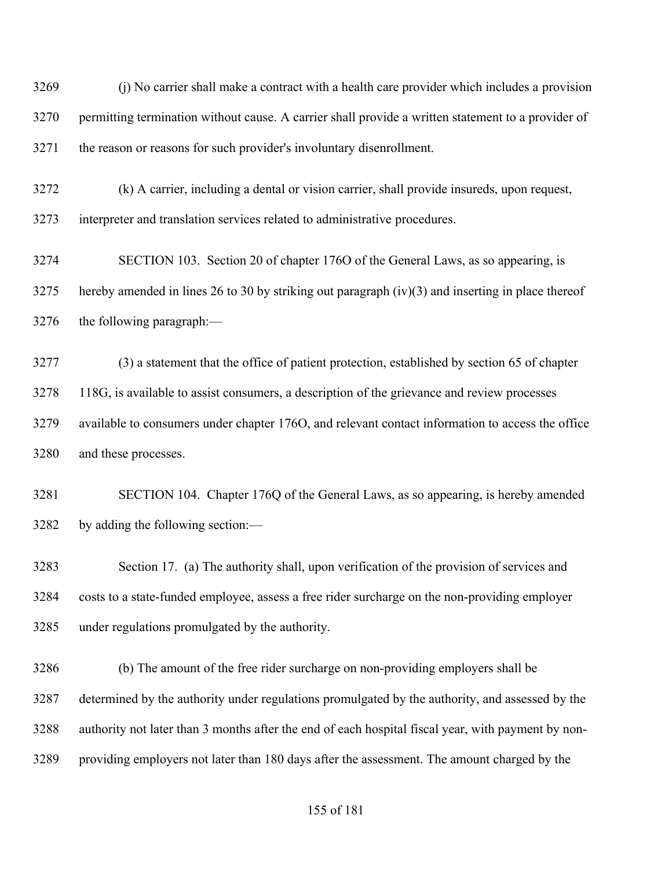(j) No carrier shall make a contract with a health care provider which includes a provision permitting termination without cause. A carrier shall provide a written statement to a provider of the reason or reasons for such provider's involuntary disenrollment.

 (k) A carrier, including a dental or vision carrier, shall provide insureds, upon request, interpreter and translation services related to administrative procedures.

 SECTION 103. Section 20 of chapter 176O of the General Laws, as so appearing, is hereby amended in lines 26 to 30 by striking out paragraph (iv)(3) and inserting in place thereof the following paragraph:—

 (3) a statement that the office of patient protection, established by section 65 of chapter 118G, is available to assist consumers, a description of the grievance and review processes available to consumers under chapter 176O, and relevant contact information to access the office and these processes.

 SECTION 104. Chapter 176Q of the General Laws, as so appearing, is hereby amended by adding the following section:—

 Section 17. (a) The authority shall, upon verification of the provision of services and costs to a state-funded employee, assess a free rider surcharge on the non-providing employer under regulations promulgated by the authority.

 (b) The amount of the free rider surcharge on non-providing employers shall be determined by the authority under regulations promulgated by the authority, and assessed by the authority not later than 3 months after the end of each hospital fiscal year, with payment by non-providing employers not later than 180 days after the assessment. The amount charged by the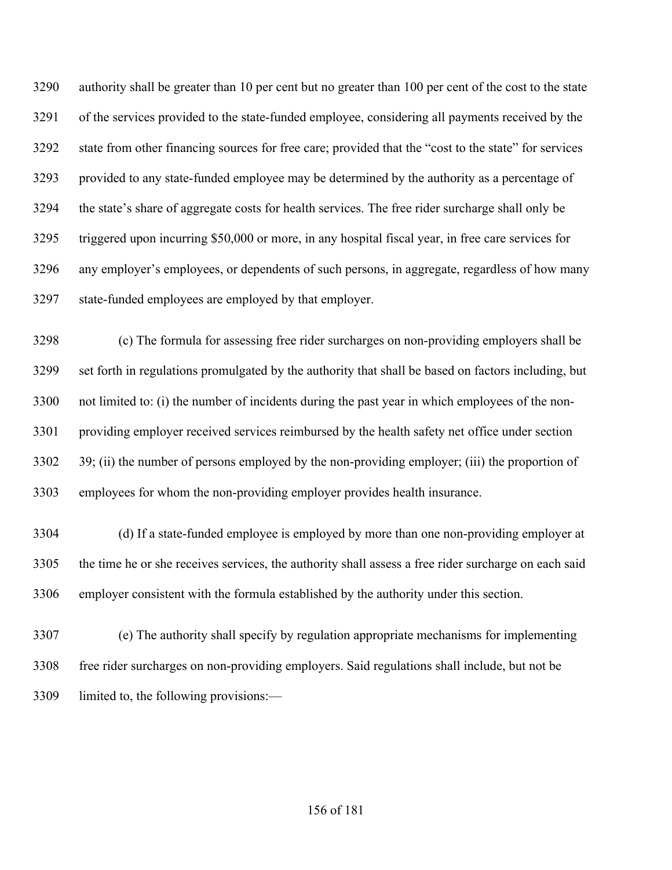authority shall be greater than 10 per cent but no greater than 100 per cent of the cost to the state of the services provided to the state-funded employee, considering all payments received by the state from other financing sources for free care; provided that the "cost to the state" for services provided to any state-funded employee may be determined by the authority as a percentage of the state's share of aggregate costs for health services. The free rider surcharge shall only be triggered upon incurring \$50,000 or more, in any hospital fiscal year, in free care services for any employer's employees, or dependents of such persons, in aggregate, regardless of how many state-funded employees are employed by that employer.

 (c) The formula for assessing free rider surcharges on non-providing employers shall be set forth in regulations promulgated by the authority that shall be based on factors including, but not limited to: (i) the number of incidents during the past year in which employees of the non- providing employer received services reimbursed by the health safety net office under section 39; (ii) the number of persons employed by the non-providing employer; (iii) the proportion of employees for whom the non-providing employer provides health insurance.

 (d) If a state-funded employee is employed by more than one non-providing employer at the time he or she receives services, the authority shall assess a free rider surcharge on each said employer consistent with the formula established by the authority under this section.

 (e) The authority shall specify by regulation appropriate mechanisms for implementing free rider surcharges on non-providing employers. Said regulations shall include, but not be limited to, the following provisions:—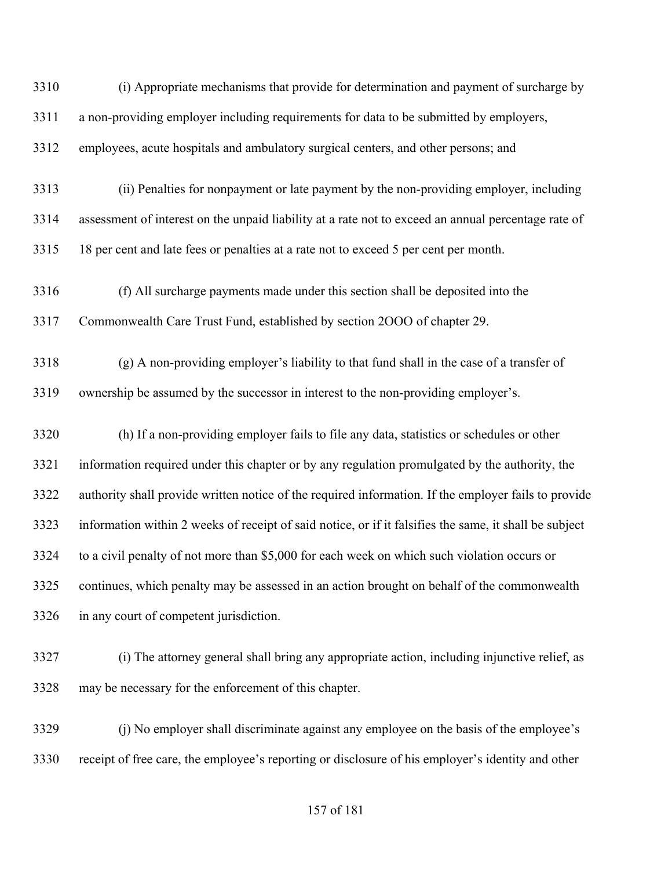| 3310 | (i) Appropriate mechanisms that provide for determination and payment of surcharge by                  |
|------|--------------------------------------------------------------------------------------------------------|
| 3311 | a non-providing employer including requirements for data to be submitted by employers,                 |
| 3312 | employees, acute hospitals and ambulatory surgical centers, and other persons; and                     |
| 3313 | (ii) Penalties for nonpayment or late payment by the non-providing employer, including                 |
| 3314 | assessment of interest on the unpaid liability at a rate not to exceed an annual percentage rate of    |
| 3315 | 18 per cent and late fees or penalties at a rate not to exceed 5 per cent per month.                   |
| 3316 | (f) All surcharge payments made under this section shall be deposited into the                         |
| 3317 | Commonwealth Care Trust Fund, established by section 2000 of chapter 29.                               |
| 3318 | (g) A non-providing employer's liability to that fund shall in the case of a transfer of               |
| 3319 | ownership be assumed by the successor in interest to the non-providing employer's.                     |
| 3320 | (h) If a non-providing employer fails to file any data, statistics or schedules or other               |
| 3321 | information required under this chapter or by any regulation promulgated by the authority, the         |
| 3322 | authority shall provide written notice of the required information. If the employer fails to provide   |
| 3323 | information within 2 weeks of receipt of said notice, or if it falsifies the same, it shall be subject |
| 3324 | to a civil penalty of not more than \$5,000 for each week on which such violation occurs or            |
| 3325 | continues, which penalty may be assessed in an action brought on behalf of the commonwealth            |
| 3326 | in any court of competent jurisdiction.                                                                |
| 3327 | (i) The attorney general shall bring any appropriate action, including injunctive relief, as           |
| 3328 | may be necessary for the enforcement of this chapter.                                                  |
| 3329 | (i) No employer shall discriminate against any employee on the basis of the employee's                 |
| 3330 | receipt of free care, the employee's reporting or disclosure of his employer's identity and other      |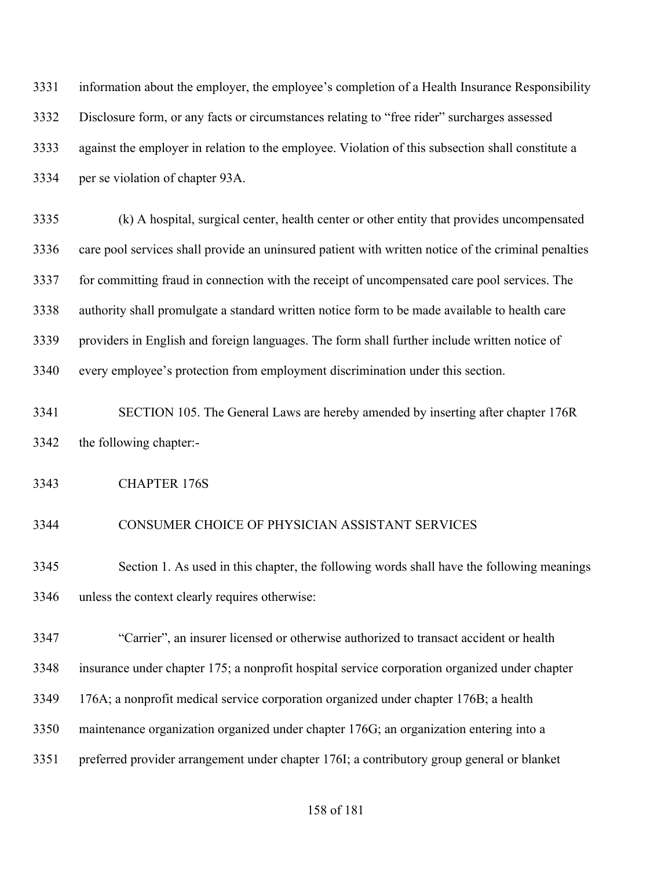| 3331 | information about the employer, the employee's completion of a Health Insurance Responsibility      |
|------|-----------------------------------------------------------------------------------------------------|
| 3332 | Disclosure form, or any facts or circumstances relating to "free rider" surcharges assessed         |
| 3333 | against the employer in relation to the employee. Violation of this subsection shall constitute a   |
| 3334 | per se violation of chapter 93A.                                                                    |
| 3335 | (k) A hospital, surgical center, health center or other entity that provides uncompensated          |
| 3336 | care pool services shall provide an uninsured patient with written notice of the criminal penalties |
| 3337 | for committing fraud in connection with the receipt of uncompensated care pool services. The        |
| 3338 | authority shall promulgate a standard written notice form to be made available to health care       |
| 3339 | providers in English and foreign languages. The form shall further include written notice of        |
| 3340 | every employee's protection from employment discrimination under this section.                      |
| 3341 | SECTION 105. The General Laws are hereby amended by inserting after chapter 176R                    |
| 3342 | the following chapter:-                                                                             |
| 3343 | <b>CHAPTER 176S</b>                                                                                 |
| 3344 | CONSUMER CHOICE OF PHYSICIAN ASSISTANT SERVICES                                                     |
| 3345 | Section 1. As used in this chapter, the following words shall have the following meanings           |
| 3346 | unless the context clearly requires otherwise:                                                      |
| 3347 | "Carrier", an insurer licensed or otherwise authorized to transact accident or health               |
| 3348 | insurance under chapter 175; a nonprofit hospital service corporation organized under chapter       |
| 3349 | 176A; a nonprofit medical service corporation organized under chapter 176B; a health                |
| 3350 | maintenance organization organized under chapter 176G; an organization entering into a              |
| 3351 | preferred provider arrangement under chapter 176I; a contributory group general or blanket          |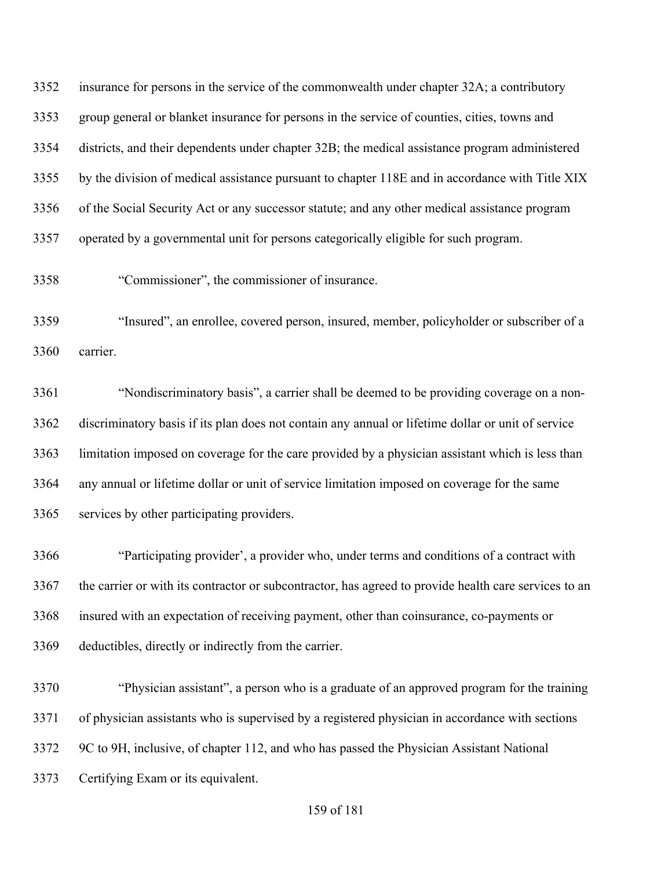insurance for persons in the service of the commonwealth under chapter 32A; a contributory group general or blanket insurance for persons in the service of counties, cities, towns and districts, and their dependents under chapter 32B; the medical assistance program administered by the division of medical assistance pursuant to chapter 118E and in accordance with Title XIX of the Social Security Act or any successor statute; and any other medical assistance program operated by a governmental unit for persons categorically eligible for such program.

"Commissioner", the commissioner of insurance.

 "Insured", an enrollee, covered person, insured, member, policyholder or subscriber of a carrier.

 "Nondiscriminatory basis", a carrier shall be deemed to be providing coverage on a non- discriminatory basis if its plan does not contain any annual or lifetime dollar or unit of service limitation imposed on coverage for the care provided by a physician assistant which is less than any annual or lifetime dollar or unit of service limitation imposed on coverage for the same services by other participating providers.

 "Participating provider', a provider who, under terms and conditions of a contract with 3367 the carrier or with its contractor or subcontractor, has agreed to provide health care services to an insured with an expectation of receiving payment, other than coinsurance, co-payments or deductibles, directly or indirectly from the carrier.

 "Physician assistant", a person who is a graduate of an approved program for the training of physician assistants who is supervised by a registered physician in accordance with sections 9C to 9H, inclusive, of chapter 112, and who has passed the Physician Assistant National Certifying Exam or its equivalent.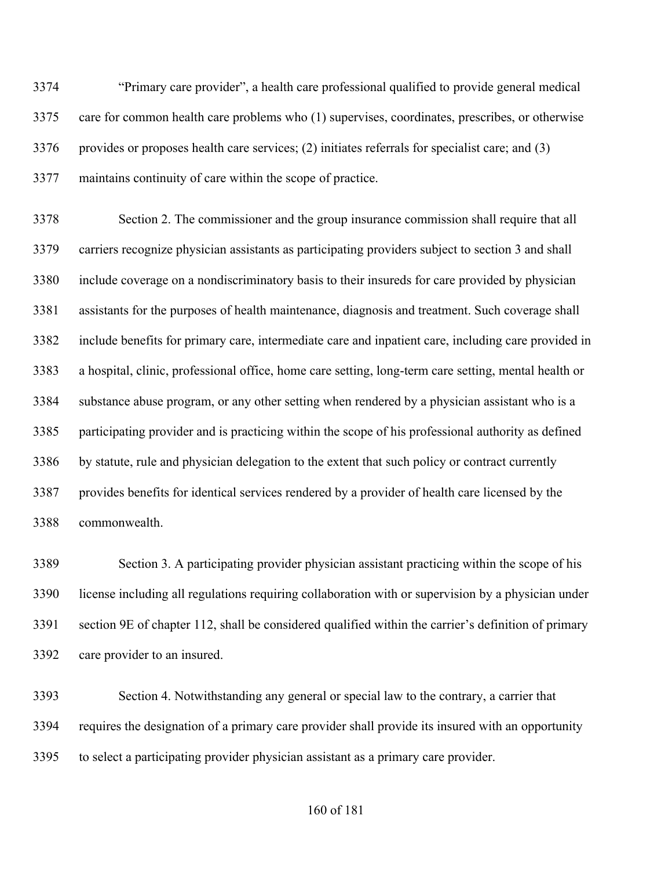"Primary care provider", a health care professional qualified to provide general medical care for common health care problems who (1) supervises, coordinates, prescribes, or otherwise provides or proposes health care services; (2) initiates referrals for specialist care; and (3) maintains continuity of care within the scope of practice.

 Section 2. The commissioner and the group insurance commission shall require that all carriers recognize physician assistants as participating providers subject to section 3 and shall include coverage on a nondiscriminatory basis to their insureds for care provided by physician assistants for the purposes of health maintenance, diagnosis and treatment. Such coverage shall include benefits for primary care, intermediate care and inpatient care, including care provided in a hospital, clinic, professional office, home care setting, long-term care setting, mental health or substance abuse program, or any other setting when rendered by a physician assistant who is a participating provider and is practicing within the scope of his professional authority as defined by statute, rule and physician delegation to the extent that such policy or contract currently provides benefits for identical services rendered by a provider of health care licensed by the commonwealth.

 Section 3. A participating provider physician assistant practicing within the scope of his license including all regulations requiring collaboration with or supervision by a physician under section 9E of chapter 112, shall be considered qualified within the carrier's definition of primary care provider to an insured.

 Section 4. Notwithstanding any general or special law to the contrary, a carrier that requires the designation of a primary care provider shall provide its insured with an opportunity to select a participating provider physician assistant as a primary care provider.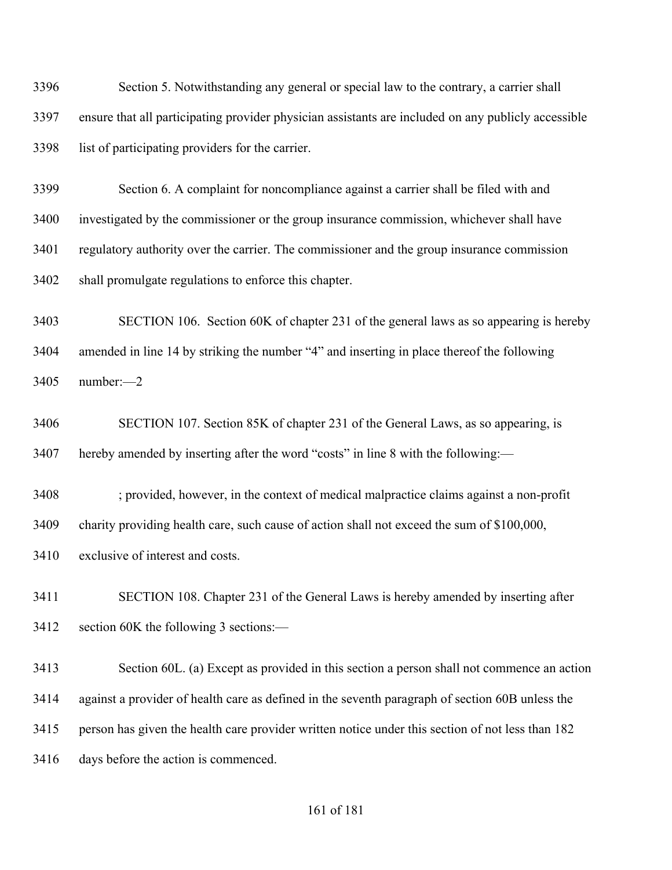Section 5. Notwithstanding any general or special law to the contrary, a carrier shall ensure that all participating provider physician assistants are included on any publicly accessible list of participating providers for the carrier.

 Section 6. A complaint for noncompliance against a carrier shall be filed with and investigated by the commissioner or the group insurance commission, whichever shall have regulatory authority over the carrier. The commissioner and the group insurance commission shall promulgate regulations to enforce this chapter.

 SECTION 106. Section 60K of chapter 231 of the general laws as so appearing is hereby amended in line 14 by striking the number "4" and inserting in place thereof the following number:—2

 SECTION 107. Section 85K of chapter 231 of the General Laws, as so appearing, is hereby amended by inserting after the word "costs" in line 8 with the following:—

 ; provided, however, in the context of medical malpractice claims against a non-profit charity providing health care, such cause of action shall not exceed the sum of \$100,000, exclusive of interest and costs.

 SECTION 108. Chapter 231 of the General Laws is hereby amended by inserting after section 60K the following 3 sections:—

 Section 60L. (a) Except as provided in this section a person shall not commence an action against a provider of health care as defined in the seventh paragraph of section 60B unless the person has given the health care provider written notice under this section of not less than 182 days before the action is commenced.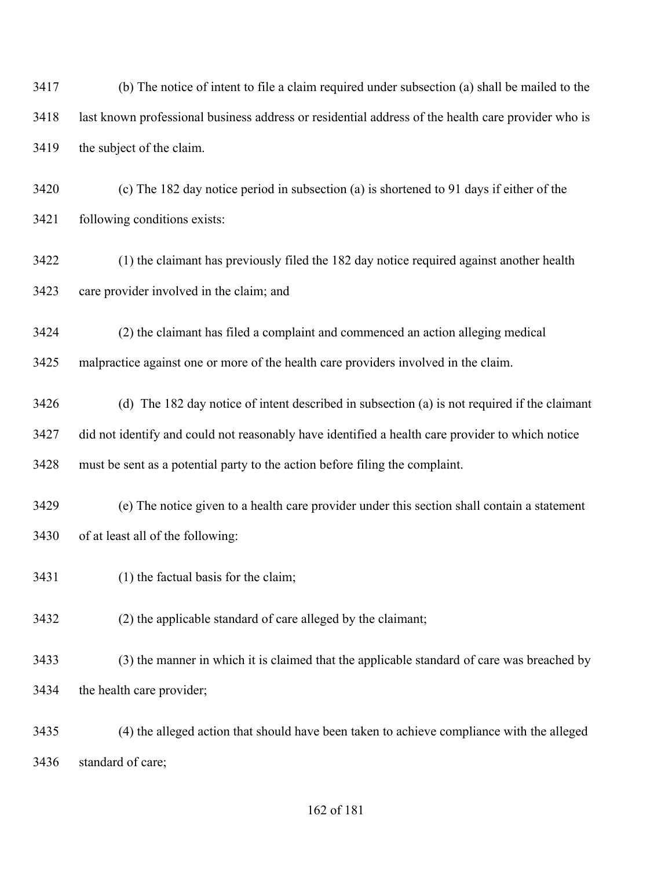(b) The notice of intent to file a claim required under subsection (a) shall be mailed to the last known professional business address or residential address of the health care provider who is the subject of the claim.

 (c) The 182 day notice period in subsection (a) is shortened to 91 days if either of the following conditions exists:

 (1) the claimant has previously filed the 182 day notice required against another health care provider involved in the claim; and

 (2) the claimant has filed a complaint and commenced an action alleging medical malpractice against one or more of the health care providers involved in the claim.

 (d) The 182 day notice of intent described in subsection (a) is not required if the claimant did not identify and could not reasonably have identified a health care provider to which notice must be sent as a potential party to the action before filing the complaint.

 (e) The notice given to a health care provider under this section shall contain a statement of at least all of the following:

- (1) the factual basis for the claim;
- (2) the applicable standard of care alleged by the claimant;

 (3) the manner in which it is claimed that the applicable standard of care was breached by the health care provider;

 (4) the alleged action that should have been taken to achieve compliance with the alleged standard of care;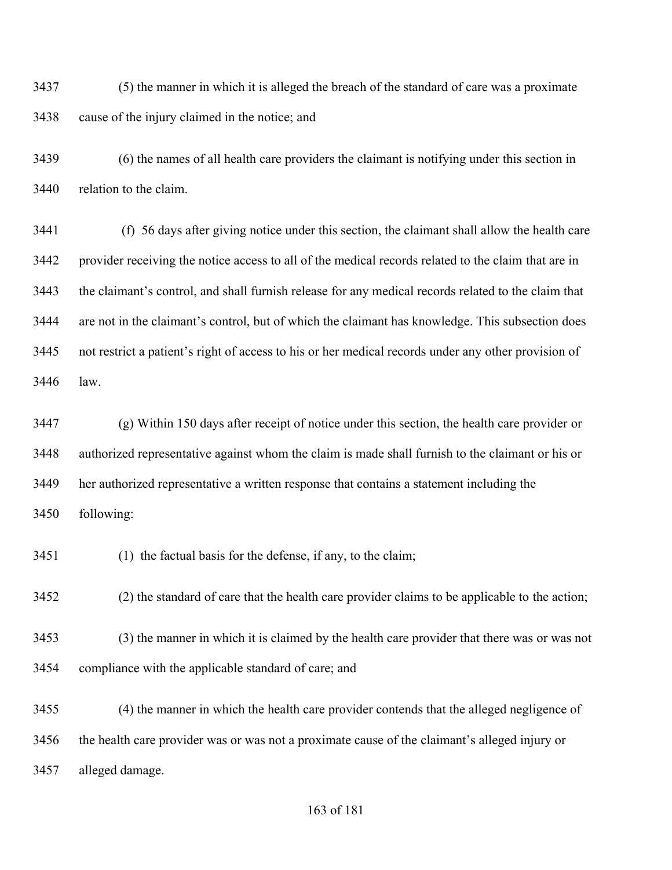(5) the manner in which it is alleged the breach of the standard of care was a proximate cause of the injury claimed in the notice; and

 (6) the names of all health care providers the claimant is notifying under this section in relation to the claim.

 (f) 56 days after giving notice under this section, the claimant shall allow the health care provider receiving the notice access to all of the medical records related to the claim that are in the claimant's control, and shall furnish release for any medical records related to the claim that are not in the claimant's control, but of which the claimant has knowledge. This subsection does not restrict a patient's right of access to his or her medical records under any other provision of law.

 (g) Within 150 days after receipt of notice under this section, the health care provider or authorized representative against whom the claim is made shall furnish to the claimant or his or her authorized representative a written response that contains a statement including the following:

(1) the factual basis for the defense, if any, to the claim;

(2) the standard of care that the health care provider claims to be applicable to the action;

 (3) the manner in which it is claimed by the health care provider that there was or was not compliance with the applicable standard of care; and

 (4) the manner in which the health care provider contends that the alleged negligence of the health care provider was or was not a proximate cause of the claimant's alleged injury or alleged damage.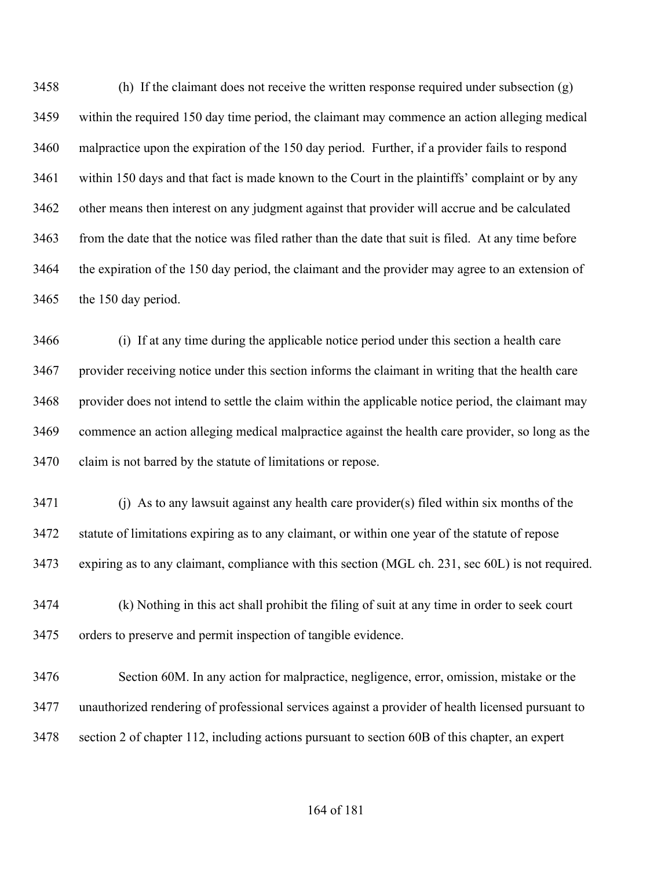(h) If the claimant does not receive the written response required under subsection (g) within the required 150 day time period, the claimant may commence an action alleging medical malpractice upon the expiration of the 150 day period. Further, if a provider fails to respond within 150 days and that fact is made known to the Court in the plaintiffs' complaint or by any other means then interest on any judgment against that provider will accrue and be calculated from the date that the notice was filed rather than the date that suit is filed. At any time before the expiration of the 150 day period, the claimant and the provider may agree to an extension of the 150 day period.

 (i) If at any time during the applicable notice period under this section a health care provider receiving notice under this section informs the claimant in writing that the health care provider does not intend to settle the claim within the applicable notice period, the claimant may commence an action alleging medical malpractice against the health care provider, so long as the claim is not barred by the statute of limitations or repose.

 (j) As to any lawsuit against any health care provider(s) filed within six months of the statute of limitations expiring as to any claimant, or within one year of the statute of repose expiring as to any claimant, compliance with this section (MGL ch. 231, sec 60L) is not required.

 (k) Nothing in this act shall prohibit the filing of suit at any time in order to seek court orders to preserve and permit inspection of tangible evidence.

 Section 60M. In any action for malpractice, negligence, error, omission, mistake or the unauthorized rendering of professional services against a provider of health licensed pursuant to section 2 of chapter 112, including actions pursuant to section 60B of this chapter, an expert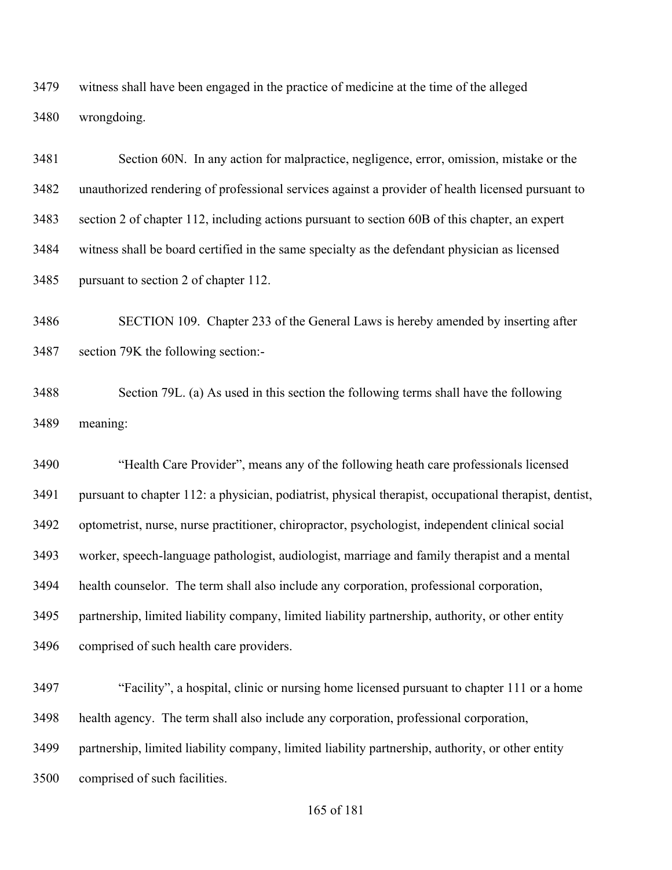witness shall have been engaged in the practice of medicine at the time of the alleged wrongdoing.

 Section 60N. In any action for malpractice, negligence, error, omission, mistake or the unauthorized rendering of professional services against a provider of health licensed pursuant to section 2 of chapter 112, including actions pursuant to section 60B of this chapter, an expert witness shall be board certified in the same specialty as the defendant physician as licensed pursuant to section 2 of chapter 112.

 SECTION 109. Chapter 233 of the General Laws is hereby amended by inserting after section 79K the following section:-

 Section 79L. (a) As used in this section the following terms shall have the following meaning:

 "Health Care Provider", means any of the following heath care professionals licensed pursuant to chapter 112: a physician, podiatrist, physical therapist, occupational therapist, dentist, optometrist, nurse, nurse practitioner, chiropractor, psychologist, independent clinical social worker, speech-language pathologist, audiologist, marriage and family therapist and a mental health counselor. The term shall also include any corporation, professional corporation, partnership, limited liability company, limited liability partnership, authority, or other entity comprised of such health care providers.

 "Facility", a hospital, clinic or nursing home licensed pursuant to chapter 111 or a home health agency. The term shall also include any corporation, professional corporation, partnership, limited liability company, limited liability partnership, authority, or other entity comprised of such facilities.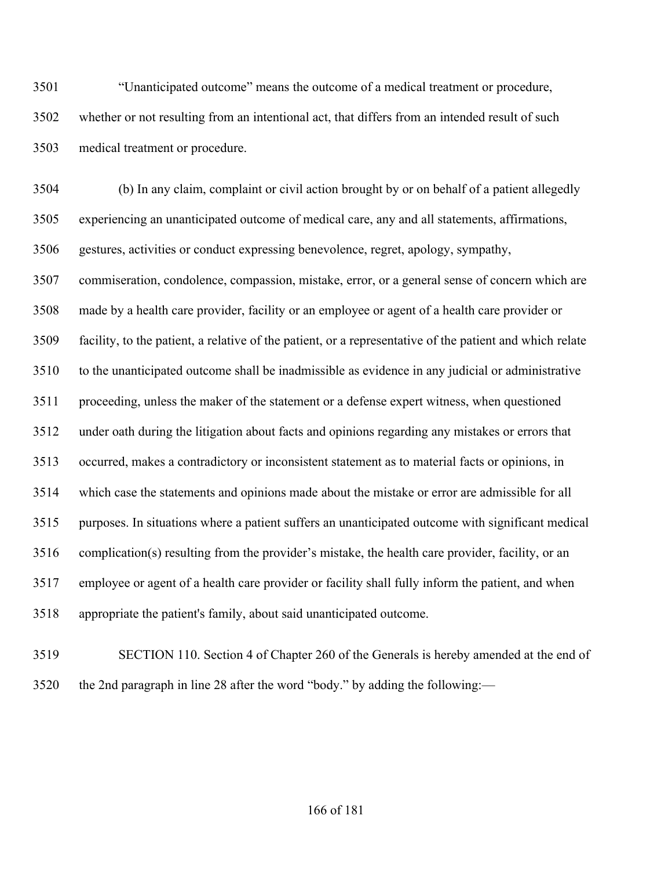"Unanticipated outcome" means the outcome of a medical treatment or procedure, whether or not resulting from an intentional act, that differs from an intended result of such medical treatment or procedure.

 (b) In any claim, complaint or civil action brought by or on behalf of a patient allegedly experiencing an unanticipated outcome of medical care, any and all statements, affirmations, gestures, activities or conduct expressing benevolence, regret, apology, sympathy, commiseration, condolence, compassion, mistake, error, or a general sense of concern which are made by a health care provider, facility or an employee or agent of a health care provider or facility, to the patient, a relative of the patient, or a representative of the patient and which relate to the unanticipated outcome shall be inadmissible as evidence in any judicial or administrative proceeding, unless the maker of the statement or a defense expert witness, when questioned under oath during the litigation about facts and opinions regarding any mistakes or errors that occurred, makes a contradictory or inconsistent statement as to material facts or opinions, in which case the statements and opinions made about the mistake or error are admissible for all purposes. In situations where a patient suffers an unanticipated outcome with significant medical complication(s) resulting from the provider's mistake, the health care provider, facility, or an employee or agent of a health care provider or facility shall fully inform the patient, and when appropriate the patient's family, about said unanticipated outcome.

 SECTION 110. Section 4 of Chapter 260 of the Generals is hereby amended at the end of the 2nd paragraph in line 28 after the word "body." by adding the following:—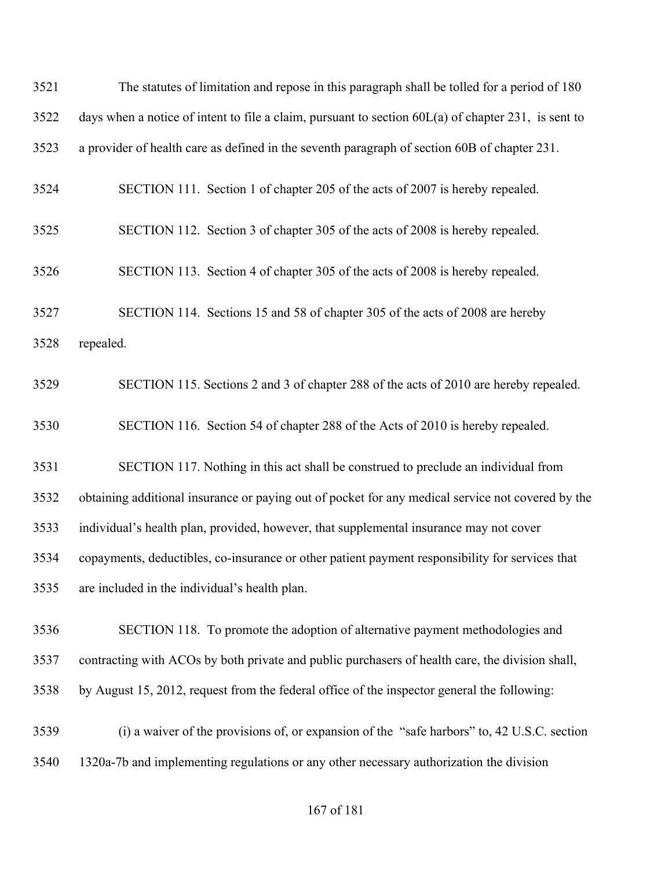| 3521 | The statutes of limitation and repose in this paragraph shall be tolled for a period of 180           |
|------|-------------------------------------------------------------------------------------------------------|
| 3522 | days when a notice of intent to file a claim, pursuant to section $60L(a)$ of chapter 231, is sent to |
| 3523 | a provider of health care as defined in the seventh paragraph of section 60B of chapter 231.          |
| 3524 | SECTION 111. Section 1 of chapter 205 of the acts of 2007 is hereby repealed.                         |
| 3525 | SECTION 112. Section 3 of chapter 305 of the acts of 2008 is hereby repealed.                         |
| 3526 | SECTION 113. Section 4 of chapter 305 of the acts of 2008 is hereby repealed.                         |
| 3527 | SECTION 114. Sections 15 and 58 of chapter 305 of the acts of 2008 are hereby                         |
| 3528 | repealed.                                                                                             |
| 3529 | SECTION 115. Sections 2 and 3 of chapter 288 of the acts of 2010 are hereby repealed.                 |
| 3530 | SECTION 116. Section 54 of chapter 288 of the Acts of 2010 is hereby repealed.                        |
| 3531 | SECTION 117. Nothing in this act shall be construed to preclude an individual from                    |
| 3532 | obtaining additional insurance or paying out of pocket for any medical service not covered by the     |
| 3533 | individual's health plan, provided, however, that supplemental insurance may not cover                |
| 3534 | copayments, deductibles, co-insurance or other patient payment responsibility for services that       |
| 3535 | are included in the individual's health plan.                                                         |
| 3536 | SECTION 118. To promote the adoption of alternative payment methodologies and                         |
| 3537 | contracting with ACOs by both private and public purchasers of health care, the division shall,       |
| 3538 | by August 15, 2012, request from the federal office of the inspector general the following:           |
| 3539 | (i) a waiver of the provisions of, or expansion of the "safe harbors" to, 42 U.S.C. section           |
| 3540 | 1320a-7b and implementing regulations or any other necessary authorization the division               |
|      |                                                                                                       |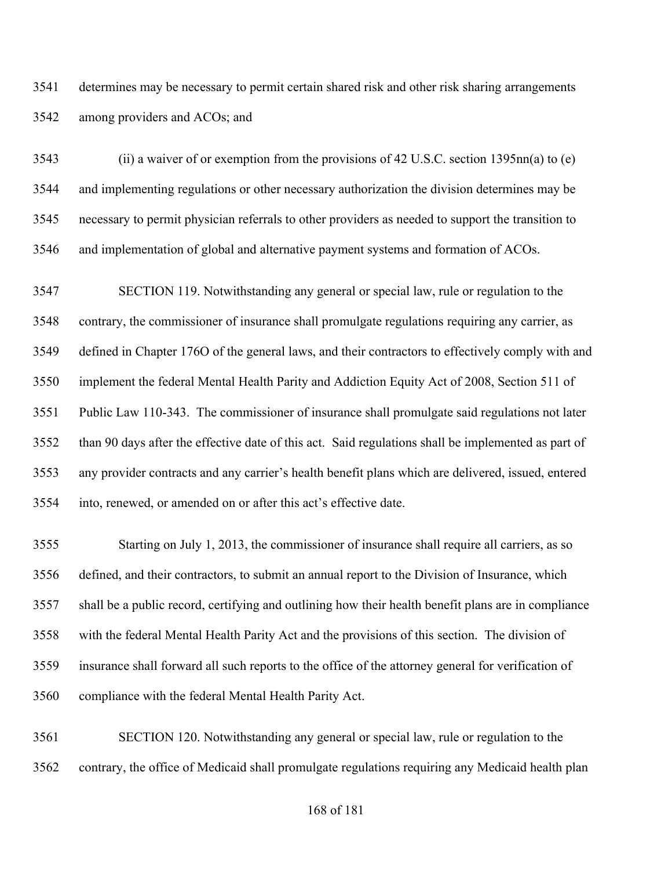determines may be necessary to permit certain shared risk and other risk sharing arrangements among providers and ACOs; and

 (ii) a waiver of or exemption from the provisions of 42 U.S.C. section 1395nn(a) to (e) and implementing regulations or other necessary authorization the division determines may be necessary to permit physician referrals to other providers as needed to support the transition to and implementation of global and alternative payment systems and formation of ACOs.

 SECTION 119. Notwithstanding any general or special law, rule or regulation to the contrary, the commissioner of insurance shall promulgate regulations requiring any carrier, as defined in Chapter 176O of the general laws, and their contractors to effectively comply with and implement the federal Mental Health Parity and Addiction Equity Act of 2008, Section 511 of Public Law 110-343. The commissioner of insurance shall promulgate said regulations not later than 90 days after the effective date of this act. Said regulations shall be implemented as part of any provider contracts and any carrier's health benefit plans which are delivered, issued, entered into, renewed, or amended on or after this act's effective date.

 Starting on July 1, 2013, the commissioner of insurance shall require all carriers, as so defined, and their contractors, to submit an annual report to the Division of Insurance, which shall be a public record, certifying and outlining how their health benefit plans are in compliance with the federal Mental Health Parity Act and the provisions of this section. The division of insurance shall forward all such reports to the office of the attorney general for verification of compliance with the federal Mental Health Parity Act.

 SECTION 120. Notwithstanding any general or special law, rule or regulation to the contrary, the office of Medicaid shall promulgate regulations requiring any Medicaid health plan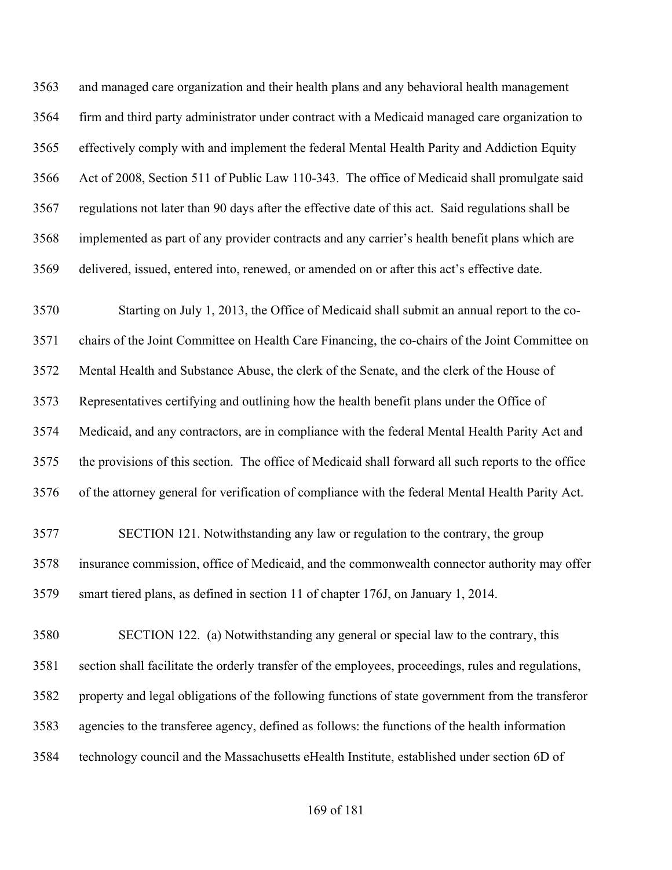and managed care organization and their health plans and any behavioral health management firm and third party administrator under contract with a Medicaid managed care organization to effectively comply with and implement the federal Mental Health Parity and Addiction Equity Act of 2008, Section 511 of Public Law 110-343. The office of Medicaid shall promulgate said regulations not later than 90 days after the effective date of this act. Said regulations shall be implemented as part of any provider contracts and any carrier's health benefit plans which are delivered, issued, entered into, renewed, or amended on or after this act's effective date.

 Starting on July 1, 2013, the Office of Medicaid shall submit an annual report to the co- chairs of the Joint Committee on Health Care Financing, the co-chairs of the Joint Committee on Mental Health and Substance Abuse, the clerk of the Senate, and the clerk of the House of Representatives certifying and outlining how the health benefit plans under the Office of Medicaid, and any contractors, are in compliance with the federal Mental Health Parity Act and the provisions of this section. The office of Medicaid shall forward all such reports to the office of the attorney general for verification of compliance with the federal Mental Health Parity Act.

 SECTION 121. Notwithstanding any law or regulation to the contrary, the group insurance commission, office of Medicaid, and the commonwealth connector authority may offer smart tiered plans, as defined in section 11 of chapter 176J, on January 1, 2014.

 SECTION 122. (a) Notwithstanding any general or special law to the contrary, this section shall facilitate the orderly transfer of the employees, proceedings, rules and regulations, property and legal obligations of the following functions of state government from the transferor agencies to the transferee agency, defined as follows: the functions of the health information technology council and the Massachusetts eHealth Institute, established under section 6D of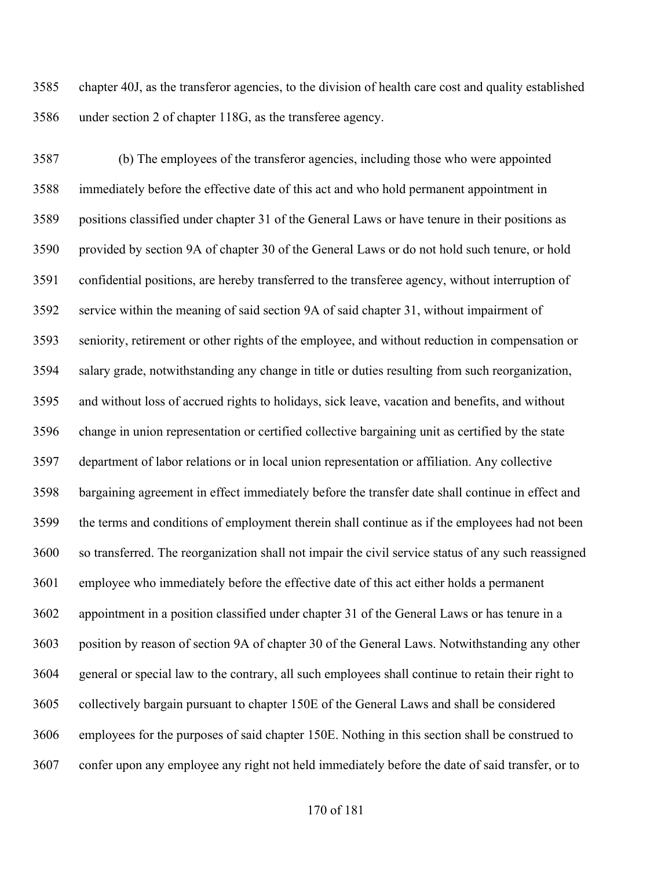chapter 40J, as the transferor agencies, to the division of health care cost and quality established under section 2 of chapter 118G, as the transferee agency.

 (b) The employees of the transferor agencies, including those who were appointed immediately before the effective date of this act and who hold permanent appointment in positions classified under chapter 31 of the General Laws or have tenure in their positions as provided by section 9A of chapter 30 of the General Laws or do not hold such tenure, or hold confidential positions, are hereby transferred to the transferee agency, without interruption of service within the meaning of said section 9A of said chapter 31, without impairment of seniority, retirement or other rights of the employee, and without reduction in compensation or salary grade, notwithstanding any change in title or duties resulting from such reorganization, and without loss of accrued rights to holidays, sick leave, vacation and benefits, and without change in union representation or certified collective bargaining unit as certified by the state department of labor relations or in local union representation or affiliation. Any collective bargaining agreement in effect immediately before the transfer date shall continue in effect and the terms and conditions of employment therein shall continue as if the employees had not been so transferred. The reorganization shall not impair the civil service status of any such reassigned employee who immediately before the effective date of this act either holds a permanent appointment in a position classified under chapter 31 of the General Laws or has tenure in a position by reason of section 9A of chapter 30 of the General Laws. Notwithstanding any other general or special law to the contrary, all such employees shall continue to retain their right to collectively bargain pursuant to chapter 150E of the General Laws and shall be considered employees for the purposes of said chapter 150E. Nothing in this section shall be construed to confer upon any employee any right not held immediately before the date of said transfer, or to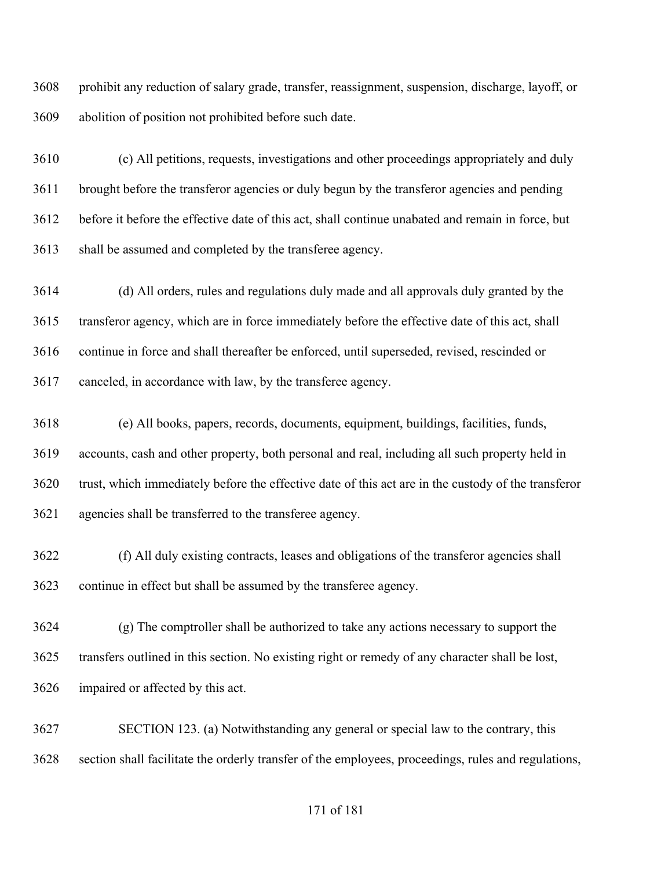prohibit any reduction of salary grade, transfer, reassignment, suspension, discharge, layoff, or abolition of position not prohibited before such date.

 (c) All petitions, requests, investigations and other proceedings appropriately and duly brought before the transferor agencies or duly begun by the transferor agencies and pending before it before the effective date of this act, shall continue unabated and remain in force, but shall be assumed and completed by the transferee agency.

 (d) All orders, rules and regulations duly made and all approvals duly granted by the transferor agency, which are in force immediately before the effective date of this act, shall continue in force and shall thereafter be enforced, until superseded, revised, rescinded or canceled, in accordance with law, by the transferee agency.

 (e) All books, papers, records, documents, equipment, buildings, facilities, funds, accounts, cash and other property, both personal and real, including all such property held in trust, which immediately before the effective date of this act are in the custody of the transferor agencies shall be transferred to the transferee agency.

 (f) All duly existing contracts, leases and obligations of the transferor agencies shall continue in effect but shall be assumed by the transferee agency.

 (g) The comptroller shall be authorized to take any actions necessary to support the transfers outlined in this section. No existing right or remedy of any character shall be lost, impaired or affected by this act.

 SECTION 123. (a) Notwithstanding any general or special law to the contrary, this section shall facilitate the orderly transfer of the employees, proceedings, rules and regulations,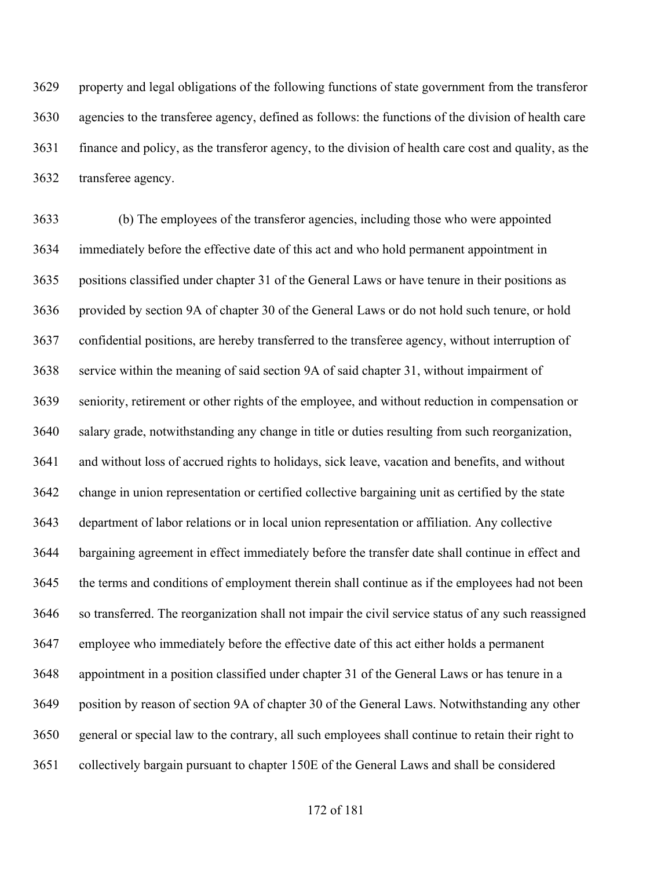property and legal obligations of the following functions of state government from the transferor agencies to the transferee agency, defined as follows: the functions of the division of health care finance and policy, as the transferor agency, to the division of health care cost and quality, as the transferee agency.

 (b) The employees of the transferor agencies, including those who were appointed immediately before the effective date of this act and who hold permanent appointment in positions classified under chapter 31 of the General Laws or have tenure in their positions as provided by section 9A of chapter 30 of the General Laws or do not hold such tenure, or hold confidential positions, are hereby transferred to the transferee agency, without interruption of service within the meaning of said section 9A of said chapter 31, without impairment of seniority, retirement or other rights of the employee, and without reduction in compensation or salary grade, notwithstanding any change in title or duties resulting from such reorganization, and without loss of accrued rights to holidays, sick leave, vacation and benefits, and without change in union representation or certified collective bargaining unit as certified by the state department of labor relations or in local union representation or affiliation. Any collective bargaining agreement in effect immediately before the transfer date shall continue in effect and the terms and conditions of employment therein shall continue as if the employees had not been so transferred. The reorganization shall not impair the civil service status of any such reassigned employee who immediately before the effective date of this act either holds a permanent appointment in a position classified under chapter 31 of the General Laws or has tenure in a position by reason of section 9A of chapter 30 of the General Laws. Notwithstanding any other general or special law to the contrary, all such employees shall continue to retain their right to collectively bargain pursuant to chapter 150E of the General Laws and shall be considered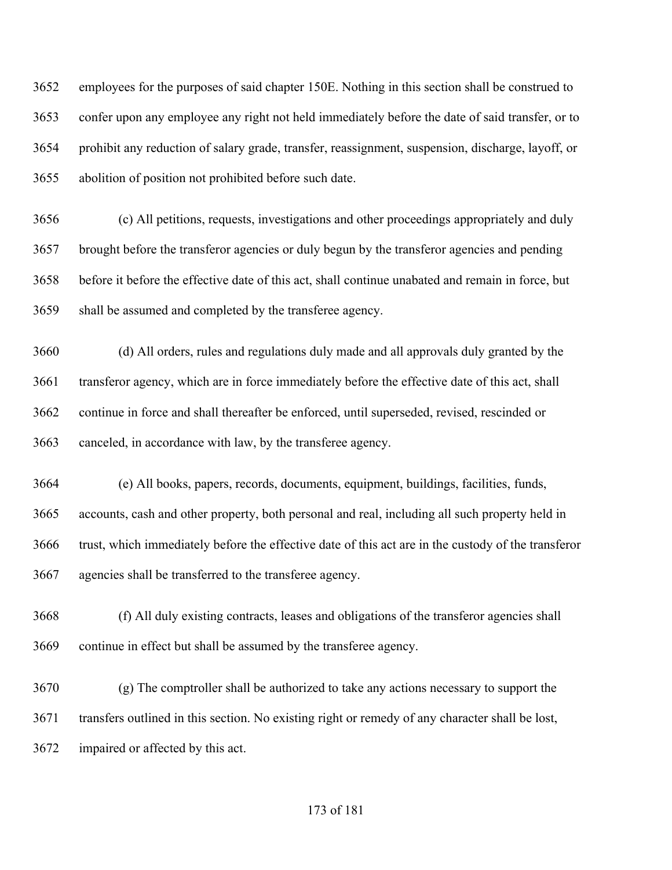employees for the purposes of said chapter 150E. Nothing in this section shall be construed to confer upon any employee any right not held immediately before the date of said transfer, or to prohibit any reduction of salary grade, transfer, reassignment, suspension, discharge, layoff, or abolition of position not prohibited before such date.

 (c) All petitions, requests, investigations and other proceedings appropriately and duly brought before the transferor agencies or duly begun by the transferor agencies and pending before it before the effective date of this act, shall continue unabated and remain in force, but shall be assumed and completed by the transferee agency.

 (d) All orders, rules and regulations duly made and all approvals duly granted by the transferor agency, which are in force immediately before the effective date of this act, shall continue in force and shall thereafter be enforced, until superseded, revised, rescinded or canceled, in accordance with law, by the transferee agency.

 (e) All books, papers, records, documents, equipment, buildings, facilities, funds, accounts, cash and other property, both personal and real, including all such property held in trust, which immediately before the effective date of this act are in the custody of the transferor agencies shall be transferred to the transferee agency.

 (f) All duly existing contracts, leases and obligations of the transferor agencies shall continue in effect but shall be assumed by the transferee agency.

 (g) The comptroller shall be authorized to take any actions necessary to support the transfers outlined in this section. No existing right or remedy of any character shall be lost, impaired or affected by this act.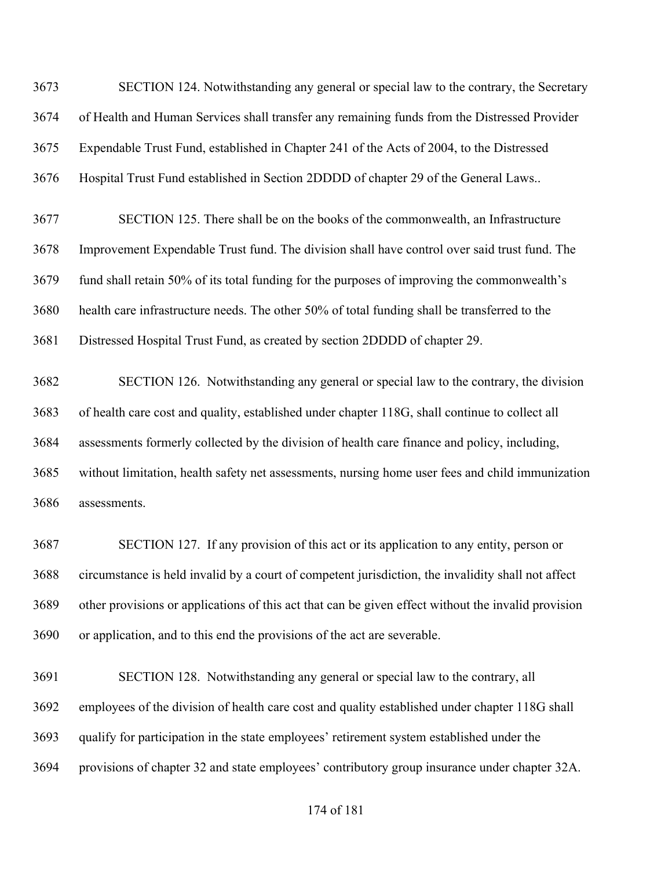SECTION 124. Notwithstanding any general or special law to the contrary, the Secretary of Health and Human Services shall transfer any remaining funds from the Distressed Provider Expendable Trust Fund, established in Chapter 241 of the Acts of 2004, to the Distressed Hospital Trust Fund established in Section 2DDDD of chapter 29 of the General Laws.. SECTION 125. There shall be on the books of the commonwealth, an Infrastructure Improvement Expendable Trust fund. The division shall have control over said trust fund. The fund shall retain 50% of its total funding for the purposes of improving the commonwealth's health care infrastructure needs. The other 50% of total funding shall be transferred to the Distressed Hospital Trust Fund, as created by section 2DDDD of chapter 29. SECTION 126. Notwithstanding any general or special law to the contrary, the division of health care cost and quality, established under chapter 118G, shall continue to collect all assessments formerly collected by the division of health care finance and policy, including, without limitation, health safety net assessments, nursing home user fees and child immunization assessments.

 SECTION 127. If any provision of this act or its application to any entity, person or circumstance is held invalid by a court of competent jurisdiction, the invalidity shall not affect other provisions or applications of this act that can be given effect without the invalid provision or application, and to this end the provisions of the act are severable.

 SECTION 128. Notwithstanding any general or special law to the contrary, all employees of the division of health care cost and quality established under chapter 118G shall qualify for participation in the state employees' retirement system established under the provisions of chapter 32 and state employees' contributory group insurance under chapter 32A.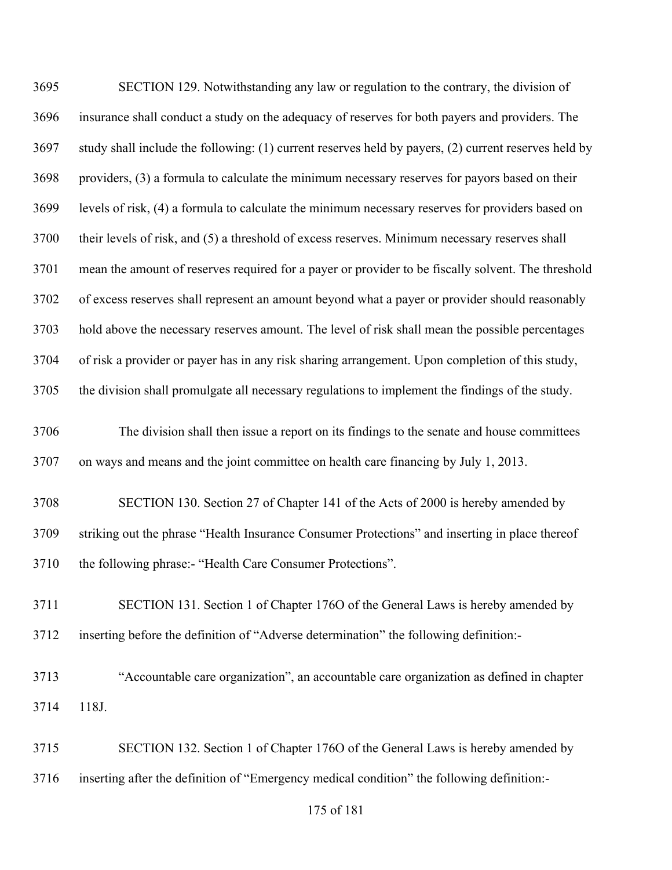| 3695 | SECTION 129. Notwithstanding any law or regulation to the contrary, the division of                  |
|------|------------------------------------------------------------------------------------------------------|
| 3696 | insurance shall conduct a study on the adequacy of reserves for both payers and providers. The       |
| 3697 | study shall include the following: (1) current reserves held by payers, (2) current reserves held by |
| 3698 | providers, (3) a formula to calculate the minimum necessary reserves for payors based on their       |
| 3699 | levels of risk, (4) a formula to calculate the minimum necessary reserves for providers based on     |
| 3700 | their levels of risk, and (5) a threshold of excess reserves. Minimum necessary reserves shall       |
| 3701 | mean the amount of reserves required for a payer or provider to be fiscally solvent. The threshold   |
| 3702 | of excess reserves shall represent an amount beyond what a payer or provider should reasonably       |
| 3703 | hold above the necessary reserves amount. The level of risk shall mean the possible percentages      |
| 3704 | of risk a provider or payer has in any risk sharing arrangement. Upon completion of this study,      |
| 3705 | the division shall promulgate all necessary regulations to implement the findings of the study.      |
| 3706 | The division shall then issue a report on its findings to the senate and house committees            |
| 3707 | on ways and means and the joint committee on health care financing by July 1, 2013.                  |
| 3708 | SECTION 130. Section 27 of Chapter 141 of the Acts of 2000 is hereby amended by                      |
| 3709 | striking out the phrase "Health Insurance Consumer Protections" and inserting in place thereof       |
| 3710 | the following phrase:- "Health Care Consumer Protections".                                           |
| 3711 | SECTION 131. Section 1 of Chapter 1760 of the General Laws is hereby amended by                      |
| 3712 | inserting before the definition of "Adverse determination" the following definition:-                |
| 3713 | "Accountable care organization", an accountable care organization as defined in chapter              |
| 3714 | 118J.                                                                                                |
| 3715 | SECTION 132. Section 1 of Chapter 1760 of the General Laws is hereby amended by                      |

inserting after the definition of "Emergency medical condition" the following definition:-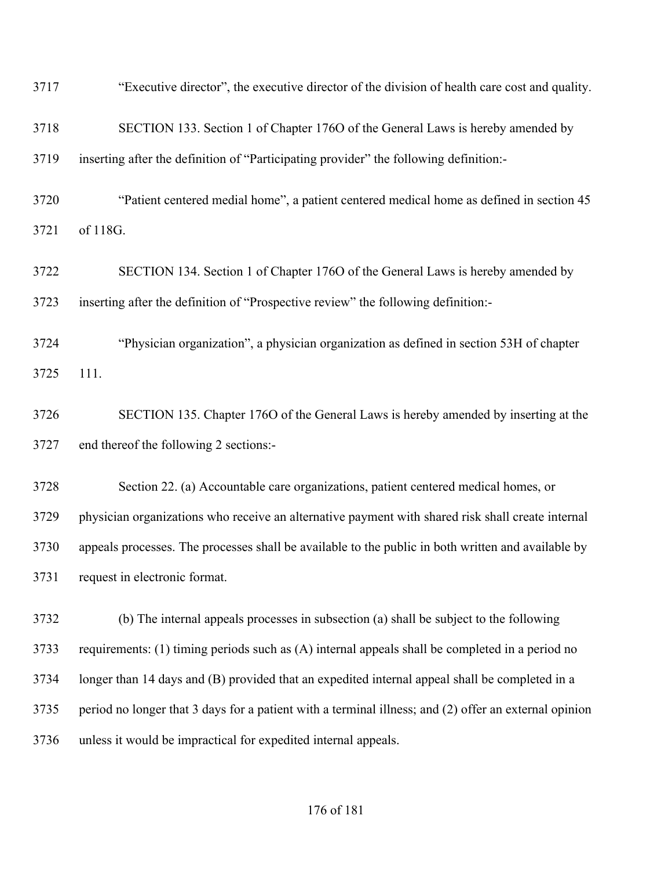| 3717 | "Executive director", the executive director of the division of health care cost and quality.         |
|------|-------------------------------------------------------------------------------------------------------|
| 3718 | SECTION 133. Section 1 of Chapter 1760 of the General Laws is hereby amended by                       |
| 3719 | inserting after the definition of "Participating provider" the following definition:-                 |
| 3720 | "Patient centered medial home", a patient centered medical home as defined in section 45              |
| 3721 | of 118G.                                                                                              |
| 3722 | SECTION 134. Section 1 of Chapter 1760 of the General Laws is hereby amended by                       |
| 3723 | inserting after the definition of "Prospective review" the following definition:-                     |
| 3724 | "Physician organization", a physician organization as defined in section 53H of chapter               |
| 3725 | 111.                                                                                                  |
| 3726 | SECTION 135. Chapter 1760 of the General Laws is hereby amended by inserting at the                   |
| 3727 | end thereof the following 2 sections:-                                                                |
| 3728 | Section 22. (a) Accountable care organizations, patient centered medical homes, or                    |
| 3729 | physician organizations who receive an alternative payment with shared risk shall create internal     |
| 3730 | appeals processes. The processes shall be available to the public in both written and available by    |
| 3731 | request in electronic format.                                                                         |
| 3732 | (b) The internal appeals processes in subsection (a) shall be subject to the following                |
| 3733 | requirements: (1) timing periods such as (A) internal appeals shall be completed in a period no       |
| 3734 | longer than 14 days and (B) provided that an expedited internal appeal shall be completed in a        |
| 3735 | period no longer that 3 days for a patient with a terminal illness; and (2) offer an external opinion |
| 3736 | unless it would be impractical for expedited internal appeals.                                        |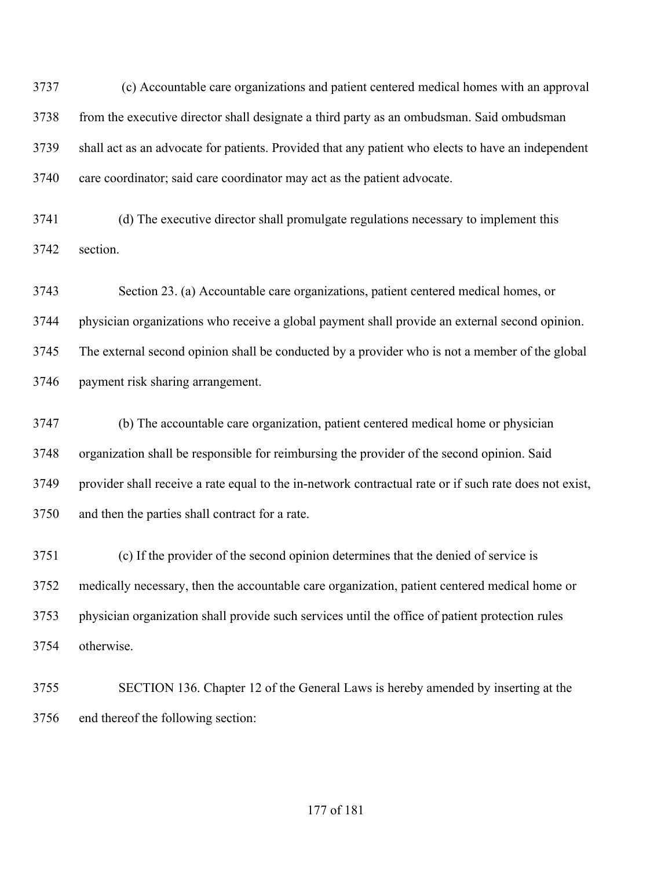(c) Accountable care organizations and patient centered medical homes with an approval from the executive director shall designate a third party as an ombudsman. Said ombudsman shall act as an advocate for patients. Provided that any patient who elects to have an independent care coordinator; said care coordinator may act as the patient advocate.

 (d) The executive director shall promulgate regulations necessary to implement this section.

 Section 23. (a) Accountable care organizations, patient centered medical homes, or physician organizations who receive a global payment shall provide an external second opinion. The external second opinion shall be conducted by a provider who is not a member of the global payment risk sharing arrangement.

 (b) The accountable care organization, patient centered medical home or physician organization shall be responsible for reimbursing the provider of the second opinion. Said provider shall receive a rate equal to the in-network contractual rate or if such rate does not exist, and then the parties shall contract for a rate.

 (c) If the provider of the second opinion determines that the denied of service is medically necessary, then the accountable care organization, patient centered medical home or physician organization shall provide such services until the office of patient protection rules otherwise.

 SECTION 136. Chapter 12 of the General Laws is hereby amended by inserting at the end thereof the following section: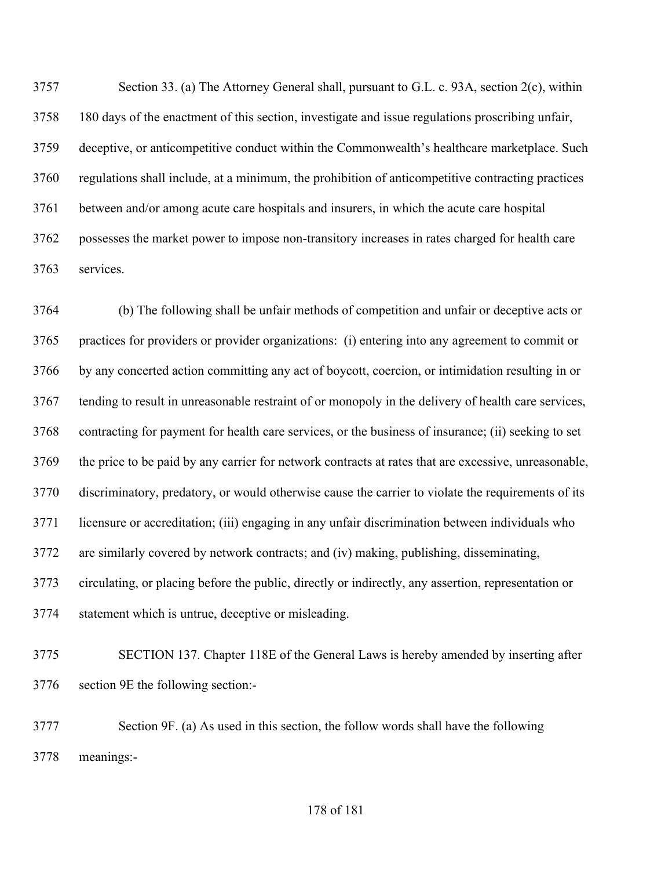Section 33. (a) The Attorney General shall, pursuant to G.L. c. 93A, section 2(c), within 180 days of the enactment of this section, investigate and issue regulations proscribing unfair, deceptive, or anticompetitive conduct within the Commonwealth's healthcare marketplace. Such regulations shall include, at a minimum, the prohibition of anticompetitive contracting practices between and/or among acute care hospitals and insurers, in which the acute care hospital possesses the market power to impose non-transitory increases in rates charged for health care services.

 (b) The following shall be unfair methods of competition and unfair or deceptive acts or practices for providers or provider organizations: (i) entering into any agreement to commit or by any concerted action committing any act of boycott, coercion, or intimidation resulting in or tending to result in unreasonable restraint of or monopoly in the delivery of health care services, contracting for payment for health care services, or the business of insurance; (ii) seeking to set the price to be paid by any carrier for network contracts at rates that are excessive, unreasonable, discriminatory, predatory, or would otherwise cause the carrier to violate the requirements of its licensure or accreditation; (iii) engaging in any unfair discrimination between individuals who are similarly covered by network contracts; and (iv) making, publishing, disseminating, circulating, or placing before the public, directly or indirectly, any assertion, representation or statement which is untrue, deceptive or misleading.

 SECTION 137. Chapter 118E of the General Laws is hereby amended by inserting after section 9E the following section:-

 Section 9F. (a) As used in this section, the follow words shall have the following meanings:-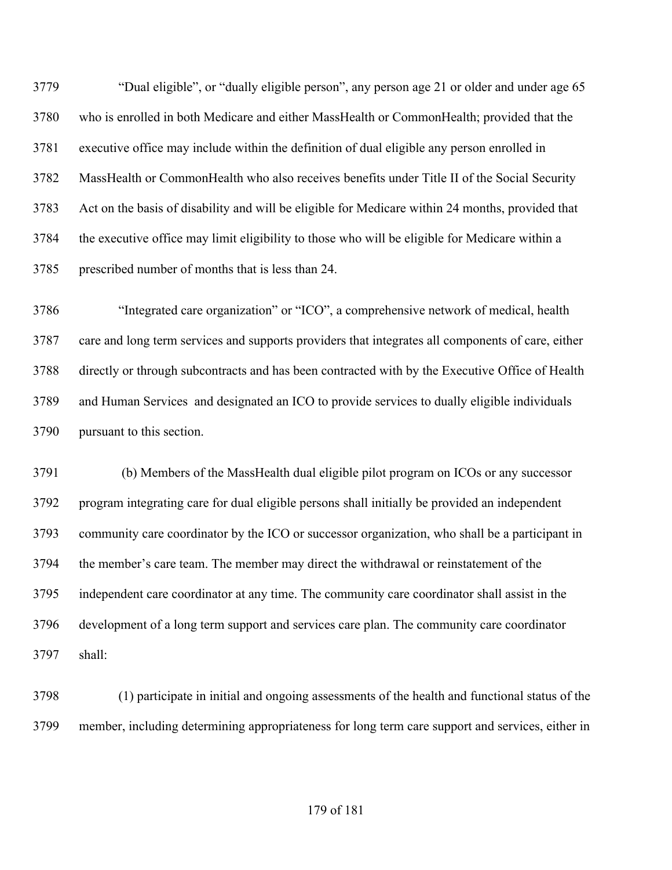"Dual eligible", or "dually eligible person", any person age 21 or older and under age 65 who is enrolled in both Medicare and either MassHealth or CommonHealth; provided that the executive office may include within the definition of dual eligible any person enrolled in MassHealth or CommonHealth who also receives benefits under Title II of the Social Security Act on the basis of disability and will be eligible for Medicare within 24 months, provided that the executive office may limit eligibility to those who will be eligible for Medicare within a prescribed number of months that is less than 24.

 "Integrated care organization" or "ICO", a comprehensive network of medical, health care and long term services and supports providers that integrates all components of care, either directly or through subcontracts and has been contracted with by the Executive Office of Health and Human Services and designated an ICO to provide services to dually eligible individuals pursuant to this section.

 (b) Members of the MassHealth dual eligible pilot program on ICOs or any successor program integrating care for dual eligible persons shall initially be provided an independent community care coordinator by the ICO or successor organization, who shall be a participant in the member's care team. The member may direct the withdrawal or reinstatement of the independent care coordinator at any time. The community care coordinator shall assist in the development of a long term support and services care plan. The community care coordinator shall:

 (1) participate in initial and ongoing assessments of the health and functional status of the member, including determining appropriateness for long term care support and services, either in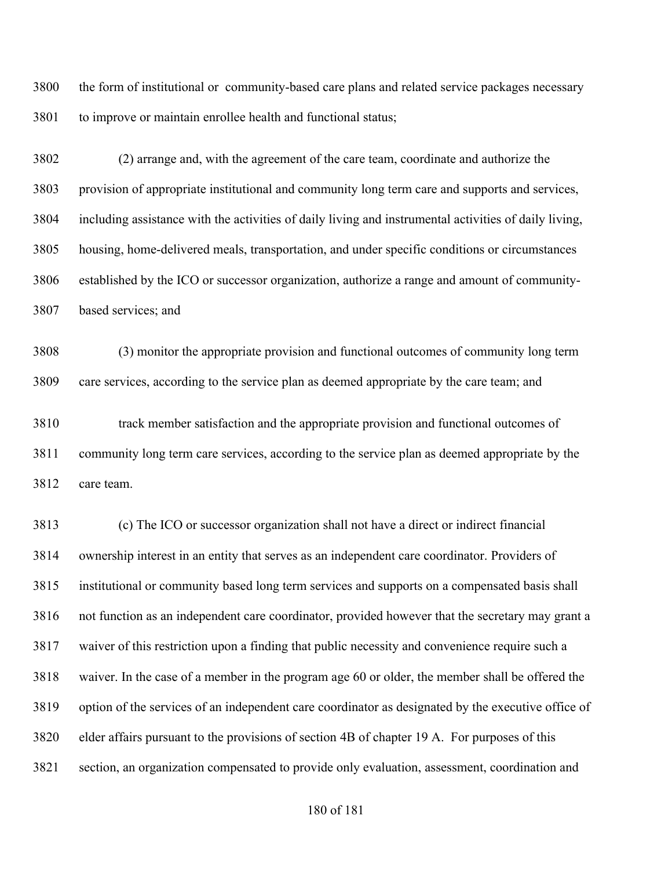the form of institutional or community-based care plans and related service packages necessary to improve or maintain enrollee health and functional status;

 (2) arrange and, with the agreement of the care team, coordinate and authorize the provision of appropriate institutional and community long term care and supports and services, including assistance with the activities of daily living and instrumental activities of daily living, housing, home-delivered meals, transportation, and under specific conditions or circumstances established by the ICO or successor organization, authorize a range and amount of community-based services; and

 (3) monitor the appropriate provision and functional outcomes of community long term care services, according to the service plan as deemed appropriate by the care team; and

 track member satisfaction and the appropriate provision and functional outcomes of community long term care services, according to the service plan as deemed appropriate by the care team.

 (c) The ICO or successor organization shall not have a direct or indirect financial ownership interest in an entity that serves as an independent care coordinator. Providers of institutional or community based long term services and supports on a compensated basis shall not function as an independent care coordinator, provided however that the secretary may grant a waiver of this restriction upon a finding that public necessity and convenience require such a waiver. In the case of a member in the program age 60 or older, the member shall be offered the option of the services of an independent care coordinator as designated by the executive office of elder affairs pursuant to the provisions of section 4B of chapter 19 A. For purposes of this section, an organization compensated to provide only evaluation, assessment, coordination and